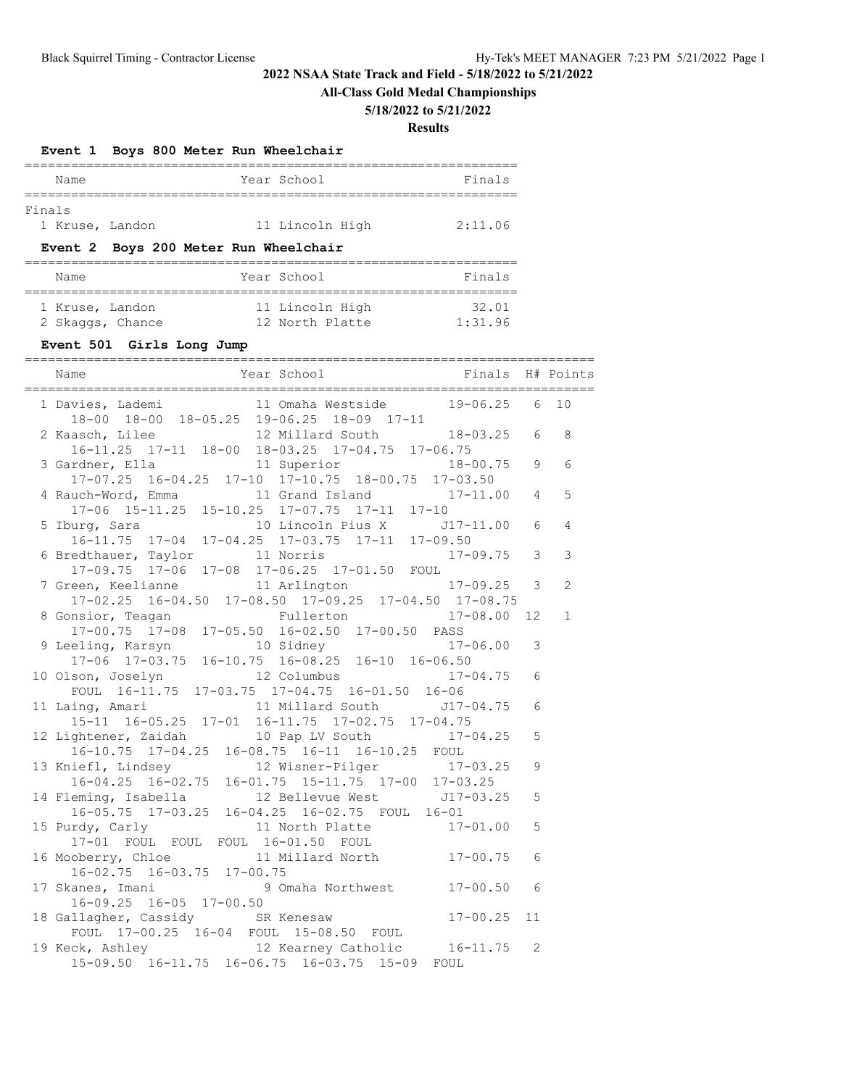# **All-Class Gold Medal Championships**

#### **5/18/2022 to 5/21/2022**

|        |                           |  |                               |                | Event 1 Boys 800 Meter Run Wheelchair                                                                                      |                        |    |              |
|--------|---------------------------|--|-------------------------------|----------------|----------------------------------------------------------------------------------------------------------------------------|------------------------|----|--------------|
|        | Name                      |  |                               | ============== | Year School                                                                                                                | Finals                 |    |              |
| Finals | 1 Kruse, Landon           |  |                               |                | 11 Lincoln High                                                                                                            | 2:11.06                |    |              |
|        |                           |  |                               |                | Event 2 Boys 200 Meter Run Wheelchair                                                                                      |                        |    |              |
|        | Name                      |  |                               |                | Year School                                                                                                                | Finals                 |    |              |
|        |                           |  |                               |                | 1 Kruse, Landon 11 Lincoln High<br>2 Skaggs, Chance 12 North Platte                                                        | $32.01$<br>$1:31.96$   |    |              |
|        | Event 501 Girls Long Jump |  |                               |                |                                                                                                                            |                        |    |              |
|        | Name                      |  |                               |                | Year School                                                                                                                | Finals                 |    | H# Points    |
|        | 1 Davies, Lademi          |  |                               |                | 11 Omaha Westside                                                                                                          | 19-06.25               | 6  | 10           |
|        | 2 Kaasch, Lilee           |  |                               |                | 18-00 18-00 18-05.25 19-06.25 18-09 17-11<br>12 Millard South                                                              | $18 - 03.25$           | 6  | 8            |
|        | 3 Gardner, Ella           |  |                               |                | 16-11.25 17-11 18-00 18-03.25 17-04.75 17-06.75<br>11 Superior                                                             | $18 - 00.75$           | 9  | 6            |
|        |                           |  |                               |                | $17-07.25$ $16-04.25$ $17-10$ $17-10.75$ $18-00.75$ $17-03.50$                                                             |                        |    |              |
|        |                           |  |                               |                | 4 Rauch-Word, Emma 11 Grand Island 17-11.00                                                                                |                        | 4  | 5            |
|        |                           |  |                               |                | 17-06 15-11.25 15-10.25 17-07.75 17-11 17-10<br>16-11.75 17-04 17-04.25 17-03.75 17-11 17-09.50                            |                        | 6  | 4            |
|        |                           |  |                               |                | 6 Bredthauer, Taylor 11 Norris 1<br>17-09.75 17-06 17-08 17-06.25 17-01.50 FOUL                                            | 17-09.75               | 3  | 3            |
|        | 7 Green, Keelianne        |  |                               |                | 11 Arlington 17-09.25                                                                                                      |                        | 3  | 2            |
|        |                           |  |                               |                | 17-02.25 16-04.50 17-08.50 17-09.25 17-04.50 17-08.75                                                                      |                        |    |              |
|        | 8 Gonsior, Teagan         |  |                               |                | Fullerton                                                                                                                  | 17-08.00               | 12 | $\mathbf{1}$ |
|        | 9 Leeling, Karsyn         |  |                               |                | 17-00.75 17-08 17-05.50 16-02.50 17-00.50 PASS<br>10 Sidney<br>$17-06$ $17-03.75$ $16-10.75$ $16-08.25$ $16-10$ $16-06.50$ | $17 - 06.00$           | 3  |              |
|        | 10 Olson, Joselyn         |  |                               |                | 12 Columbus<br>FOUL 16-11.75 17-03.75 17-04.75 16-01.50 16-06                                                              | $17 - 04.75$           | 6  |              |
|        | 11 Laing, Amari           |  |                               |                | 11 Millard South J17-04.75<br>15-11 16-05.25 17-01 16-11.75 17-02.75 17-04.75                                              |                        | 6  |              |
|        |                           |  |                               |                | 12 Lightener, Zaidah 10 Pap LV South 17-04.25<br>16-10.75 17-04.25 16-08.75 16-11 16-10.25 FOUL                            |                        | 5  |              |
|        | 13 Kniefl, Lindsey        |  |                               |                | 12 Wisner-Pilger<br>16-04.25 16-02.75 16-01.75 15-11.75 17-00 17-03.25                                                     | $17 - 03.25$           | 9  |              |
|        | 14 Fleming, Isabella      |  |                               |                | 12 Bellevue West J17-03.25<br>16-05.75 17-03.25 16-04.25 16-02.75 FOUL 16-01                                               |                        | 5  |              |
|        | 15 Purdy, Carly           |  |                               |                | 11 North Platte<br>17-01 FOUL FOUL FOUL 16-01.50 FOUL                                                                      | $17 - 01.00$           | 5  |              |
|        | 16 Mooberry, Chloe        |  | 16-02.75 16-03.75 17-00.75    |                | 11 Millard North                                                                                                           | $17 - 00.75$           | 6  |              |
|        | 17 Skanes, Imani          |  |                               |                | 9 Omaha Northwest                                                                                                          | $17 - 00.50$           | 6  |              |
|        |                           |  | $16-09.25$ $16-05$ $17-00.50$ |                | 18 Gallagher, Cassidy SR Kenesaw<br>FOUL 17-00.25 16-04 FOUL 15-08.50 FOUL                                                 | $17 - 00.25$           | 11 |              |
|        |                           |  |                               |                | 19 Keck, Ashley 12 Kearney Catholic<br>15-09.50 16-11.75 16-06.75 16-03.75 15-09                                           | $16 - 11.75$ 2<br>FOUL |    |              |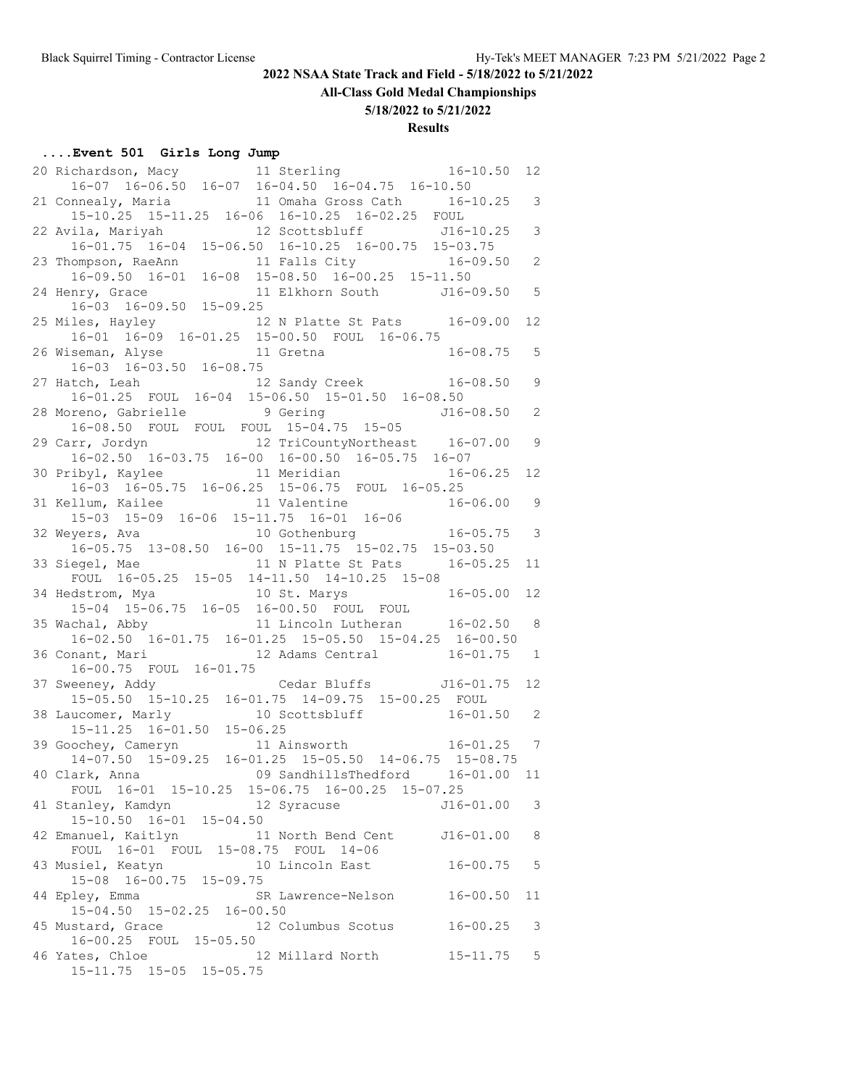**All-Class Gold Medal Championships**

**5/18/2022 to 5/21/2022**

# **Results**

# **....Event 501 Girls Long Jump**

|                                                                                                                                                                                | 12                       |
|--------------------------------------------------------------------------------------------------------------------------------------------------------------------------------|--------------------------|
| 20 Richardson, Macy 11 Sterling 16-10.50<br>16-07 16-06.50 16-07 16-04.50 16-04.75 16-10.50                                                                                    |                          |
| 11 Omaha Gross Cath 16-10.25 3<br>21 Connealy, Maria                                                                                                                           |                          |
| 15-10.25 15-11.25 16-06 16-10.25 16-02.25 FOUL                                                                                                                                 |                          |
| 22 Avila, Mariyah 12 Scottsbluff J16-10.25<br>16-01.75 16-04 15-06.50 16-10.25 16-00.75 15-03.75                                                                               | $\overline{\phantom{a}}$ |
|                                                                                                                                                                                |                          |
| 23 Thompson, RaeAnn 11 Falls City 16-09.50<br>16-09.50 16-01 16-08 15-08.50 16-00.25 15-11.50                                                                                  | $\mathbf{2}$             |
|                                                                                                                                                                                |                          |
| 24 Henry, Grace 11<br>16-03 16-09.50 15-09.25<br>11 Elkhorn South J16-09.50 5                                                                                                  |                          |
|                                                                                                                                                                                |                          |
| 25 Miles, Hayley 12 N Platte St Pats 16-09.00 12<br>16-01 16-09 16-01.25 15-00.50 FOUL 16-06.75                                                                                |                          |
|                                                                                                                                                                                |                          |
| 26 Wiseman, Alyse 11 Gretna<br>16-03 16-03.50 16-08.75<br>$16 - 08.75$ 5                                                                                                       |                          |
|                                                                                                                                                                                |                          |
| 27 Hatch, Leah 12 Sandy Creek 16-08.50 9                                                                                                                                       |                          |
| 16-01.25 FOUL 16-04 15-06.50 15-01.50 16-08.50                                                                                                                                 |                          |
| 28 Moreno, Gabrielle 9 Gering 516-08.50 2<br>16-08.50 FOUL FOUL FOUL 15-04.75 15-05                                                                                            |                          |
| 29 Carr, Jordyn 12 TriCountyNortheast 16-07.00                                                                                                                                 | $\overline{9}$           |
| 16-02.50 16-03.75 16-00 16-00.50 16-05.75 16-07                                                                                                                                |                          |
| 11 Meridian<br>30 Pribyl, Kaylee<br>$16 - 06.25$                                                                                                                               | 12                       |
| 16-03 16-05.75 16-06.25 15-06.75 FOUL 16-05.25                                                                                                                                 |                          |
| 11 Valentine<br>$16 - 06.00$ 9<br>31 Kellum, Kailee                                                                                                                            |                          |
|                                                                                                                                                                                |                          |
| 15-03 15-09 16-06 15-11.75 16-01 16-06<br>32 Weyers, Ava 10 Gothenburg 16-05.75 3                                                                                              |                          |
| $16-05.75$ 13-08.50 16-00 15-11.75 15-02.75 15-03.50                                                                                                                           |                          |
| 11 N Platte St Pats 16-05.25<br>33 Siegel, Mae                                                                                                                                 | 11                       |
| FOUL 16-05.25 15-05 14-11.50 14-10.25 15-08                                                                                                                                    |                          |
|                                                                                                                                                                                |                          |
|                                                                                                                                                                                |                          |
| 34 Hedstrom, Mya 10 St. Marys 16-05.00 12<br>15-04 15-06.75 16-05 16-00.50 FOUL FOUL<br>35 Wachal, Abby 11 Lincoln Lutheran 16-02.50 8                                         |                          |
| 16-02.50 16-01.75 16-01.25 15-05.50 15-04.25 16-00.50                                                                                                                          |                          |
| 36 Conant, Mari 12 Adams Central 16-01.75 1                                                                                                                                    |                          |
| 16-00.75 FOUL 16-01.75                                                                                                                                                         |                          |
| Cedar Bluffs 516-01.75 12<br>37 Sweeney, Addy                                                                                                                                  |                          |
|                                                                                                                                                                                |                          |
|                                                                                                                                                                                |                          |
|                                                                                                                                                                                |                          |
| 15-05.50 15-10.25 16-01.75 14-09.75 15-00.25 FOUL<br>38 Laucomer, Marly 10 Scottsbluff 16-01.50 2<br>15-11.25 16-01.50 15-06.25<br>39 Goochey, Cameryn 11 Ainsworth 16-01.25 7 |                          |
| 14-07.50 15-09.25 16-01.25 15-05.50 14-06.75 15-08.75                                                                                                                          |                          |
| 40 Clark, Anna (16-01.00) 9 SandhillsThedford (16-01.00                                                                                                                        | 11                       |
| FOUL 16-01 15-10.25 15-06.75 16-00.25 15-07.25                                                                                                                                 |                          |
| 41 Stanley, Kamdyn 12 Syracuse<br>$J16 - 01.00$                                                                                                                                | 3                        |
| $15 - 10.50$ $16 - 01$ $15 - 04.50$                                                                                                                                            |                          |
| 42 Emanuel, Kaitlyn 11 North Bend Cent<br>$J16 - 01.00$                                                                                                                        | 8                        |
| FOUL 16-01 FOUL 15-08.75 FOUL 14-06                                                                                                                                            |                          |
| 43 Musiel, Keatyn<br>10 Lincoln East<br>$16 - 00.75$                                                                                                                           | -5                       |
| 15-08 16-00.75 15-09.75                                                                                                                                                        |                          |
| 44 Epley, Emma<br>SR Lawrence-Nelson<br>$16 - 00.50$<br>15-04.50 15-02.25 16-00.50                                                                                             | 11                       |
|                                                                                                                                                                                |                          |
| 45 Mustard, Grace<br>12 Columbus Scotus 16-00.25<br>16-00.25 FOUL 15-05.50                                                                                                     | -3                       |
| 46 Yates, Chloe<br>12 Millard North<br>$15 - 11.75$                                                                                                                            | $5^{\circ}$              |
| 15-11.75 15-05 15-05.75                                                                                                                                                        |                          |
|                                                                                                                                                                                |                          |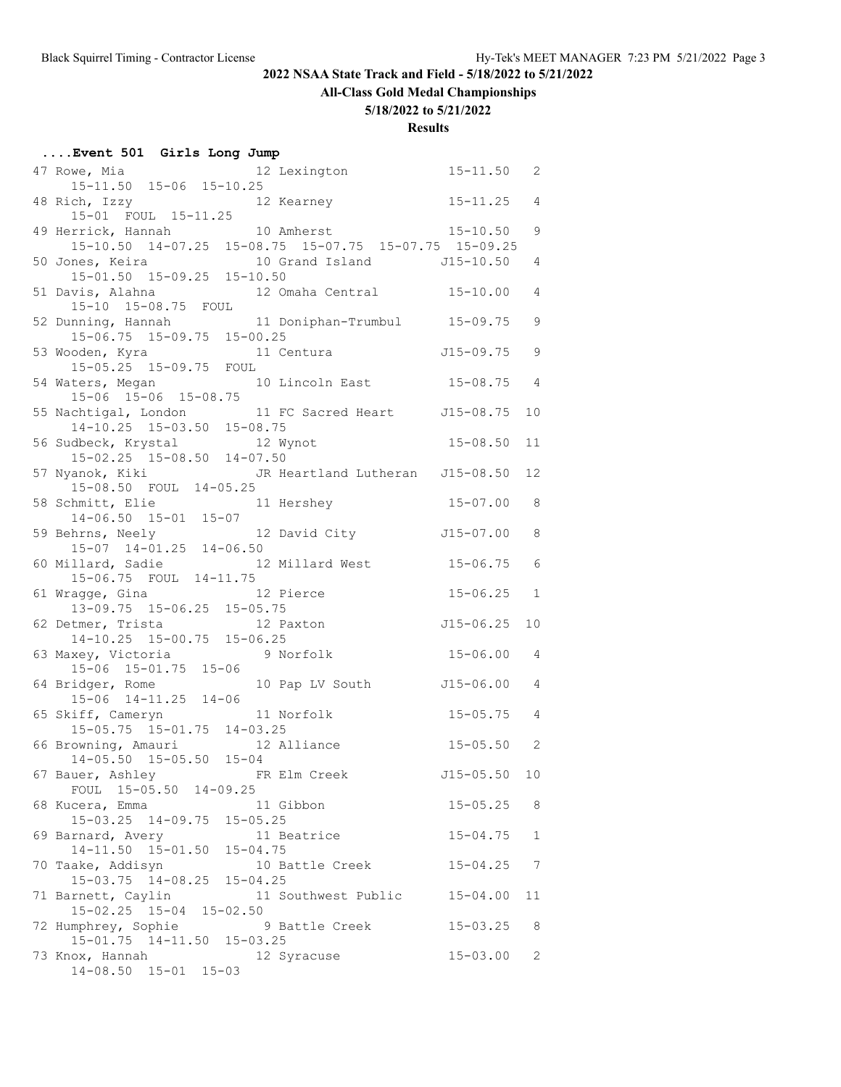# **All-Class Gold Medal Championships**

#### **5/18/2022 to 5/21/2022**

| Event 501 Girls Long Jump                                                         |                                                                                                                                      |                |                 |
|-----------------------------------------------------------------------------------|--------------------------------------------------------------------------------------------------------------------------------------|----------------|-----------------|
|                                                                                   | 47 Rowe, Mia 12 Lexington 15-11.50 2<br>15-11.50 15-06 15-10.25                                                                      |                |                 |
| 15-01 FOUL 15-11.25                                                               | 48 Rich, Izzy 12 Kearney 15-11.25 4                                                                                                  |                |                 |
|                                                                                   | 49 Herrick, Hannah 10 Amherst 15-07.75 15-07.75 15-09.25 15-10.50 14-07.25 15-08.75 15-07.75 15-07.75 15-09.25                       |                |                 |
|                                                                                   | 50 Jones, Keira 10 Grand Island 15-01.50 4<br>15-01.50 15-09.25 15-10.50                                                             |                |                 |
| 51 Davis, Alahna<br>$15-10$ $15-08.75$ FOUL                                       | 12 Omaha Central 15-10.00                                                                                                            |                | $\overline{4}$  |
|                                                                                   |                                                                                                                                      |                |                 |
|                                                                                   | 52 Dunning, Hannah 11 Doniphan-Trumbul 15-09.75 9<br>15-06.75 15-09.75 15-00.25<br>53 Wooden, Kyra 11 Centura 15-05.25 15-09.75 FOUL |                |                 |
| 15-06 15-06 15-08.75                                                              | 54 Waters, Megan 10 Lincoln East 15-08.75                                                                                            |                | $\overline{4}$  |
|                                                                                   | 55 Nachtigal, London 11 FC Sacred Heart J15-08.75<br>14-10.25 15-03.50 15-08.75                                                      |                | 10              |
|                                                                                   | 56 Sudbeck, Krystal 12 Wynot 15-08.50<br>15-02.25 15-08.50 14-07.50                                                                  |                | 11              |
|                                                                                   | 57 Nyanok, Kiki JR Heartland Lutheran J15-08.50<br>15-08.50 FOUL 14-05.25                                                            |                | 12              |
| 58 Schmitt, Elie                                                                  | 11 Hershey                                                                                                                           | $15 - 07.00$ 8 |                 |
|                                                                                   | 14-06.50 15-01 15-07<br>59 Behrns, Neely 12 David City 115-07.00 8<br>15-07 14-01.25 14-06.50                                        |                |                 |
|                                                                                   | 60 Millard, Sadie 12 Millard West 15-06.75 6                                                                                         |                |                 |
| 15-06.75 FOUL 14-11.75<br>61 Wragge, Gina 12 Pierce<br>13-09.75 15-06.25 15-05.75 |                                                                                                                                      | $15 - 06.25$ 1 |                 |
| 62 Detmer, Trista 12 Paxton<br>14-10.25 15-00.75 15-06.25                         |                                                                                                                                      | $J15 - 06.25$  | 10              |
|                                                                                   | 63 Maxey, Victoria 9 Norfolk 15-06.00 4                                                                                              |                |                 |
| $15-06$ $15-01.75$ $15-06$<br>64 Bridger, Rome<br>15-06 14-11.25 14-06            | 10 Pap LV South 515-06.00 4                                                                                                          |                |                 |
| 65 Skiff, Cameryn                                                                 | 11 Norfolk                                                                                                                           | $15 - 05.75$ 4 |                 |
| 15-05.75 15-01.75 14-03.25<br>66 Browning, Amauri 12 Alliance                     |                                                                                                                                      | $15 - 05.50$ 2 |                 |
| 14-05.50 15-05.50 15-04<br>67 Bauer, Ashley                                       | FR Elm Creek                                                                                                                         | $J15 - 05.50$  | 10 <sub>o</sub> |
| FOUL 15-05.50 14-09.25<br>68 Kucera, Emma                                         | 11 Gibbon                                                                                                                            | $15 - 05.25$   | 8               |
| 15-03.25 14-09.75 15-05.25<br>69 Barnard, Avery                                   | 11 Beatrice                                                                                                                          | $15 - 04.75$   | 1               |
| 14-11.50 15-01.50 15-04.75<br>70 Taake, Addisyn                                   | 10 Battle Creek                                                                                                                      | $15 - 04.25$   | 7               |
| 15-03.75 14-08.25 15-04.25<br>71 Barnett, Caylin                                  | 11 Southwest Public                                                                                                                  | $15 - 04.00$   | 11              |
| 15-02.25 15-04 15-02.50<br>72 Humphrey, Sophie                                    | 9 Battle Creek                                                                                                                       | $15 - 03.25$   | 8               |
| 15-01.75 14-11.50 15-03.25                                                        |                                                                                                                                      | $15 - 03.00$   | 2               |
| 73 Knox, Hannah<br>14-08.50 15-01 15-03                                           | 12 Syracuse                                                                                                                          |                |                 |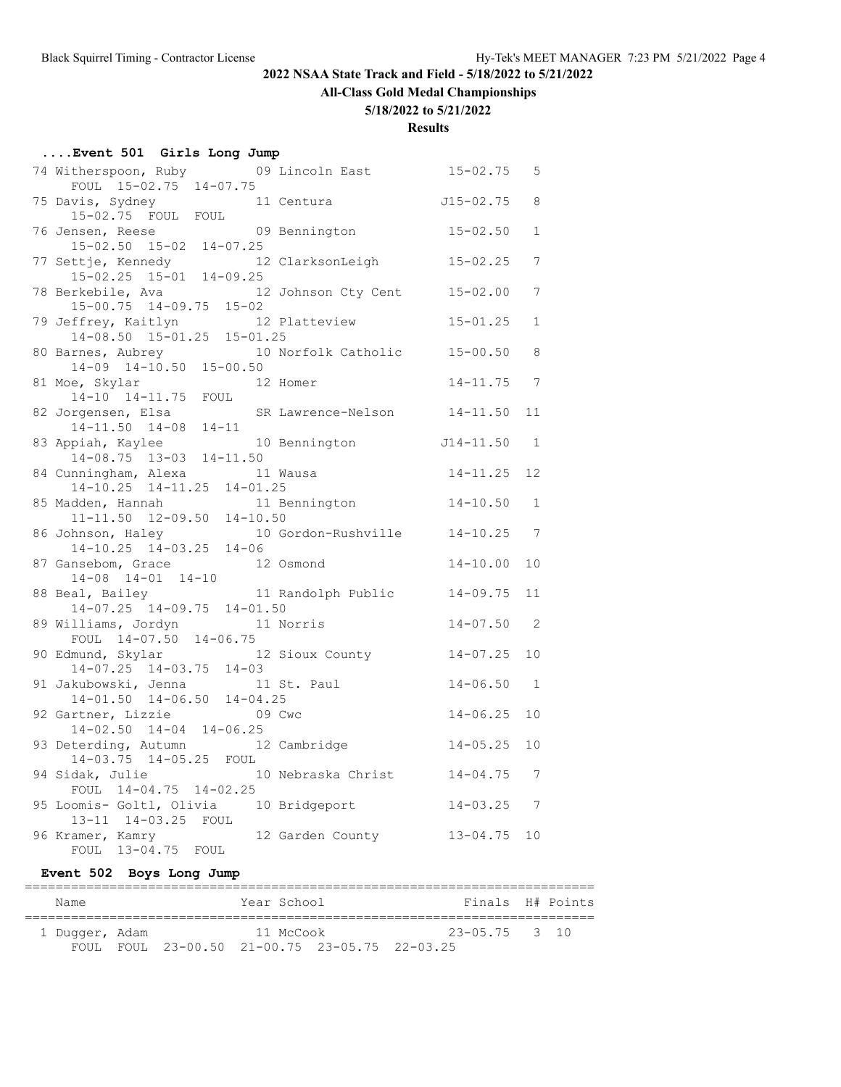# **All-Class Gold Medal Championships**

#### **5/18/2022 to 5/21/2022**

#### **Results**

| Event 501 Girls Long Jump |  |  |  |  |  |
|---------------------------|--|--|--|--|--|
|---------------------------|--|--|--|--|--|

| 74 Witherspoon, Ruby 09 Lincoln East<br>FOUL 15-02.75 14-07.75              |           |                        | $15 - 02.75$    | 5              |
|-----------------------------------------------------------------------------|-----------|------------------------|-----------------|----------------|
|                                                                             |           |                        |                 |                |
| 75 Davis, Sydney<br>15-02.75 FOUL FOUL                                      |           | 11 Centura             | $J15 - 02.75$   | 8              |
| 76 Jensen, Reese                                                            |           | 09 Bennington 15-02.50 |                 | $\mathbf{1}$   |
| 15-02.50 15-02 14-07.25                                                     |           |                        |                 |                |
| 77 Settje, Kennedy 12<br>15-02.25 15-01 14-09.25                            |           | 12 ClarksonLeigh       | $15 - 02.25$    | 7              |
| 78 Berkebile, Ava                                                           |           | 12 Johnson Cty Cent    | $15 - 02.00$    | 7              |
| $15-00.75$ $14-09.75$ $15-02$                                               |           |                        |                 |                |
| 79 Jeffrey, Kaitlyn 12 P.<br>14-08.50 15-01.25 15-01.25                     |           | 12 Platteview          | $15 - 01.25$    | $\mathbf{1}$   |
|                                                                             |           | 10 Norfolk Catholic    |                 | 8              |
| 80 Barnes, Aubrey 10<br>14-09 14-10.50 15-00.50                             |           |                        | $15 - 00.50$    |                |
| 81 Moe, Skylar                                                              |           | 12 Homer               | $14 - 11.75$    | $\overline{7}$ |
| 14-10 14-11.75 FOUL                                                         |           |                        |                 |                |
| 82 Jorgensen, Elsa SR Lawrence-Nelson 14-11.50                              |           |                        |                 | 11             |
| $14-11.50$ $14-08$ $14-11$                                                  |           |                        |                 |                |
| 83 Appiah, Kaylee                                                           |           | 10 Bennington          | J14-11.50       | $\sim$ 1       |
| $14-08.75$ $13-03$ $14-11.50$                                               |           |                        |                 |                |
| 84 Cunningham, Alexa<br>14-10.25 14-11.25 14-01.25                          | 11 Wausa  |                        | $14 - 11.25$    | 12             |
| 85 Madden, Hannah                                                           |           | 11 Bennington          | $14 - 10.50$    | 1              |
| $11-11.50$ $12-09.50$ $14-10.50$                                            |           |                        |                 |                |
|                                                                             |           |                        |                 |                |
| 86 Johnson, Haley 10 Gordon-Rushville 14-10.25 7<br>14-10.25 14-03.25 14-06 |           |                        |                 |                |
| 87 Gansebom, Grace                                                          | 12 Osmond |                        | $14 - 10.00$    | 10             |
| $14-08$ $14-01$ $14-10$                                                     |           |                        |                 |                |
| 88 Beal, Bailey 11 Randolph Public                                          |           |                        | $14 - 09.75$    | 11             |
| 14-07.25 14-09.75 14-01.50                                                  |           |                        |                 |                |
| 89 Williams, Jordyn 11 Norris                                               |           |                        | $14 - 07.50$ 2  |                |
| FOUL 14-07.50 14-06.75                                                      |           |                        |                 |                |
| 90 Edmund, Skylar 12 Sioux County                                           |           |                        | $14 - 07.25$ 10 |                |
| $14-07.25$ $14-03.75$ $14-03$                                               |           |                        |                 |                |
| 91 Jakubowski, Jenna 11 St. Paul<br>14-01.50 14-06.50 14-04.25              |           |                        | $14 - 06.50$    | $\overline{1}$ |
|                                                                             |           |                        |                 |                |
| 92 Gartner, Lizzie                                                          |           | 09 Cwc                 | $14 - 06.25$    | 10             |
| $14-02.50$ $14-04$ $14-06.25$                                               |           |                        |                 |                |
| 93 Deterding, Autumn 12 Cambridge                                           |           |                        | $14 - 05.25$    | 10             |
| 14-03.75 14-05.25 FOUL                                                      |           |                        |                 |                |
| 94 Sidak, Julie 10 Nebraska Christ                                          |           |                        | $14 - 04.75$ 7  |                |
| FOUL 14-04.75 14-02.25                                                      |           |                        |                 |                |
| 95 Loomis- Goltl, Olivia 10 Bridgeport                                      |           |                        | $14 - 03.25$ 7  |                |
| 13-11 14-03.25 FOUL                                                         |           |                        |                 |                |
| 96 Kramer, Kamry                                                            |           | 12 Garden County       | $13 - 04.75$ 10 |                |
| FOUL 13-04.75 FOUL                                                          |           |                        |                 |                |

#### **Event 502 Boys Long Jump**

| Name           |  | Year School |                                               | Finals H# Points  |  |
|----------------|--|-------------|-----------------------------------------------|-------------------|--|
| 1 Duqqer, Adam |  | 11 McCook   |                                               | $23 - 05.75$ 3 10 |  |
|                |  |             | FOUL FOUL 23-00.50 21-00.75 23-05.75 22-03.25 |                   |  |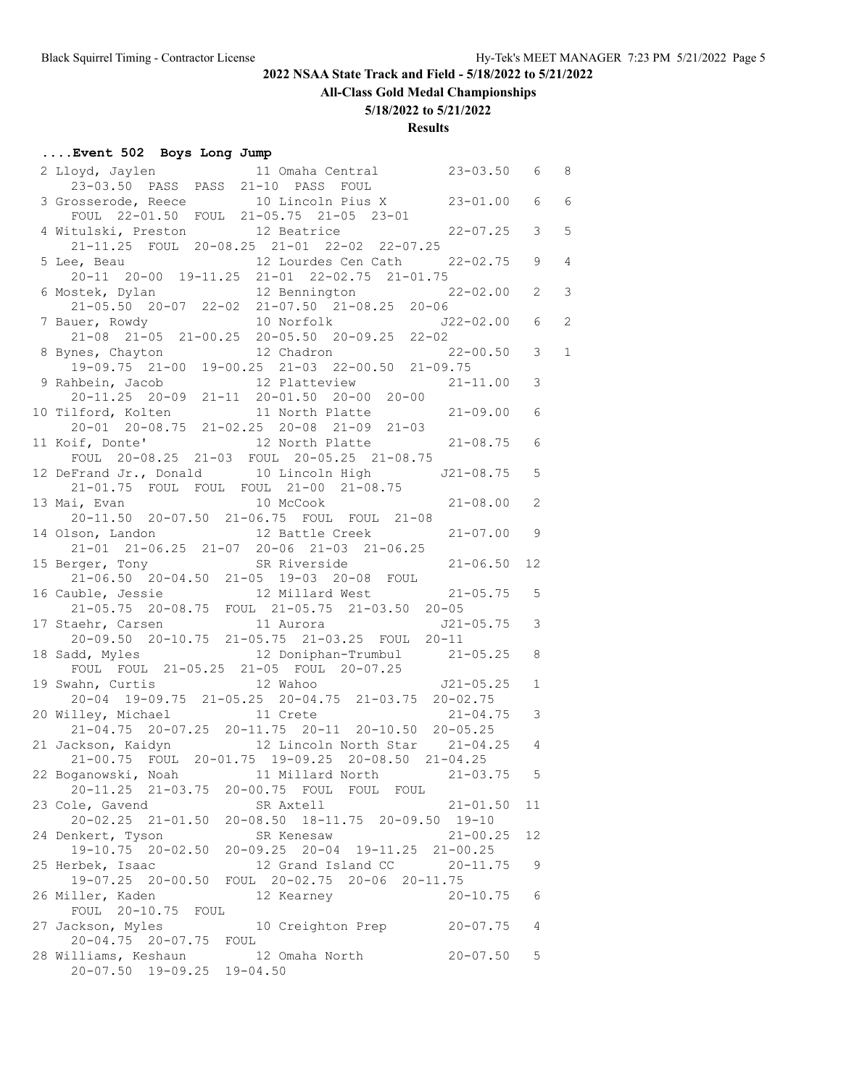**All-Class Gold Medal Championships**

#### **5/18/2022 to 5/21/2022**

## **Results**

#### **....Event 502 Boys Long Jump**

|                                             | 2 Lloyd, Jaylen 11 Omaha Central 23-03.50 6<br>23-03.50 PASS PASS 21-10 PASS FOUL 23-03.50 6                                                                                                      |              |               | - 8             |
|---------------------------------------------|---------------------------------------------------------------------------------------------------------------------------------------------------------------------------------------------------|--------------|---------------|-----------------|
|                                             |                                                                                                                                                                                                   |              |               |                 |
|                                             | 3 Grosserode, Reece 10 Lincoln Pius X 23-01.00                                                                                                                                                    |              | 6             | $6\overline{6}$ |
|                                             | FOUL 22-01.50 FOUL 21-05.75 21-05 23-01                                                                                                                                                           |              |               |                 |
|                                             | 4 Witulski, Preston 12 Beatrice 22-07.25                                                                                                                                                          |              | $\mathcal{S}$ | $5\phantom{.0}$ |
|                                             | 21-11.25 FOUL 20-08.25 21-01 22-02 22-07.25                                                                                                                                                       |              |               |                 |
|                                             | 5 Lee, Beau 12 Lourdes Cen Cath 22-02.75 9<br>20-11 20-00 19-11.25 21-01 22-02.75 21-01.75                                                                                                        |              |               | $\overline{4}$  |
|                                             |                                                                                                                                                                                                   |              |               |                 |
| 6 Mostek, Dylan                             |                                                                                                                                                                                                   |              |               |                 |
|                                             | $21-05.50$ $20-07$ $22-02$ $21-07.50$ $21-08.25$ $20-06$                                                                                                                                          |              |               |                 |
|                                             |                                                                                                                                                                                                   |              |               |                 |
|                                             |                                                                                                                                                                                                   |              |               |                 |
|                                             | 7 Bauer, Rowdy<br>21-08 21-05 21-00.25 20-05.50 20-09.25 22-02.00 6 2<br>8 Bynes, Chayton 12 Chadron 22-00.50 3 1<br>19-09.75 21-00 19-00.25 21-03 22-00.50 21-09.75                              |              |               |                 |
|                                             |                                                                                                                                                                                                   |              | 3             |                 |
|                                             | 9 Rahbein, Jacob 12 Platteview 21-11.00<br>20-11.25 20-09 21-11 20-01.50 20-00 20-00                                                                                                              |              |               |                 |
|                                             |                                                                                                                                                                                                   |              | 6             |                 |
|                                             | 10 Tilford, Kolten 11 North Platte 21-09.00<br>20-01 20-08.75 21-02.25 20-08 21-09 21-03                                                                                                          |              |               |                 |
|                                             |                                                                                                                                                                                                   |              | 6             |                 |
|                                             | 11 Koif, Donte' 12 North Platte 21-08.75<br>FOUL 20-08.25 21-03 FOUL 20-05.25 21-08.75                                                                                                            |              |               |                 |
|                                             | 12 DeFrand Jr., Donald 10 Lincoln High J21-08.75                                                                                                                                                  |              | 5             |                 |
|                                             | 21-01.75 FOUL FOUL FOUL 21-00 21-08.75                                                                                                                                                            |              |               |                 |
| 13 Mai, Evan                                | 10 McCook                                                                                                                                                                                         | $21 - 08.00$ | 2             |                 |
|                                             | 20-11.50 20-07.50 21-06.75 FOUL FOUL 21-08                                                                                                                                                        |              |               |                 |
|                                             | 14 Olson, Landon 12 Battle Creek 21-07.00                                                                                                                                                         |              | 9             |                 |
|                                             | 21-01 21-06.25 21-07 20-06 21-03 21-06.25                                                                                                                                                         |              |               |                 |
|                                             | 15 Berger, Tony SR Riverside 21-06.50                                                                                                                                                             |              | 12            |                 |
|                                             | 21-06.50  20-04.50  21-05  19-03  20-08  FOUL                                                                                                                                                     |              |               |                 |
|                                             | 16 Cauble, Jessie 12 Millard West 21-05.75<br>21-05.75 20-08.75 FOUL 21-05.75 21-03.50 20-05<br>17 Staehr, Carsen 11 Aurora 521-03.25 J21-05.75<br>20-09.50 20-10.75 21-05.75 21-03.25 FOUL 20-11 |              | 5             |                 |
|                                             |                                                                                                                                                                                                   |              |               |                 |
|                                             |                                                                                                                                                                                                   |              | 3             |                 |
|                                             | 18 Sadd, Myles 12 Doniphan-Trumbul 21-05.25                                                                                                                                                       |              | 8             |                 |
|                                             | FOUL FOUL 21-05.25 21-05 FOUL 20-07.25                                                                                                                                                            |              |               |                 |
| 19 Swahn, Curtis                            |                                                                                                                                                                                                   |              | $\mathbf 1$   |                 |
|                                             | 12 Mail 10<br>20-04 19-09.75 21-05.25 20-04.75 21-03.75 20-02.75<br>11 Crete 21-04.75                                                                                                             |              |               |                 |
| 20 Willey, Michael 11 Crete                 |                                                                                                                                                                                                   |              | 3             |                 |
|                                             | 21-04.75 20-07.25 20-11.75 20-11 20-10.50 20-05.25                                                                                                                                                |              |               |                 |
|                                             | 21 Jackson, Kaidyn 12 Lincoln North Star 21-04.25 4                                                                                                                                               |              |               |                 |
|                                             | 21-00.75 FOUL 20-01.75 19-09.25 20-08.50 21-04.25                                                                                                                                                 |              |               |                 |
|                                             | 22 Boganowski, Noah 11 Millard North 21-03.75                                                                                                                                                     |              | 5             |                 |
| $20 - 11.25$ $21 - 03.75$                   | 20-00.75 FOUL FOUL FOUL                                                                                                                                                                           |              |               |                 |
| 23 Cole, Gavend                             | SR Axtell                                                                                                                                                                                         | $21 - 01.50$ | 11            |                 |
|                                             | 20-02.25 21-01.50 20-08.50 18-11.75 20-09.50 19-10                                                                                                                                                |              |               |                 |
| 24 Denkert, Tyson                           | SR Kenesaw                                                                                                                                                                                        | $21 - 00.25$ | 12            |                 |
| 19-10.75 20-02.50                           | 20-09.25 20-04 19-11.25 21-00.25                                                                                                                                                                  |              |               |                 |
| 25 Herbek, Isaac                            | 12 Grand Island CC                                                                                                                                                                                | $20 - 11.75$ | 9             |                 |
| 19-07.25 20-00.50                           | FOUL 20-02.75 20-06 20-11.75                                                                                                                                                                      |              |               |                 |
| 26 Miller, Kaden                            | 12 Kearney                                                                                                                                                                                        | 20-10.75     | 6             |                 |
| FOUL 20-10.75 FOUL                          |                                                                                                                                                                                                   |              |               |                 |
| 27 Jackson, Myles<br>20-04.75 20-07.75 FOUL | 10 Creighton Prep                                                                                                                                                                                 | $20 - 07.75$ | 4             |                 |
| 28 Williams, Keshaun                        | 12 Omaha North                                                                                                                                                                                    | $20 - 07.50$ | 5             |                 |
| 20-07.50 19-09.25 19-04.50                  |                                                                                                                                                                                                   |              |               |                 |
|                                             |                                                                                                                                                                                                   |              |               |                 |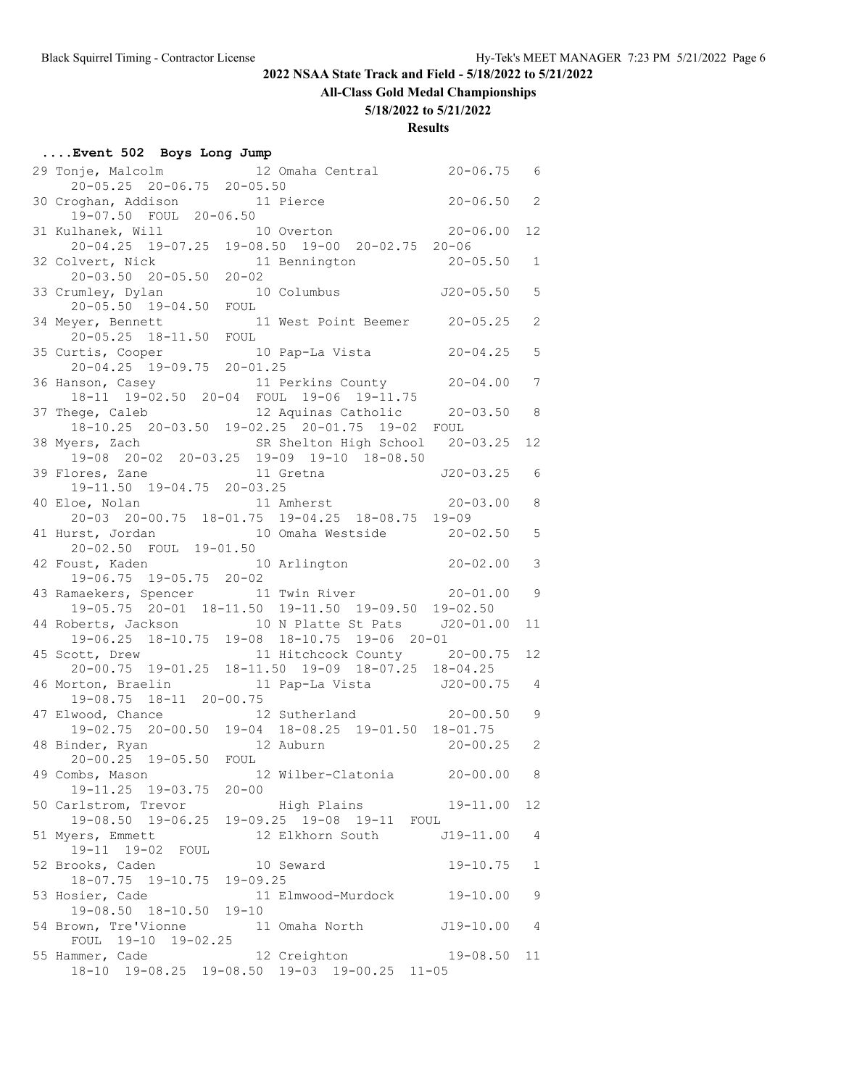#### **All-Class Gold Medal Championships**

#### **5/18/2022 to 5/21/2022**

| Event 502 Boys Long Jump                                                                       |                                                 |                |                 |
|------------------------------------------------------------------------------------------------|-------------------------------------------------|----------------|-----------------|
| 29 Tonje, Malcolm                                                                              | 12 Omaha Central 20-06.75 6                     |                |                 |
| 20-05.25 20-06.75 20-05.50                                                                     |                                                 |                |                 |
| 30 Croghan, Addison 11 Pierce                                                                  |                                                 | $20 - 06.50$ 2 |                 |
| 19-07.50 FOUL 20-06.50                                                                         |                                                 | $20 - 06.00$   | 12 <sup>°</sup> |
| 31 Kulhanek, Will 10 Overton 20-06.00<br>20-04.25 19-07.25 19-08.50 19-00 20-02.75 20-06       |                                                 |                |                 |
| 32 Colvert, Nick                                                                               | 11 Bennington                                   | $20 - 05.50$   | $\mathbf{1}$    |
| $20 - 03.50$ $20 - 05.50$ $20 - 02$                                                            |                                                 |                |                 |
| 33 Crumley, Dylan                                                                              | 10 Columbus                                     | $J20-05.50$    | 5               |
| 20-05.50 19-04.50 FOUL                                                                         |                                                 |                |                 |
| 34 Meyer, Bennett<br>yer, Bennett 11:<br>20-05.25 18-11.50 FOUL                                | 11 West Point Beemer 20-05.25                   |                | $\overline{2}$  |
|                                                                                                |                                                 |                |                 |
| 35 Curtis, Cooper                                                                              | 10 Pap-La Vista 20-04.25                        |                | 5               |
| 20-04.25 19-09.75 20-01.25                                                                     |                                                 |                |                 |
| 36 Hanson, Casey<br>18-11 19-02.50 20-04 FOUL 19-06 19-11.75                                   | 11 Perkins County 20-04.00                      |                | 7               |
| 37 Thege, Caleb                                                                                | 12 Aquinas Catholic 20-03.50                    |                | 8 <sup>8</sup>  |
|                                                                                                | 18-10.25 20-03.50 19-02.25 20-01.75 19-02 FOUL  |                |                 |
| 38 Myers, Zach                                                                                 | SR Shelton High School 20-03.25                 |                | 12              |
|                                                                                                | 19-08 20-02 20-03.25 19-09 19-10 18-08.50       |                |                 |
| 39 Flores, Zane 11 Gretna 520-03.25                                                            |                                                 |                | 6               |
| 19-11.50 19-04.75 20-03.25                                                                     |                                                 |                |                 |
| 40 Eloe, Nolan 11 Amherst 20-03.00                                                             |                                                 |                | 8               |
|                                                                                                | 20-03 20-00.75 18-01.75 19-04.25 18-08.75 19-09 |                |                 |
| 41 Hurst, Jordan 1<br>20-02.50 FOUL 19-01.50                                                   | 10 Omaha Westside 20-02.50                      |                | 5               |
|                                                                                                |                                                 |                |                 |
| 42 Foust, Kaden 10 Arlington 20-02.00                                                          |                                                 |                | 3               |
| 19-06.75 19-05.75 20-02<br>43 Ramaekers, Spencer 11 Twin River 20-01.00                        |                                                 |                | $\overline{9}$  |
| $19-05.75$ $20-01$ $18-11.50$ $19-11.50$ $19-09.50$ $19-02.50$                                 |                                                 |                |                 |
| 44 Roberts, Jackson 10 N Platte St Pats J20-01.00                                              |                                                 |                | 11              |
|                                                                                                | 19-06.25 18-10.75 19-08 18-10.75 19-06 20-01    |                |                 |
| 45 Scott, Drew 11 Hitchcock County 20-00.75                                                    |                                                 |                | 12              |
| $20-00.75 \quad 19-01.25 \quad 18-11.50 \quad 19-09 \quad 18-07.25 \quad 18-04.25$             |                                                 |                |                 |
| 46 Morton, Braelin 11 Pap-La Vista 120-00.75<br>19-08.75 18-11 20-00.75                        |                                                 |                | $\overline{4}$  |
|                                                                                                |                                                 |                |                 |
| 47 Elwood, Chance 12 Sutherland 20-00.50<br>19-02.75 20-00.50 19-04 18-08.25 19-01.50 18-01.75 |                                                 |                | 9               |
|                                                                                                |                                                 |                |                 |
| 48 Binder, Ryan 12 Auburn 20-00.25 2<br>20-00.25 19-05.50 FOUL                                 |                                                 |                |                 |
| 49 Combs, Mason                                                                                | 12 Wilber-Clatonia 20-00.00 8                   |                |                 |
| 19-11.25 19-03.75 20-00                                                                        |                                                 |                |                 |
| 50 Carlstrom, Trevor                                                                           | High Plains 19-11.00                            |                | 12              |
|                                                                                                | 19-08.50 19-06.25 19-09.25 19-08 19-11 FOUL     |                |                 |
| 51 Myers, Emmett                                                                               | 12 Elkhorn South J19-11.00                      |                | $\overline{4}$  |
| 19-11 19-02 FOUL                                                                               |                                                 |                |                 |
| 52 Brooks, Caden                                                                               | 10 Seward                                       | $19 - 10.75$   | $\mathbf{1}$    |
| 18-07.75 19-10.75 19-09.25                                                                     |                                                 |                |                 |
| 53 Hosier, Cade                                                                                | 11 Elmwood-Murdock 19-10.00                     |                | 9               |
| 19-08.50 18-10.50 19-10                                                                        |                                                 |                |                 |
| 54 Brown, Tre'Vionne 11 Omaha North J19-10.00<br>FOUL 19-10 19-02.25                           |                                                 |                | 4               |
| 55 Hammer, Cade                                                                                | 12 Creighton                                    | $19 - 08.50$   | 11              |
|                                                                                                | 18-10 19-08.25 19-08.50 19-03 19-00.25 11-05    |                |                 |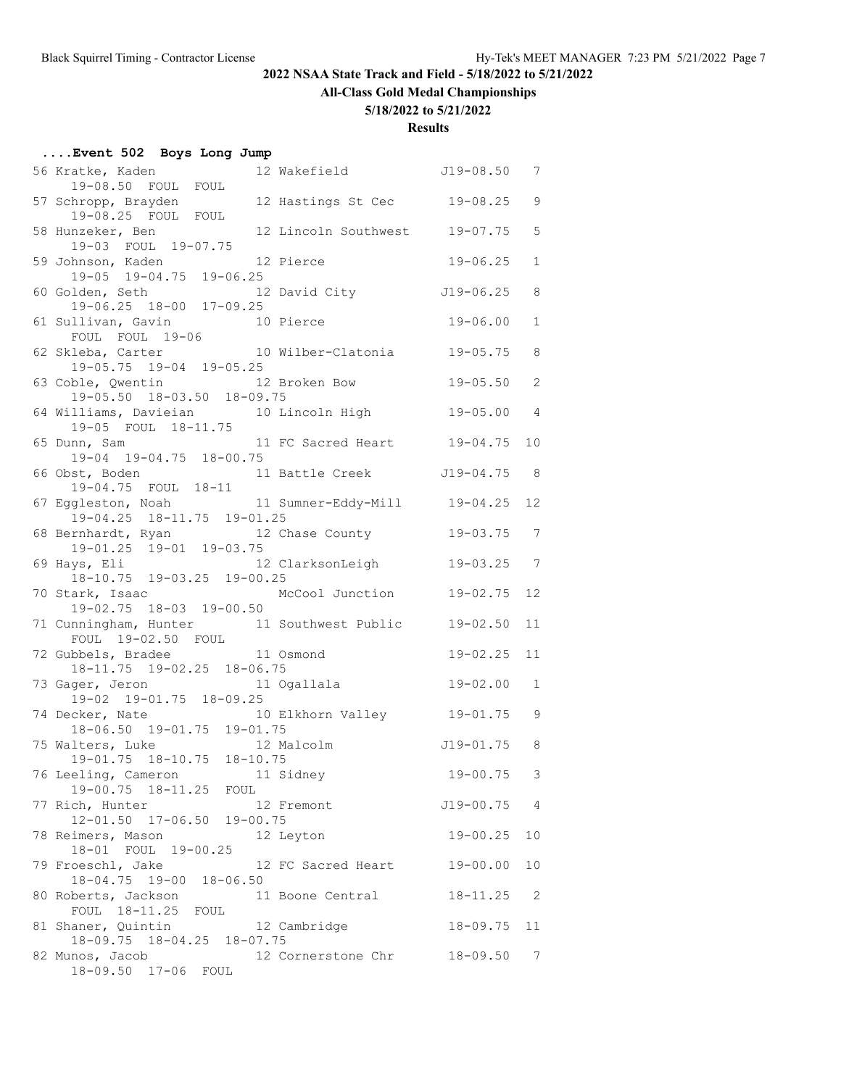**All-Class Gold Medal Championships**

#### **5/18/2022 to 5/21/2022**

| Event 502 Boys Long Jump                                                                                                                                                                                                                                                                                                                   |                |                            |
|--------------------------------------------------------------------------------------------------------------------------------------------------------------------------------------------------------------------------------------------------------------------------------------------------------------------------------------------|----------------|----------------------------|
| 12 Wakefield 519-08.50 7<br>56 Kratke, Kaden<br>19-08.50 FOUL FOUL                                                                                                                                                                                                                                                                         |                |                            |
| 12 Hastings St Cec 19-08.25<br>57 Schropp, Brayden                                                                                                                                                                                                                                                                                         |                | 9                          |
| 19-08.25 FOUL FOUL<br>58 Hunzeker, Ben 12 Lincoln Southwest 19-07.75                                                                                                                                                                                                                                                                       |                | 5                          |
| 19-03 FOUL 19-07.75<br>59 Johnson, Kaden 12 Pierce<br>19-05 19-04.75 19-06.25                                                                                                                                                                                                                                                              | $19 - 06.25$   | $\mathbf{1}$               |
|                                                                                                                                                                                                                                                                                                                                            |                |                            |
| 60 Golden, Seth 12 David City 519-06.25<br>19-06.25 18-00 17-09.25                                                                                                                                                                                                                                                                         |                | 8                          |
| 61 Sullivan, Gavin 10 Pierce<br>FOUL FOUL 19-06                                                                                                                                                                                                                                                                                            | $19 - 06.00$   | $\mathbf{1}$               |
| 10 Wilber-Clatonia 19-05.75<br>62 Skleba, Carter                                                                                                                                                                                                                                                                                           |                | 8                          |
| 19-05.75 19-04 19-05.25<br>12 Broken Bow<br>63 Coble, Qwentin                                                                                                                                                                                                                                                                              | 19-05.50       | 2                          |
| $19-05.50$ $18-03.50$ $18-09.75$                                                                                                                                                                                                                                                                                                           |                |                            |
| $\frac{1}{2}$ $\frac{1}{2}$ $\frac{1}{2}$ $\frac{1}{2}$ $\frac{1}{2}$ $\frac{1}{2}$ $\frac{1}{2}$ $\frac{1}{2}$ $\frac{1}{2}$ $\frac{1}{2}$ $\frac{1}{2}$ $\frac{1}{2}$ $\frac{1}{2}$ $\frac{1}{2}$ $\frac{1}{2}$ $\frac{1}{2}$ $\frac{1}{2}$ $\frac{1}{2}$ $\frac{1}{2}$ $\frac{1}{2}$ $\frac{1}{2}$ $\frac{1}{2}$<br>19-05 FOUL 18-11.75 | $19 - 05.00$   | 4                          |
| 65 Dunn, Sam 11 FC Sacred Heart 19-04.75<br>19-04 19-04.75 18-00.75                                                                                                                                                                                                                                                                        |                | 10                         |
| 66 Obst, Boden 11 Battle Creek J19-04.75                                                                                                                                                                                                                                                                                                   |                | $_{\rm 8}$                 |
| 19-04.75 FOUL 18-11<br>67 Eggleston, Noah 11 Sumner-Eddy-Mill 19-04.25                                                                                                                                                                                                                                                                     |                | 12                         |
| $19-04.25$ $18-11.75$ $19-01.25$                                                                                                                                                                                                                                                                                                           |                |                            |
| 68 Bernhardt, Ryan 12 Chase County<br>19-01.25 19-01 19-03.75                                                                                                                                                                                                                                                                              | $19 - 03.75$ 7 |                            |
| 12 ClarksonLeigh<br>69 Hays, Eli                                                                                                                                                                                                                                                                                                           | 19-03.25       | $\overline{7}$             |
| 18-10.75 19-03.25 19-00.25<br>McCool Junction<br>70 Stark, Isaac                                                                                                                                                                                                                                                                           | $19 - 02.75$   | 12                         |
| 19-02.75 18-03 19-00.50                                                                                                                                                                                                                                                                                                                    |                |                            |
| 71 Cunningham, Hunter 11 Southwest Public 19-02.50<br>FOUL 19-02.50 FOUL                                                                                                                                                                                                                                                                   |                | 11                         |
| 72 Gubbels, Bradee 11 Osmond                                                                                                                                                                                                                                                                                                               | $19 - 02.25$   | 11                         |
| 18-11.75 19-02.25 18-06.75                                                                                                                                                                                                                                                                                                                 | $19 - 02.00$   | $\mathbf{1}$               |
| 73 Gager, Jeron 11 Ogallala<br>19-02 19-01.75 18-09.25                                                                                                                                                                                                                                                                                     |                |                            |
| 74 Decker, Nate 10 Elkhorn Valley 19-01.75<br>18-06.50 19-01.75 19-01.75                                                                                                                                                                                                                                                                   |                | 9                          |
| 75 Walters, Luke 12 Malcolm                                                                                                                                                                                                                                                                                                                | $J19-01.75$ 8  |                            |
| 19-01.75 18-10.75 18-10.75                                                                                                                                                                                                                                                                                                                 |                |                            |
| 11 Sidney<br>76 Leeling, Cameron<br>19-00.75 18-11.25 FOUL                                                                                                                                                                                                                                                                                 | $19 - 00.75$ 3 |                            |
| 77 Rich, Hunter<br>12 Fremont                                                                                                                                                                                                                                                                                                              | $J19 - 00.75$  | 4                          |
| 12-01.50 17-06.50 19-00.75<br>78 Reimers, Mason<br>12 Leyton                                                                                                                                                                                                                                                                               | $19 - 00.25$   | 10                         |
| 18-01 FOUL 19-00.25<br>79 Froeschl, Jake<br>12 FC Sacred Heart                                                                                                                                                                                                                                                                             | $19 - 00.00$   | 10                         |
| 18-04.75 19-00 18-06.50                                                                                                                                                                                                                                                                                                                    |                |                            |
| 80 Roberts, Jackson<br>11 Boone Central<br>FOUL 18-11.25 FOUL                                                                                                                                                                                                                                                                              | $18 - 11.25$   | $\overline{\phantom{0}}^2$ |
| 81 Shaner, Quintin 12 Cambridge<br>18-09.75 18-04.25 18-07.75                                                                                                                                                                                                                                                                              | $18 - 09.75$   | 11                         |
| 82 Munos, Jacob<br>12 Cornerstone Chr 18-09.50                                                                                                                                                                                                                                                                                             |                | $\overline{7}$             |
| 18-09.50 17-06 FOUL                                                                                                                                                                                                                                                                                                                        |                |                            |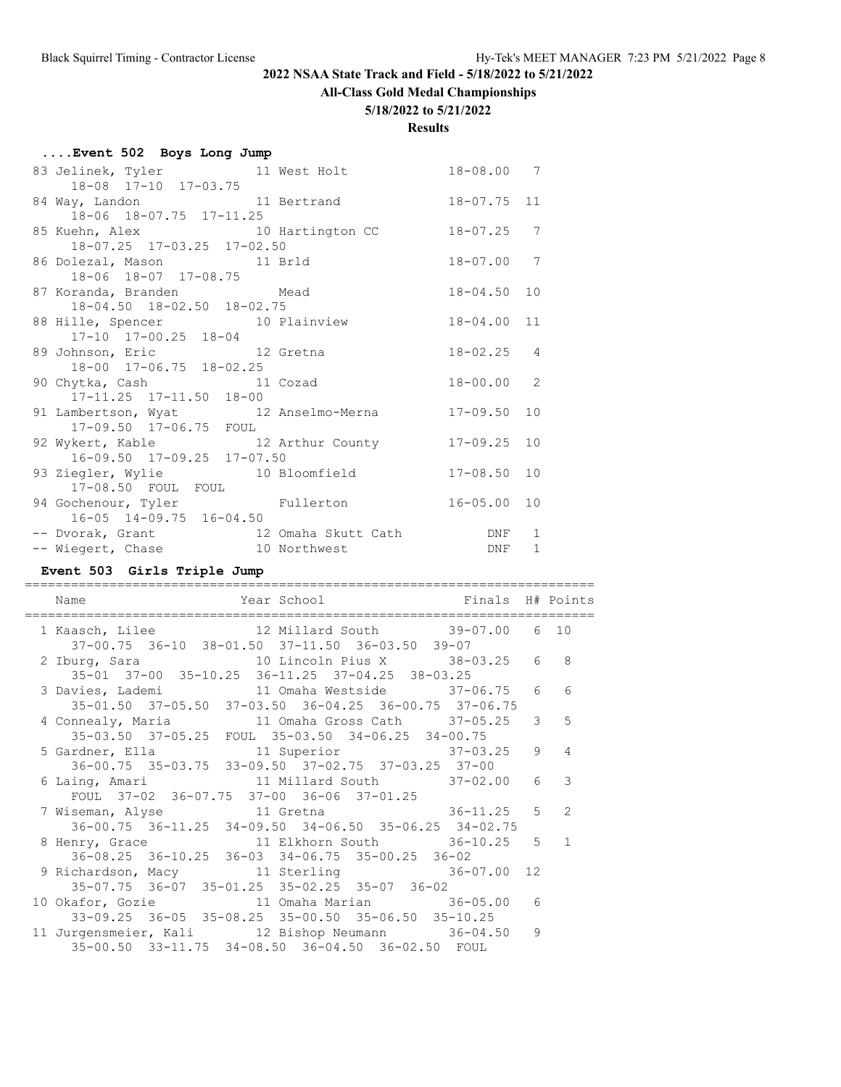#### **All-Class Gold Medal Championships**

#### **5/18/2022 to 5/21/2022**

#### **Results**

| Event 502 Boys Long Jump                                                   |                                     |
|----------------------------------------------------------------------------|-------------------------------------|
| 83 Jelinek, Tyler 11 West Holt 18-08.00 7<br>18-08 17-10 17-03.75          |                                     |
| 84 Way, Landon 11 Bertrand<br>18-06 18-07.75 17-11.25                      | 18-07.75 11                         |
| 85 Kuehn, Alex 10 Hartington CC<br>18-07.25 17-03.25 17-02.50              | 7<br>$18 - 07.25$                   |
| 86 Dolezal, Mason 11 Brld<br>18-06 18-07 17-08.75                          | $18 - 07.00$ 7                      |
| 87 Koranda, Branden Mead<br>18-04.50 18-02.50 18-02.75                     | $18 - 04.50$ 10                     |
| 88 Hille, Spencer 10 Plainview<br>17-10 17-00.25 18-04                     | 18-04.00 11                         |
| 89 Johnson, Eric 12 Gretna<br>18-00 17-06.75 18-02.25                      | $18 - 02.25$ 4                      |
| 90 Chytka, Cash 11 Cozad<br>$17-11.25$ $17-11.50$ $18-00$                  | $18 - 00.00 2$                      |
| 91 Lambertson, Wyat 12 Anselmo-Merna<br>17-09.50 17-06.75 FOUL             | $17 - 09.50$ 10                     |
| 92 Wykert, Kable 12 Arthur County<br>16-09.50 17-09.25 17-07.50            | $17 - 09.25$ 10                     |
| 93 Ziegler, Wylie 10 Bloomfield<br>17-08.50 FOUL FOUL                      | $17 - 08.50$ 10                     |
| 94 Gochenour, Tyler Fullerton 16-05.00 10<br>16-05 14-09.75 16-04.50       |                                     |
| -- Dvorak, Grant 12 Omaha Skutt Cath DNF<br>-- Wiegert, Chase 10 Northwest | $\mathbf{1}$<br>$\mathbf{1}$<br>DNF |

# **Event 503 Girls Triple Jump**

==========================================================================

| Year School <a> Finals H# Points</a><br>Name                                                      |  |                 |
|---------------------------------------------------------------------------------------------------|--|-----------------|
| 1 Kaasch, Lilee 12 Millard South 39-07.00 6 10<br>37-00.75 36-10 38-01.50 37-11.50 36-03.50 39-07 |  |                 |
| 2 Iburg, Sara                 10 Lincoln Pius X         38-03.25     6   8                        |  |                 |
| 35-01 37-00 35-10.25 36-11.25 37-04.25 38-03.25                                                   |  |                 |
| 3 Davies, Lademi 11 Omaha Westside 37-06.75 6                                                     |  | 6               |
| 35-01.50 37-05.50 37-03.50 36-04.25 36-00.75 37-06.75                                             |  |                 |
| 4 Connealy, Maria 11 Omaha Gross Cath 37-05.25 3                                                  |  | $5\overline{5}$ |
| 35-03.50 37-05.25 FOUL 35-03.50 34-06.25 34-00.75                                                 |  |                 |
|                                                                                                   |  | $\overline{4}$  |
| 36-00.75 35-03.75 33-09.50 37-02.75 37-03.25 37-00                                                |  |                 |
| 6 Laing, Amari                 11 Millard South           37-02.00     6                          |  | 3               |
| FOUL 37-02 36-07.75 37-00 36-06 37-01.25                                                          |  |                 |
| 7 Wiseman, Alyse 11 Gretna 36-11.25 5                                                             |  | $\overline{2}$  |
| $36-00.75$ $36-11.25$ $34-09.50$ $34-06.50$ $35-06.25$ $34-02.75$                                 |  |                 |
| 8 Henry, Grace 11 Elkhorn South 36-10.25 5 1                                                      |  |                 |
| 36-08.25 36-10.25 36-03 34-06.75 35-00.25 36-02                                                   |  |                 |
| 9 Richardson, Macy 36-07.00 12                                                                    |  |                 |
| 35-07.75 36-07 35-01.25 35-02.25 35-07 36-02                                                      |  |                 |
| 10 Okafor, Gozie 11 Omaha Marian 36-05.00 6                                                       |  |                 |
| 33-09.25 36-05 35-08.25 35-00.50 35-06.50 35-10.25                                                |  |                 |
| 11 Jurgensmeier, Kali 12 Bishop Neumann 36-04.50 9                                                |  |                 |
| 35-00.50 33-11.75 34-08.50 36-04.50 36-02.50 FOUL                                                 |  |                 |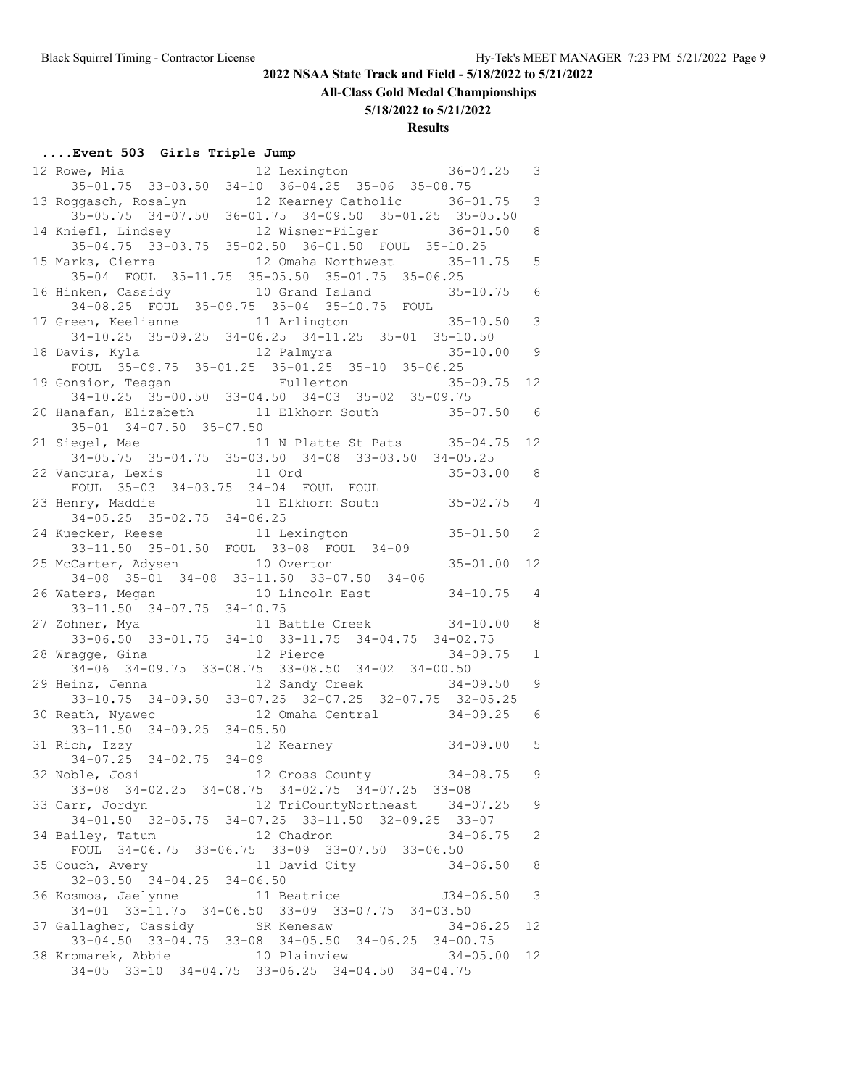# **All-Class Gold Medal Championships**

**5/18/2022 to 5/21/2022**

# **Results**

# **....Event 503 Girls Triple Jump**

| 12 Lexington 36-04.25<br>12 Rowe, Mia                                                                      | $\mathcal{S}$            |
|------------------------------------------------------------------------------------------------------------|--------------------------|
| 35-01.75 33-03.50 34-10 36-04.25 35-06 35-08.75                                                            |                          |
| 13 Roggasch, Rosalyn 12 Kearney Catholic 36-01.75<br>35-05.75 34-07.50 36-01.75 34-09.50 35-01.25 35-05.50 | $\mathcal{S}$            |
|                                                                                                            |                          |
| 14 Kniefl, Lindsey 12 Wisner-Pilger 36-01.50<br>35-04.75 33-03.75 35-02.50 36-01.50 FOUL 35-10.25          | 8                        |
|                                                                                                            |                          |
| 15 Marks, Cierra 12 Omaha Northwest 35-11.75                                                               | $\overline{5}$           |
| 35-04 FOUL 35-11.75 35-05.50 35-01.75 35-06.25                                                             |                          |
| 16 Hinken, Cassidy 10 Grand Island 35-10.75 6                                                              |                          |
| 34-08.25 FOUL 35-09.75 35-04 35-10.75 FOUL                                                                 |                          |
| 17 Green, Keelianne 11 Arlington 35-10.50                                                                  | 3                        |
| $34-10.25$ $35-09.25$ $34-06.25$ $34-11.25$ $35-01$ $35-10.50$                                             |                          |
| 18 Davis, Kyla 12 Palmyra 35-10.00<br>FOUL 35-09.75 35-01.25 35-01.25 35-10 35-06.25                       | 9                        |
|                                                                                                            |                          |
| 19 Gonsior, Teagan Fullerton 35-09.75<br>34-10.25 35-00.50 33-04.50 34-03 35-02 35-09.75                   | 12                       |
|                                                                                                            |                          |
| 20 Hanafan, Elizabeth 11 Elkhorn South 35-07.50 6<br>$35 - 01$ $34 - 07.50$ $35 - 07.50$                   |                          |
|                                                                                                            |                          |
| 21 Siegel, Mae 11 N Platte St Pats 35-04.75<br>34-05.75 35-04.75 35-03.50 34-08 33-03.50 34-05.25          | 12                       |
|                                                                                                            |                          |
| $35 - 03.00$ 8<br>22 Vancura, Lexis 11 Ord                                                                 |                          |
| FOUL 35-03 34-03.75 34-04 FOUL FOUL<br>23 Henry, Maddie 11 Elkhorn South 35-02.75 4                        |                          |
| $34-05.25$ $35-02.75$ $34-06.25$                                                                           |                          |
|                                                                                                            |                          |
| 24 Kuecker, Reese 11 Lexington 35-01.50 2<br>33-11.50 35-01.50 FOUL 33-08 FOUL 34-09                       |                          |
|                                                                                                            | $12 \overline{ }$        |
| 25 McCarter, Adysen<br>34-08 35-01 34-08 33-11.50 33-07.50 34-06<br>36 Million                             |                          |
|                                                                                                            |                          |
| 26 Waters, Megan 10 Lincoln East 34-10.75 4<br>33-11.50 34-07.75 34-10.75                                  |                          |
| 27 Zohner, Mya (a) 11 Battle Creek (34-10.00                                                               | 8                        |
| 33-06.50 33-01.75 34-10 33-11.75 34-04.75 34-02.75                                                         |                          |
| 12 Pierce<br>$34 - 09.75$<br>28 Wragge, Gina                                                               | $\mathbf{1}$             |
| 34-06 34-09.75 33-08.75 33-08.50 34-02 34-00.50                                                            |                          |
| 12 Sandy Creek 34-09.50 9<br>29 Heinz, Jenna                                                               |                          |
| 33-10.75 34-09.50 33-07.25 32-07.25 32-07.75 32-05.25                                                      |                          |
| 12 Omaha Central 34-09.25<br>30 Reath, Nyawec                                                              | 6                        |
|                                                                                                            |                          |
| 33-11.50 34-09.25 34-05.50<br>31 Rich, Izzy 12 Kearney 34-09.00                                            | 5                        |
|                                                                                                            |                          |
| 32 Noble, Josi                                                                                             |                          |
|                                                                                                            |                          |
| 12 TriCountyNortheast 34-07.25<br>33 Carr, Jordyn                                                          | 9                        |
| 34-01.50 32-05.75 34-07.25 33-11.50 32-09.25 33-07                                                         |                          |
| $34 - 06.75$<br>34 Bailey, Tatum<br>12 Chadron                                                             | 2                        |
| FOUL 34-06.75 33-06.75 33-09 33-07.50 33-06.50                                                             |                          |
| 11 David City<br>35 Couch, Avery<br>$34 - 06.50$                                                           | 8                        |
| $32-03.50$ $34-04.25$ $34-06.50$                                                                           |                          |
| 36 Kosmos, Jaelynne 11 Beatrice<br>$J34 - 06.50$                                                           | $\overline{\phantom{a}}$ |
| 34-01 33-11.75 34-06.50 33-09 33-07.75 34-03.50                                                            |                          |
| 37 Gallagher, Cassidy<br>SR Kenesaw<br>$34 - 06.25$                                                        | 12                       |
| 33-04.50 33-04.75 33-08 34-05.50 34-06.25 34-00.75                                                         |                          |
| 38 Kromarek, Abbie 10 Plainview<br>$34 - 05.00$                                                            | 12                       |
| 34-05 33-10 34-04.75 33-06.25 34-04.50 34-04.75                                                            |                          |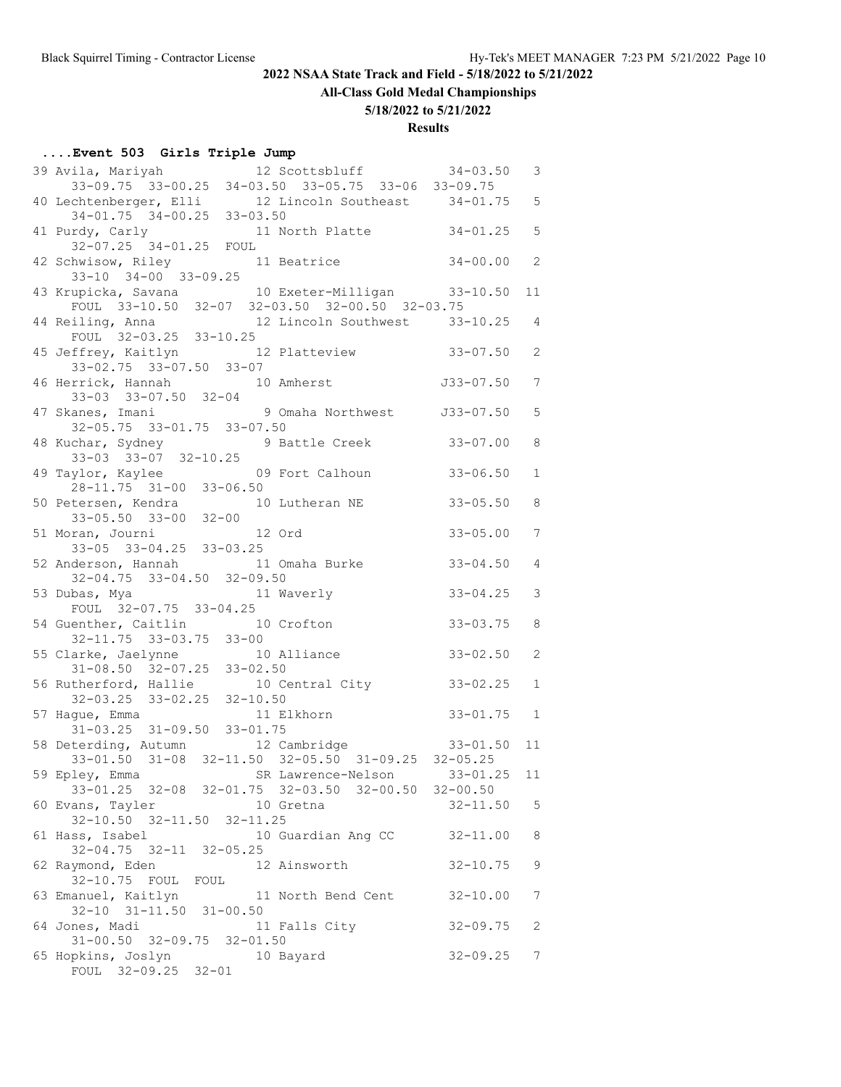# **All-Class Gold Medal Championships**

#### **5/18/2022 to 5/21/2022**

# **Results**

# **....Event 503 Girls Triple Jump**

| 39 Avila, Mariyah 12 Scottsbluff 34-03.50<br>33-09.75 33-00.25 34-03.50 33-05.75 33-06 33-09.75 |                                                    |              | $\mathcal{S}$  |
|-------------------------------------------------------------------------------------------------|----------------------------------------------------|--------------|----------------|
|                                                                                                 |                                                    |              |                |
| 40 Lechtenberger, Elli 12 Lincoln Southeast 34-01.75 5<br>34-01.75 34-00.25 33-03.50            |                                                    |              |                |
|                                                                                                 |                                                    |              | 5              |
| 41 Purdy, Carly 11 North Platte 34-01.25<br>32-07.25 34-01.25 FOUL                              |                                                    |              |                |
| 42 Schwisow, Riley 11 Beatrice 34-00.00                                                         |                                                    |              | 2              |
| $33-10$ $34-00$ $33-09.25$                                                                      |                                                    |              |                |
| 43 Krupicka, Savana 10 Exeter-Milligan 33-10.50                                                 |                                                    |              | 11             |
|                                                                                                 | FOUL 33-10.50 32-07 32-03.50 32-00.50 32-03.75     |              |                |
| 44 Reiling, Anna 12<br>FOUL 32-03.25 33-10.25                                                   | 12 Lincoln Southwest 33-10.25 4                    |              |                |
| 45 Jeffrey, Kaitlyn 12 Platteview 33-07.50                                                      |                                                    |              | 2              |
| $33 - 02.75$ $33 - 07.50$ $33 - 07$                                                             |                                                    |              |                |
| 46 Herrick, Hannah 10 Amherst 10 33-07.50                                                       |                                                    |              | 7              |
| 33-03 33-07.50 32-04                                                                            |                                                    |              |                |
| 47 Skanes, Imani 9 Omaha Northwest 32-05.75 33-01.75 33-07.50                                   |                                                    |              | 5              |
|                                                                                                 |                                                    |              |                |
| 48 Kuchar, Sydney 9 Battle Creek 33-07.00<br>33-03 33-07 32-10.25                               |                                                    |              | 8              |
|                                                                                                 |                                                    |              |                |
| 49 Taylor, Kaylee 09 Fort Calhoun 33-06.50<br>28-11.75 31-00 33-06.50                           |                                                    |              | $\mathbf{1}$   |
| 50 Petersen, Kendra                                                                             | 10 Lutheran NE 33-05.50                            |              | 8              |
|                                                                                                 |                                                    |              |                |
| 33-05.50 33-00 32-00<br>51 Moran, Journi 12 Ord                                                 |                                                    | $33 - 05.00$ | 7              |
| $33-05$ $33-04.25$ $33-03.25$                                                                   |                                                    |              |                |
| 52 Anderson, Hannah 11 Omaha Burke 33-04.50                                                     |                                                    |              | $\overline{4}$ |
| $32 - 04.75$ $33 - 04.50$ $32 - 09.50$                                                          |                                                    |              |                |
| 53 Dubas, Mya 11 Waverly<br>FOUL 32-07.75 33-04.25                                              |                                                    | $33 - 04.25$ | 3              |
| 54 Guenther, Caitlin 10 Crofton                                                                 |                                                    | $33 - 03.75$ | 8              |
| $32 - 11.75$ $33 - 03.75$ $33 - 00$                                                             |                                                    |              |                |
| 55 Clarke, Jaelynne 10 Alliance 33-02.50<br>31-08.50 32-07.25 33-02.50                          |                                                    |              | 2              |
|                                                                                                 |                                                    |              |                |
| 56 Rutherford, Hallie 10 Central City 33-02.25                                                  |                                                    |              | $\mathbf{1}$   |
| $32-03.25$ $33-02.25$ $32-10.50$<br>ague Emma                                                   |                                                    | $33 - 01.75$ |                |
| 57 Hague, Emma<br>31-03.25 31-09.50 33-01.75                                                    | 11 Elkhorn                                         |              | $\mathbf{1}$   |
| 58 Deterding, Autumn 12 Cambridge 33-01.50                                                      |                                                    |              | 11             |
|                                                                                                 | 33-01.50 31-08 32-11.50 32-05.50 31-09.25 32-05.25 |              |                |
| 59 Epley, Emma SR Lawrence-Nelson                                                               |                                                    | $33 - 01.25$ | 11             |
|                                                                                                 | 33-01.25 32-08 32-01.75 32-03.50 32-00.50 32-00.50 |              |                |
| 60 Evans, Tayler                                                                                | 10 Gretna                                          | $32 - 11.50$ | 5              |
| 32-10.50 32-11.50 32-11.25                                                                      |                                                    |              |                |
| 61 Hass, Isabel                                                                                 | 10 Guardian Ang CC                                 | $32 - 11.00$ | 8              |
| 32-04.75 32-11 32-05.25<br>62 Raymond, Eden                                                     | 12 Ainsworth                                       | $32 - 10.75$ | 9              |
| 32-10.75 FOUL FOUL                                                                              |                                                    |              |                |
| 63 Emanuel, Kaitlyn                                                                             | 11 North Bend Cent                                 | $32 - 10.00$ | 7              |
| $32-10$ $31-11.50$ $31-00.50$                                                                   |                                                    |              |                |
| 64 Jones, Madi                                                                                  | 11 Falls City                                      | $32 - 09.75$ | 2              |
| $31 - 00.50$ $32 - 09.75$ $32 - 01.50$                                                          |                                                    |              |                |
| 65 Hopkins, Joslyn                                                                              | 10 Bayard                                          | $32 - 09.25$ | 7              |
| FOUL 32-09.25 32-01                                                                             |                                                    |              |                |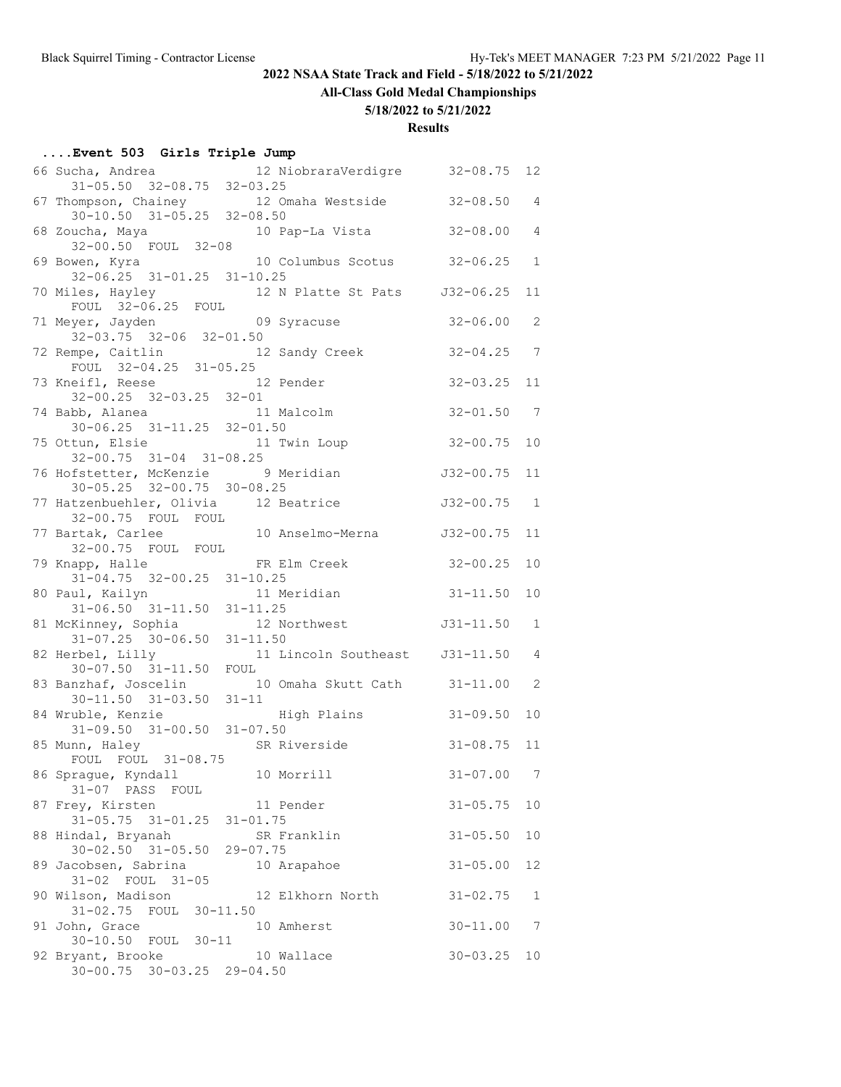**All-Class Gold Medal Championships**

# **5/18/2022 to 5/21/2022**

### **Results**

# **....Event 503 Girls Triple Jump**

| 66 Sucha, Andrea                                            | 12 NiobraraVerdigre 32-08.75                                         |                | 12             |
|-------------------------------------------------------------|----------------------------------------------------------------------|----------------|----------------|
| $31 - 05.50$ $32 - 08.75$ $32 - 03.25$                      |                                                                      |                |                |
| $30-10.50$ $31-05.25$ $32-08.50$                            | 67 Thompson, Chainey 12 Omaha Westside 32-08.50                      |                | 4              |
|                                                             |                                                                      | $32 - 08.00$   | 4              |
|                                                             | 68 Zoucha, Maya 10 Pap-La Vista<br>32-00.50 FOUL 32-08               |                |                |
|                                                             | 69 Bowen, Kyra    10 Columbus Scotus    32-06.25                     |                | $\mathbf{1}$   |
| 32-06.25 31-01.25 31-10.25                                  |                                                                      |                |                |
| 70 Miles, Hayley<br>FOUL 32-06.25 FOUL                      | 12 N Platte St Pats J32-06.25                                        |                | 11             |
| 71 Meyer, Jayden<br>$32-03.75$ $32-06$ $32-01.50$           | 09 Syracuse                                                          | $32 - 06.00$   | 2              |
| 72 Rempe, Caitlin 12 Sandy Creek                            |                                                                      | $32 - 04.25$ 7 |                |
| FOUL 32-04.25 31-05.25                                      |                                                                      |                |                |
| 73 Kneifl, Reese 12 Pender<br>$32-00.25$ $32-03.25$ $32-01$ |                                                                      | $32 - 03.25$   | 11             |
|                                                             |                                                                      | $32 - 01.50$ 7 |                |
| 74 Babb, Alanea 11 Malcolm<br>30-06.25 31-11.25 32-01.50    |                                                                      |                |                |
| 75 Ottun, Elsie 11 Twin Loup                                |                                                                      | $32 - 00.75$   | 10             |
| $32-00.75$ $31-04$ $31-08.25$                               |                                                                      |                |                |
| 76 Hofstetter, McKenzie 9 Meridian                          |                                                                      | $J32 - 00.75$  | 11             |
| $30 - 05.25$ $32 - 00.75$ $30 - 08.25$                      |                                                                      |                |                |
| 77 Hatzenbuehler, Olivia 12 Beatrice                        |                                                                      | J32-00.75      | 1              |
|                                                             | 32-00.75 FOUL FOUL<br>77 Bartak, Carlee 10 Anselmo-Merna 32-00.75    |                |                |
|                                                             |                                                                      |                | 11             |
| 32-00.75 FOUL FOUL                                          |                                                                      |                |                |
| 79 Knapp, Halle FR Elm Creek                                |                                                                      | $32 - 00.25$   | 10             |
| 31-04.75 32-00.25 31-10.25                                  |                                                                      | $31 - 11.50$   |                |
| 80 Paul, Kailyn 11 Meridian<br>31-06.50 31-11.50 31-11.25   |                                                                      |                | 10             |
|                                                             | 81 McKinney, Sophia 12 Northwest 531-11.50                           |                | $\mathbf{1}$   |
| $31-07.25$ $30-06.50$ $31-11.50$                            |                                                                      |                |                |
| 82 Herbel, Lilly                                            |                                                                      |                | 4              |
|                                                             | erbel, Lilly 11 Lincoln Southeast 31-11.50<br>30-07.50 31-11.50 FOUL |                |                |
| 83 Banzhaf, Joscelin                                        | 10 Omaha Skutt Cath 31-11.00                                         |                | 2              |
| $30 - 11.50$ $31 - 03.50$ $31 - 11$                         |                                                                      |                |                |
| 84 Wruble, Kenzie                                           | High Plains                                                          | $31 - 09.50$   | 10             |
| $31-09.50$ $31-00.50$ $31-07.50$                            |                                                                      |                |                |
| 85 Munn, Haley                                              | SR Riverside                                                         | $31 - 08.75$   | 11             |
| FOUL FOUL 31-08.75                                          |                                                                      |                |                |
| 86 Sprague, Kyndall                                         | 10 Morrill                                                           | $31 - 07.00$   | $\overline{7}$ |
| 31-07 PASS FOUL                                             |                                                                      |                |                |
| 87 Frey, Kirsten<br>$31 - 05.75$ $31 - 01.25$               | 11 Pender                                                            | $31 - 05.75$   | 10             |
| 88 Hindal, Bryanah                                          | $31 - 01.75$<br>SR Franklin                                          | $31 - 05.50$   | 10             |
| $30 - 02.50$ $31 - 05.50$                                   | 29-07.75                                                             |                |                |
| 89 Jacobsen, Sabrina                                        | 10 Arapahoe                                                          | $31 - 05.00$   | 12             |
| 31-02 FOUL 31-05                                            |                                                                      |                |                |
| 90 Wilson, Madison                                          | 12 Elkhorn North                                                     | $31 - 02.75$   | 1              |
| 31-02.75 FOUL 30-11.50                                      |                                                                      |                |                |
| 91 John, Grace                                              | 10 Amherst                                                           | $30 - 11.00$   | 7              |
| 30-10.50 FOUL 30-11                                         |                                                                      |                |                |
| 92 Bryant, Brooke                                           | 10 Wallace                                                           | $30 - 03.25$   | 10             |
| $30 - 00.75$ $30 - 03.25$ $29 - 04.50$                      |                                                                      |                |                |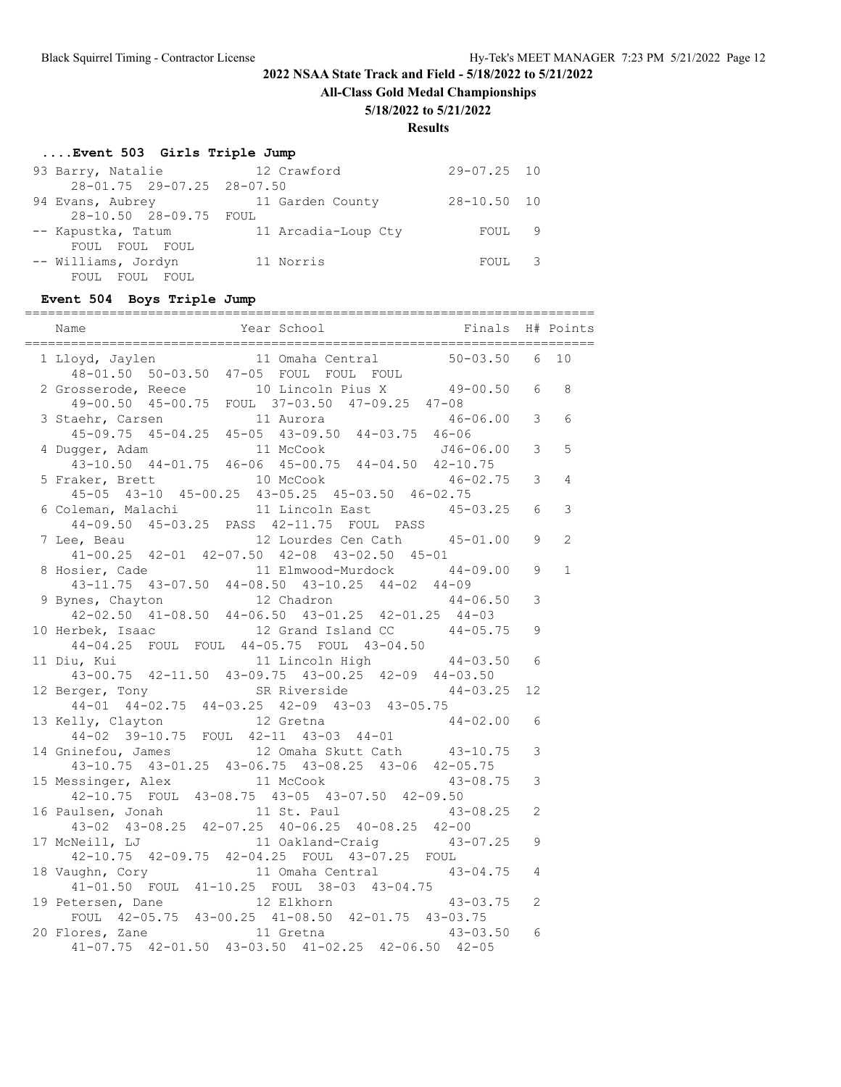**All-Class Gold Medal Championships**

#### **5/18/2022 to 5/21/2022**

#### **Results**

#### **....Event 503 Girls Triple Jump**

| 93 Barry, Natalie          | 12 Crawford         | $29 - 07.25$ 10 |  |
|----------------------------|---------------------|-----------------|--|
| 28-01.75 29-07.25 28-07.50 |                     |                 |  |
| 94 Evans, Aubrey           | 11 Garden County    | $28 - 10.50$ 10 |  |
| 28-10.50 28-09.75 FOUL     |                     |                 |  |
| -- Kapustka, Tatum         | 11 Arcadia-Loup Cty | FOUL 9          |  |
| FOUL FOUL FOUL             |                     |                 |  |
| -- Williams, Jordyn        | 11 Norris           | FOUL 3          |  |
| FOUL FOUL FOUL             |                     |                 |  |

#### **Event 504 Boys Triple Jump**

==========================================================================

| Year School <a> Finals H# Points</a><br>Name<br>-------------                                        |                |              |
|------------------------------------------------------------------------------------------------------|----------------|--------------|
| oyd, Jaylen 11 Omaha Central 50-03.50 6<br>48-01.50 50-03.50 47-05 FOUL FOUL FOUL<br>1 Lloyd, Jaylen |                | 10           |
|                                                                                                      |                | 8            |
| 2 Grosserode, Reece 10 Lincoln Pius X 49-00.50 6<br>49-00.50 45-00.75 FOUL 37-03.50 47-09.25 47-08   |                |              |
| $46 - 06.00$ 3                                                                                       |                | 6            |
| 3 Staehr, Carsen 11 Aurora 46-04<br>45-09.75 45-04.25 45-05 43-09.50 44-03.75 46-06                  |                |              |
| 4 Dugger, Adam<br>11 McCook 546-06.00 3                                                              |                | 5            |
| gger, Adam 11 McCook 546-06.00<br>43-10.50 44-01.75 46-06 45-00.75 44-04.50 42-10.75                 |                |              |
| 5 Fraker, Brett 10 McCook 46-02.75 3                                                                 |                | 4            |
| 45-05 43-10 45-00.25 43-05.25 45-03.50 46-02.75                                                      |                |              |
| 6 Coleman, Malachi 11 Lincoln East 45-03.25 6                                                        |                | 3            |
| 44-09.50 45-03.25 PASS 42-11.75 FOUL PASS                                                            |                |              |
|                                                                                                      |                | 2            |
| 7 Lee, Beau 12 Lourdes Cen Cath 45-01.00 9<br>41-00.25 42-01 42-07.50 42-08 43-02.50 45-01           |                |              |
| 8 Hosier, Cade                                                                                       | 9              | $\mathbf{1}$ |
| vsier, Cade 11 Elmwood-Murdock 44-09.00<br>43-11.75 43-07.50 44-08.50 43-10.25 44-02 44-09           |                |              |
| 9 Bynes, Chayton                                                                                     | 3              |              |
| nes, Chayton 12 Chadron 12 44-06.50<br>42-02.50 41-08.50 44-06.50 43-01.25 42-01.25 44-03            |                |              |
|                                                                                                      |                |              |
| 10 Herbek, Isaac 12 Grand Island CC 44-05.75 9<br>44-04.25 FOUL FOUL 44-05.75 FOUL 43-04.50          |                |              |
| 11 Diu, Kui 11 Lincoln High 44-03.50<br>43-00.75 42-11.50 43-09.75 43-00.25 42-09 44-03.50           | 6              |              |
|                                                                                                      |                |              |
| 12 Berger, Tony 5R Riverside 44-03.25<br>44-01 44-02.75 44-03.25 42-09 43-03 43-05.75                | 12             |              |
|                                                                                                      |                |              |
| 12 Gretna<br>13 Kelly, Clayton<br>$44 - 02.00$                                                       | 6              |              |
| 44-02 39-10.75 FOUL 42-11 43-03 44-01<br>14 Gninefou, James 12 Omaha Skutt Cath 43-10.75             |                |              |
|                                                                                                      | 3              |              |
| 43-10.75 43-01.25 43-06.75 43-08.25 43-06 42-05.75                                                   |                |              |
| 15 Messinger, Alex 11 McCook 43-08.75                                                                | 3              |              |
| 42-10.75 FOUL 43-08.75 43-05 43-07.50 42-09.50                                                       |                |              |
| 16 Paulsen, Jonah 11 St. Paul 43-08.25<br>43-02 43-08.25 42-07.25 40-06.25 40-08.25 42-00            | $\overline{2}$ |              |
|                                                                                                      |                |              |
| 17 McNeill, LJ 11 Oakland-Craig 43-07.25                                                             | 9              |              |
| 42-10.75 42-09.75 42-04.25 FOUL 43-07.25 FOUL                                                        |                |              |
| 11 Omaha Central 43-04.75<br>18 Vaughn, Cory<br>41-01.50 FOUL<br>41-10.25 FOUL<br>38-03 43-04.75     | $\overline{4}$ |              |
|                                                                                                      |                |              |
| 19 Petersen, Dane<br>12 Elkhorn<br>43-03.75                                                          | 2              |              |
| FOUL 42-05.75 43-00.25 41-08.50 42-01.75 43-03.75                                                    |                |              |
| 20 Flores, Zane 11 Gretna 43-03.50<br>41-07.75 42-01.50 43-03.50 41-02.25 42-06.50 42-05             | 6              |              |
|                                                                                                      |                |              |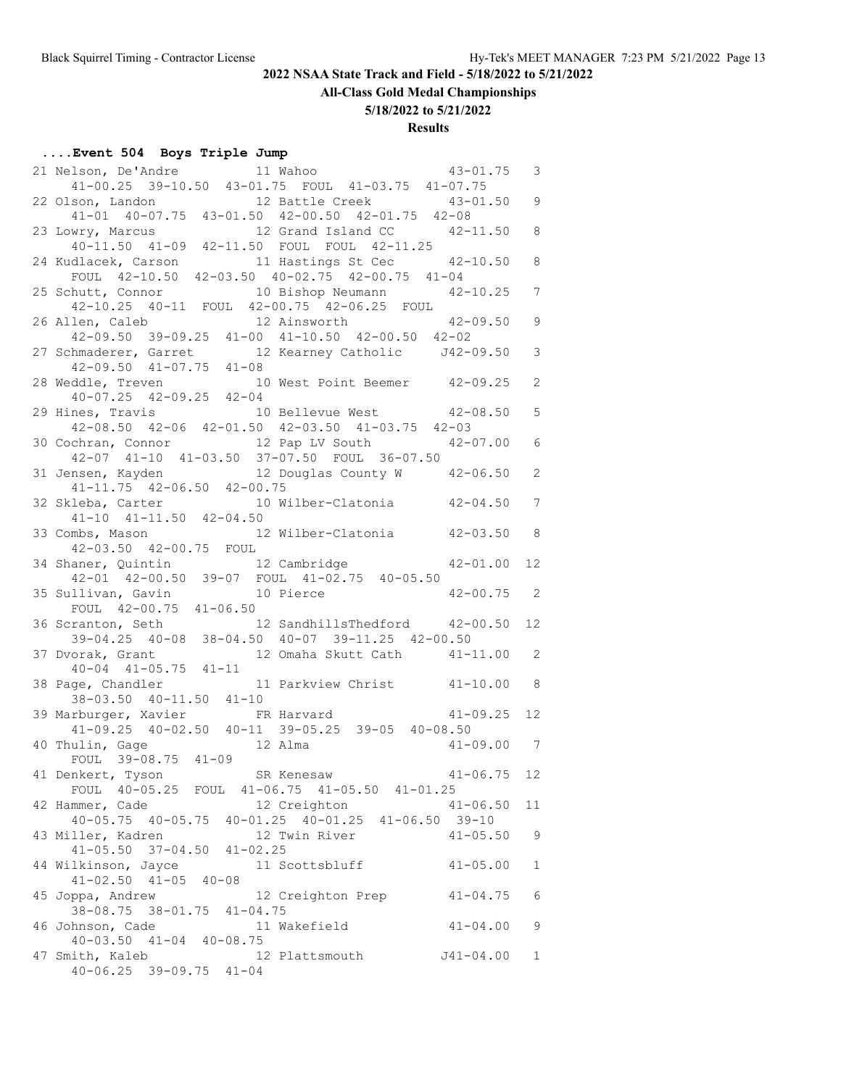# **All-Class Gold Medal Championships**

**5/18/2022 to 5/21/2022**

# **Results**

# **....Event 504 Boys Triple Jump**

| 21 Nelson, De'Andre 11 Wahoo 41-00.25 39-10.50 43-01.75 FOUL 41-03.75 41-07.75                                                    |                                     | $43 - 01.75$    | 3               |
|-----------------------------------------------------------------------------------------------------------------------------------|-------------------------------------|-----------------|-----------------|
|                                                                                                                                   |                                     |                 |                 |
| son, Landon 12 Battle Creek 43-01.50 9<br>41-01 40-07.75 43-01.50 42-00.50 42-01.75 42-08<br>22 Olson, Landon                     |                                     |                 |                 |
|                                                                                                                                   |                                     |                 |                 |
| 23 Lowry, Marcus 12 Grand Island CC 42-11.50 8<br>40-11.50 41-09 42-11.50 FOUL FOUL 42-11.25                                      |                                     |                 |                 |
|                                                                                                                                   |                                     |                 | 8               |
| 24 Kudlacek, Carson 11 Hastings St Cec 42-<br>FOUL 42-10.50 42-03.50 40-02.75 42-00.75 41-04                                      | 11 Hastings St Cec 42-10.50         |                 |                 |
| 25 Schutt, Connor 10 Bishop Neumann 42-10.25                                                                                      |                                     |                 | $7\phantom{.0}$ |
| 42-10.25 40-11 FOUL 42-00.75 42-06.25 FOUL                                                                                        |                                     |                 |                 |
| 26 Allen, Caleb                                                                                                                   | 12 Ainsworth                        | $42 - 09.50$ 9  |                 |
|                                                                                                                                   |                                     |                 |                 |
|                                                                                                                                   |                                     |                 | 3               |
| 42-09.50 39-09.25 41-00 41-10.50 42-00.50 42-02<br>27 Schmaderer, Garret 12 Kearney Catholic J42-09.50<br>42-09.50 41-07.75 41-08 |                                     |                 |                 |
| 28 Weddle, Treven 10 West Point Beemer 42-09.25<br>40-07.25 42-09.25 42-04                                                        |                                     |                 | 2               |
|                                                                                                                                   |                                     |                 |                 |
| 29 Hines, Travis 10 Bellevue West 42-08.50<br>42-08.50 42-06 42-01.50 42-03.50 41-03.75 42-03                                     |                                     |                 | 5               |
|                                                                                                                                   |                                     |                 |                 |
| 30 Cochran, Connor 12 Pap LV South 42-07.00<br>42-07 41-10 41-03.50 37-07.50 FOUL 36-07.50                                        |                                     |                 | $\epsilon$      |
| 31 Jensen, Kayden 12 Douglas County W 42-06.50                                                                                    |                                     |                 | $\overline{c}$  |
| 41-11.75 42-06.50 42-00.75                                                                                                        |                                     |                 |                 |
| 32 Skleba, Carter                                                                                                                 | 10 Wilber-Clatonia 42-04.50 7       |                 |                 |
| $41-10$ $41-11.50$ $42-04.50$                                                                                                     |                                     |                 |                 |
| 33 Combs, Mason                                                                                                                   | 12 Wilber-Clatonia 42-03.50 8       |                 |                 |
| 42-03.50 42-00.75 FOUL                                                                                                            |                                     |                 |                 |
| 34 Shaner, Quintin 12 Cambridge 42-01.00                                                                                          |                                     |                 | 12              |
| 42-01 42-00.50 39-07 FOUL 41-02.75 40-05.50                                                                                       |                                     |                 |                 |
| 35 Sullivan, Gavin 10 Pierce 42-00.75 2<br>FOUL 42-00.75 41-06.50                                                                 |                                     |                 |                 |
|                                                                                                                                   |                                     |                 |                 |
| 36 Scranton, Seth<br>39-04.25 40-08 38-04.50 40-07 39-11.25 42-00.50                                                              |                                     |                 | 12              |
|                                                                                                                                   |                                     |                 | $\overline{c}$  |
| 37 Dvorak, Grant 12 Omaha Skutt Cath 41-11.00<br>40-04 41-05.75 41-11                                                             |                                     |                 |                 |
|                                                                                                                                   |                                     |                 |                 |
| 38 Page, Chandler 11 Parkview Christ 41-10.00 8<br>38-03.50 40-11.50 41-10<br>38 - 11 - 10                                        |                                     |                 |                 |
| 39 Marburger, Xavier                                                                                                              | $41-10$<br>FR Harvard $41-09.25$ 12 |                 |                 |
| 41-09.25 40-02.50 40-11 39-05.25 39-05 40-08.50                                                                                   |                                     |                 |                 |
| 40 Thulin, Gage 12 Alma                                                                                                           |                                     | $41 - 09.00$ 7  |                 |
| FOUL 39-08.75 41-09<br>41 Denkert, Tyson SR Kenesaw                                                                               |                                     |                 |                 |
|                                                                                                                                   |                                     | $41 - 06.75$ 12 |                 |
| FOUL 40-05.25 FOUL 41-06.75 41-05.50 41-01.25                                                                                     |                                     |                 |                 |
| 42 Hammer, Cade<br>$40-05.75$ $40-05.75$ $40-01.25$ $40-01.25$ $41-06.50$ 39-10                                                   | 12 Creighton                        | $41 - 06.50$    | 11              |
| 43 Miller, Kadren                                                                                                                 | 12 Twin River                       | $41 - 05.50$    | 9               |
| $41 - 05.50$ $37 - 04.50$ $41 - 02.25$                                                                                            |                                     |                 |                 |
| 44 Wilkinson, Jayce 11 Scottsbluff                                                                                                |                                     | $41 - 05.00$    | $\mathbf{1}$    |
| $41 - 02.50$ $41 - 05$ $40 - 08$                                                                                                  |                                     |                 |                 |
| 45 Joppa, Andrew                                                                                                                  | 12 Creighton Prep                   | $41 - 04.75$    | $\epsilon$      |
| 38-08.75 38-01.75 41-04.75                                                                                                        |                                     |                 |                 |
| 46 Johnson, Cade                                                                                                                  | 11 Wakefield                        | $41 - 04.00$    | 9               |
|                                                                                                                                   |                                     |                 |                 |
| $40-03.50$ $41-04$ $40-08.75$                                                                                                     |                                     |                 |                 |
| 47 Smith, Kaleb<br>$40 - 06.25$ 39-09.75 $41 - 04$                                                                                | 12 Plattsmouth                      | J41-04.00       | 1               |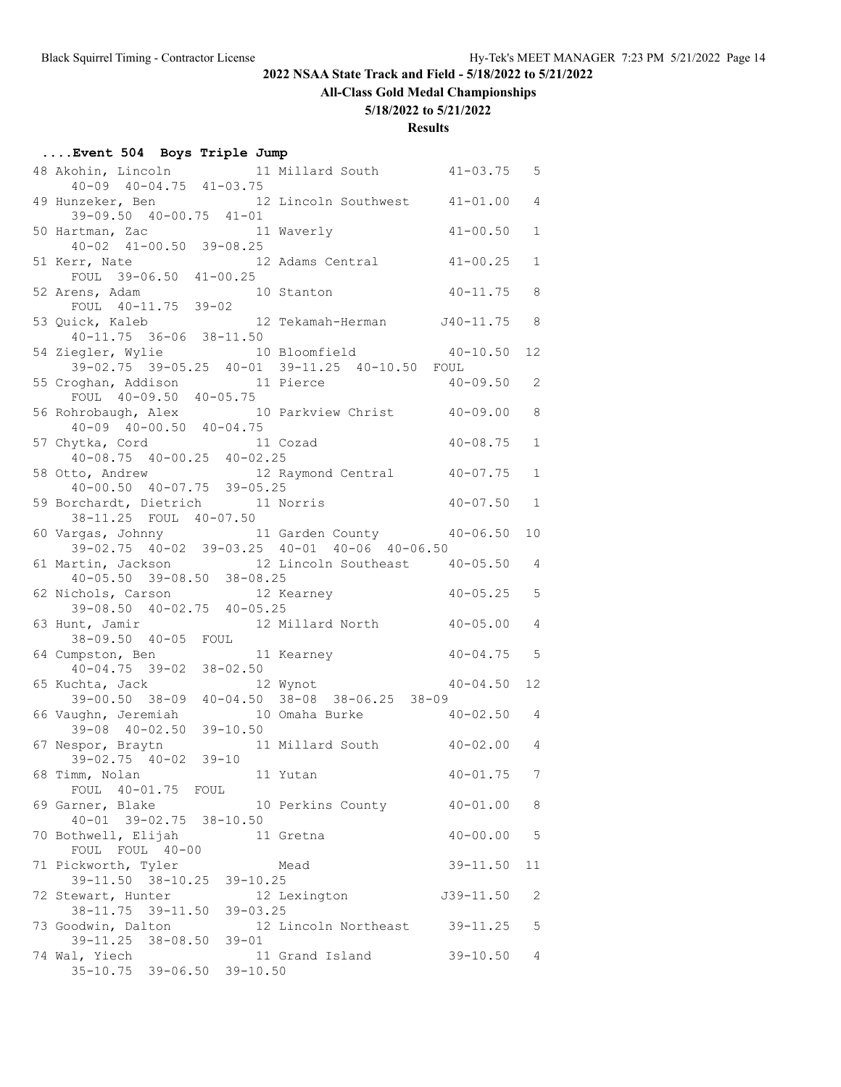# **All-Class Gold Medal Championships**

#### **5/18/2022 to 5/21/2022**

#### **Results**

# **....Event 504 Boys Triple Jump**

| 48 Akohin, Lincoln 11 Millard South                                        |                                                         | $41 - 03.75$   | 5               |
|----------------------------------------------------------------------------|---------------------------------------------------------|----------------|-----------------|
| $40-09$ $40-04.75$ $41-03.75$                                              |                                                         |                |                 |
| 49 Hunzeker, Ben 12 Lincoln Southwest 41-01.00<br>39-09.50 40-00.75 41-01  |                                                         |                | $\overline{4}$  |
| 50 Hartman, Zac 11 Waverly                                                 |                                                         | 41-00.50       | $\mathbf 1$     |
| $40-02$ $41-00.50$ $39-08.25$                                              |                                                         |                |                 |
| 51 Kerr, Nate                                                              | 12 Adams Central                                        | $41 - 00.25$   | $\mathbf 1$     |
| err, Nate 1<br>FOUL 39-06.50 41-00.25                                      |                                                         |                |                 |
| 52 Arens, Adam                                                             | 10 Stanton                                              | $40 - 11.75$   | 8               |
| FOUL 40-11.75 39-02                                                        |                                                         |                |                 |
| 53 Quick, Kaleb                                                            | 12 Tekamah-Herman J40-11.75                             |                | 8               |
| 40-11.75 36-06 38-11.50<br>54 Ziegler, Wylie                               | 10 Bloomfield 40-10.50                                  |                | 12              |
| 39-02.75 39-05.25 40-01 39-11.25 40-10.50 FOUL                             |                                                         |                |                 |
| 55 Croghan, Addison 11 Pierce                                              |                                                         | $40 - 09.50$   | 2               |
| FOUL 40-09.50 40-05.75                                                     |                                                         |                |                 |
| 56 Rohrobaugh, Alex 10 Parkview Christ 40-09.00<br>40-09 40-00.50 40-04.75 |                                                         |                | 8               |
|                                                                            |                                                         |                |                 |
| 57 Chytka, Cord 11 Cozad<br>$40-08.75$ $40-00.25$ $40-02.25$               |                                                         | $40 - 08.75$   | $\mathbf 1$     |
| 58 Otto, Andrew 12 Raymond Central 40-07.75                                |                                                         |                | $\mathbf{1}$    |
| $40-00.50$ $40-07.75$ $39-05.25$                                           |                                                         |                |                 |
| 59 Borchardt, Dietrich 11 Norris                                           |                                                         | 40-07.50       | $\mathbf{1}$    |
| 38-11.25 FOUL 40-07.50                                                     |                                                         |                |                 |
| 60 Vargas, Johnny 11 Garden County 40-06.50                                |                                                         |                | 10              |
| 39-02.75 40-02 39-03.25 40-01 40-06 40-06.50                               |                                                         |                |                 |
| 61 Martin, Jackson 12 Lincoln Southeast 40-05.50                           |                                                         |                | 4               |
| $40 - 05.50$ 39-08.50 38-08.25                                             |                                                         | 40-05.25       | 5               |
| 62 Nichols, Carson 12 Kearney<br>39-08.50 40-02.75 40-05.25                |                                                         |                |                 |
| 63 Hunt, Jamir 12 Millard North                                            |                                                         | $40 - 05.00$   | 4               |
| 38-09.50 40-05 FOUL                                                        |                                                         |                |                 |
| 11 Kearney<br>64 Cumpston, Ben                                             |                                                         | $40 - 04.75$   | 5               |
| $40 - 04.75$ 39-02<br>$38 - 02.50$                                         |                                                         |                |                 |
| 65 Kuchta, Jack                                                            | $\frac{12}{12}$ Wynot                                   | 40-04.50       | 12 <sup>°</sup> |
| $39 - 00.50$ $38 - 09$<br>66 Vaughn, Jeremiah                              | $40-04.50$ $38-08$ $38-06.25$ $38-09$<br>10 Omaha Burke | $40 - 02.50$ 4 |                 |
| $39 - 08$ $40 - 02.50$<br>$39 - 10.50$                                     |                                                         |                |                 |
| 67 Nespor, Braytn                                                          | 11 Millard South 40-02.00                               |                | 4               |
| 39-02.75 40-02 39-10                                                       |                                                         |                |                 |
| 11 Yutan<br>68 Timm, Nolan                                                 |                                                         | $40 - 01.75$   | 7               |
| FOUL 40-01.75 FOUL                                                         |                                                         |                |                 |
| 69 Garner, Blake<br>40-01 39-02.75 38-10.50                                | 10 Perkins County                                       | $40 - 01.00$   | 8               |
| 70 Bothwell, Elijah                                                        | 11 Gretna                                               | $40 - 00.00$   | 5               |
| FOUL FOUL 40-00                                                            |                                                         |                |                 |
| 71 Pickworth, Tyler                                                        | Mead                                                    | $39 - 11.50$   | 11              |
| 39-11.50 38-10.25 39-10.25                                                 |                                                         |                |                 |
| 72 Stewart, Hunter                                                         | 12 Lexington                                            | $J39-11.50$    | 2               |
| 38-11.75 39-11.50<br>$39 - 03.25$                                          |                                                         |                |                 |
| 73 Goodwin, Dalton                                                         | 12 Lincoln Northeast 39-11.25                           |                | 5               |
| 39-11.25 38-08.50<br>$39 - 01$<br>74 Wal, Yiech                            | 11 Grand Island                                         | $39 - 10.50$   | 4               |
| 35-10.75 39-06.50 39-10.50                                                 |                                                         |                |                 |
|                                                                            |                                                         |                |                 |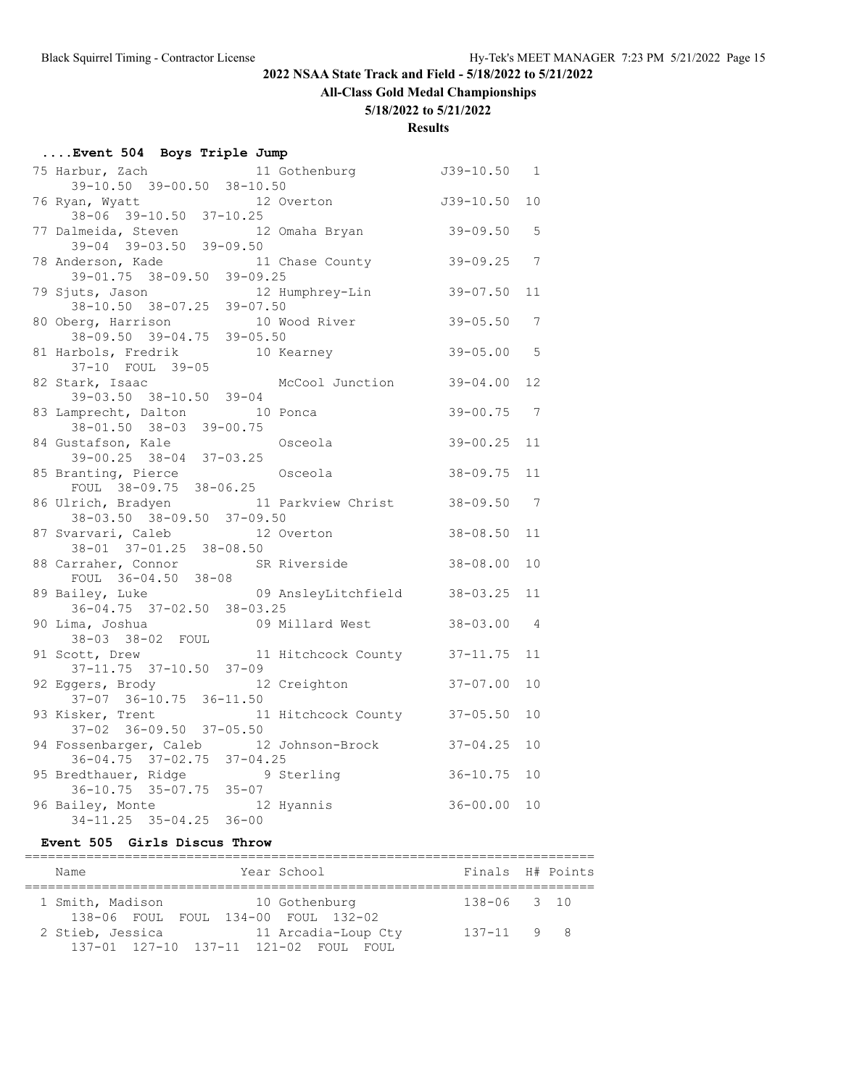**All-Class Gold Medal Championships**

#### **5/18/2022 to 5/21/2022**

**Results**

| Event 504 Boys Triple Jump |                                                                                  |              |                 |  |  |  |
|----------------------------|----------------------------------------------------------------------------------|--------------|-----------------|--|--|--|
|                            | 75 Harbur, Zach 11 Gothenburg 539-10.50 1                                        |              |                 |  |  |  |
|                            | 39-10.50 39-00.50 38-10.50                                                       |              |                 |  |  |  |
|                            | 76 Ryan, Wyatt                                                                   |              | 10              |  |  |  |
|                            | $38-06$ $39-10.50$ $37-10.25$                                                    |              |                 |  |  |  |
|                            | 12 Omaha Bryan 39-09.50<br>77 Dalmeida, Steven                                   |              | $5^{\circ}$     |  |  |  |
|                            | $39-04$ $39-03.50$ $39-09.50$                                                    |              |                 |  |  |  |
|                            | 78 Anderson, Kade 11 Chase County<br>$39-01.75$ $38-09.50$ $39-09.25$            | $39 - 09.25$ | $7\phantom{.0}$ |  |  |  |
|                            |                                                                                  |              |                 |  |  |  |
|                            | 79 Sjuts, Jason<br>12 Humphrey-Lin<br>$38-10.50$ $38-07.25$ $39-07.50$           | $39 - 07.50$ | 11              |  |  |  |
|                            | 10 Wood River                                                                    |              |                 |  |  |  |
|                            | 80 Oberg, Harrison                                                               | $39 - 05.50$ | 7               |  |  |  |
|                            |                                                                                  | $39 - 05.00$ | $-5$            |  |  |  |
|                            | 38-09.50 39-04.75 39-05.50<br>81 Harbols, Fredrik 10 Kearney<br>37-10 FOUL 39-05 |              |                 |  |  |  |
|                            | 82 Stark, Isaac<br>McCool Junction                                               | $39 - 04.00$ | 12              |  |  |  |
|                            | 39-03.50 38-10.50 39-04                                                          |              |                 |  |  |  |
|                            | 83 Lamprecht, Dalton<br>10 Ponca                                                 | $39 - 00.75$ | $\overline{7}$  |  |  |  |
|                            | 38-01.50 38-03 39-00.75                                                          |              |                 |  |  |  |
|                            | 84 Gustafson, Kale<br>Osceola                                                    | $39 - 00.25$ | 11              |  |  |  |
|                            | 39-00.25 38-04 37-03.25                                                          |              |                 |  |  |  |
|                            | 85 Branting, Pierce<br>Osceola                                                   | $38 - 09.75$ | 11              |  |  |  |
|                            | FOUL 38-09.75 38-06.25                                                           |              |                 |  |  |  |
|                            | 86 Ulrich, Bradyen<br>11 Parkview Christ 38-09.50                                |              | $\overline{7}$  |  |  |  |
|                            | 38-03.50 38-09.50 37-09.50                                                       |              |                 |  |  |  |
|                            | 87 Svarvari, Caleb<br>12 Overton                                                 | $38 - 08.50$ | 11              |  |  |  |
|                            | 38-01 37-01.25 38-08.50                                                          |              |                 |  |  |  |
|                            | 88 Carraher, Connor<br>SR Riverside                                              | $38 - 08.00$ | 10              |  |  |  |
|                            | FOUL 36-04.50 38-08                                                              |              |                 |  |  |  |
|                            | 89 Bailey, Luke<br>09 AnsleyLitchfield 38-03.25                                  |              | 11              |  |  |  |
|                            | 36-04.75 37-02.50 38-03.25                                                       |              |                 |  |  |  |
|                            | 90 Lima, Joshua<br>09 Millard West                                               | $38 - 03.00$ | 4               |  |  |  |
|                            | 38-03 38-02 FOUL                                                                 |              |                 |  |  |  |
|                            | 11 Hitchcock County 37-11.75<br>91 Scott, Drew                                   |              | 11              |  |  |  |
|                            | $37 - 11.75$ $37 - 10.50$ $37 - 09$                                              |              |                 |  |  |  |
|                            | 12 Creighton<br>92 Eggers, Brody                                                 | $37 - 07.00$ | 10              |  |  |  |
|                            | $37-07$ $36-10.75$ $36-11.50$<br>93 Kisker, Trent                                |              |                 |  |  |  |
|                            | 11 Hitchcock County 37-05.50<br>37-02 36-09.50 37-05.50                          |              | 10              |  |  |  |
|                            | 94 Fossenbarger, Caleb 12 Johnson-Brock                                          | $37 - 04.25$ | 10              |  |  |  |
|                            | $36 - 04.75$ $37 - 02.75$ $37 - 04.25$                                           |              |                 |  |  |  |
|                            | 9 Sterling                                                                       | $36 - 10.75$ | 10              |  |  |  |
|                            | 95 Bredthauer, Ridge 95<br>36-10.75 35-07.75 35-07                               |              |                 |  |  |  |
|                            | 96 Bailey, Monte<br>12 Hyannis                                                   | $36 - 00.00$ | 10              |  |  |  |
|                            | $34-11.25$ $35-04.25$ $36-00$                                                    |              |                 |  |  |  |

#### **Event 505 Girls Discus Throw**

| Year School<br>Name                                                      | Finals H# Points |  |
|--------------------------------------------------------------------------|------------------|--|
| 1 Smith, Madison<br>10 Gothenburg<br>138-06 FOUL FOUL 134-00 FOUL 132-02 | 138-06 3 10      |  |
| 2 Stieb, Jessica<br>11 Arcadia-Loup Cty                                  | $137 - 11$ 9 8   |  |
| 137-01 127-10 137-11 121-02 FOUL FOUL                                    |                  |  |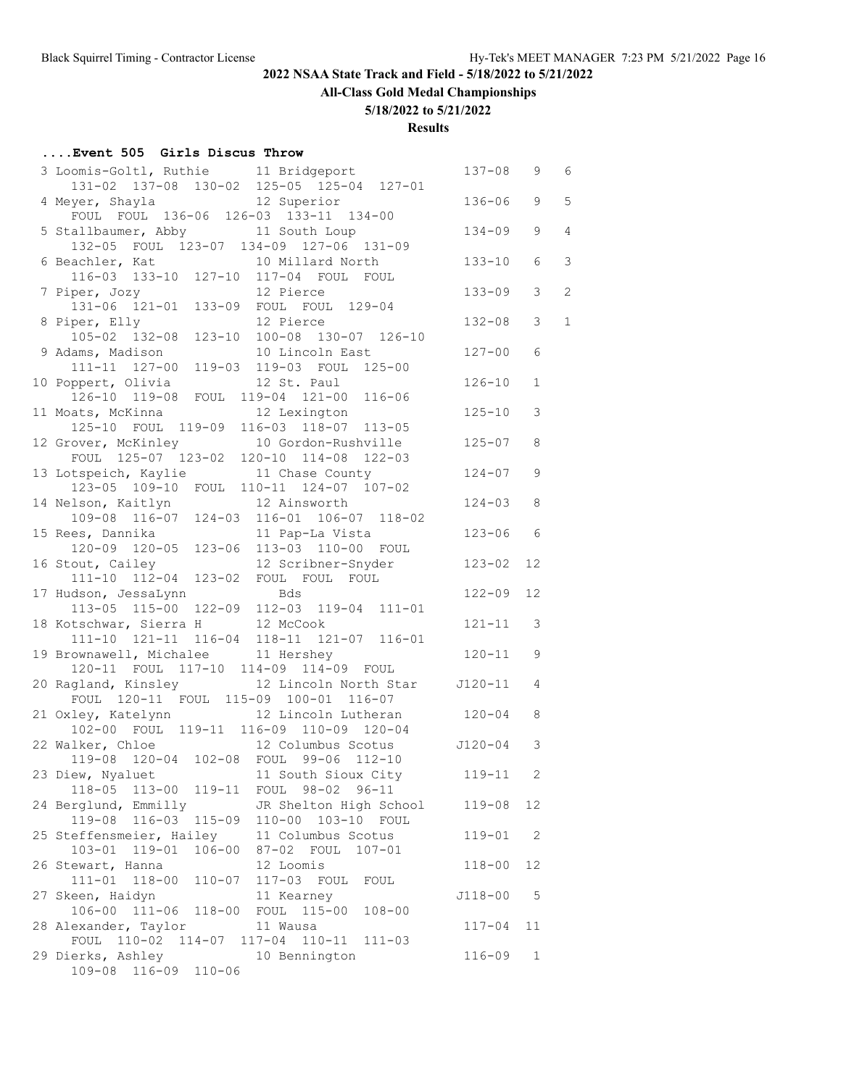**All-Class Gold Medal Championships**

## **5/18/2022 to 5/21/2022**

**Results**

#### **....Event 505 Girls Discus Throw**

| 3 Loomis-Goltl, Ruthie 11 Bridgeport                                                       | $137 - 08$  | 9              | 6              |
|--------------------------------------------------------------------------------------------|-------------|----------------|----------------|
| 131-02 137-08 130-02 125-05 125-04 127-01                                                  |             |                |                |
| 4 Meyer, Shayla 12 Superior                                                                | $136 - 06$  | 9              | 5              |
| FOUL FOUL 136-06 126-03 133-11 134-00                                                      |             |                |                |
| 5 Stallbaumer, Abby 11 South Loup                                                          | 134-09      | 9              | $\overline{4}$ |
| 132-05 FOUL 123-07 134-09 127-06 131-09                                                    |             |                |                |
| 6 Beachler, Kat 10 Millard North                                                           | 133-10      | 6              | $\mathcal{E}$  |
| 116-03 133-10 127-10 117-04 FOUL FOUL                                                      |             |                |                |
| 7 Piper, Jozy<br>12 Pierce                                                                 | $133 - 09$  | 3              | 2              |
| 131-06 121-01 133-09 FOUL FOUL 129-04<br>per, Elly 12 Pierce                               |             |                |                |
| 8 Piper, Elly                                                                              | $132 - 08$  | 3              | $\mathbf{1}$   |
| 105-02 132-08 123-10 100-08 130-07 126-10                                                  |             |                |                |
| 9 Adams, Madison 10 Lincoln East                                                           | $127 - 00$  | 6              |                |
| 111-11 127-00 119-03 119-03 FOUL 125-00                                                    |             |                |                |
| 10 Poppert, Olivia 12 St. Paul                                                             | $126 - 10$  | 1              |                |
| 126-10 119-08 FOUL 119-04 121-00 116-06                                                    |             |                |                |
| 11 Moats, McKinna 12 Lexington<br>125-10 FOUL 119-09 116-03 118-07 113-05                  | $125 - 10$  | $\mathfrak{Z}$ |                |
|                                                                                            |             |                |                |
| 12 Grover, McKinley 10 Gordon-Rushville                                                    | $125 - 07$  | 8              |                |
| FOUL $125-07$ $123-02$ $120-10$ $114-08$ $122-03$                                          |             |                |                |
| 13 Lotspeich, Kaylie 11 Chase County                                                       | $124 - 07$  | 9              |                |
| 123-05 109-10 FOUL 110-11 124-07 107-02                                                    |             |                |                |
| 14 Nelson, Kaitlyn 12 Ainsworth                                                            | $124 - 03$  | 8              |                |
| 109-08 116-07 124-03 116-01 106-07 118-02                                                  |             |                |                |
| 15 Rees, Dannika and 11 Pap-La Vista                                                       | $123 - 06$  | 6              |                |
| 120-09 120-05 123-06 113-03 110-00 FOUL                                                    |             |                |                |
| 16 Stout, Cailey 12 Scribner-Snyder                                                        | $123 - 02$  | 12             |                |
| 111-10 112-04 123-02 FOUL FOUL FOUL                                                        |             |                |                |
| 17 Hudson, JessaLynn<br>113-05 115-00 122-09 112-03 119-04 111-01                          | $122 - 09$  | 12             |                |
|                                                                                            |             |                |                |
| 18 Kotschwar, Sierra H 12 McCook                                                           | 121-11      | 3              |                |
| 111-10 121-11 116-04 118-11 121-07 116-01                                                  |             |                |                |
| 19 Brownawell, Michalee 11 Hershey                                                         | $120 - 11$  | 9              |                |
| 120-11 FOUL 117-10 114-09 114-09 FOUL<br>20 Ragland, Kinsley 12 Lincoln North Star 5120-11 |             |                |                |
| FOUL 120-11 FOUL 115-09 100-01 116-07                                                      |             | 4              |                |
| 21 Oxley, Katelynn 12 Lincoln Lutheran 120-04                                              |             |                |                |
|                                                                                            |             | 8              |                |
| 102-00 FOUL 119-11 116-09 110-09 120-04                                                    |             | 3              |                |
| 22 Walker, Chloe 12 Columbus Scotus 5120-04<br>119-08 120-04 102-08 FOUL 99-06 112-10      |             |                |                |
| 23 Diew, Nyaluet 11 South Sioux City 119-11                                                |             | 2              |                |
| 118-05 113-00<br>$119 - 11$<br>FOUL 98-02 96-11                                            |             |                |                |
| 24 Berglund, Emmilly<br>JR Shelton High School                                             | $119 - 08$  | 12             |                |
| $119 - 08$<br>$116 - 03$<br>$115 - 09$<br>$110 - 00$<br>103-10 FOUL                        |             |                |                |
| 25 Steffensmeier, Hailey<br>11 Columbus Scotus                                             | $119 - 01$  | 2              |                |
| 103-01 119-01<br>$106 - 00$<br>87-02 FOUL<br>$107 - 01$                                    |             |                |                |
| 26 Stewart, Hanna<br>12 Loomis                                                             | $118 - 00$  | 12             |                |
| $111 - 01$ $118 - 00$<br>117-03 FOUL<br>$110 - 07$<br>FOUL                                 |             |                |                |
| 27 Skeen, Haidyn<br>11 Kearney                                                             | $J118 - 00$ | 5              |                |
| 106-00 111-06<br>$115 - 00$<br>FOUL<br>$108 - 00$<br>$118 - 00$                            |             |                |                |
| 28 Alexander, Taylor<br>11 Wausa                                                           | $117 - 04$  | 11             |                |
| FOUL 110-02 114-07 117-04<br>$110 - 11$<br>$111 - 03$                                      |             |                |                |
| 29 Dierks, Ashley<br>10 Bennington                                                         | $116 - 09$  | $\mathbf 1$    |                |
| 109-08 116-09 110-06                                                                       |             |                |                |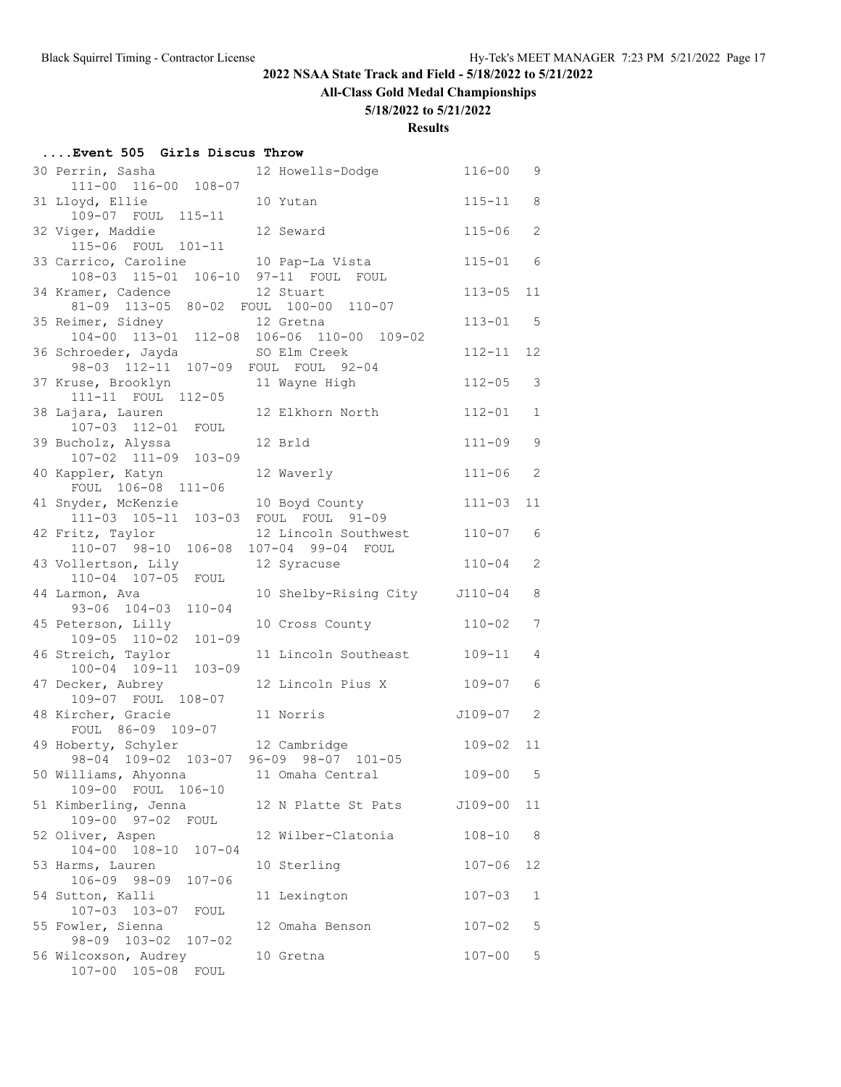**All-Class Gold Medal Championships**

#### **5/18/2022 to 5/21/2022**

| Event 505 Girls Discus Throw |  |  |  |  |  |
|------------------------------|--|--|--|--|--|
|------------------------------|--|--|--|--|--|

| 30 Perrin, Sasha                                             | 12 Howells-Dodge                 | $116 - 00$ | 9              |
|--------------------------------------------------------------|----------------------------------|------------|----------------|
| 111-00 116-00 108-07<br>31 Lloyd, Ellie                      | 10 Yutan                         | $115 - 11$ | 8              |
| 109-07 FOUL 115-11                                           |                                  |            |                |
| 32 Viger, Maddie                                             | 12 Seward                        | $115 - 06$ | 2              |
| 115-06 FOUL 101-11                                           |                                  |            |                |
| 33 Carrico, Caroline<br>108-03 115-01 106-10 97-11 FOUL FOUL | 10 Pap-La Vista                  | $115 - 01$ | 6              |
| 34 Kramer, Cadence                                           | 12 Stuart                        | $113 - 05$ | 11             |
| 81-09 113-05 80-02 FOUL 100-00 110-07                        |                                  |            |                |
| 35 Reimer, Sidney                                            | 12 Gretna                        | $113 - 01$ | 5              |
| 104-00 113-01 112-08 106-06 110-00 109-02                    |                                  |            |                |
| 36 Schroeder, Jayda<br>98-03 112-11 107-09 FOUL FOUL 92-04   | SO Elm Creek                     | $112 - 11$ | 12             |
| 37 Kruse, Brooklyn 11 Wayne High                             |                                  | $112 - 05$ | 3              |
| 111-11 FOUL 112-05                                           |                                  |            |                |
| 38 Lajara, Lauren<br>107-03 112-01 FOUL                      | 12 Elkhorn North                 | $112 - 01$ | $\mathbf{1}$   |
|                                                              |                                  |            |                |
| 39 Bucholz, Alyssa<br>107-02 111-09 103-09                   | 12 Brld                          | $111 - 09$ | 9              |
| 40 Kappler, Katyn                                            | 12 Waverly                       | $111 - 06$ | $\overline{2}$ |
| FOUL 106-08 111-06                                           |                                  |            |                |
| 41 Snyder, McKenzie                                          | 10 Boyd County                   | $111 - 03$ | 11             |
| 111-03 105-11 103-03 FOUL FOUL 91-09                         |                                  |            |                |
| 42 Fritz, Taylor<br>110-07 98-10 106-08                      | 12 Lincoln Southwest             | $110 - 07$ | 6              |
| 43 Vollertson, Lily                                          | 107-04 99-04 FOUL<br>12 Syracuse | $110 - 04$ | $\overline{2}$ |
| 110-04 107-05 FOUL                                           |                                  |            |                |
| 44 Larmon, Ava                                               | 10 Shelby-Rising City J110-04    |            | 8              |
| 93-06 104-03 110-04                                          |                                  |            |                |
| 45 Peterson, Lilly<br>109-05 110-02 101-09                   | 10 Cross County                  | $110 - 02$ | 7              |
| 46 Streich, Taylor                                           | 11 Lincoln Southeast 109-11      |            | 4              |
| 100-04 109-11 103-09                                         |                                  |            |                |
| 47 Decker, Aubrey                                            | 12 Lincoln Pius X                | 109-07     | 6              |
| 109-07 FOUL 108-07                                           |                                  |            |                |
| 48 Kircher, Gracie<br>FOUL 86-09 109-07                      | 11 Norris                        | J109-07    | 2              |
| 49 Hoberty, Schyler                                          | 12 Cambridge                     | $109 - 02$ | 11             |
| 98-04 109-02 103-07 96-09 98-07 101-05                       |                                  |            |                |
| 50 Williams, Ahyonna                                         | 11 Omaha Central                 | $109 - 00$ | 5              |
| $106 - 10$<br>109-00 FOUL                                    |                                  |            |                |
| 51 Kimberling, Jenna<br>109-00 97-02<br>FOUL                 | 12 N Platte St Pats              | J109-00    | 11             |
| 52 Oliver, Aspen                                             | 12 Wilber-Clatonia               | $108 - 10$ | 8              |
| 104-00 108-10 107-04                                         |                                  |            |                |
| 53 Harms, Lauren                                             | 10 Sterling                      | $107 - 06$ | 12             |
| 106-09 98-09<br>$107 - 06$                                   |                                  |            |                |
| 54 Sutton, Kalli<br>107-03 103-07                            | 11 Lexington                     | $107 - 03$ | 1              |
| FOUL<br>55 Fowler, Sienna                                    | 12 Omaha Benson                  | $107 - 02$ | 5              |
| 98-09 103-02<br>$107 - 02$                                   |                                  |            |                |
| 56 Wilcoxson, Audrey                                         | 10 Gretna                        | $107 - 00$ | 5              |
| 107-00 105-08<br>FOUL                                        |                                  |            |                |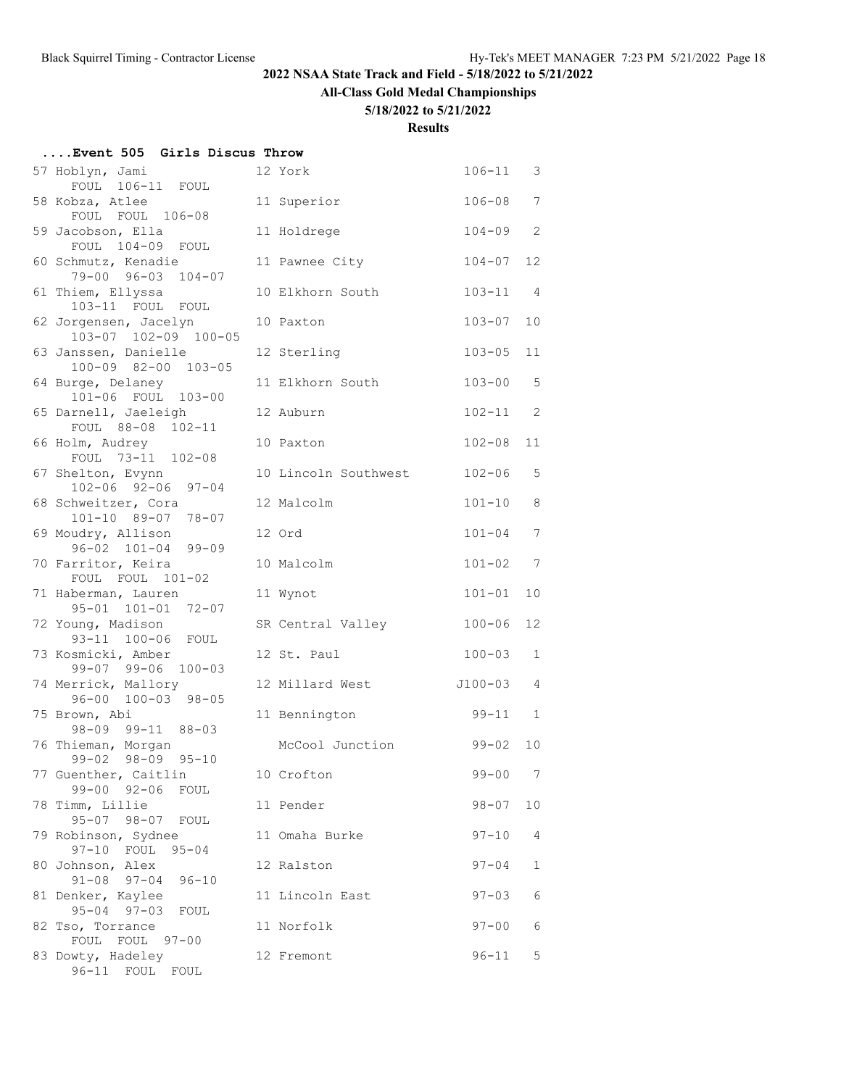#### **All-Class Gold Medal Championships**

#### **5/18/2022 to 5/21/2022**

| Event 505 Girls Discus Throw                         |                      |              |                |
|------------------------------------------------------|----------------------|--------------|----------------|
| 57 Hoblyn, Jami<br>FOUL 106-11 FOUL                  | 12 York              | $106 - 11$ 3 |                |
| 58 Kobza, Atlee<br>FOUL FOUL 106-08                  | 11 Superior          | $106 - 08$   | $\overline{7}$ |
| 59 Jacobson, Ella<br>FOUL 104-09 FOUL                | 11 Holdrege          | $104 - 09$   | $\overline{c}$ |
| 60 Schmutz, Kenadie<br>79-00 96-03 104-07            | 11 Pawnee City       | $104 - 07$   | 12             |
| 61 Thiem, Ellyssa<br>103-11 FOUL FOUL                | 10 Elkhorn South     | $103 - 11$   | $\overline{4}$ |
| 62 Jorgensen, Jacelyn<br>103-07 102-09 100-05        | 10 Paxton            | $103 - 07$   | 10             |
| 63 Janssen, Danielle<br>100-09 82-00 103-05          | 12 Sterling          | $103 - 05$   | 11             |
| 64 Burge, Delaney<br>101-06 FOUL 103-00              | 11 Elkhorn South     | $103 - 00$   | 5              |
| 65 Darnell, Jaeleigh<br>FOUL 88-08 102-11            | 12 Auburn            | $102 - 11$   | $\overline{c}$ |
| 66 Holm, Audrey<br>FOUL 73-11 102-08                 | 10 Paxton            | $102 - 08$   | 11             |
| 67 Shelton, Evynn<br>102-06 92-06 97-04              | 10 Lincoln Southwest | $102 - 06$   | 5              |
| 68 Schweitzer, Cora<br>101-10 89-07 78-07            | 12 Malcolm           | $101 - 10$   | 8              |
| 69 Moudry, Allison<br>$96 - 02$ $101 - 04$ $99 - 09$ | 12 Ord               | $101 - 04$   | $\overline{7}$ |
| 70 Farritor, Keira<br>FOUL FOUL 101-02               | 10 Malcolm           | $101 - 02$   | 7              |
| 71 Haberman, Lauren<br>95-01 101-01 72-07            | 11 Wynot             | $101 - 01$   | 10             |
| 72 Young, Madison<br>93-11 100-06 FOUL               | SR Central Valley    | $100 - 06$   | 12             |
| 73 Kosmicki, Amber<br>99-07 99-06 100-03             | 12 St. Paul          | $100 - 03$   | $\mathbf{1}$   |
| 74 Merrick, Mallory<br>96-00 100-03 98-05            | 12 Millard West      | J100-03      | $\overline{4}$ |
| 75 Brown, Abi<br>98-09 99-11 88-03                   | 11 Bennington        | $99 - 11$    | $\overline{1}$ |
| 76 Thieman, Morgan<br>99-02 98-09 95-10              | McCool Junction      | $99 - 02$    | 10             |
| 77 Guenther, Caitlin<br>$99 - 00$ $92 - 06$<br>FOUL  | 10 Crofton           | $99 - 00$    | - 7            |
| 78 Timm, Lillie<br>95-07 98-07 FOUL                  | 11 Pender            | $98 - 07$    | 10             |
| 79 Robinson, Sydnee<br>97-10 FOUL<br>$95 - 04$       | 11 Omaha Burke       | $97 - 10$    | 4              |
| 80 Johnson, Alex<br>$91 - 08$ 97-04<br>$96 - 10$     | 12 Ralston           | $97 - 04$    | $\mathbf{1}$   |
| 81 Denker, Kaylee<br>$95 - 04$ $97 - 03$<br>FOUL     | 11 Lincoln East      | $97 - 03$    | $\epsilon$     |
| 82 Tso, Torrance<br>FOUL FOUL 97-00                  | 11 Norfolk           | $97 - 00$    | $\epsilon$     |
| 83 Dowty, Hadeley<br>96-11 FOUL FOUL                 | 12 Fremont           | $96 - 11$    | 5              |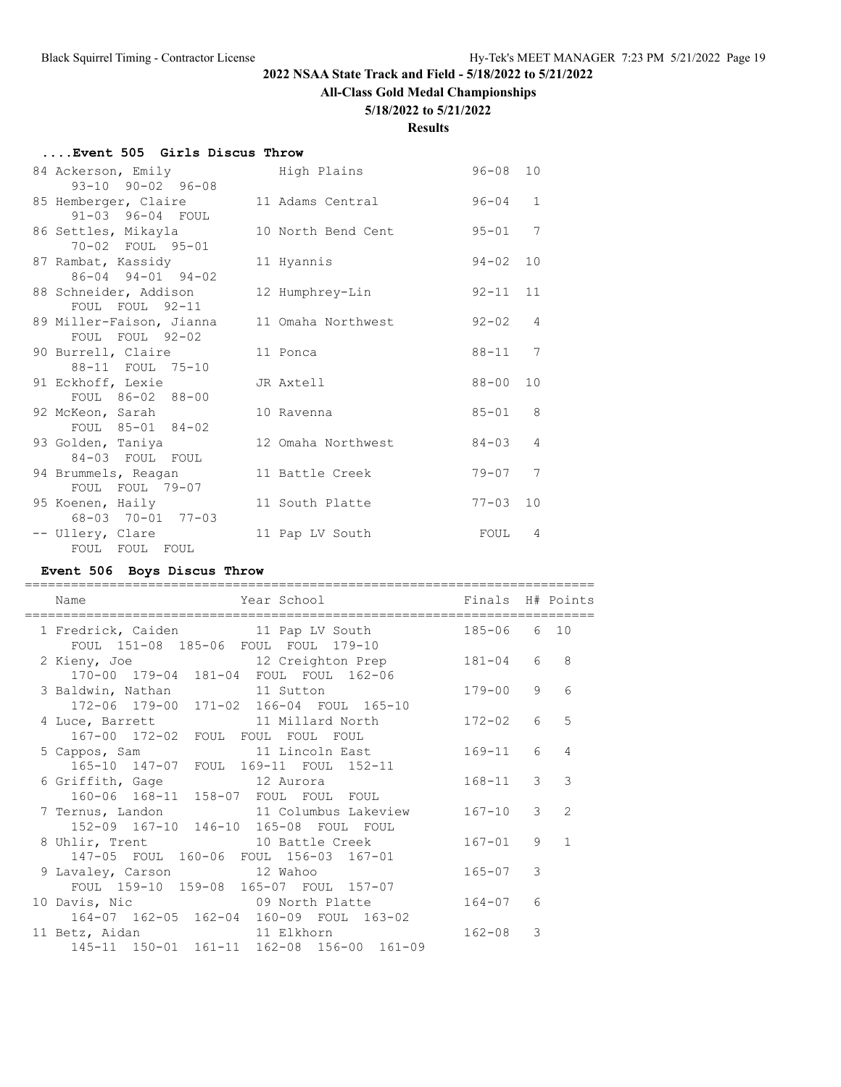#### **All-Class Gold Medal Championships**

#### **5/18/2022 to 5/21/2022**

#### **Results**

#### **....Event 505 Girls Discus Throw**

| 84 Ackerson, Emily<br>$93-10$ $90-02$ $96-08$       | High Plains        | $96 - 08$ | 10              |
|-----------------------------------------------------|--------------------|-----------|-----------------|
| 85 Hemberger, Claire<br>91-03 96-04 FOUL            | 11 Adams Central   | $96 - 04$ | $\mathbf{1}$    |
| 86 Settles, Mikayla<br>70-02 FOUL 95-01             | 10 North Bend Cent | $95 - 01$ | $7\phantom{.0}$ |
| 87 Rambat, Kassidy<br>$86 - 04$ $94 - 01$ $94 - 02$ | 11 Hyannis         | $94 - 02$ | 10              |
| 88 Schneider, Addison<br>FOUL FOUL 92-11            | 12 Humphrey-Lin    | $92 - 11$ | 11              |
| 89 Miller-Faison, Jianna<br>FOUL FOUL 92-02         | 11 Omaha Northwest | $92 - 02$ | $\overline{4}$  |
| 90 Burrell, Claire<br>88-11 FOUL 75-10              | 11 Ponca           | $88 - 11$ | 7               |
| 91 Eckhoff, Lexie<br>FOUL 86-02 88-00               | JR Axtell          | 88-00     | 10              |
| 92 McKeon, Sarah<br>FOUL 85-01 84-02                | 10 Ravenna         | $85 - 01$ | 8               |
| 93 Golden, Taniya<br>84-03 FOUL FOUL                | 12 Omaha Northwest | 84-03     | 4               |
| 94 Brummels, Reagan<br>FOUL FOUL 79-07              | 11 Battle Creek    | $79 - 07$ | 7               |
| 95 Koenen, Haily<br>68-03 70-01 77-03               | 11 South Platte    | $77 - 03$ | 10              |
| -- Ullery, Clare<br>FOUL FOUL FOUL                  | 11 Pap LV South    | FOUL      | 4               |

#### **Event 506 Boys Discus Throw**

| Year School and the School<br>Name                                                                   | Finals H# Points |               |                |
|------------------------------------------------------------------------------------------------------|------------------|---------------|----------------|
| 1 Fredrick, Caiden 11 Pap LV South<br>FOUL 151-08 185-06 FOUL FOUL 179-10                            | 185-06 6 10      |               |                |
| 2 Kieny, Joe and 12 Creighton Prep<br>170-00 179-04 181-04 FOUL FOUL 162-06                          | $181 - 04$ 6 8   |               |                |
| 3 Baldwin, Nathan 11 Sutton<br>172-06 179-00 171-02 166-04 FOUL 165-10                               | $179 - 00$ 9     |               | 6              |
| 4 Luce, Barrett 11 Millard North<br>167-00 172-02 FOUL FOUL FOUL FOUL                                | $172 - 02$ 6     |               | 5              |
| 5 Cappos, Sam and 11 Lincoln East<br>165-10 147-07 FOUL 169-11 FOUL 152-11                           | $169 - 11$ 6     |               | $\overline{4}$ |
| 6 Griffith, Gage 12 Aurora<br>160-06 168-11 158-07 FOUL FOUL FOUL                                    | $168 - 11$ 3     |               | 3              |
| 7 Ternus, Landon                       11 Columbus Lakeview<br>152-09 167-10 146-10 165-08 FOUL FOUL | $167 - 10$ 3     |               | $\overline{2}$ |
| 8 Uhlir, Trent 10 Battle Creek<br>147-05 FOUL 160-06 FOUL 156-03 167-01                              | $167 - 01$ 9     |               | $\sqrt{1}$     |
| 9 Lavaley, Carson 12 Wahoo<br>FOUL 159-10 159-08 165-07 FOUL 157-07                                  | $165 - 07$ 3     |               |                |
| 10 Davis, Nic 69 North Platte<br>164-07 162-05 162-04 160-09 FOUL 163-02                             | $164 - 07$ 6     |               |                |
| 11 Betz, Aidan 11 Elkhorn<br>145-11 150-01 161-11 162-08 156-00 161-09                               | $162 - 08$       | $\mathcal{E}$ |                |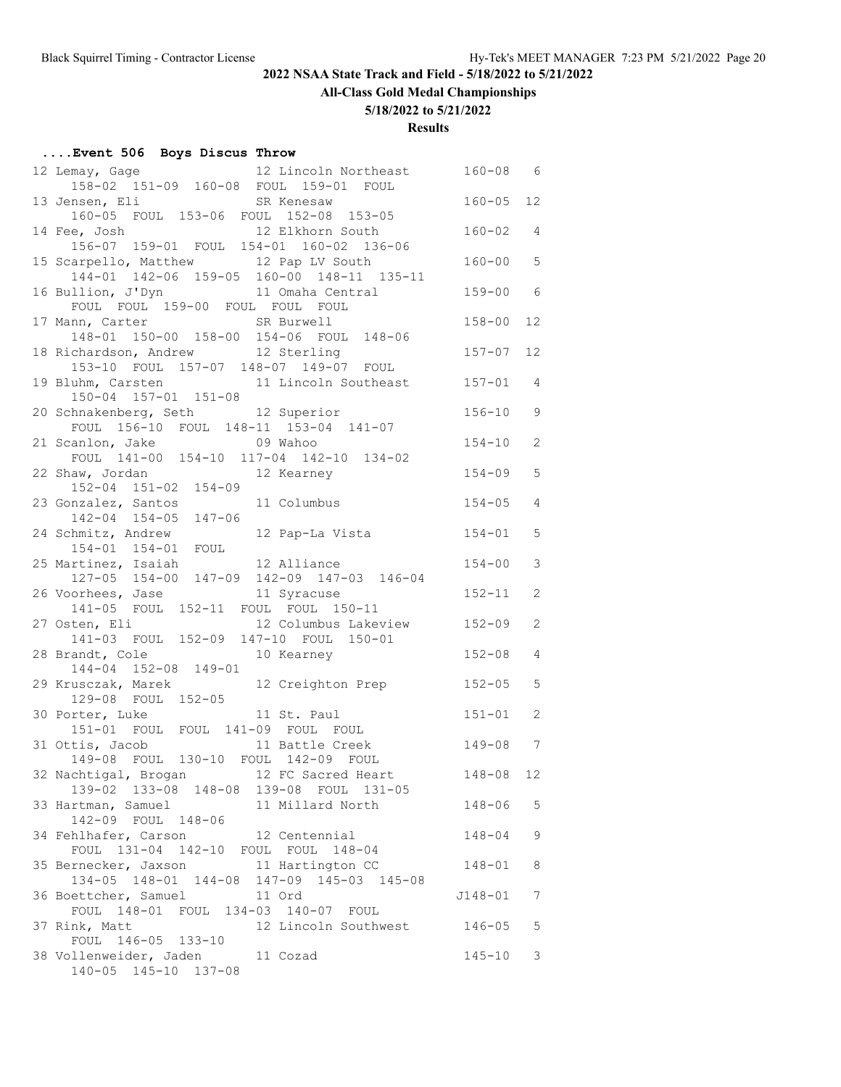**All-Class Gold Medal Championships**

#### **5/18/2022 to 5/21/2022**

#### **Results**

# **....Event 506 Boys Discus Throw**

| 12 Lincoln Northeast<br>12 Lemay, Gage                                     | $160 - 08$    | - 6            |
|----------------------------------------------------------------------------|---------------|----------------|
| 158-02 151-09 160-08 FOUL 159-01 FOUL                                      | $160 - 05$ 12 |                |
| 13 Jensen, Eli<br>SR Kenesaw<br>160-05 FOUL 153-06 FOUL 152-08 153-05      |               |                |
| 12 Elkhorn South<br>14 Fee, Josh                                           | $160 - 02$ 4  |                |
| 15 Scarpello, Matthew 12 Pap LV South                                      | $160 - 00$    | 5              |
| 144-01 142-06 159-05 160-00 148-11 135-11                                  |               |                |
| 16 Bullion, J'Dyn 11 Omaha Central<br>FOUL FOUL 159-00 FOUL FOUL FOUL      | $159 - 00$    | - 6            |
| 17 Mann, Carter SR Burwell                                                 | $158 - 00$    | 12             |
| 148-01 150-00 158-00 154-06 FOUL 148-06                                    |               |                |
| 18 Richardson, Andrew 12 Sterling<br>153-10 FOUL 157-07 148-07 149-07 FOUL | $157 - 07$ 12 |                |
| 19 Bluhm, Carsten 11 Lincoln Southeast                                     | $157 - 01$ 4  |                |
| 150-04 157-01 151-08                                                       |               |                |
| 20 Schnakenberg, Seth 12 Superior                                          | $156 - 10$    | 9              |
| FOUL 156-10 FOUL 148-11 153-04 141-07                                      |               |                |
| 21 Scanlon, Jake 69 Wahoo                                                  | $154 - 10$    | 2              |
| FOUL 141-00 154-10 117-04 142-10 134-02                                    |               |                |
| 22 Shaw, Jordan<br>12 Kearney                                              | $154 - 09$    | 5              |
| 152-04 151-02 154-09                                                       |               |                |
| 23 Gonzalez, Santos<br>11 Columbus                                         | $154 - 05$    | $\overline{4}$ |
| 142-04 154-05 147-06<br>24 Schmitz, Andrew 12 Pap-La Vista                 | $154 - 01$    | 5              |
| 154-01 154-01 FOUL                                                         |               |                |
| 25 Martinez, Isaiah 12 Alliance                                            | $154 - 00$    | 3              |
| 127-05 154-00 147-09 142-09 147-03 146-04                                  |               |                |
| 26 Voorhees, Jase 11 Syracuse                                              | $152 - 11$    | 2              |
| 141-05 FOUL 152-11 FOUL FOUL 150-11                                        |               |                |
| 12 Columbus Lakeview<br>27 Osten, Eli                                      | $152 - 09$    | 2              |
| 141-03 FOUL 152-09 147-10 FOUL 150-01                                      |               |                |
| 28 Brandt, Cole<br>10 Kearney                                              | $152 - 08$    | 4              |
| 144-04 152-08 149-01                                                       |               |                |
| 12 Creighton Prep<br>29 Krusczak, Marek                                    | $152 - 05$    | 5              |
| 129-08 FOUL 152-05                                                         |               |                |
| 11 St. Paul<br>30 Porter, Luke<br>151-01 FOUL FOUL 141-09 FOUL FOUL        | $151 - 01$    | 2              |
| 31 Ottis, Jacob 11 Battle Creek                                            | 149-08 7      |                |
| 149-08 FOUL 130-10 FOUL 142-09 FOUL                                        |               |                |
| 32 Nachtigal, Brogan 12 FC Sacred Heart                                    | $148 - 08$ 12 |                |
| 139-02 133-08 148-08 139-08 FOUL 131-05                                    |               |                |
| 33 Hartman, Samuel<br>11 Millard North                                     | 148-06        | 5              |
| 142-09 FOUL 148-06                                                         |               |                |
| 34 Fehlhafer, Carson 12 Centennial                                         | $148 - 04$    | 9              |
| FOUL 131-04 142-10 FOUL FOUL 148-04                                        |               |                |
| 35 Bernecker, Jaxson 11 Hartington CC                                      | 148-01        | 8              |
| $134-05$ $148-01$ $144-08$ $147-09$ $145-03$ $145-08$                      |               |                |
| 36 Boettcher, Samuel<br>11 Ord                                             | J148-01       | 7              |
| FOUL 148-01 FOUL 134-03 140-07 FOUL                                        |               |                |
| 37 Rink, Matt<br>12 Lincoln Southwest<br>FOUL 146-05 133-10                | 146-05        | 5              |
| 38 Vollenweider, Jaden<br>11 Cozad                                         | $145 - 10$    | 3              |
| 140-05 145-10 137-08                                                       |               |                |
|                                                                            |               |                |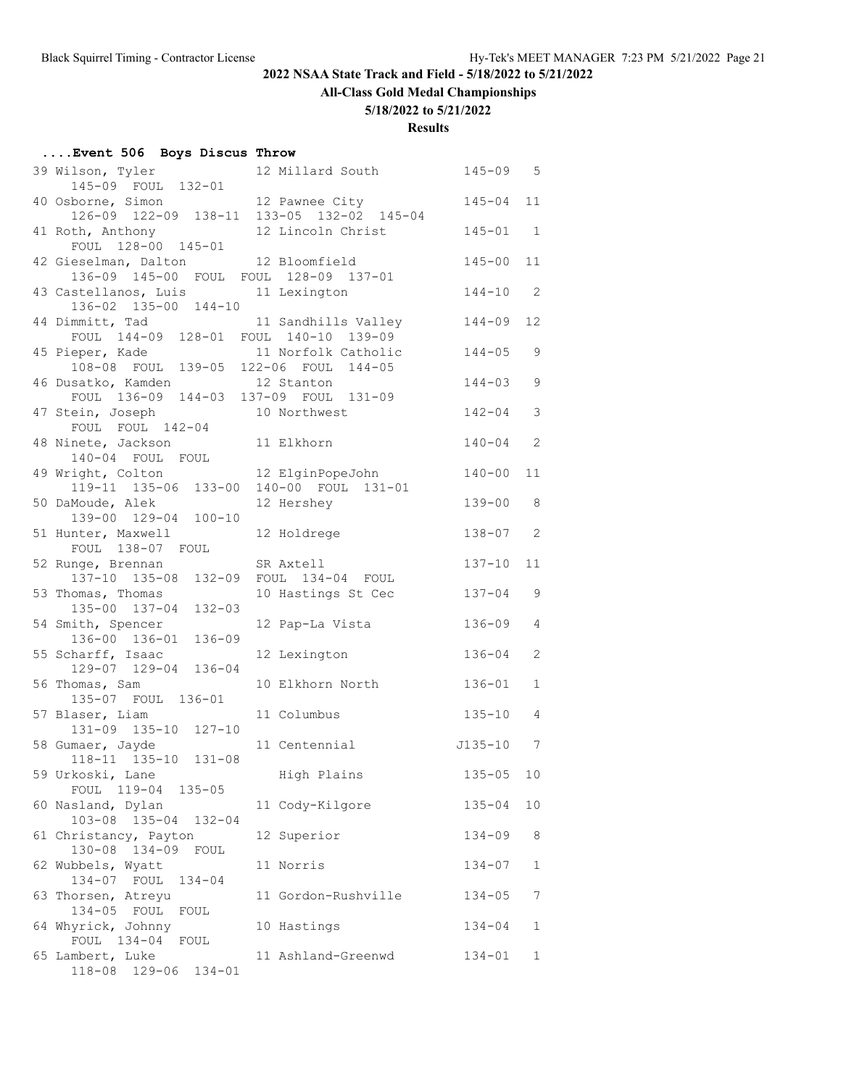**All-Class Gold Medal Championships**

#### **5/18/2022 to 5/21/2022**

| Event 506 Boys Discus Throw |  |  |  |  |
|-----------------------------|--|--|--|--|
|-----------------------------|--|--|--|--|

| 39 Wilson, Tyler<br>145-09 FOUL 132-01                         | 12 Millard South    | $145 - 09$ 5  |                            |
|----------------------------------------------------------------|---------------------|---------------|----------------------------|
| 40 Osborne, Simon<br>126-09 122-09 138-11 133-05 132-02 145-04 | 12 Pawnee City      | $145 - 04$    | 11                         |
| 41 Roth, Anthony 12 Lincoln Christ                             |                     | $145 - 01$ 1  |                            |
| FOUL 128-00 145-01<br>42 Gieselman, Dalton 12 Bloomfield       |                     | $145 - 00$    | 11                         |
| 136-09 145-00 FOUL FOUL 128-09 137-01<br>43 Castellanos, Luis  | 11 Lexington        | $144 - 10$    | $\overline{\phantom{0}}^2$ |
| 136-02 135-00 144-10<br>44 Dimmitt, Tad                        | 11 Sandhills Valley | $144 - 09$    | 12                         |
| FOUL 144-09 128-01 FOUL 140-10 139-09<br>45 Pieper, Kade       | 11 Norfolk Catholic | $144 - 05$    | 9                          |
| 108-08 FOUL 139-05 122-06 FOUL 144-05<br>46 Dusatko, Kamden    | 12 Stanton          | $144 - 03$    | 9                          |
| FOUL 136-09 144-03 137-09 FOUL 131-09<br>47 Stein, Joseph      | 10 Northwest        | $142 - 04$    | 3                          |
| FOUL FOUL 142-04                                               |                     |               |                            |
| 48 Ninete, Jackson<br>140-04 FOUL FOUL                         | 11 Elkhorn          | $140 - 04$    | 2                          |
| 49 Wright, Colton<br>119-11 135-06 133-00 140-00 FOUL 131-01   | 12 ElginPopeJohn    | $140 - 00$    | 11                         |
| 50 DaMoude, Alek<br>139-00 129-04 100-10                       | 12 Hershey          | $139 - 00$ 8  |                            |
| 51 Hunter, Maxwell<br>FOUL 138-07 FOUL                         | 12 Holdrege         | $138 - 07$ 2  |                            |
| 52 Runge, Brennan                                              | SR Axtell           | $137 - 10$    | 11                         |
| 137-10 135-08 132-09 FOUL 134-04 FOUL<br>53 Thomas, Thomas     | 10 Hastings St Cec  | $137 - 04$    | 9                          |
| $132 - 03$<br>135-00 137-04                                    |                     |               |                            |
| 54 Smith, Spencer<br>$136 - 09$<br>136-00 136-01               | 12 Pap-La Vista     | 136-09        | 4                          |
| 55 Scharff, Isaac<br>129-07 129-04 136-04                      | 12 Lexington        | $136 - 04$    | 2                          |
| 56 Thomas, Sam<br>135-07 FOUL 136-01                           | 10 Elkhorn North    | $136 - 01$    | $\mathbf{1}$               |
| 57 Blaser, Liam<br>131-09 135-10 127-10                        | 11 Columbus         | $135 - 10$    | 4                          |
| 58 Gumaer, Jayde<br>118-11 135-10 131-08                       | 11 Centennial       | $J135 - 10$ 7 |                            |
| 59 Urkoski, Lane                                               | High Plains         | $135 - 05$ 10 |                            |
| FOUL 119-04 135-05<br>60 Nasland, Dylan                        | 11 Cody-Kilgore     | $135 - 04$    | 10                         |
| 103-08 135-04 132-04<br>61 Christancy, Payton                  | 12 Superior         | $134 - 09$    | 8                          |
| 130-08 134-09<br>FOUL                                          |                     |               |                            |
| 62 Wubbels, Wyatt<br>134-07 FOUL<br>$134 - 04$                 | 11 Norris           | $134 - 07$    | 1                          |
| 63 Thorsen, Atreyu<br>134-05 FOUL<br>FOUL                      | 11 Gordon-Rushville | $134 - 05$    | 7                          |
| 64 Whyrick, Johnny<br>FOUL 134-04 FOUL                         | 10 Hastings         | $134 - 04$    | 1                          |
| 65 Lambert, Luke<br>118-08 129-06 134-01                       | 11 Ashland-Greenwd  | $134 - 01$    | 1                          |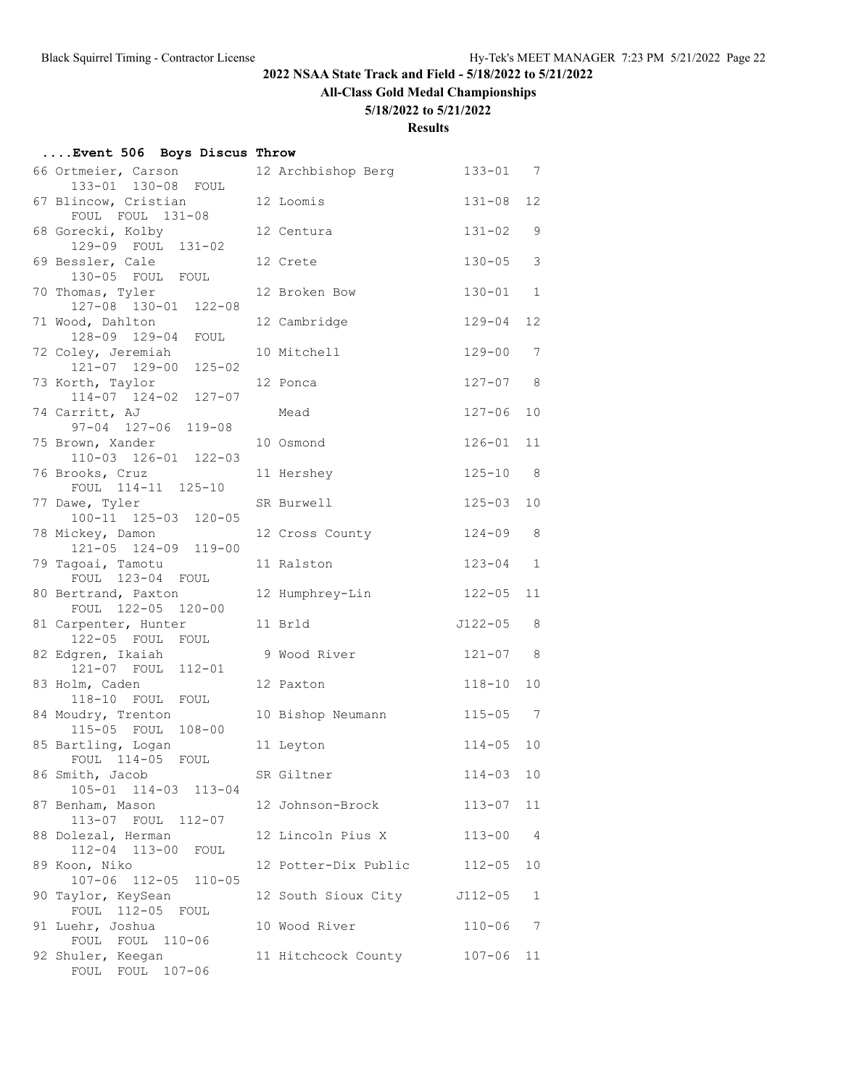# **All-Class Gold Medal Championships**

#### **5/18/2022 to 5/21/2022**

| Event 506 Boys Discus Throw |  |  |  |  |
|-----------------------------|--|--|--|--|
|-----------------------------|--|--|--|--|

| 66 Ortmeier, Carson<br>133-01 130-08 FOUL      | 12 Archbishop Berg   | $133 - 01$  | 7                 |
|------------------------------------------------|----------------------|-------------|-------------------|
| 67 Blincow, Cristian<br>FOUL FOUL 131-08       | 12 Loomis            | $131 - 08$  | $12 \overline{ }$ |
| 68 Gorecki, Kolby<br>129-09 FOUL 131-02        | 12 Centura           | 131-02      | 9                 |
| 69 Bessler, Cale<br>130-05 FOUL FOUL           | 12 Crete             | $130 - 05$  | 3                 |
| 70 Thomas, Tyler<br>127-08 130-01 122-08       | 12 Broken Bow        | $130 - 01$  | $\mathbf{1}$      |
| 71 Wood, Dahlton<br>128-09 129-04 FOUL         | 12 Cambridge         | $129 - 04$  | 12                |
| 72 Coley, Jeremiah<br>121-07 129-00 125-02     | 10 Mitchell          | $129 - 00$  | 7                 |
| 73 Korth, Taylor<br>114-07 124-02 127-07       | 12 Ponca             | $127 - 07$  | 8                 |
| 74 Carritt, AJ<br>97-04 127-06 119-08          | Mead                 | $127 - 06$  | 10                |
| 75 Brown, Xander<br>$110-03$ $126-01$ $122-03$ | 10 Osmond            | $126 - 01$  | 11                |
| 76 Brooks, Cruz<br>FOUL 114-11 125-10          | 11 Hershey           | $125 - 10$  | 8                 |
| 77 Dawe, Tyler<br>100-11 125-03 120-05         | SR Burwell           | $125 - 03$  | 10                |
| 78 Mickey, Damon<br>121-05 124-09 119-00       | 12 Cross County      | $124 - 09$  | 8                 |
| 79 Tagoai, Tamotu<br>FOUL 123-04 FOUL          | 11 Ralston           | $123 - 04$  | $\mathbf{1}$      |
| 80 Bertrand, Paxton<br>FOUL 122-05 120-00      | 12 Humphrey-Lin      | $122 - 05$  | 11                |
| 81 Carpenter, Hunter<br>122-05 FOUL FOUL       | 11 Brld              | $J122 - 05$ | 8                 |
| 82 Edgren, Ikaiah<br>121-07 FOUL<br>$112 - 01$ | 9 Wood River         | $121 - 07$  | 8                 |
| 83 Holm, Caden<br>118-10 FOUL FOUL             | 12 Paxton            | $118 - 10$  | 10                |
| 84 Moudry, Trenton<br>115-05 FOUL 108-00       | 10 Bishop Neumann    | $115 - 05$  | 7                 |
| 85 Bartling, Logan<br>FOUL 114-05<br>FOUL      | 11 Leyton            | $114 - 05$  | 10                |
| 86 Smith, Jacob<br>105-01 114-03 113-04        | SR Giltner           | $114 - 03$  | 10                |
| 87 Benham, Mason<br>113-07 FOUL 112-07         | 12 Johnson-Brock     | $113 - 07$  | 11                |
| 88 Dolezal, Herman<br>112-04 113-00<br>FOUL    | 12 Lincoln Pius X    | $113 - 00$  | 4                 |
| 89 Koon, Niko<br>107-06 112-05<br>$110 - 05$   | 12 Potter-Dix Public | $112 - 05$  | 10                |
| 90 Taylor, KeySean<br>FOUL 112-05 FOUL         | 12 South Sioux City  | J112-05     | 1                 |
| 91 Luehr, Joshua<br>FOUL FOUL 110-06           | 10 Wood River        | $110 - 06$  | 7                 |
| 92 Shuler, Keegan<br>FOUL FOUL 107-06          | 11 Hitchcock County  | $107 - 06$  | 11                |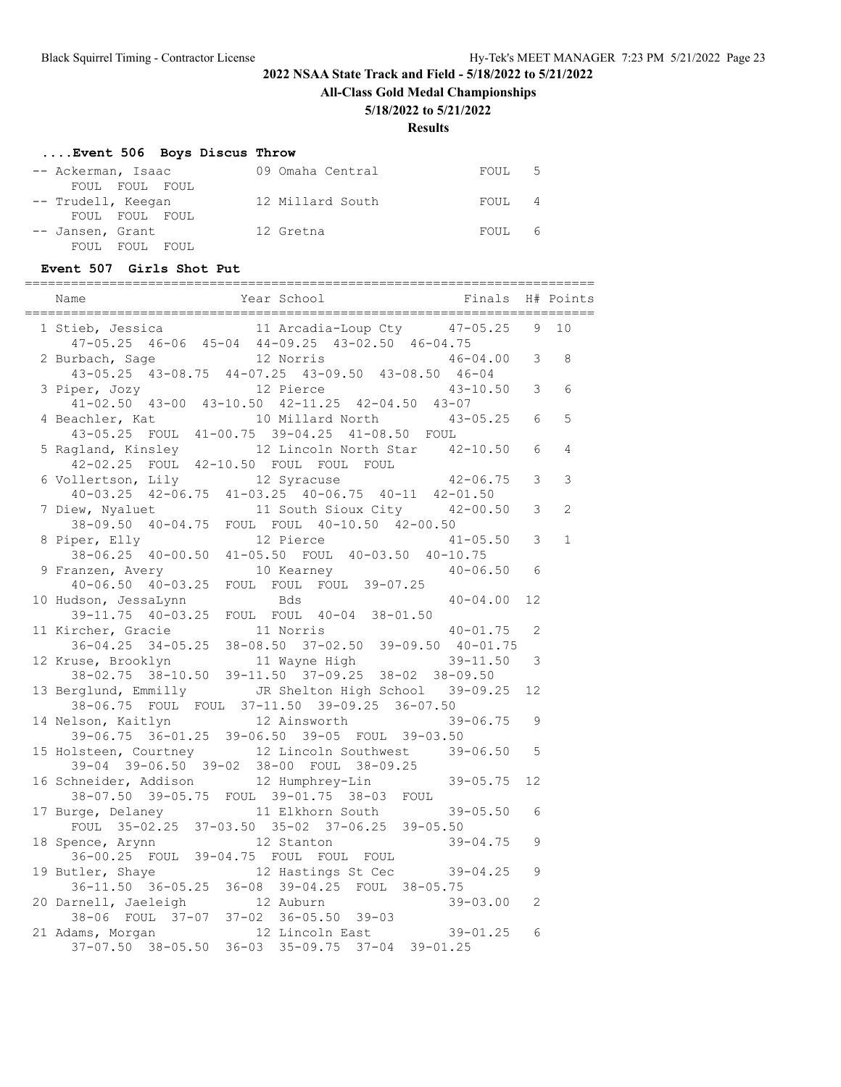**All-Class Gold Medal Championships**

#### **5/18/2022 to 5/21/2022**

**Results**

# **....Event 506 Boys Discus Throw**

| -- Ackerman, Isaac                   | 09 Omaha Central | FOUL <sub>5</sub> |
|--------------------------------------|------------------|-------------------|
| FOUL FOUL FOUL<br>-- Trudell, Keegan | 12 Millard South | FOUL 4            |
| FOUL FOUL FOUL                       |                  |                   |
| -- Jansen, Grant                     | 12 Gretna        | FOUL 6            |
| FOUL<br>FOUL FOUL                    |                  |                   |

#### **Event 507 Girls Shot Put**

| Finals<br>Year School<br>Name                                                                                                                                                  |                | H# Points      |
|--------------------------------------------------------------------------------------------------------------------------------------------------------------------------------|----------------|----------------|
| 11 Arcadia-Loup Cty 47-05.25<br>1 Stieb, Jessica<br>47-05.25 46-06 45-04 44-09.25 43-02.50 46-04.75                                                                            | 9              | 10             |
| 12 Norris<br>2 Burbach, Sage<br>46-04.00<br>43-05.25 43-08.75 44-07.25 43-09.50 43-08.50 46-04                                                                                 | 3              | 8              |
| $43 - 10.50$ 3<br>3 Piper, Jozy<br>12 Pierce                                                                                                                                   |                | 6              |
| $41-02.50$ $43-00$ $43-10.50$ $42-11.25$ $42-04.50$ $43-07$<br>$43 - 05.25$ 6<br>4 Beachler, Kat 10 Millard North 43-05.25 FOUL 41-00.75 39-04.25 41-08.50 FOUL 43-05.25 FOUL  |                | 5              |
| 5 Ragland, Kinsley 12 Lincoln North Star 42-10.50<br>42-02.25 FOUL 42-10.50 FOUL FOUL FOUL                                                                                     | 6              | $\overline{4}$ |
| 6 Vollertson, Lily 12 Syracuse 42-06.75<br>40-03.25 42-06.75 41-03.25 40-06.75 40-11 42-01.50                                                                                  | 3              | 3              |
| 11 South Sioux City 42-00.50<br>7 Diew, Nyaluet                                                                                                                                | 3              | $\overline{2}$ |
| 38-09.50 40-04.75 FOUL FOUL 40-10.50 42-00.50<br>8 Piper, Elly<br>12 Pierce<br>$41 - 05.50$                                                                                    | 3              | $\mathbf{1}$   |
| $38-06.25$ 40-00.50 41-05.50 FOUL 40-03.50 40-10.75<br>10 Kearney<br>9 Franzen, Avery<br>$40 - 06.50$ 6                                                                        |                |                |
| 40-06.50 40-03.25 FOUL FOUL FOUL 39-07.25<br>10 Hudson, JessaLynn<br>Bds<br>40-04.00                                                                                           | 12             |                |
| 39-11.75 40-03.25 FOUL FOUL 40-04 38-01.50                                                                                                                                     | 2              |                |
| 11 Kircher, Gracie 11 Norris 40-01.75<br>36-04.25 34-05.25 38-08.50 37-02.50 39-09.50 40-01.75<br>40-01.75                                                                     |                |                |
| 12 Kruse, Brooklyn 11 Wayne High 39-11.50<br>38-02.75 38-10.50 39-11.50 37-09.25 38-02 38-09.50                                                                                | 3              |                |
| 13 Berglund, Emmilly JR Shelton High School 39-09.25<br>38-06.75 FOUL FOUL 37-11.50 39-09.25 36-07.50                                                                          | 12             |                |
| 14 Nelson, Kaitlyn 12 Ainsworth<br>39-06.75<br>39-06.75 36-01.25 39-06.50 39-05 FOUL 39-03.50                                                                                  | 9              |                |
| 15 Holsteen, Courtney 12 Lincoln Southwest 39-06.50<br>$39-04$ $39-06.50$ $39-02$ $38-00$ FOUL $38-09.25$                                                                      | 5              |                |
| $39 - 05.75$<br>16 Schneider, Addison 12 Humphrey-Lin<br>38-07.50 39-05.75 FOUL 39-01.75 38-03 FOUL                                                                            | 12             |                |
| 17 Burge, Delaney<br>11 Elkhorn South<br>$39 - 05.50$<br>FOUL 35-02.25 37-03.50 35-02 37-06.25 39-05.50                                                                        | 6              |                |
| 18 Spence, Arynn 12 Stanton<br>$39 - 04.75$                                                                                                                                    | 9              |                |
| 36-00.25 FOUL 39-04.75 FOUL FOUL FOUL<br>19 Butler, Shaye 12 Hastings St Cec<br>39-04.25<br>36-11.50 36-05.25 36-08 39-04.25 FOUL 38-05.75                                     | 9              |                |
| $39 - 03.00$                                                                                                                                                                   | $\mathfrak{L}$ |                |
| 20 Darnell, Jaeleigh 12 Auburn<br>38-06 FOUL 37-07 37-02 36-05.50 39-03<br>21 Adams, Morgan 12 Lincoln East<br>$39 - 01.25$<br>37-07.50 38-05.50 36-03 35-09.75 37-04 39-01.25 | 6              |                |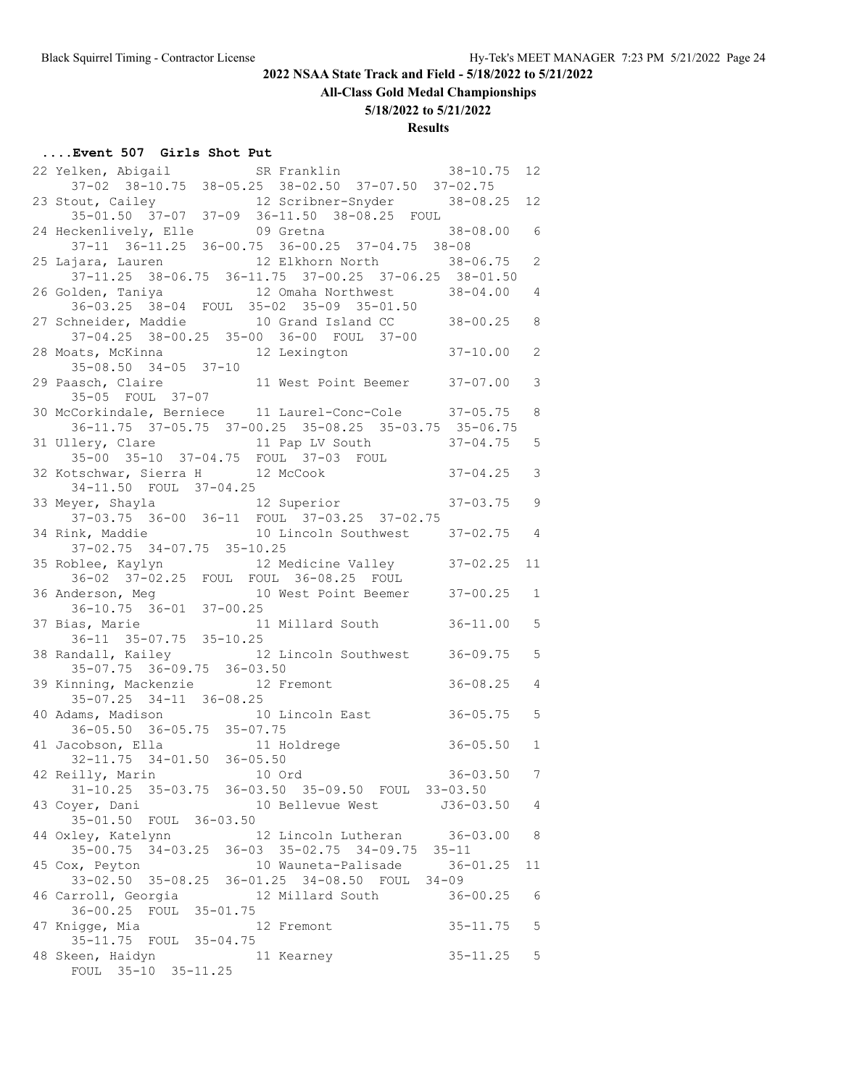**All-Class Gold Medal Championships**

**5/18/2022 to 5/21/2022**

# **Results**

# **....Event 507 Girls Shot Put**

| 22 Yelken, Abigail SR Franklin 38-10.75<br>37-02 38-10.75 38-05.25 38-02.50 37-07.50 37-02.75                |                | 12 <sup>°</sup> |
|--------------------------------------------------------------------------------------------------------------|----------------|-----------------|
|                                                                                                              |                |                 |
| 23 Stout, Cailey 12 Scribner-Snyder 38-08.25                                                                 |                | 12 <sup>°</sup> |
| $35-01.50$ $37-07$ $37-09$ $36-11.50$ $38-08.25$ FOUL                                                        |                |                 |
| 24 Heckenlively, Elle 09 Gretna 38-08.00 6<br>37-11 36-11.25 36-00.75 36-00.25 37-04.75 38-08                |                |                 |
|                                                                                                              |                |                 |
| 25 Lajara, Lauren<br>12 Elkhorn North 38-06.75<br>37-11.25 38-06.75 36-11.75 37-00.25 37-06.25 38-01.50      |                | $\mathbf{2}$    |
| 26 Golden, Taniya (12 Omaha Northwest 38-04.00                                                               |                | 4               |
| 36-03.25 38-04 FOUL 35-02 35-09 35-01.50                                                                     |                |                 |
| 27 Schneider, Maddie 10 Grand Island CC 38-00.25 8                                                           |                |                 |
|                                                                                                              |                |                 |
| 37-04.25 38-00.25 35-00 36-00 FOUL 37-00<br>28 Moats, McKinna 12 Lexington                                   | $37 - 10.00$   | 2               |
| $35 - 08.50$ $34 - 05$ $37 - 10$                                                                             |                |                 |
| 29 Paasch, Claire 11 West Point Beemer 37-07.00                                                              |                | 3               |
| 35-05 FOUL 37-07                                                                                             |                |                 |
| 30 McCorkindale, Berniece 11 Laurel-Conc-Cole 37-05.75                                                       |                | 8               |
| 36-11.75 37-05.75 37-00.25 35-08.25 35-03.75 35-06.75                                                        |                |                 |
| 31 Ullery, Clare 11 Pap LV South 37-04.75                                                                    |                | 5               |
| $35 - 00$ $35 - 10$ $37 - 04.75$ $FOUL$ $37 - 03$ $FOUL$                                                     |                |                 |
| 32 Kotschwar, Sierra H 12 McCook 37-04.25<br>34-11.50 FOUL 37-04.25<br>33 Meyer, Shayla 12 Superior 37-03.75 |                | 3               |
|                                                                                                              |                |                 |
|                                                                                                              | $37 - 03.75$ 9 |                 |
| 37-03.75 36-00 36-11 FOUL 37-03.25 37-02.75<br>34 Rink, Maddie 10 Lincoln Southwest 37-02.75 4               |                |                 |
|                                                                                                              |                |                 |
| 37-02.75 34-07.75 35-10.25                                                                                   |                |                 |
| 35 Roblee, Kaylyn 12 Medicine Valley 37-02.25<br>36-02 37-02.25 FOUL FOUL 36-08.25 FOUL                      |                | 11              |
|                                                                                                              |                | $\mathbf{1}$    |
| 36 Anderson, Meg<br>10 West Point Beemer<br>37-00.25<br>36-10.75<br>36-01<br>37-00.25                        |                |                 |
|                                                                                                              | $36 - 11.00$   | 5               |
| 37 Bias, Marie 11 Millard South<br>36-11 35-07.75 35-10.25                                                   |                |                 |
| 38 Randall, Kailey 12 Lincoln Southwest 36-09.75                                                             |                | 5               |
| 35-07.75 36-09.75 36-03.50                                                                                   |                |                 |
| 39 Kinning, Mackenzie 12 Fremont                                                                             | $36 - 08.25$   | $\overline{4}$  |
| $35-07.25$ $34-11$ $36-08.25$                                                                                |                |                 |
| 40 Adams, Madison 10 Lincoln East 36-05.75                                                                   |                | 5               |
| 36-05.50 36-05.75 35-07.75                                                                                   |                |                 |
| $36 - 05.50$<br>41 Jacobson, Ella 11 Holdrege                                                                |                | $\mathbf{1}$    |
| 32-11.75 34-01.50 36-05.50                                                                                   |                |                 |
| 42 Reilly, Marin 10 Ord                                                                                      | $36 - 03.50$   | 7               |
| 31-10.25 35-03.75 36-03.50 35-09.50 FOUL 33-03.50                                                            |                |                 |
| 43 Coyer, Dani<br>10 Bellevue West J36-03.50<br>35-01.50 FOUL 36-03.50                                       |                | 4               |
| 12 Lincoln Lutheran 36-03.00<br>44 Oxley, Katelynn                                                           |                | 8               |
| 35-00.75 34-03.25 36-03 35-02.75 34-09.75 35-11                                                              |                |                 |
| 10 Wauneta-Palisade<br>45 Cox, Peyton                                                                        | $36 - 01.25$   | 11              |
| 33-02.50 35-08.25 36-01.25 34-08.50 FOUL 34-09                                                               |                |                 |
| 46 Carroll, Georgia<br>12 Millard South                                                                      | $36 - 00.25$   | 6               |
| 36-00.25 FOUL 35-01.75                                                                                       |                |                 |
|                                                                                                              |                |                 |
| 47 Knigge, Mia<br>12 Fremont                                                                                 | $35 - 11.75$   | 5               |
| 35-11.75 FOUL 35-04.75                                                                                       |                |                 |
| 48 Skeen, Haidyn<br>11 Kearney<br>FOUL 35-10 35-11.25                                                        | $35 - 11.25$   | 5               |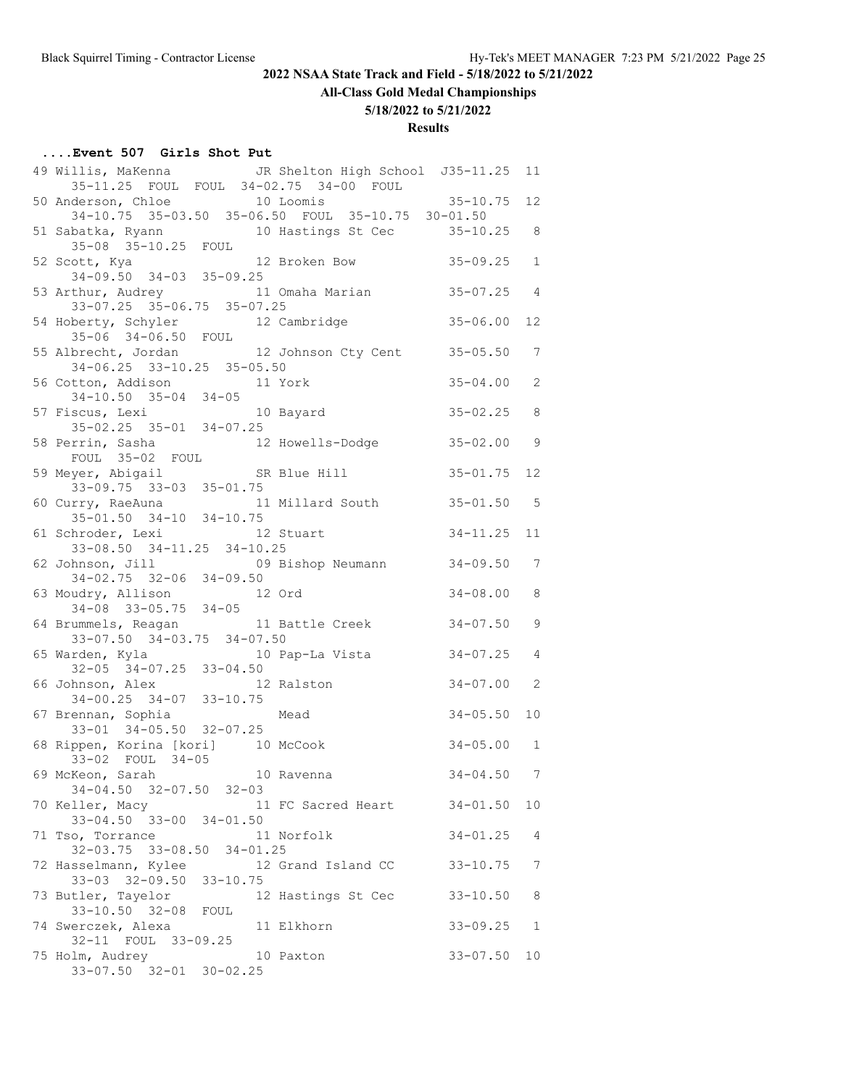**All-Class Gold Medal Championships**

#### **5/18/2022 to 5/21/2022**

#### **Results**

# **....Event 507 Girls Shot Put**

| 49 Willis, MaKenna JR Shelton High School J35-11.25<br>35-11.25 FOUL FOUL 34-02.75 34-00 FOUL               |                | 11              |
|-------------------------------------------------------------------------------------------------------------|----------------|-----------------|
| 50 Anderson, Chloe 10 Loomis<br>34-10.75 35-03.50 35-06.50 FOUL 35-10.75 30-01.50                           | $35 - 10.75$   | 12              |
| 51 Sabatka, Ryann 10 Hastings St Cec 35-10.25 8<br>35-08 35-10.25 FOUL                                      |                |                 |
| 12 Broken Bow<br>52 Scott, Kya 12<br>34-09.50 34-03 35-09.25                                                | $35 - 09.25$   | $\mathbf{1}$    |
| 53 Arthur, Audrey 11 Omaha Marian 35-07.25 4<br>33-07.25 35-06.75 35-07.25                                  |                |                 |
| 54 Hoberty, Schyler 12 Cambridge 35-06.00                                                                   |                | 12              |
| 35-06 34-06.50 FOUL<br>55 Albrecht, Jordan 12 Johnson Cty Cent 35-05.50<br>$34-06.25$ $33-10.25$ $35-05.50$ |                | $7\phantom{.0}$ |
| 56 Cotton, Addison 11 York<br>$34-10.50$ $35-04$ $34-05$                                                    | $35 - 04.00$   | 2               |
| 57 Fiscus, Lexi 10 Bayard<br>$35 - 02.25$ $35 - 01$ $34 - 07.25$                                            | $35 - 02.25$   | 8               |
| 58 Perrin, Sasha 12 Howells-Dodge 35-02.00<br>FOUL 35-02 FOUL                                               |                | 9               |
| SR Blue Hill<br>59 Meyer, Abigail<br>$33-09.75$ $33-03$ $35-01.75$                                          | $35 - 01.75$   | 12              |
| 11 Millard South 35-01.50 5<br>60 Curry, RaeAuna<br>$35 - 01.50$ $34 - 10$ $34 - 10.75$                     |                |                 |
| 12 Stuart<br>61 Schroder, Lexi<br>33-08.50 34-11.25 34-10.25                                                | $34 - 11.25$   | 11              |
| 62 Johnson, Jill 69 Bishop Neumann 34-09.50<br>$34-02.75$ $32-06$ $34-09.50$                                |                | 7               |
| 63 Moudry, Allison 12 Ord<br>$34-08$ $33-05.75$ $34-05$                                                     | $34 - 08.00$   | 8               |
| 64 Brummels, Reagan 11 Battle Creek<br>$33-07.50$ $34-03.75$ $34-07.50$                                     | $34 - 07.50$   | 9               |
| 65 Warden, Kyla 10 Pap-La Vista<br>32-05 34-07.25 33-04.50                                                  | $34 - 07.25$   | $\overline{4}$  |
| 66 Johnson, Alex 12<br>34-00.25 34-07 33-10.75<br>12 Ralston                                                | $34 - 07.00$   | 2               |
| 67 Brennan, Sophia<br>Mead<br>$33-01$ $34-05.50$ $32-07.25$                                                 | $34 - 05.50$   | 10              |
| 68 Rippen, Korina [kori] 10 McCook<br>33-02 FOUL 34-05                                                      | $34 - 05.00$ 1 |                 |
| 69 McKeon, Sarah 10 Ravenna<br>34-04.50 32-07.50 32-03                                                      | $34 - 04.50$ 7 |                 |
| 70 Keller, Macy<br>11 FC Sacred Heart 34-01.50<br>$33 - 04.50$ $33 - 00$ $34 - 01.50$                       |                | 10              |
| 71 Tso, Torrance<br>11 Norfolk<br>32-03.75 33-08.50 34-01.25                                                | $34 - 01.25$   | 4               |
| 72 Hasselmann, Kylee 12 Grand Island CC<br>33-03 32-09.50 33-10.75                                          | $33 - 10.75$   | 7               |
| 73 Butler, Tayelor<br>12 Hastings St Cec                                                                    | $33 - 10.50$   | 8               |
| 33-10.50 32-08 FOUL<br>74 Swerczek, Alexa<br>11 Elkhorn                                                     | $33 - 09.25$   | 1               |
| 32-11 FOUL 33-09.25<br>10 Paxton<br>75 Holm, Audrey<br>33-07.50 32-01 30-02.25                              | $33 - 07.50$   | 10              |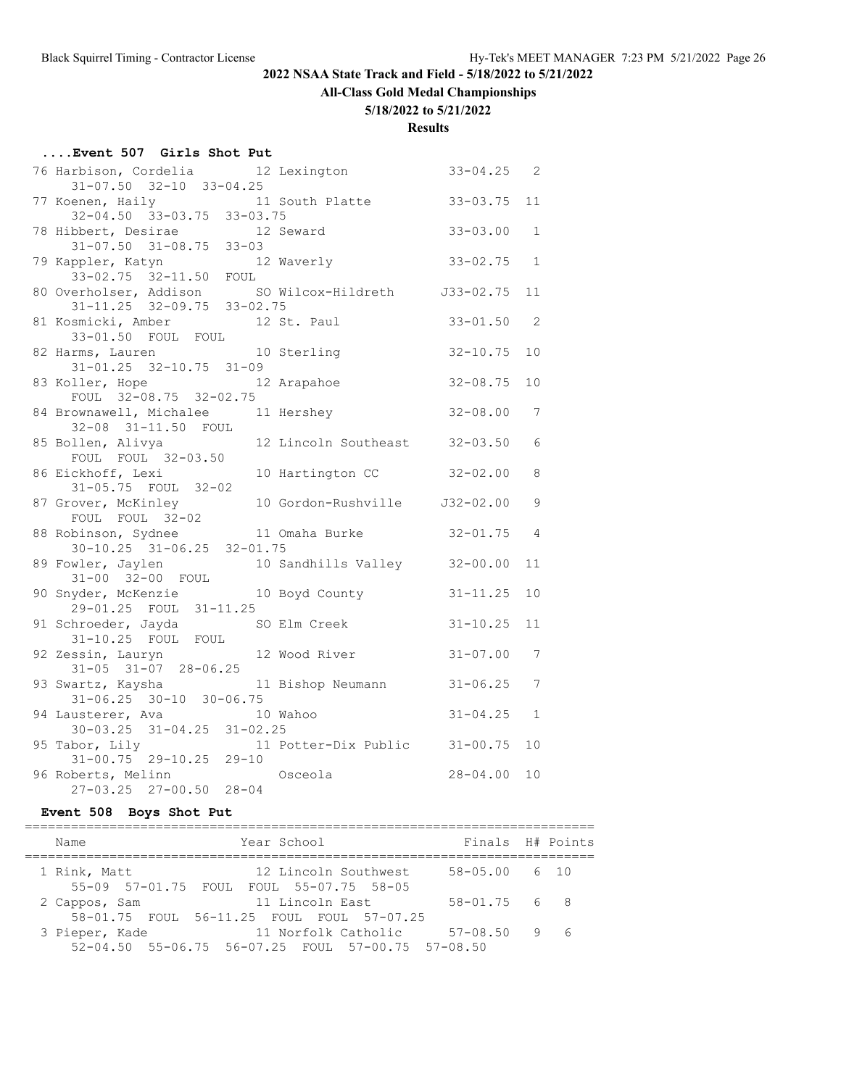**All-Class Gold Medal Championships**

#### **5/18/2022 to 5/21/2022**

#### **Results**

| Event 507 Girls Shot Put                                               |                                                                                      |                |    |
|------------------------------------------------------------------------|--------------------------------------------------------------------------------------|----------------|----|
| $31-07.50$ $32-10$ $33-04.25$                                          | 76 Harbison, Cordelia 12 Lexington                                                   | $33 - 04.25$ 2 |    |
| $32-04.50$ $33-03.75$ $33-03.75$                                       | 77 Koenen, Haily 11 South Platte                                                     | $33 - 03.75$   | 11 |
| 78 Hibbert, Desirae 12 Seward<br>31-07.50 31-08.75 33-03               |                                                                                      | $33 - 03.00$   | 1  |
| 79 Kappler, Katyn<br>ppler, Katyn 12 Waverly<br>33-02.75 32-11.50 FOUL |                                                                                      | $33 - 02.75$ 1 |    |
|                                                                        | 80 Overholser, Addison SO Wilcox-Hildreth J33-02.75 11<br>31-11.25 32-09.75 33-02.75 |                |    |
| 81 Kosmicki, Amber 12 St. Paul<br>33-01.50 FOUL FOUL                   |                                                                                      | $33 - 01.50$   | 2  |
| 82 Harms, Lauren<br>$31 - 01.25$ $32 - 10.75$ $31 - 09$                | 10 Sterling                                                                          | $32 - 10.75$   | 10 |
| 83 Koller, Hope 12 Arapahoe<br>FOUL 32-08.75 32-02.75                  |                                                                                      | $32 - 08.75$   | 10 |
| 84 Brownawell, Michalee 11 Hershey<br>32-08 31-11.50 FOUL              |                                                                                      | $32 - 08.00$ 7 |    |
| FOUL FOUL 32-03.50                                                     | 85 Bollen, Alivya 12 Lincoln Southeast                                               | $32 - 03.50$   | 6  |
| 86 Eickhoff, Lexi<br>31-05.75 FOUL 32-02                               | 10 Hartington CC                                                                     | $32 - 02.00$   | 8  |
| 87 Grover, McKinley                                                    | 10 Gordon-Rushville J32-02.00                                                        |                | 9  |
| $30-10.25$ $31-06.25$ $32-01.75$                                       | FOUL FOUL 32-02<br>88 Robinson, Sydnee 11 Omaha Burke                                | $32 - 01.75$ 4 |    |
| 31-00 32-00 FOUL                                                       | 89 Fowler, Jaylen 10 Sandhills Valley                                                | $32 - 00.00$   | 11 |
| 29-01.25 FOUL 31-11.25                                                 | 90 Snyder, McKenzie and 10 Boyd County                                               | $31 - 11.25$   | 10 |
| 91 Schroeder, Jayda<br>31-10.25 FOUL FOUL                              | SO Elm Creek                                                                         | $31 - 10.25$   | 11 |
| 92 Zessin, Lauryn<br>$31-05$ $31-07$ $28-06.25$                        | 12 Wood River                                                                        | $31 - 07.00$   | 7  |
| $31-06.25$ $30-10$ $30-06.75$                                          | 93 Swartz, Kaysha (11 Bishop Neumann                                                 | $31 - 06.25$   | 7  |
| 94 Lausterer, Ava 10 Wahoo<br>$30-03.25$ $31-04.25$ $31-02.25$         |                                                                                      | $31 - 04.25$ 1 |    |
| 95 Tabor, Lily<br>$31-00.75$ $29-10.25$ $29-10$                        | 11 Potter-Dix Public 31-00.75                                                        |                | 10 |
| 96 Roberts, Melinn<br>27-03.25 27-00.50 28-04                          | Osceola                                                                              | 28-04.00 10    |    |

# **Event 508 Boys Shot Put**

| Name                                                       | Year School                                                              | Finals H# Points |     |
|------------------------------------------------------------|--------------------------------------------------------------------------|------------------|-----|
| 1 Rink, Matt<br>55-09 57-01.75 FOUL FOUL 55-07.75 58-05    | 12 Lincoln Southwest                                                     | 58-05.00 6 10    |     |
| 2 Cappos, Sam<br>58-01.75 FOUL 56-11.25 FOUL FOUL 57-07.25 | 11 Lincoln East                                                          | $58 - 01.75$ 6 8 |     |
| 3 Pieper, Kade                                             | 11 Norfolk Catholic<br>52-04.50 55-06.75 56-07.25 FOUL 57-00.75 57-08.50 | $57 - 08.50$     | 9 6 |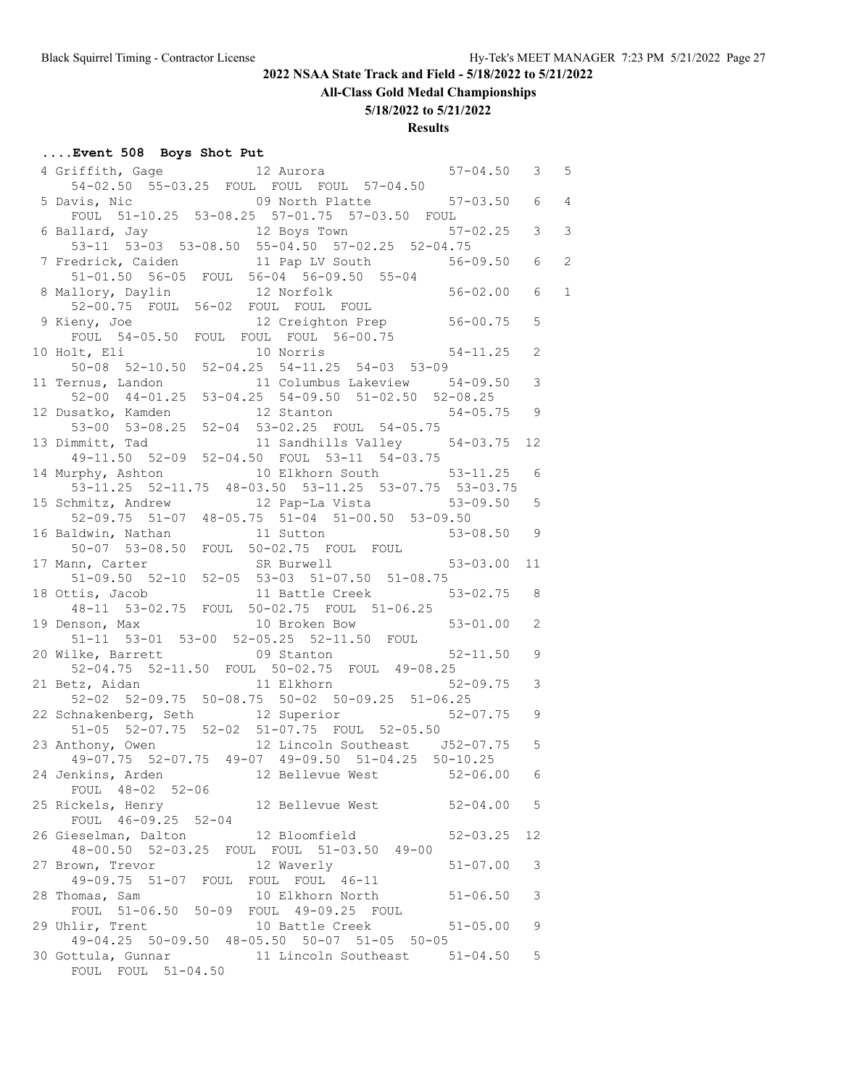**All-Class Gold Medal Championships**

#### **5/18/2022 to 5/21/2022**

#### **Results**

# **....Event 508 Boys Shot Put**

| 4 Griffith, Gage 12 Aurora 57-04.50 3 5                                                               |                |  |
|-------------------------------------------------------------------------------------------------------|----------------|--|
| 54-02.50 55-03.25 FOUL FOUL FOUL 57-04.50<br>09 North Platte 57-03.50 6 4<br>5 Davis, Nic             |                |  |
| FOUL 51-10.25 53-08.25 57-01.75 57-03.50 FOUL                                                         |                |  |
| 6 Ballard, Jay 12 Boys Town 57-02.25 3 3<br>53-11 53-03 53-08.50 55-04.50 57-02.25 52-04.75           |                |  |
|                                                                                                       |                |  |
| 7 Fredrick, Caiden 11 Pap LV South 56-09.50 6 2<br>$51-01.50$ $56-05$ FOUL $56-04$ $56-09.50$ $55-04$ |                |  |
|                                                                                                       | 6 <sub>1</sub> |  |
| 8 Mallory, Daylin 12 Norfolk 56-02.00<br>52-00.75 FOUL 56-02 FOUL FOUL FOUL                           |                |  |
| 9 Kieny, Joe 12 Creighton Prep 56-00.75<br>FOUL 54-05.50 FOUL FOUL FOUL 56-00.75                      | 5              |  |
|                                                                                                       |                |  |
| 10 Holt, Eli<br>50-08 52-10.50 52-04.25 54-11.25 54-03 53-09                                          | 2              |  |
|                                                                                                       | 3              |  |
| 11 Ternus, Landon<br>52-00 44-01.25 53-04.25 54-09.50 51-02.50 52-08.25<br>54-05.75                   |                |  |
| 12 Stanton 54-05.75                                                                                   | 9              |  |
| 12 Dusatko, Kamden<br>53-00 53-08.25 52-04 53-02.25 FOUL 54-05.75                                     |                |  |
| 13 Dimmitt, Tad 11 Sandhills Valley 54-03.75 12<br>49-11.50 52-09 52-04.50 FOUL 53-11 54-03.75        |                |  |
| 14 Murphy, Ashton 10 Elkhorn South 53-11.25                                                           | 6              |  |
| 53-11.25 52-11.75 48-03.50 53-11.25 53-07.75 53-03.75                                                 |                |  |
| 15 Schmitz, Andrew 12 Pap-La Vista 53-09.50<br>52-09.75 51-07 48-05.75 51-04 51-00.50 53-09.50        | 5              |  |
|                                                                                                       |                |  |
| 16 Baldwin, Nathan 11 Sutton 50-07 53-08.50 FOUL 50-02.75 FOUL FOUL 50-07 53-08.50                    | 9              |  |
| $53 - 03.00$                                                                                          | 11             |  |
| 17 Mann, Carter 51-09.50 SR Burwell 51-09.50 52-10 52-05 53-03 51-07.50 51-08.75                      |                |  |
| 11 Battle Creek 53-02.75<br>18 Ottis, Jacob                                                           | 8              |  |
| 48-11 53-02.75 FOUL 50-02.75 FOUL 51-06.25<br>19 Denson, Max 10 Broken Bow 53-01.00                   | 2              |  |
| 51-11 53-01 53-00 52-05.25 52-11.50 FOUL                                                              |                |  |
| 20 Wilke, Barrett <b>88 COV 81 COV 81 COVER 12 COVER 12 COVER</b> 52-11.50                            | 9              |  |
| 52-04.75 52-11.50 FOUL 50-02.75 FOUL 49-08.25                                                         |                |  |
| 21 Betz, Aidan 11 Elkhorn 52-09.75<br>52-02 52-09.75 50-08.75 50-02 50-09.25 51-06.25                 | 3              |  |
| 22 Schnakenberg, Seth 12 Superior 52-07.75                                                            | 9              |  |
| 51-05 52-07.75 52-02 51-07.75 FOUL 52-05.50                                                           |                |  |
| 23 Anthony, Owen 12 Lincoln Southeast J52-07.75                                                       | 5              |  |
| 49-07.75 52-07.75 49-07 49-09.50 51-04.25 50-10.25                                                    |                |  |
| 12 Bellevue West 52-06.00 6<br>24 Jenkins, Arden<br>FOUL 48-02 52-06                                  |                |  |
| 25 Rickels, Henry<br>12 Bellevue West<br>$52 - 04.00$ 5                                               |                |  |
| FOUL 46-09.25 52-04                                                                                   |                |  |
| 26 Gieselman, Dalton 12 Bloomfield<br>$52 - 03.25$                                                    | 12             |  |
| 48-00.50 52-03.25 FOUL FOUL 51-03.50 49-00                                                            |                |  |
| 12 Waverly<br>27 Brown, Trevor<br>$51 - 07.00$<br>49-09.75 51-07 FOUL FOUL FOUL 46-11                 | 3              |  |
| 10 Elkhorn North<br>28 Thomas, Sam<br>$51 - 06.50$                                                    | 3              |  |
| FOUL 51-06.50 50-09 FOUL 49-09.25 FOUL                                                                |                |  |
| 29 Uhlir, Trent<br>10 Battle Creek<br>$51 - 05.00$                                                    | 9              |  |
| 49-04.25 50-09.50 48-05.50 50-07 51-05 50-05<br>30 Gottula, Gunnar 11 Lincoln Southeast 51-04.50      | 5              |  |
| FOUL FOUL 51-04.50                                                                                    |                |  |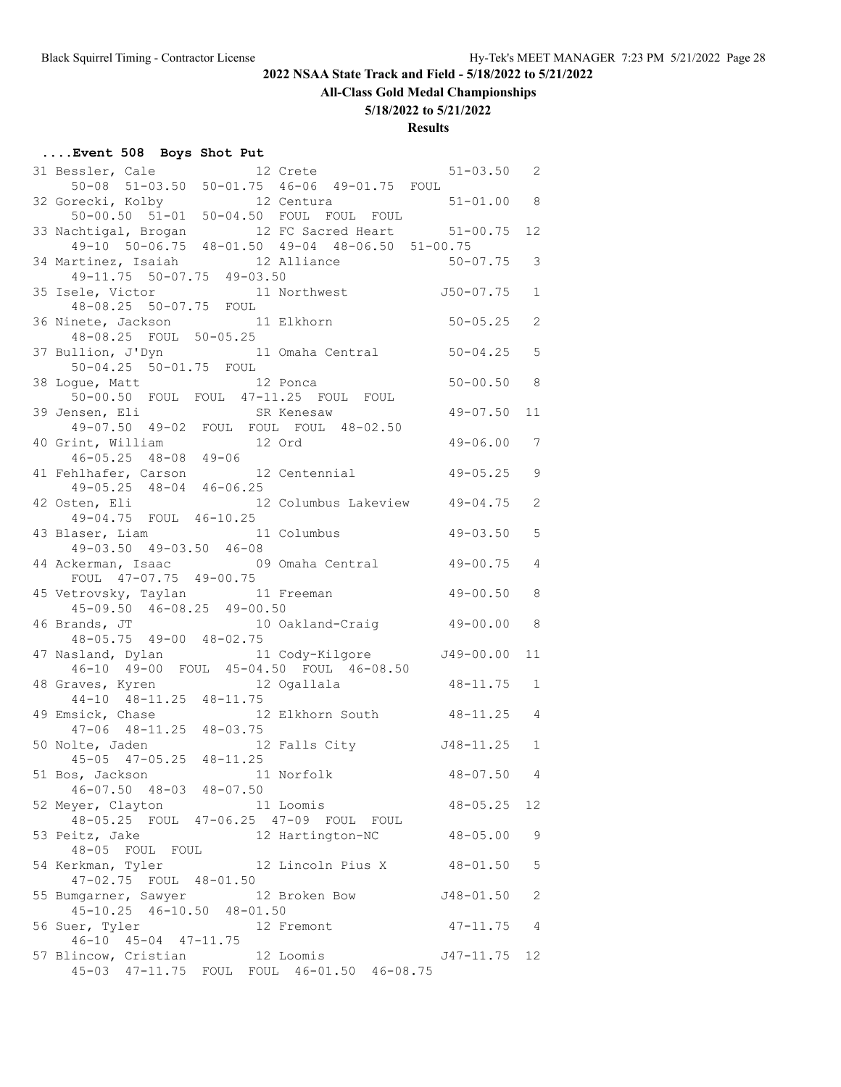**All-Class Gold Medal Championships**

#### **5/18/2022 to 5/21/2022**

## **Results**

#### **....Event 508 Boys Shot Put**

| 31 Bessler, Cale 12 Crete 19-01.75 FOUL 50-08 51-03.50 50-01.75 46-06 49-01.75 FOUL    |                               | $51 - 03.50$ 2 |                   |
|----------------------------------------------------------------------------------------|-------------------------------|----------------|-------------------|
|                                                                                        |                               |                |                   |
| 32 Gorecki, Kolby<br>recki, Kolby 12 Centura<br>50-00.50 51-01 50-04.50 FOUL FOUL FOUL |                               | $51 - 01.00$ 8 |                   |
| 33 Nachtigal, Brogan 12 FC Sacred Heart 51-00.75                                       |                               |                | $12 \overline{ }$ |
| 49-10 50-06.75 48-01.50 49-04 48-06.50 51-00.75                                        |                               |                |                   |
| 34 Martinez, Isaiah (12 Alliance                                                       |                               | $50 - 07.75$   | 3                 |
| 49-11.75 50-07.75 49-03.50                                                             |                               |                |                   |
| 35 Isele, Victor                                                                       | 11 Northwest 550-07.75        |                | $\mathbf{1}$      |
| 48-08.25 50-07.75 FOUL<br>36 Ninete, Jackson 11 Elkhorn                                |                               | $50 - 05.25$   | 2                 |
| 48-08.25 FOUL 50-05.25                                                                 |                               |                |                   |
| 37 Bullion, J'Dyn 11 Omaha Central                                                     |                               | $50 - 04.25$   | 5                 |
| 50-04.25 50-01.75 FOUL                                                                 |                               |                |                   |
| 38 Logue, Matt 12 Ponca                                                                |                               | $50 - 00.50$   | 8                 |
| 50-00.50 FOUL FOUL 47-11.25 FOUL FOUL                                                  |                               | $49 - 07.50$   | 11                |
| 39 Jensen, Eli<br>49-07.50 49-02 FOUL FOUL FOUL 48-02.50                               |                               |                |                   |
|                                                                                        |                               | $49 - 06.00$   | 7                 |
| 40 Grint, William 12 Ord<br>46-05.25 48-08 49-06                                       |                               |                |                   |
| 41 Fehlhafer, Carson                                                                   | 12 Centennial 49-05.25        |                | $\mathcal{G}$     |
| $49-05.25$ $48-04$ $46-06.25$                                                          |                               |                |                   |
| 42 Osten, Eli<br>49-04.75 FOUL 46-10.25                                                | 12 Columbus Lakeview 49-04.75 |                | 2                 |
| 43 Blaser, Liam 11 Columbus                                                            |                               | $49 - 03.50$   | 5                 |
| 49-03.50 49-03.50 46-08                                                                |                               |                |                   |
| 44 Ackerman, Isaac 69 Omaha Central                                                    |                               | $49 - 00.75$   | $\overline{4}$    |
| FOUL 47-07.75 49-00.75                                                                 |                               |                |                   |
| 45 Vetrovsky, Taylan 11 Freeman<br>45-09.50 46-08.25 49-00.50                          |                               | $49 - 00.50$   | 8                 |
|                                                                                        |                               | $49 - 00.00$   | 8                 |
| 46 Brands, JT 10 Oakland-Craig<br>48-05.75 49-00 48-02.75                              |                               |                |                   |
| 47 Nasland, Dylan and 11 Cody-Kilgore                                                  |                               | J49-00.00      | 11                |
| 46-10 49-00 FOUL 45-04.50 FOUL 46-08.50                                                |                               |                |                   |
| 48 Graves, Kyren<br>44-10 48-11.25 48-11.75                                            | 12 Ogallala                   | $48 - 11.75$ 1 |                   |
| 49 Emsick, Chase                                                                       | 12 Elkhorn South 48-11.25     |                | $\overline{4}$    |
| $47-06$ $48-11.25$ $48-03.75$                                                          |                               |                |                   |
| 50 Nolte, Jaden                                                                        | 12 Falls City 548-11.25       |                | $\mathbf{1}$      |
| 45-05 47-05.25 48-11.25                                                                |                               |                |                   |
| 11 Norfolk<br>51 Bos, Jackson                                                          |                               | $48 - 07.50$   | $\overline{4}$    |
| $46 - 07.50$ $48 - 03$ $48 - 07.50$                                                    | 11 Loomis                     | $48 - 05.25$   | 12                |
| 52 Meyer, Clayton 11 Loomis<br>48-05.25 FOUL 47-06.25 47-09 FOUL FOUL                  |                               |                |                   |
| 53 Peitz, Jake                                                                         | 12 Hartington-NC              | $48 - 05.00$   | 9                 |
| 48-05 FOUL FOUL                                                                        |                               |                |                   |
| 54 Kerkman, Tyler 12 Lincoln Pius X                                                    |                               | $48 - 01.50$   | 5                 |
| 47-02.75 FOUL 48-01.50<br>55 Bumgarner, Sawyer                                         | 12 Broken Bow                 | $J48 - 01.50$  | 2                 |
| 45-10.25 46-10.50 48-01.50                                                             |                               |                |                   |
| 56 Suer, Tyler                                                                         | 12 Fremont                    | $47 - 11.75$ 4 |                   |
| $46-10$ $45-04$ $47-11.75$                                                             |                               |                |                   |
| 57 Blincow, Cristian<br>45-03 47-11.75 FOUL FOUL 46-01.50 46-08.75                     | 12 Loomis                     | J47-11.75      | 12                |
|                                                                                        |                               |                |                   |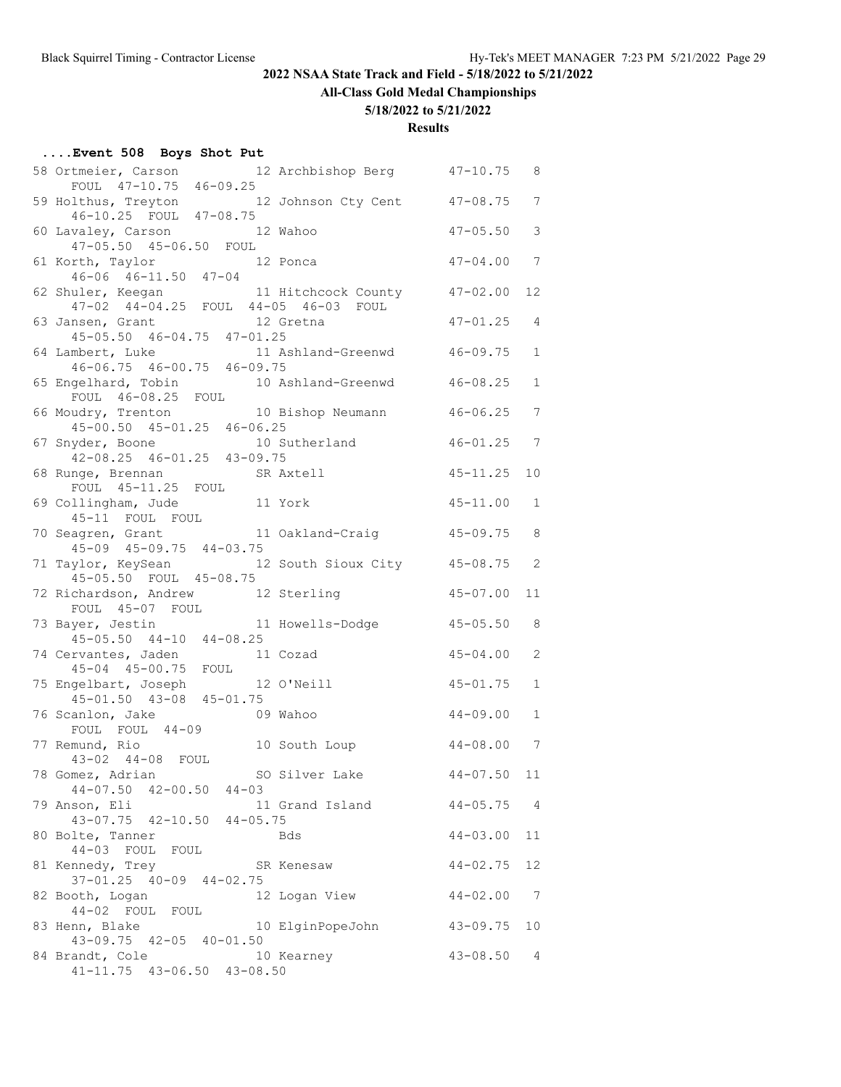**All-Class Gold Medal Championships**

#### **5/18/2022 to 5/21/2022**

| Event 508 Boys Shot Put |  |  |  |  |
|-------------------------|--|--|--|--|
|-------------------------|--|--|--|--|

| 58 Ortmeier, Carson 12 Archbishop Berg 47-10.75 8                                        |              |                 |
|------------------------------------------------------------------------------------------|--------------|-----------------|
| FOUL 47-10.75 46-09.25<br>59 Holthus, Treyton 12 Johnson Cty Cent 47-08.75 7             |              |                 |
| 46-10.25 FOUL 47-08.75                                                                   |              |                 |
| 60 Lavaley, Carson 12 Wahoo                                                              | $47 - 05.50$ | 3               |
| 47-05.50 45-06.50 FOUL                                                                   |              |                 |
| 61 Korth, Taylor 12 Ponca<br>46-06 46-11.50 47-04                                        | $47 - 04.00$ | 7               |
| 11 Hitchcock County 47-02.00<br>62 Shuler, Keegan                                        |              | 12              |
| 47-02 44-04.25 FOUL 44-05 46-03 FOUL                                                     |              |                 |
| $12$ Gretna<br>$\frac{12}{2}$ Gretna<br>63 Jansen, Grant                                 | $47 - 01.25$ | 4               |
| $45 - 05.50$ $46 - 04.75$ $47 - 01.25$<br>64 Lambert, Luke 11 Ashland-Greenwd 46-09.75   |              | $\mathbf{1}$    |
| $46-06.75$ $46-00.75$ $46-09.75$                                                         |              |                 |
| 65 Engelhard, Tobin 10 Ashland-Greenwd 46-08.25                                          |              | $\mathbf{1}$    |
| FOUL 46-08.25 FOUL                                                                       |              |                 |
| 66 Moudry, Trenton 10 Bishop Neumann 46-06.25<br>45-00.50 45-01.25 46-06.25              |              | 7               |
|                                                                                          | $46 - 01.25$ | $7\phantom{.0}$ |
| 67 Snyder, Boone 10 Sutherland<br>42-08.25 46-01.25 43-09.75                             |              |                 |
| 68 Runge, Brennan Mark SR Axtell                                                         | $45 - 11.25$ | 10              |
| FOUL 45-11.25 FOUL                                                                       | $45 - 11.00$ |                 |
| 69 Collingham, Jude<br>11 York                                                           |              | 1               |
| 45-11 FOUL FOUL<br>70 Seagren, Grant 11 Oakland-Craig 45-09.75                           |              | 8               |
| $45-09$ $45-09.75$ $44-03.75$                                                            |              |                 |
| 71 Taylor, KeySean 12 South Sioux City 45-08.75                                          |              | 2               |
| 45-05.50 FOUL 45-08.75                                                                   |              |                 |
| 72 Richardson, Andrew 12 Sterling                                                        | $45 - 07.00$ | 11              |
| FOUL 45-07 FOUL<br>73 Bayer, Jestin 11 Howells-Dodge 45-05.50<br>45-05.50 44-10 44-08.25 |              | 8               |
|                                                                                          |              |                 |
| 74 Cervantes, Jaden 11 Cozad<br>45-04 45-00.75 FOUL                                      | $45 - 04.00$ | 2               |
| 12 O'Neill                                                                               | $45 - 01.75$ | $\mathbf{1}$    |
| 75 Engelbart, Joseph<br>45-01.50 43-08 45-01.75                                          |              |                 |
| 76 Scanlon, Jake<br>09 Wahoo                                                             | $44 - 09.00$ | $\mathbf 1$     |
| FOUL FOUL 44-09                                                                          |              |                 |
| 10 South Loup 44-08.00 7<br>77 Remund, Rio                                               |              |                 |
| 43-02 44-08 FOUL<br>78 Gomez, Adrian<br>SO Silver Lake                                   | $44 - 07.50$ | 11              |
| $44 - 07.50$ $42 - 00.50$ $44 - 03$                                                      |              |                 |
| 79 Anson, Eli<br>11 Grand Island                                                         | $44 - 05.75$ | 4               |
| 43-07.75 42-10.50 44-05.75                                                               |              |                 |
| 80 Bolte, Tanner<br>Bds                                                                  | $44 - 03.00$ | 11              |
| 44-03 FOUL<br>FOUL<br>81 Kennedy, Trey<br>SR Kenesaw                                     | $44 - 02.75$ | 12              |
| 37-01.25 40-09 44-02.75                                                                  |              |                 |
| 12 Logan View<br>82 Booth, Logan                                                         | $44 - 02.00$ | $\overline{7}$  |
| 44-02 FOUL FOUL                                                                          |              |                 |
| 83 Henn, Blake<br>10 ElginPopeJohn<br>43-09.75 42-05 40-01.50                            | $43 - 09.75$ | 10              |
| 84 Brandt, Cole<br>10 Kearney                                                            | $43 - 08.50$ | 4               |
| 41-11.75 43-06.50 43-08.50                                                               |              |                 |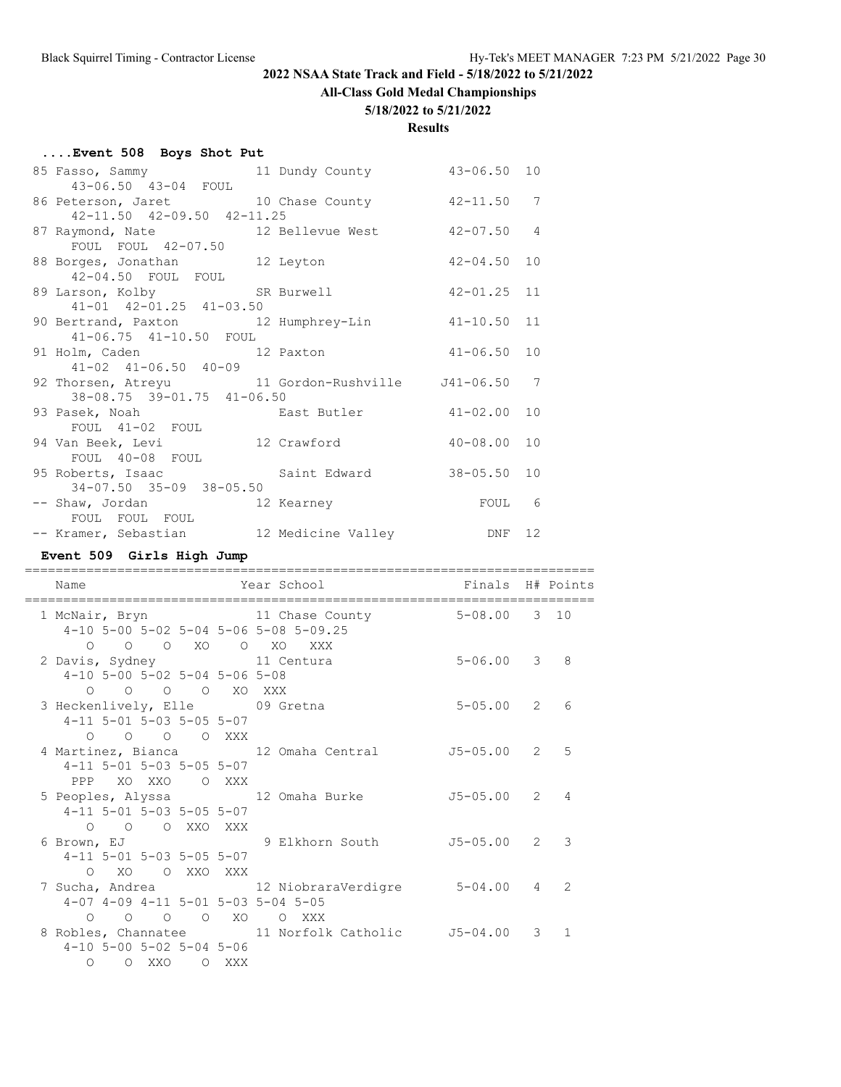# **All-Class Gold Medal Championships**

#### **5/18/2022 to 5/21/2022**

| Event 508 Boys Shot Put                                                                                           |                                      |  |  |
|-------------------------------------------------------------------------------------------------------------------|--------------------------------------|--|--|
| 85 Fasso, Sammy 11 Dundy County 43-06.50 10<br>43-06.50 43-04 FOUL                                                |                                      |  |  |
| 86 Peterson, Jaret 10 Chase County 42-11.50 7<br>42-11.50 42-09.50 42-11.25                                       |                                      |  |  |
| 87 Raymond, Nate 12 Bellevue West 42-07.50 4<br>FOUL FOUL 42-07.50                                                |                                      |  |  |
| 88 Borges, Jonathan 12 Leyton 42-04.50 10<br>42-04.50 FOUL FOUL                                                   |                                      |  |  |
| 89 Larson, Kolby SR Burwell 42-01.25 11<br>41-01 42-01.25 41-03.50                                                |                                      |  |  |
| 90 Bertrand, Paxton 12 Humphrey-Lin 41-10.50 11<br>41-06.75 41-10.50 FOUL                                         |                                      |  |  |
| 91 Holm, Caden 12 Paxton 41-06.50 10<br>$41-02$ $41-06.50$ $40-09$                                                |                                      |  |  |
| 92 Thorsen, Atreyu 11 Gordon-Rushville 541-06.50 7<br>38-08.75 39-01.75 41-06.50                                  |                                      |  |  |
| 93 Pasek, Noah Bast Butler 41-02.00 10<br>FOUL 41-02 FOUL                                                         |                                      |  |  |
| 94 Van Beek, Levi 12 Crawford 40-08.00 10<br>FOUL 40-08 FOUL                                                      |                                      |  |  |
| 95 Roberts, Isaac                         Saint Edward                   38-05.50   10<br>34-07.50 35-09 38-05.50 |                                      |  |  |
| -- Shaw, Jordan 12 Kearney 12 and 19 November 2001 6<br>FOUL FOUL FOUL                                            |                                      |  |  |
| -- Kramer, Sebastian 12 Medicine Valley DNF 12                                                                    |                                      |  |  |
| Event 509 Girls High Jump                                                                                         |                                      |  |  |
| Name                                                                                                              | Year School <a> Finals H# Points</a> |  |  |

| Name                                        |  | rear scnool                                                                          | Finals H# Points |               |
|---------------------------------------------|--|--------------------------------------------------------------------------------------|------------------|---------------|
|                                             |  | 1 McNair, Bryn 11 Chase County 5-08.00 3 10<br>4-10 5-00 5-02 5-04 5-06 5-08 5-09.25 |                  |               |
| O O O XO O XO XXX                           |  |                                                                                      |                  |               |
| 2 Davis, Sydney 11 Centura                  |  |                                                                                      | $5 - 06.00$ 3 8  |               |
| $4-10$ 5-00 5-02 5-04 5-06 5-08             |  |                                                                                      |                  |               |
| 0 0 0 0 XO XXX                              |  |                                                                                      |                  |               |
| 3 Heckenlively, Elle 09 Gretna              |  |                                                                                      | $5 - 05.00$ 2 6  |               |
| 4-11 5-01 5-03 5-05 5-07                    |  |                                                                                      |                  |               |
| O O O O XXX                                 |  |                                                                                      |                  |               |
|                                             |  | 4 Martinez, Bianca 12 Omaha Central 55-05.00 2 5                                     |                  |               |
| 4-11 5-01 5-03 5-05 5-07                    |  |                                                                                      |                  |               |
| PPP XO XXO O XXX                            |  |                                                                                      |                  |               |
|                                             |  | 5 Peoples, Alyssa 12 Omaha Burke 5-05.00 2 4                                         |                  |               |
| 4-11 5-01 5-03 5-05 5-07                    |  |                                                                                      |                  |               |
| O O O XXO XXX                               |  |                                                                                      |                  |               |
|                                             |  | 6 Brown, EJ               9 Elkhorn South         J5-05.00   2   3                   |                  |               |
| 4-11 5-01 5-03 5-05 5-07                    |  |                                                                                      |                  |               |
| O XO O XXO XXX                              |  |                                                                                      |                  |               |
|                                             |  | 7 Sucha, Andrea             12 NiobraraVerdigre       5-04.00   4                    |                  | $\mathcal{L}$ |
| 4-07 4-09 4-11 5-01 5-03 5-04 5-05          |  |                                                                                      |                  |               |
|                                             |  | 0 0 0 0 XO 0 XXX                                                                     |                  |               |
|                                             |  | 8 Robles, Channatee 11 Norfolk Catholic 55-04.00 3 1                                 |                  |               |
| $4-10$ 5-00 5-02 5-04 5-06<br>O O XXO O XXX |  |                                                                                      |                  |               |
|                                             |  |                                                                                      |                  |               |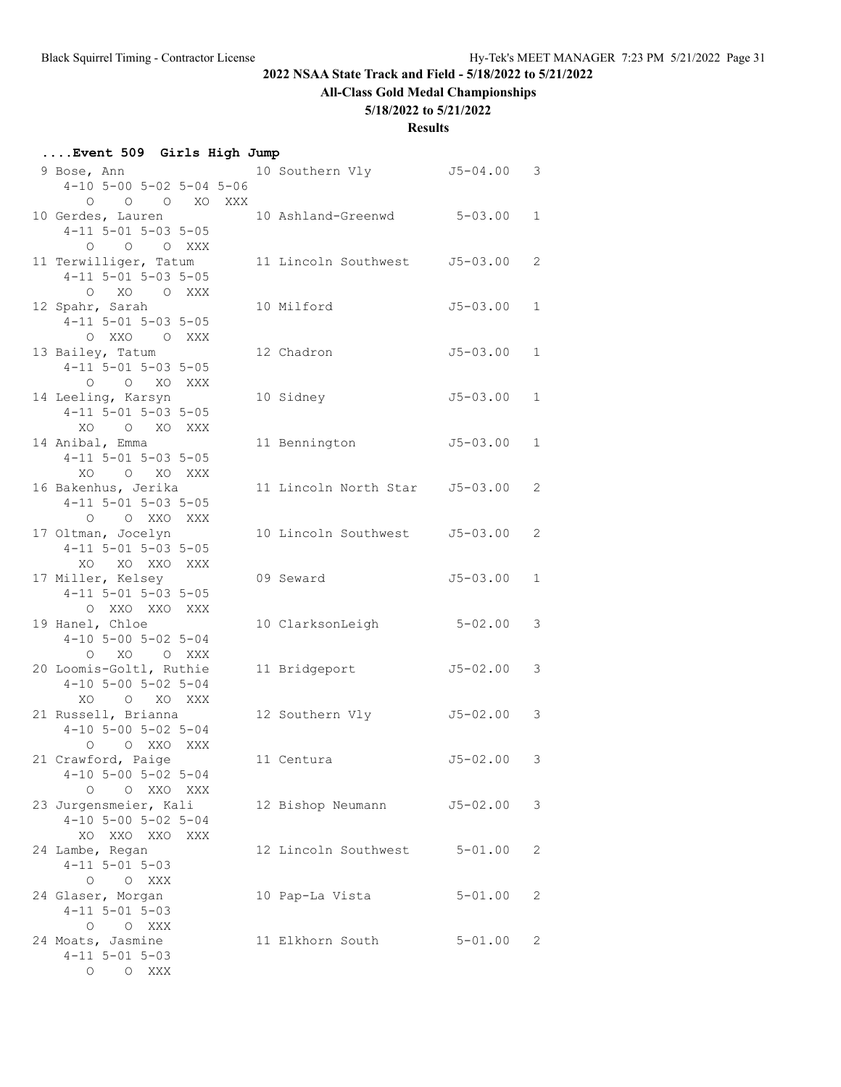# **All-Class Gold Medal Championships**

#### **5/18/2022 to 5/21/2022**

#### **Results**

#### **....Event 509 Girls High Jump**

| 9 Bose, Ann                                     |  | 10 Southern Vly               | $J5 - 04.00$ | 3            |
|-------------------------------------------------|--|-------------------------------|--------------|--------------|
| $4-10$ 5-00 5-02 5-04 5-06                      |  |                               |              |              |
| O O XO XXX<br>0                                 |  |                               |              |              |
| 10 Gerdes, Lauren                               |  | 10 Ashland-Greenwd            | $5 - 03.00$  | $\mathbf{1}$ |
| $4-11$ 5-01 5-03 5-05                           |  |                               |              |              |
| 0 0 0 XXX<br>11 Terwilliger, Tatum              |  | 11 Lincoln Southwest J5-03.00 |              | 2            |
| $4-11$ 5-01 5-03 5-05                           |  |                               |              |              |
| O XO O XXX                                      |  |                               |              |              |
| 12 Spahr, Sarah                                 |  | 10 Milford                    | $J5 - 03.00$ | $\mathbf{1}$ |
| $4-11$ 5-01 5-03 5-05                           |  |                               |              |              |
| O XXO O XXX                                     |  |                               |              |              |
| 13 Bailey, Tatum                                |  | 12 Chadron                    | $J5 - 03.00$ | $\mathbf{1}$ |
| $4-11$ 5-01 5-03 5-05                           |  |                               |              |              |
| O O XO XXX                                      |  |                               |              |              |
| 14 Leeling, Karsyn                              |  | 10 Sidney                     | $J5 - 03.00$ | $\mathbf{1}$ |
| $4-11$ 5-01 5-03 5-05                           |  |                               |              |              |
| XO O XO XXX                                     |  |                               |              |              |
| 14 Anibal, Emma                                 |  | 11 Bennington                 | $J5 - 03.00$ | $\mathbf{1}$ |
| $4-11$ 5-01 5-03 5-05                           |  |                               |              |              |
| XO O XO XXX                                     |  |                               |              |              |
| 16 Bakenhus, Jerika                             |  | 11 Lincoln North Star         | $J5 - 03.00$ | 2            |
| $4-11$ 5-01 5-03 5-05                           |  |                               |              |              |
| O O XXO XXX                                     |  |                               |              |              |
| 17 Oltman, Jocelyn                              |  | 10 Lincoln Southwest J5-03.00 |              | 2            |
| $4-11$ 5-01 5-03 5-05                           |  |                               |              |              |
| XO XO XXO XXX                                   |  |                               |              |              |
| 17 Miller, Kelsey                               |  | 09 Seward                     | $J5 - 03.00$ | $\mathbf{1}$ |
| 4-11 5-01 5-03 5-05                             |  |                               |              |              |
| O XXO XXO XXX                                   |  |                               |              |              |
| 19 Hanel, Chloe<br>$4-10$ 5-00 5-02 5-04        |  | 10 ClarksonLeigh              | $5 - 02.00$  | 3            |
| O XO O XXX                                      |  |                               |              |              |
| 20 Loomis-Goltl, Ruthie                         |  | 11 Bridgeport                 | $J5 - 02.00$ | 3            |
| $4-10$ 5-00 5-02 5-04                           |  |                               |              |              |
| XO O XO XXX                                     |  |                               |              |              |
| 21 Russell, Brianna                             |  | 12 Southern Vly               | J5-02.00     | 3            |
| $4-10$ 5-00 5-02 5-04                           |  |                               |              |              |
| O XXO XXX<br>$\circ$                            |  |                               |              |              |
| 21 Crawford, Paige                              |  | 11 Centura                    | $J5 - 02.00$ | 3            |
| $4-10$ 5-00 5-02 5-04                           |  |                               |              |              |
| О<br>O XXO XXX                                  |  |                               |              |              |
| 23 Jurgensmeier, Kali                           |  | 12 Bishop Neumann             | J5-02.00     | 3            |
| $4-10$ 5-00 5-02 5-04                           |  |                               |              |              |
| XXO XXO<br>XO<br>XXX                            |  |                               |              |              |
| 24 Lambe, Regan                                 |  | 12 Lincoln Southwest          | $5 - 01.00$  | 2            |
| $4 - 11$ $5 - 01$ $5 - 03$                      |  |                               |              |              |
| O O XXX                                         |  |                               |              |              |
| 24 Glaser, Morgan                               |  | 10 Pap-La Vista               | $5 - 01.00$  | 2            |
| $4 - 11$ $5 - 01$ $5 - 03$                      |  |                               |              |              |
| O O XXX                                         |  |                               |              |              |
| 24 Moats, Jasmine<br>$4 - 11$ $5 - 01$ $5 - 03$ |  | 11 Elkhorn South              | $5 - 01.00$  | 2            |
| O XXX<br>0                                      |  |                               |              |              |
|                                                 |  |                               |              |              |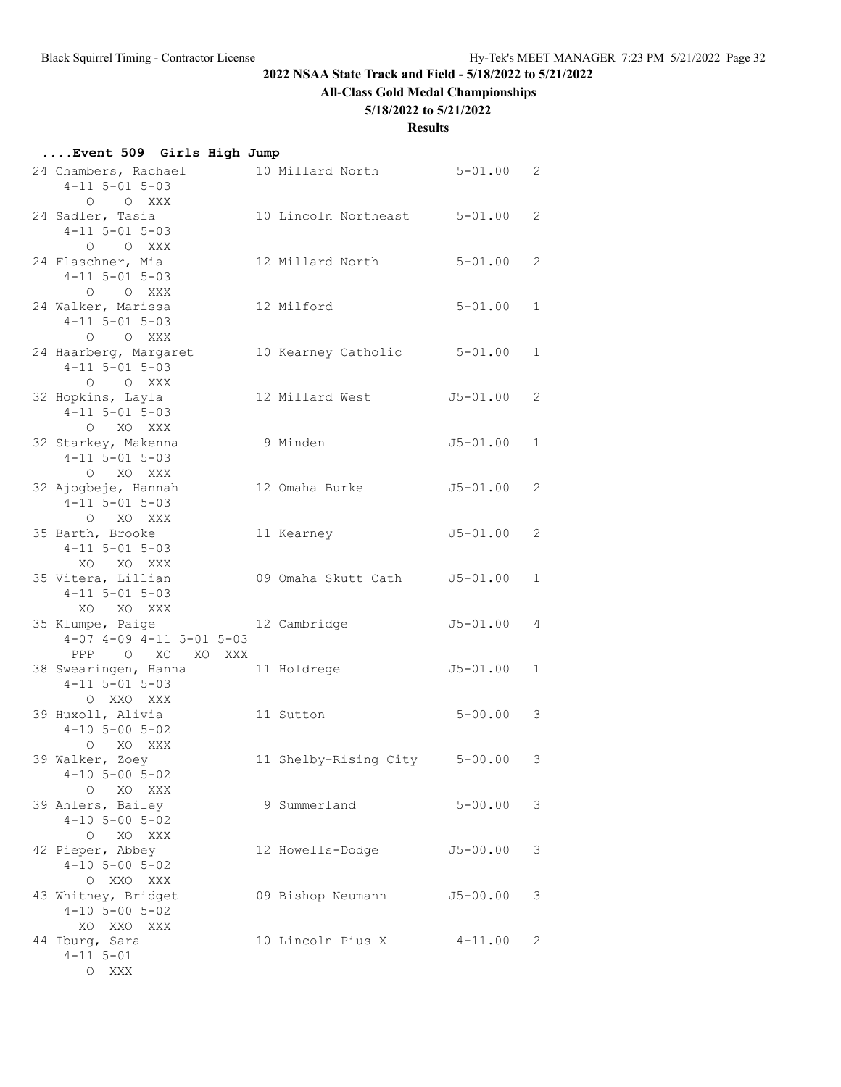# **All-Class Gold Medal Championships**

#### **5/18/2022 to 5/21/2022**

#### **Results**

#### **....Event 509 Girls High Jump**

| 24 Chambers, Rachael                            | 10 Millard North      | $5 - 01.00$  | 2            |
|-------------------------------------------------|-----------------------|--------------|--------------|
| $4 - 11$ 5-01 5-03<br>O O XXX                   |                       |              |              |
| 24 Sadler, Tasia                                | 10 Lincoln Northeast  | $5 - 01.00$  | 2            |
| $4 - 11$ $5 - 01$ $5 - 03$                      |                       |              |              |
| O O XXX                                         |                       |              |              |
| 24 Flaschner, Mia                               | 12 Millard North      | $5 - 01.00$  | 2            |
| $4 - 11$ 5-01 5-03                              |                       |              |              |
| O O XXX                                         |                       |              |              |
| 24 Walker, Marissa                              | 12 Milford            | $5 - 01.00$  | $\mathbf 1$  |
| $4 - 11$ $5 - 01$ $5 - 03$                      |                       |              |              |
| O O XXX                                         |                       |              |              |
| 24 Haarberg, Margaret                           | 10 Kearney Catholic   | $5 - 01.00$  | $\mathbf{1}$ |
| $4 - 11$ 5-01 5-03                              |                       |              |              |
| O O XXX                                         |                       |              |              |
| 32 Hopkins, Layla<br>$4 - 11$ $5 - 01$ $5 - 03$ | 12 Millard West       | $J5 - 01.00$ | 2            |
| O XO XXX                                        |                       |              |              |
| 32 Starkey, Makenna                             | 9 Minden              | J5-01.00     | $\mathbf 1$  |
| $4 - 11$ 5-01 5-03                              |                       |              |              |
| O XO XXX                                        |                       |              |              |
| 32 Ajogbeje, Hannah                             | 12 Omaha Burke        | J5-01.00     | 2            |
| $4 - 11$ $5 - 01$ $5 - 03$                      |                       |              |              |
| O XO XXX                                        |                       |              |              |
| 35 Barth, Brooke                                | 11 Kearney            | $J5 - 01.00$ | 2            |
| $4 - 11$ 5-01 5-03                              |                       |              |              |
| XO XO XXX                                       |                       |              |              |
| 35 Vitera, Lillian                              | 09 Omaha Skutt Cath   | J5-01.00     | $\mathbf{1}$ |
| $4 - 11$ $5 - 01$ $5 - 03$                      |                       |              |              |
| XO XO XXX<br>35 Klumpe, Paige                   | 12 Cambridge          | $J5 - 01.00$ | 4            |
| $4-07$ $4-09$ $4-11$ $5-01$ $5-03$              |                       |              |              |
| PPP<br>$O$ XO<br>XO XXX                         |                       |              |              |
| 38 Swearingen, Hanna                            | 11 Holdrege           | $J5 - 01.00$ | $\mathbf{1}$ |
| $4 - 11$ 5-01 5-03                              |                       |              |              |
| O XXO XXX                                       |                       |              |              |
| 39 Huxoll, Alivia                               | 11 Sutton             | $5 - 00.00$  | 3            |
| $4 - 10$ 5 - 00 5 - 02                          |                       |              |              |
| O XO XXX                                        |                       |              |              |
| 39 Walker, Zoey                                 | 11 Shelby-Rising City | $5 - 00.00$  | 3            |
| $4 - 10$ 5-00 5-02                              |                       |              |              |
| $\circ$<br>XO XXX<br>39 Ahlers, Bailey          | 9 Summerland          | $5 - 00.00$  | 3            |
| $4 - 10$ 5-00 5-02                              |                       |              |              |
| XO XXX<br>$\circ$                               |                       |              |              |
| 42 Pieper, Abbey                                | 12 Howells-Dodge      | $J5 - 00.00$ | 3            |
| $4-10$ 5-00 5-02                                |                       |              |              |
| O XXO XXX                                       |                       |              |              |
| 43 Whitney, Bridget                             | 09 Bishop Neumann     | $J5 - 00.00$ | 3            |
| $4 - 10$ 5 - 00 5 - 02                          |                       |              |              |
| XO XXO<br>XXX                                   |                       |              |              |
| 44 Iburq, Sara                                  | 10 Lincoln Pius X     | $4 - 11.00$  | 2            |
| $4 - 11$ $5 - 01$                               |                       |              |              |
| O XXX                                           |                       |              |              |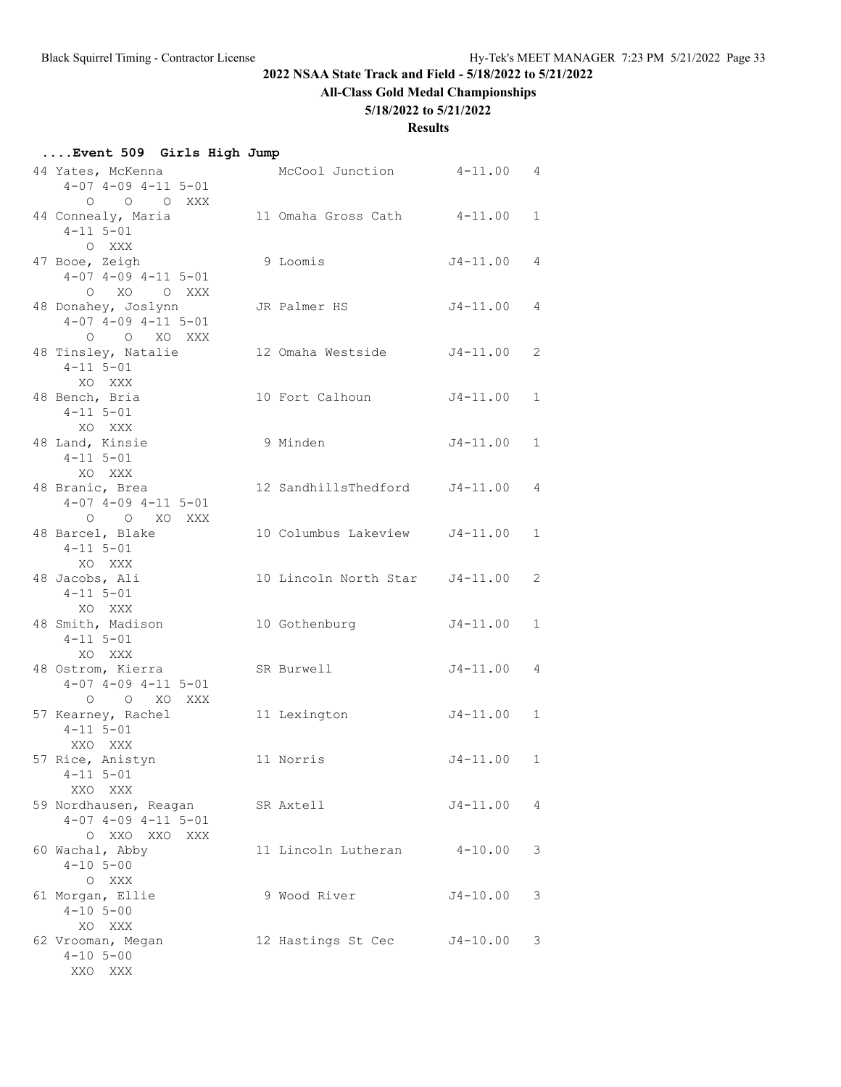# **All-Class Gold Medal Championships**

#### **5/18/2022 to 5/21/2022**

#### **Results**

#### **....Event 509 Girls High Jump**

| 44 Yates, McKenna<br>$4-07$ $4-09$ $4-11$ $5-01$                         | McCool Junction                | $4 - 11.00$    | 4            |
|--------------------------------------------------------------------------|--------------------------------|----------------|--------------|
| O O O XXX<br>44 Connealy, Maria<br>$4 - 11$ $5 - 01$<br>O XXX            | 11 Omaha Gross Cath            | $4 - 11.00$    | $\mathbf{1}$ |
| 47 Booe, Zeigh<br>$4-07$ $4-09$ $4-11$ $5-01$<br>O XO O XXX              | 9 Loomis                       | $J4 - 11.00$   | 4            |
| 48 Donahey, Joslynn<br>$4-07$ $4-09$ $4-11$ $5-01$<br>O O XO XXX         | JR Palmer HS                   | J4-11.00       | 4            |
| 48 Tinsley, Natalie<br>$4 - 11$ $5 - 01$<br>XO XXX                       | 12 Omaha Westside              | $J4-11.00$     | 2            |
| 48 Bench, Bria<br>$4 - 11$ 5-01<br>XO XXX                                | 10 Fort Calhoun                | $J4 - 11.00$   | 1            |
| 48 Land, Kinsie<br>$4 - 11$ $5 - 01$<br>XO XXX                           | 9 Minden                       | $J4 - 11.00$   | $\mathbf{1}$ |
| 48 Branic, Brea<br>$4-07$ $4-09$ $4-11$ $5-01$<br>O O XO XXX             | 12 SandhillsThedford J4-11.00  |                | 4            |
| 48 Barcel, Blake<br>$4 - 11$ $5 - 01$<br>XO XXX                          | 10 Columbus Lakeview J4-11.00  |                | $\mathbf 1$  |
| 48 Jacobs, Ali<br>$4 - 11$ 5-01<br>XO XXX                                | 10 Lincoln North Star J4-11.00 |                | 2            |
| 48 Smith, Madison<br>$4 - 11$ $5 - 01$<br>XO XXX                         | 10 Gothenburg                  | $J4 - 11.00$   | $\mathbf{1}$ |
| 48 Ostrom, Kierra<br>$4-07$ $4-09$ $4-11$ $5-01$<br>O O XO XXX           | SR Burwell                     | J4-11.00       | 4            |
| 57 Kearney, Rachel<br>$4 - 11$ $5 - 01$<br>XXO XXX                       | 11 Lexington                   | $J4 - 11.00$   | 1            |
| 57 Rice, Anistyn<br>$4 - 11$ $5 - 01$<br>XXO XXX                         | 11 Norris                      | $J4 - 11.00 1$ |              |
| 59 Nordhausen, Reagan<br>$4-07$ $4-09$ $4-11$ $5-01$<br>O XXO XXO<br>XXX | SR Axtell                      | $J4 - 11.00$   | 4            |
| 60 Wachal, Abby<br>$4 - 10$ 5-00<br>O XXX                                | 11 Lincoln Lutheran            | $4 - 10.00$    | 3            |
| 61 Morgan, Ellie<br>$4 - 10$ $5 - 00$<br>XO XXX                          | 9 Wood River                   | $J4 - 10.00$   | 3            |
| 62 Vrooman, Megan<br>$4 - 10$ $5 - 00$<br>XXO XXX                        | 12 Hastings St Cec             | J4-10.00       | 3            |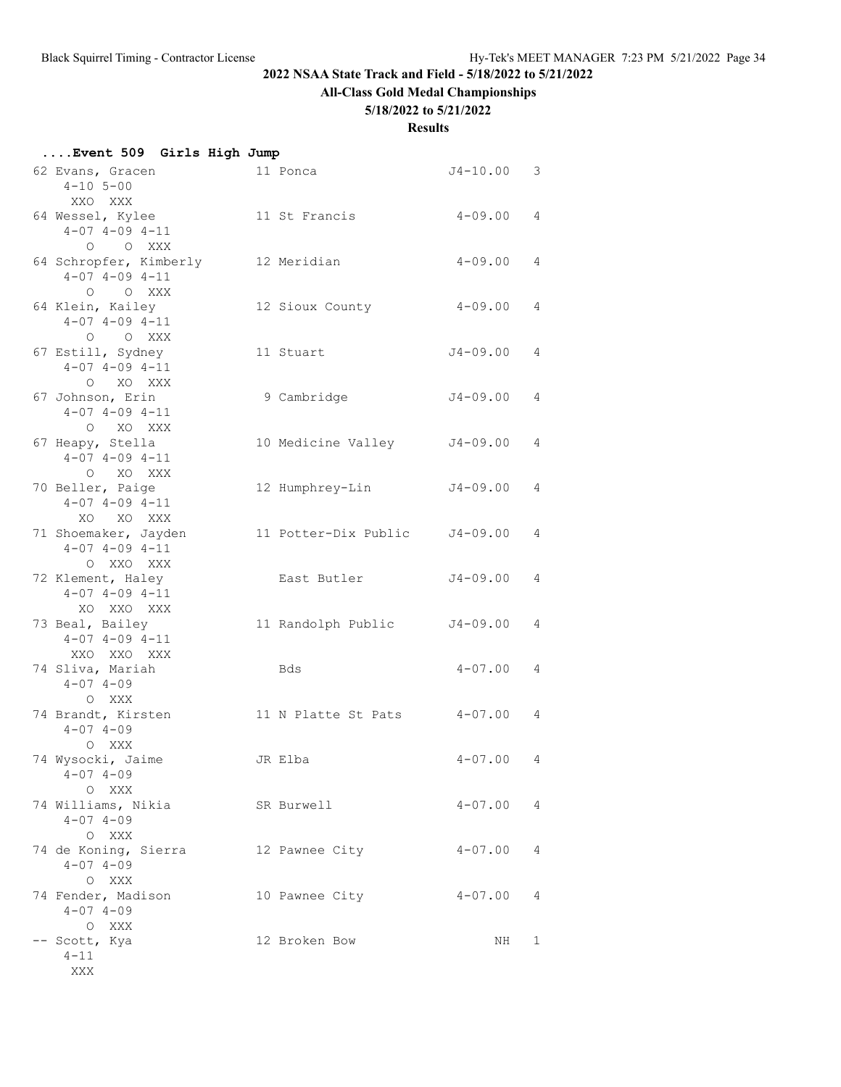# **All-Class Gold Medal Championships**

#### **5/18/2022 to 5/21/2022**

| Event 509 Girls High Jump |  |  |  |  |
|---------------------------|--|--|--|--|
|---------------------------|--|--|--|--|

| 62 Evans, Gracen<br>$4 - 10$ 5-00<br>XXO XXX                    | 11 Ponca                      | $J4 - 10.00$ | 3 |
|-----------------------------------------------------------------|-------------------------------|--------------|---|
| 64 Wessel, Kylee<br>$4-07$ $4-09$ $4-11$<br>O O XXX             | 11 St Francis                 | $4 - 09.00$  | 4 |
| 64 Schropfer, Kimberly<br>$4 - 07$ $4 - 09$ $4 - 11$<br>O O XXX | 12 Meridian                   | $4 - 09.00$  | 4 |
| 64 Klein, Kailey<br>$4-07$ $4-09$ $4-11$<br>O O XXX             | 12 Sioux County               | $4 - 09.00$  | 4 |
| 67 Estill, Sydney<br>$4 - 07$ $4 - 09$ $4 - 11$<br>O XO XXX     | 11 Stuart                     | J4-09.00     | 4 |
| 67 Johnson, Erin<br>$4 - 07$ $4 - 09$ $4 - 11$<br>O XO XXX      | 9 Cambridge                   | J4-09.00     | 4 |
| 67 Heapy, Stella<br>$4 - 07$ $4 - 09$ $4 - 11$<br>O XO XXX      | 10 Medicine Valley            | J4-09.00     | 4 |
| 70 Beller, Paige<br>$4 - 07$ $4 - 09$ $4 - 11$<br>XO XO XXX     | 12 Humphrey-Lin               | $J4 - 09.00$ | 4 |
| 71 Shoemaker, Jayden<br>$4-07$ $4-09$ $4-11$<br>O XXO XXX       | 11 Potter-Dix Public J4-09.00 |              | 4 |
| 72 Klement, Haley<br>$4-07$ $4-09$ $4-11$<br>XO XXO XXX         | East Butler                   | $J4 - 09.00$ | 4 |
| 73 Beal, Bailey<br>$4 - 07$ $4 - 09$ $4 - 11$<br>XXO XXO XXX    | 11 Randolph Public            | J4-09.00     | 4 |
| 74 Sliva, Mariah<br>$4 - 07$ $4 - 09$<br>O XXX                  | Bds                           | $4 - 07.00$  | 4 |
| 74 Brandt, Kirsten<br>$4 - 07$ $4 - 09$<br>O XXX                | 11 N Platte St Pats           | $4 - 07.00$  | 4 |
| 74 Wysocki, Jaime<br>$4 - 07$ $4 - 09$<br>O XXX                 | JR Elba                       | $4 - 07.00$  | 4 |
| 74 Williams, Nikia<br>$4 - 07$ $4 - 09$<br>O XXX                | SR Burwell                    | $4 - 07.00$  | 4 |
| 74 de Koning, Sierra<br>$4 - 07$ $4 - 09$<br>O XXX              | 12 Pawnee City                | $4 - 07.00$  | 4 |
| 74 Fender, Madison<br>$4 - 07$ $4 - 09$<br>O XXX                | 10 Pawnee City                | $4 - 07.00$  | 4 |
| -- Scott, Kya<br>$4 - 11$<br>XXX                                | 12 Broken Bow                 | NH           | 1 |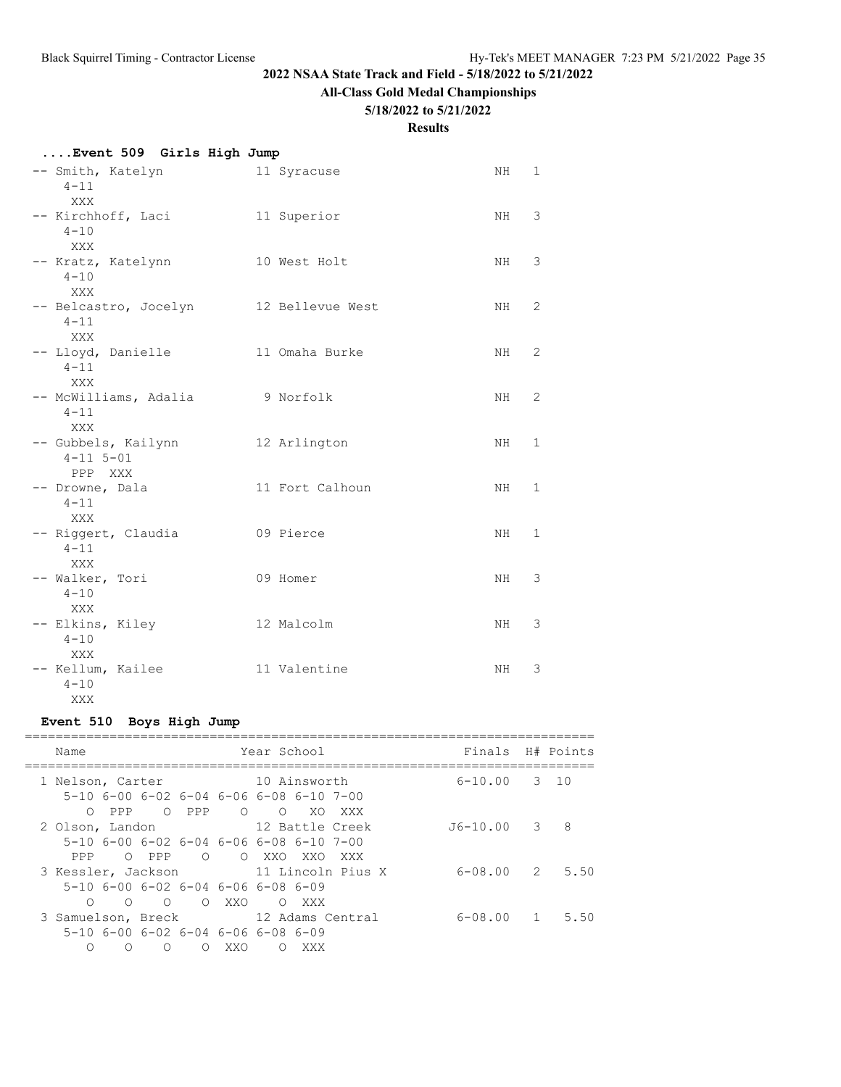# **All-Class Gold Medal Championships**

#### **5/18/2022 to 5/21/2022**

#### **Results**

| Event 509 Girls High Jump |  |  |  |
|---------------------------|--|--|--|
|                           |  |  |  |

| -- Smith, Katelyn<br>$4 - 11$  | 11 Syracuse      | ΝH  | $\mathbf 1$  |
|--------------------------------|------------------|-----|--------------|
| <b>XXX</b>                     |                  |     |              |
| -- Kirchhoff, Laci             | 11 Superior      | NH  | 3            |
| $4 - 10$                       |                  |     |              |
| <b>XXX</b>                     |                  |     |              |
| -- Kratz, Katelynn<br>$4 - 10$ | 10 West Holt     | NH. | 3            |
| XXX                            |                  |     |              |
| -- Belcastro, Jocelyn          | 12 Bellevue West | NH  | 2            |
| $4 - 11$                       |                  |     |              |
| XXX                            |                  |     |              |
| -- Lloyd, Danielle             | 11 Omaha Burke   | NH. | 2            |
| $4 - 11$                       |                  |     |              |
| XXX<br>-- McWilliams, Adalia   | 9 Norfolk        | NH. | 2            |
| $4 - 11$                       |                  |     |              |
| <b>XXX</b>                     |                  |     |              |
| -- Gubbels, Kailynn            | 12 Arlington     | NH  | $\mathbf 1$  |
| $4 - 11$ $5 - 01$              |                  |     |              |
| PPP XXX                        |                  |     |              |
| -- Drowne, Dala<br>$4 - 11$    | 11 Fort Calhoun  | NH. | 1            |
| XXX                            |                  |     |              |
| -- Riggert, Claudia            | 09 Pierce        | NH. | $\mathbf{1}$ |
| $4 - 11$                       |                  |     |              |
| XXX                            |                  |     |              |
| -- Walker, Tori                | 09 Homer         | NH. | 3            |
| $4 - 10$                       |                  |     |              |
| XXX                            |                  |     |              |
| -- Elkins, Kiley<br>$4 - 10$   | 12 Malcolm       | NH  | 3            |
| XXX                            |                  |     |              |
| -- Kellum, Kailee              | 11 Valentine     | ΝH  | 3            |
| $4 - 10$                       |                  |     |              |
| XXX                            |                  |     |              |

# **Event 510 Boys High Jump**

| Finals H# Points<br>Year School<br>Name<br>$6 - 10.00$ 3 10<br>10 Ainsworth<br>1 Nelson, Carter<br>$5-10$ 6-00 6-02 6-04 6-06 6-08 6-10 7-00<br>$O$ PPP<br>O PPP<br>$\begin{array}{cccc}\n\bullet & \bullet & \bullet & \bullet\n\end{array}$<br>XO.<br>XXX<br>8<br>12 Battle Creek<br>$J6-10.00 3$<br>2 Olson, Landon<br>$5-10$ 6-00 6-02 6-04 6-06 6-08 6-10 7-00<br>OOX XOXXO<br>O PPP<br>PPP<br>XXX<br>2 5.50<br>3 Kessler, Jackson 11 Lincoln Pius X<br>6-08.00<br>$5-10$ 6-00 6-02 6-04 6-06 6-08 6-09<br>O OXXO<br>$\cap$<br>∩<br>O XXX<br>3 Samuelson, Breck 12 Adams Central<br>6-08.00<br>$\mathbf{1}$<br>$5-10$ 6-00 6-02 6-04 6-06 6-08 6-09<br>∩<br>∩<br>XXO<br>∩<br>XXX<br>∩<br>∩ |  |  |  |  |      |
|-------------------------------------------------------------------------------------------------------------------------------------------------------------------------------------------------------------------------------------------------------------------------------------------------------------------------------------------------------------------------------------------------------------------------------------------------------------------------------------------------------------------------------------------------------------------------------------------------------------------------------------------------------------------------------------------------|--|--|--|--|------|
|                                                                                                                                                                                                                                                                                                                                                                                                                                                                                                                                                                                                                                                                                                 |  |  |  |  |      |
|                                                                                                                                                                                                                                                                                                                                                                                                                                                                                                                                                                                                                                                                                                 |  |  |  |  |      |
|                                                                                                                                                                                                                                                                                                                                                                                                                                                                                                                                                                                                                                                                                                 |  |  |  |  |      |
|                                                                                                                                                                                                                                                                                                                                                                                                                                                                                                                                                                                                                                                                                                 |  |  |  |  |      |
|                                                                                                                                                                                                                                                                                                                                                                                                                                                                                                                                                                                                                                                                                                 |  |  |  |  |      |
|                                                                                                                                                                                                                                                                                                                                                                                                                                                                                                                                                                                                                                                                                                 |  |  |  |  | 5.50 |
|                                                                                                                                                                                                                                                                                                                                                                                                                                                                                                                                                                                                                                                                                                 |  |  |  |  |      |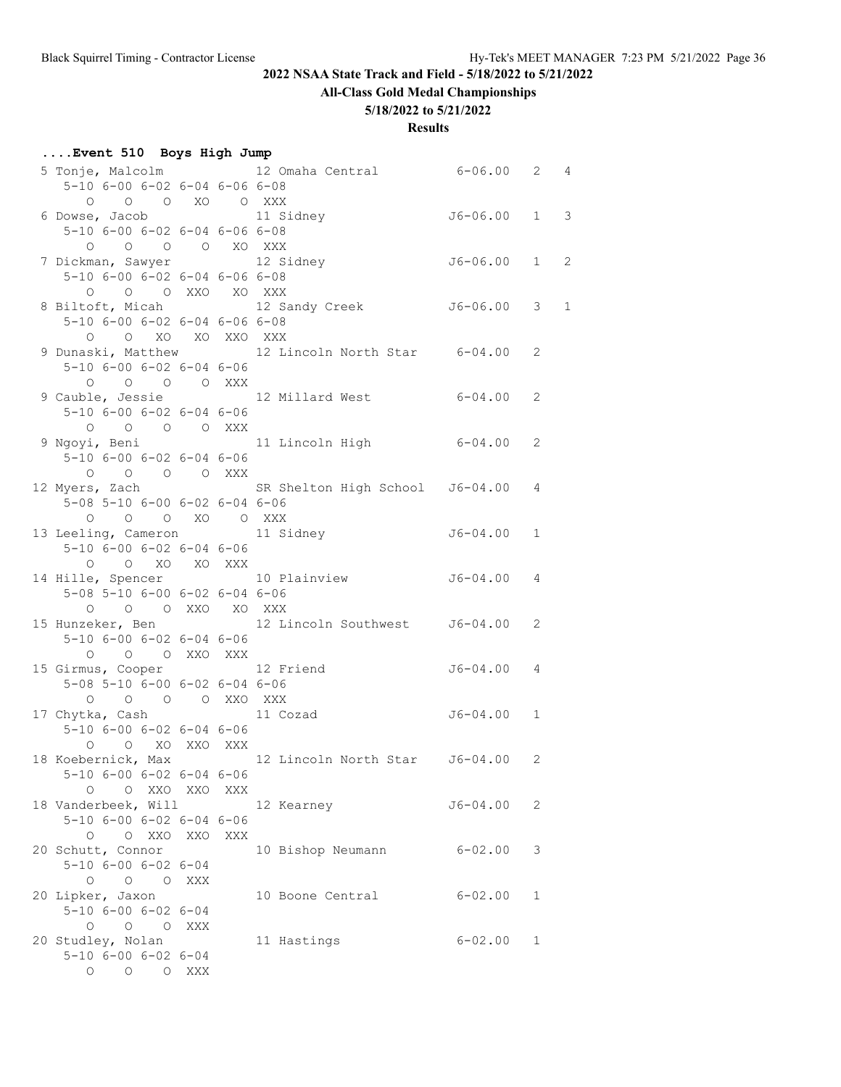**All-Class Gold Medal Championships**

#### **5/18/2022 to 5/21/2022**

| Event 510 Boys High Jump |                                                 |     |     |                                                                          |                |              |  |
|--------------------------|-------------------------------------------------|-----|-----|--------------------------------------------------------------------------|----------------|--------------|--|
|                          |                                                 |     |     | 5 Tonje, Malcolm 12 Omaha Central 6-06.00 2 4                            |                |              |  |
|                          | $5-10$ 6-00 6-02 6-04 6-06 6-08                 |     |     |                                                                          |                |              |  |
|                          | 0 0 0 XO 0 XXX                                  |     |     |                                                                          |                |              |  |
|                          | 6 Dowse, Jacob 11 Sidney                        |     |     |                                                                          | $J6-06.00$ 1 3 |              |  |
|                          | $5-10$ 6-00 6-02 6-04 6-06 6-08                 |     |     |                                                                          |                |              |  |
|                          | 0 0 0 0 XO XXX                                  |     |     |                                                                          |                |              |  |
|                          | 7 Dickman, Sawyer 12 Sidney                     |     |     |                                                                          | $J6-06.00$ 1 2 |              |  |
|                          | $5-10$ 6-00 6-02 6-04 6-06 6-08                 |     |     |                                                                          |                |              |  |
|                          | O O O XXO XO XXX                                |     |     |                                                                          |                |              |  |
|                          |                                                 |     |     | 8 Biltoft, Micah 12 Sandy Creek 56-06.00 3 1                             |                |              |  |
|                          | $5-10$ 6-00 6-02 6-04 6-06 6-08                 |     |     |                                                                          |                |              |  |
|                          | O O XO XO XXO XXX                               |     |     |                                                                          |                |              |  |
|                          |                                                 |     |     | 9 Dunaski, Matthew 12 Lincoln North Star 6-04.00                         |                | 2            |  |
|                          | $5 - 10$ $6 - 00$ $6 - 02$ $6 - 04$ $6 - 06$    |     |     |                                                                          |                |              |  |
|                          | 0 0 0 0 XXX                                     |     |     |                                                                          |                |              |  |
|                          |                                                 |     |     | 9 Cauble, Jessie                 12 Millard West                 6-04.00 |                | 2            |  |
|                          | $5 - 10$ 6-00 6-02 6-04 6-06                    |     |     |                                                                          |                |              |  |
|                          | 0 0 0 0 XXX                                     |     |     |                                                                          |                |              |  |
|                          |                                                 |     |     | 9 Ngoyi, Beni                 11 Lincoln High             6-04.00        |                | 2            |  |
|                          | $5-10$ 6-00 6-02 6-04 6-06                      |     |     |                                                                          |                |              |  |
|                          | 0 0 0 0 XXX                                     |     |     |                                                                          |                |              |  |
|                          |                                                 |     |     | 12 Myers, Zach SR Shelton High School J6-04.00 4                         |                |              |  |
|                          | $5-08$ $5-10$ $6-00$ $6-02$ $6-04$ $6-06$       |     |     |                                                                          |                |              |  |
|                          |                                                 |     |     |                                                                          |                |              |  |
|                          | 0 0 0 XO 0 XXX<br>13 Leeling, Cameron 11 Sidney |     |     |                                                                          | $J6-04.00 1$   |              |  |
|                          | $5 - 10$ 6-00 6-02 6-04 6-06                    |     |     |                                                                          |                |              |  |
|                          |                                                 |     |     |                                                                          |                |              |  |
|                          | O O XO XO XXX                                   |     |     | 14 Hille, Spencer 10 Plainview 56-04.00 4                                |                |              |  |
|                          |                                                 |     |     |                                                                          |                |              |  |
|                          | 5-08 5-10 6-00 6-02 6-04 6-06                   |     |     |                                                                          |                |              |  |
|                          | O O O XXO XO XXX                                |     |     |                                                                          |                |              |  |
|                          |                                                 |     |     | 15 Hunzeker, Ben 12 Lincoln Southwest 56-04.00 2                         |                |              |  |
|                          | 5-10 6-00 6-02 6-04 6-06                        |     |     |                                                                          |                |              |  |
|                          | O O O XXO XXX                                   |     |     |                                                                          |                |              |  |
|                          | 15 Girmus, Cooper 12 Friend                     |     |     |                                                                          | $J6 - 04.00$ 4 |              |  |
|                          | $5-08$ $5-10$ $6-00$ $6-02$ $6-04$ $6-06$       |     |     |                                                                          |                |              |  |
|                          | 0 0 0 0 XXO XXX                                 |     |     |                                                                          |                |              |  |
|                          | 17 Chytka, Cash                                 |     |     | 11 Cozad                                                                 | $J6 - 04.00 1$ |              |  |
|                          | $5-10$ 6-00 6-02 6-04 6-06                      |     |     |                                                                          |                |              |  |
|                          | O O XO XXO XXX                                  |     |     |                                                                          |                |              |  |
|                          |                                                 |     |     | 18 Koebernick, Max 12 Lincoln North Star J6-04.00                        |                | $\mathbf{2}$ |  |
|                          | $5-10$ 6-00 6-02 6-04 6-06                      |     |     |                                                                          |                |              |  |
|                          | O O XXO XXO XXX                                 |     |     |                                                                          |                |              |  |
|                          | 18 Vanderbeek, Will                             |     |     | 12 Kearney                                                               | J6-04.00       | 2            |  |
|                          | $5 - 10$ $6 - 00$ $6 - 02$ $6 - 04$ $6 - 06$    |     |     |                                                                          |                |              |  |
|                          | O O XXO XXO                                     |     | XXX |                                                                          |                |              |  |
|                          | 20 Schutt, Connor                               |     |     | 10 Bishop Neumann                                                        | $6 - 02.00$    | 3            |  |
|                          | $5 - 10$ $6 - 00$ $6 - 02$ $6 - 04$             |     |     |                                                                          |                |              |  |
|                          | O O O XXX                                       |     |     |                                                                          |                |              |  |
|                          | 20 Lipker, Jaxon                                |     |     | 10 Boone Central                                                         | $6 - 02.00$    | 1            |  |
|                          | $5 - 10$ $6 - 00$ $6 - 02$ $6 - 04$             |     |     |                                                                          |                |              |  |
|                          | $\begin{matrix} 0 & 0 & 0 \end{matrix}$         | XXX |     |                                                                          |                |              |  |
|                          | 20 Studley, Nolan                               |     |     | 11 Hastings                                                              | $6 - 02.00$    | 1            |  |
|                          | $5 - 10$ 6-00 6-02 6-04                         |     |     |                                                                          |                |              |  |
|                          | O O O XXX                                       |     |     |                                                                          |                |              |  |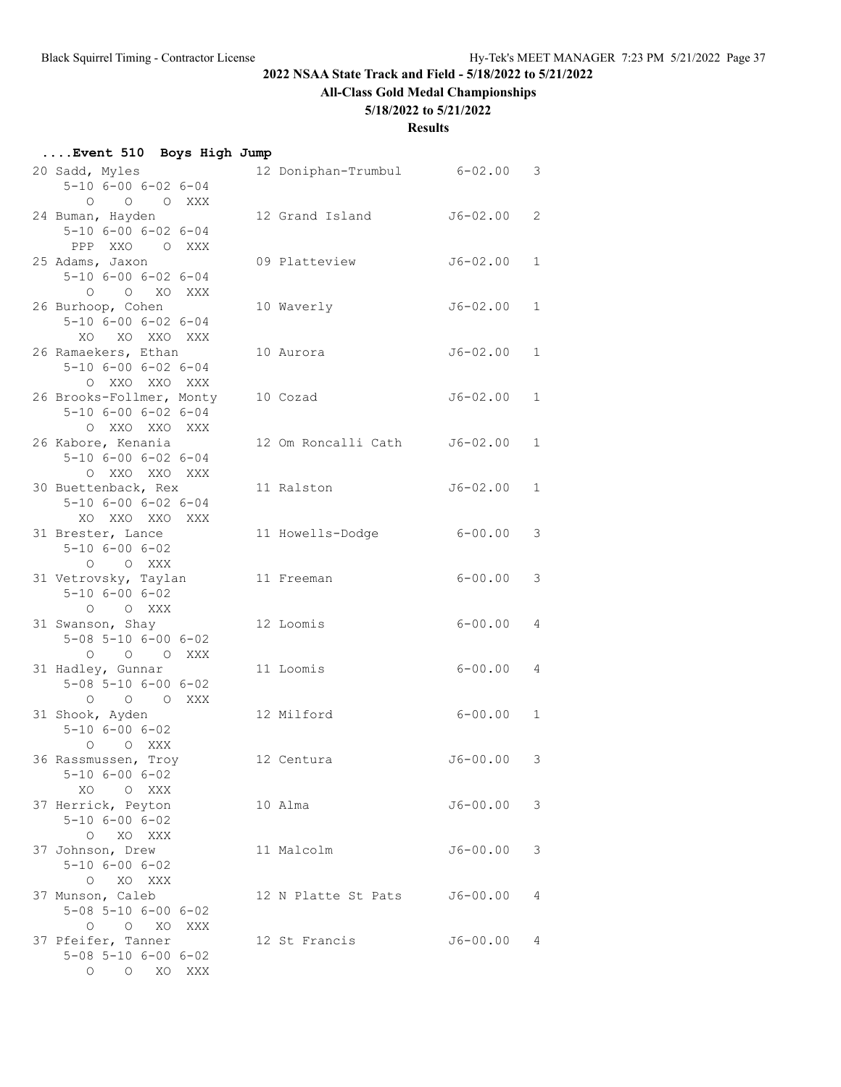# **All-Class Gold Medal Championships**

## **5/18/2022 to 5/21/2022**

| Event 510 Boys High Jump |  |  |  |
|--------------------------|--|--|--|
|--------------------------|--|--|--|

| 20 Sadd, Myles<br>$5 - 10$ $6 - 00$ $6 - 02$ $6 - 04$                                                         | 12 Doniphan-Trumbul | $6 - 02.00$  | 3            |
|---------------------------------------------------------------------------------------------------------------|---------------------|--------------|--------------|
| $\circ$<br>$\overline{O}$<br>$\overline{O}$<br>XXX<br>24 Buman, Hayden<br>$5 - 10$ $6 - 00$ $6 - 02$ $6 - 04$ | 12 Grand Island     | $J6 - 02.00$ | 2            |
| PPP XXO<br>O XXX<br>25 Adams, Jaxon                                                                           | 09 Platteview       | $J6 - 02.00$ | $\mathbf{1}$ |
| $5 - 10$ $6 - 00$ $6 - 02$ $6 - 04$<br>O XO XXX<br>$\circ$                                                    |                     |              |              |
| 26 Burhoop, Cohen<br>$5 - 10$ $6 - 00$ $6 - 02$ $6 - 04$<br>XO XO XXO XXX                                     | 10 Waverly          | $J6 - 02.00$ | $\mathbf{1}$ |
| 26 Ramaekers, Ethan<br>$5 - 10$ $6 - 00$ $6 - 02$ $6 - 04$<br>$\circ$<br>XXO XXO XXX                          | 10 Aurora           | $J6 - 02.00$ | 1            |
| 26 Brooks-Follmer, Monty<br>$5 - 10$ $6 - 00$ $6 - 02$ $6 - 04$<br>O XXO XXO XXX                              | 10 Cozad            | $J6 - 02.00$ | $\mathbf{1}$ |
| 26 Kabore, Kenania<br>$5 - 10$ $6 - 00$ $6 - 02$ $6 - 04$<br>O XXO XXO XXX                                    | 12 Om Roncalli Cath | $J6 - 02.00$ | $\mathbf{1}$ |
| 30 Buettenback, Rex<br>$5 - 10$ $6 - 00$ $6 - 02$ $6 - 04$<br>XO XXO XXO XXX                                  | 11 Ralston          | $J6 - 02.00$ | $\mathbf{1}$ |
| 31 Brester, Lance<br>$5 - 10$ $6 - 00$ $6 - 02$<br>O XXX<br>$\circ$                                           | 11 Howells-Dodge    | $6 - 00.00$  | 3            |
| 31 Vetrovsky, Taylan<br>$5 - 10$ $6 - 00$ $6 - 02$<br>O XXX<br>$\circ$                                        | 11 Freeman          | $6 - 00.00$  | 3            |
| 31 Swanson, Shay<br>$5 - 08$ $5 - 10$ $6 - 00$ $6 - 02$<br>O O XXX<br>$\circ$                                 | 12 Loomis           | $6 - 00.00$  | 4            |
| 31 Hadley, Gunnar<br>$5 - 08$ $5 - 10$ $6 - 00$ $6 - 02$<br>O O O XXX                                         | 11 Loomis           | $6 - 00.00$  | 4            |
| 31 Shook, Ayden<br>$5 - 10$ $6 - 00$ $6 - 02$<br>O XXX<br>$\circ$                                             | 12 Milford          | $6 - 00.00$  | 1            |
| 36 Rassmussen, Troy<br>$5 - 10$ $6 - 00$ $6 - 02$<br>XO OXXX                                                  | 12 Centura          | $J6 - 00.00$ | 3            |
| 37 Herrick, Peyton<br>$5 - 10$ $6 - 00$ $6 - 02$<br>O XO XXX                                                  | 10 Alma             | $J6 - 00.00$ | 3            |
| 37 Johnson, Drew<br>$5 - 10$ $6 - 00$ $6 - 02$<br>O XO XXX                                                    | 11 Malcolm          | $J6 - 00.00$ | 3            |
| 37 Munson, Caleb<br>$5 - 08$ $5 - 10$ $6 - 00$ $6 - 02$<br>O XO<br>$\circ$<br>XXX                             | 12 N Platte St Pats | $J6 - 00.00$ | 4            |
| 37 Pfeifer, Tanner<br>$5 - 08$ $5 - 10$ $6 - 00$ $6 - 02$<br>O O XO XXX                                       | 12 St Francis       | $J6 - 00.00$ | 4            |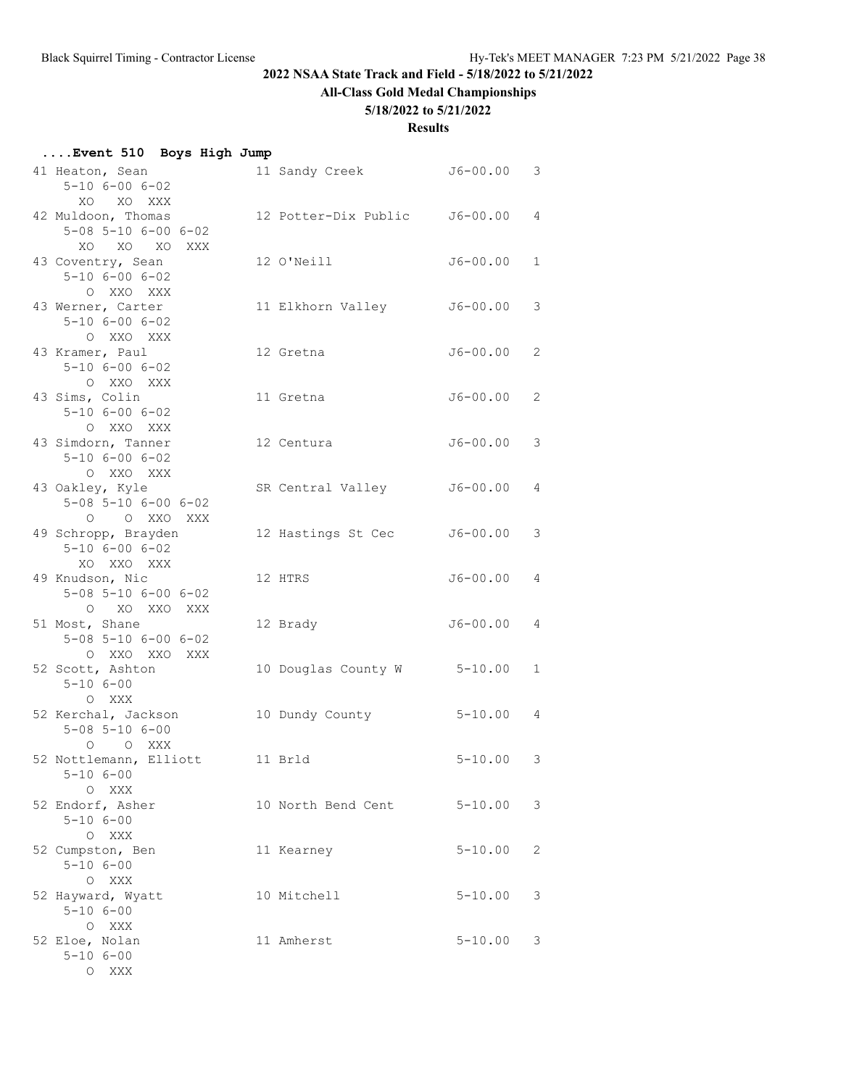# **All-Class Gold Medal Championships**

## **5/18/2022 to 5/21/2022**

### **Results**

| Event 510 Boys High Jump                                                  |                               |                |                |
|---------------------------------------------------------------------------|-------------------------------|----------------|----------------|
| 41 Heaton, Sean<br>$5 - 10$ $6 - 00$ $6 - 02$<br>XO XO XXX                | 11 Sandy Creek J6-00.00 3     |                |                |
| 42 Muldoon, Thomas<br>$5 - 08$ $5 - 10$ $6 - 00$ $6 - 02$<br>XO XO XO XXX | 12 Potter-Dix Public J6-00.00 |                | $\overline{4}$ |
| 43 Coventry, Sean<br>$5 - 10$ $6 - 00$ $6 - 02$<br>O XXO XXX              | 12 O'Neill                    | J6-00.00       | $\mathbf{1}$   |
| 43 Werner, Carter<br>$5 - 10$ $6 - 00$ $6 - 02$<br>O XXO XXX              | 11 Elkhorn Valley             | J6-00.00       | 3              |
| 43 Kramer, Paul<br>$5 - 10$ $6 - 00$ $6 - 02$<br>O XXO XXX                | 12 Gretna                     | $J6 - 00.00 2$ |                |
| 43 Sims, Colin<br>$5 - 10$ $6 - 00$ $6 - 02$<br>O XXO XXX                 | 11 Gretna                     | $J6 - 00.00 2$ |                |
| 43 Simdorn, Tanner<br>$5 - 10$ $6 - 00$ $6 - 02$<br>O XXO XXX             | 12 Centura                    | J6-00.00       | 3              |
| 43 Oakley, Kyle<br>$5 - 08$ $5 - 10$ $6 - 00$ $6 - 02$<br>O O XXO XXX     | SR Central Valley             | J6-00.00       | 4              |
| 49 Schropp, Brayden<br>$5 - 10$ $6 - 00$ $6 - 02$<br>XO XXO XXX           | 12 Hastings St Cec            | J6-00.00       | 3              |
| 49 Knudson, Nic<br>$5 - 08$ $5 - 10$ $6 - 00$ $6 - 02$<br>O XO XXO XXX    | 12 HTRS                       | J6-00.00       | $\overline{4}$ |
| 51 Most, Shane<br>$5 - 08$ $5 - 10$ $6 - 00$ $6 - 02$<br>O XXO XXO XXX    | 12 Brady                      | J6-00.00       | 4              |
| 52 Scott, Ashton<br>$5 - 10$ $6 - 00$<br>O XXX                            | 10 Douglas County W           | $5 - 10.00$    | $\mathbf{1}$   |
| 52 Kerchal, Jackson<br>$5 - 08$ $5 - 10$ $6 - 00$<br>O O XXX              | 10 Dundy County               | $5 - 10.00$    | 4              |
| 52 Nottlemann, Elliott<br>$5 - 106 - 00$<br>O XXX                         | 11 Brld                       | $5 - 10.00$ 3  |                |
| 52 Endorf, Asher<br>$5 - 10$ $6 - 00$<br>O XXX                            | 10 North Bend Cent            | $5 - 10.00$    | 3              |
| 52 Cumpston, Ben<br>$5 - 106 - 00$<br>O XXX                               | 11 Kearney                    | $5 - 10.00$    | 2              |
| 52 Hayward, Wyatt<br>$5 - 106 - 00$<br>O XXX                              | 10 Mitchell                   | $5 - 10.00$    | 3              |
| 52 Eloe, Nolan<br>$5 - 106 - 00$                                          | 11 Amherst                    | $5 - 10.00$    | 3              |

O XXX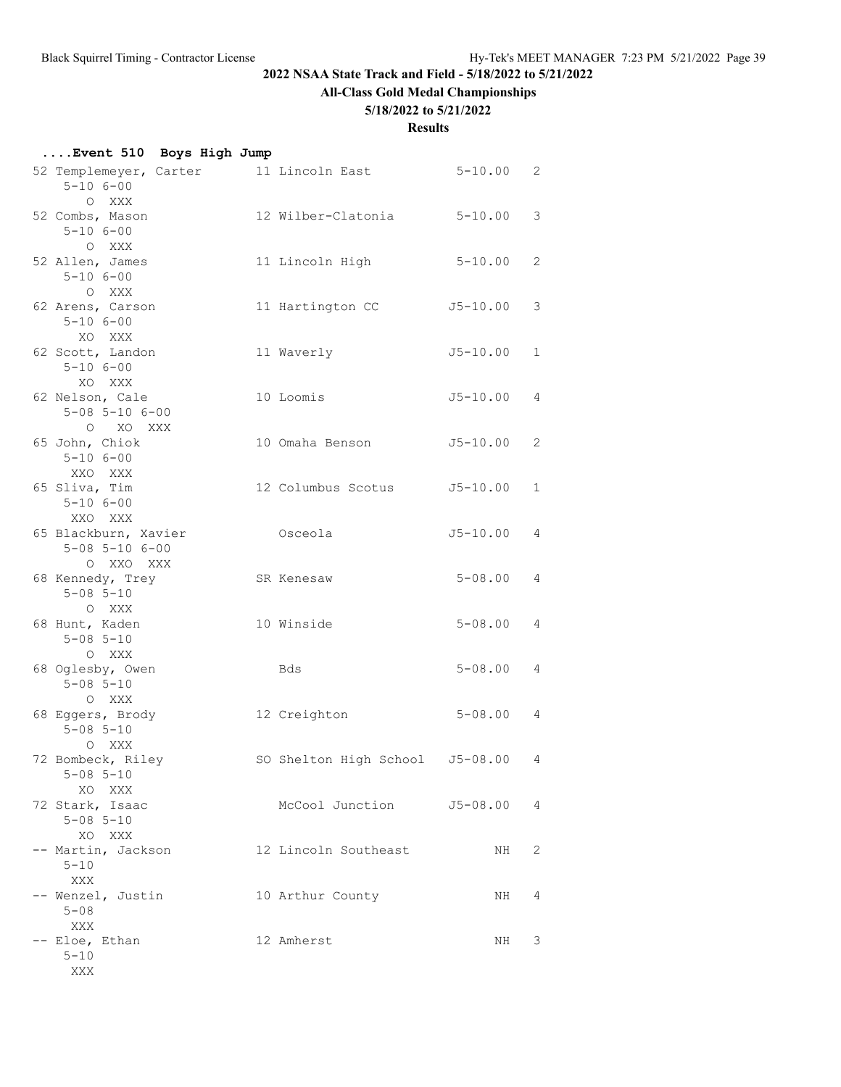# **All-Class Gold Medal Championships**

## **5/18/2022 to 5/21/2022**

### **Results**

| Event 510 Boys High Jump                                            |  |                                        |                |              |
|---------------------------------------------------------------------|--|----------------------------------------|----------------|--------------|
| $5 - 106 - 00$<br>O XXX                                             |  | 52 Templemeyer, Carter 11 Lincoln East | $5 - 10.00$ 2  |              |
| 52 Combs, Mason<br>$5 - 10 6 - 00$<br>O XXX                         |  | 12 Wilber-Clatonia                     | $5 - 10.00$    | 3            |
| 52 Allen, James<br>$5 - 106 - 00$<br>O XXX                          |  | 11 Lincoln High                        | $5 - 10.00$    | 2            |
| 62 Arens, Carson<br>$5 - 106 - 00$<br>XO XXX                        |  | 11 Hartington CC                       | J5-10.00       | 3            |
| 62 Scott, Landon<br>$5 - 106 - 00$                                  |  | 11 Waverly                             | $J5 - 10.00$   | $\mathbf{1}$ |
| XO XXX<br>62 Nelson, Cale<br>$5 - 08$ $5 - 10$ $6 - 00$<br>O XO XXX |  | 10 Loomis                              | J5-10.00       | 4            |
| 65 John, Chiok<br>$5 - 106 - 00$<br>XXO XXX                         |  | 10 Omaha Benson                        | $J5 - 10.00$   | 2            |
| 65 Sliva, Tim<br>$5 - 106 - 00$<br>XXO XXX                          |  | 12 Columbus Scotus J5-10.00            |                | $\mathbf{1}$ |
| 65 Blackburn, Xavier<br>$5 - 08$ $5 - 10$ $6 - 00$<br>O XXO XXX     |  | Osceola                                | $J5 - 10.00$ 4 |              |
| 68 Kennedy, Trey<br>$5 - 08$ $5 - 10$<br>O XXX                      |  | SR Kenesaw                             | $5 - 08.00$    | 4            |
| 68 Hunt, Kaden<br>$5 - 08$ $5 - 10$<br>O XXX                        |  | 10 Winside                             | $5 - 08.00$    | 4            |
| 68 Oglesby, Owen<br>$5 - 08$ $5 - 10$<br>O XXX                      |  | Bds                                    | $5 - 08.00$    | 4            |
| 68 Eggers, Brody<br>$5 - 08$ $5 - 10$<br>O XXX                      |  | 12 Creighton                           | $5 - 08.00$ 4  |              |
| 72 Bombeck, Riley<br>$5 - 08$ $5 - 10$<br>XO XXX                    |  | SO Shelton High School J5-08.00        |                | 4            |
| 72 Stark, Isaac<br>$5 - 08$ $5 - 10$<br>XO XXX                      |  | McCool Junction J5-08.00               |                | 4            |
| -- Martin, Jackson<br>$5 - 10$                                      |  | 12 Lincoln Southeast                   | NH             | 2            |
| XXX<br>-- Wenzel, Justin<br>$5 - 08$                                |  | 10 Arthur County                       | NH             | 4            |
| XXX<br>-- Eloe, Ethan<br>$5 - 10$                                   |  | 12 Amherst                             | NH             | 3            |

XXX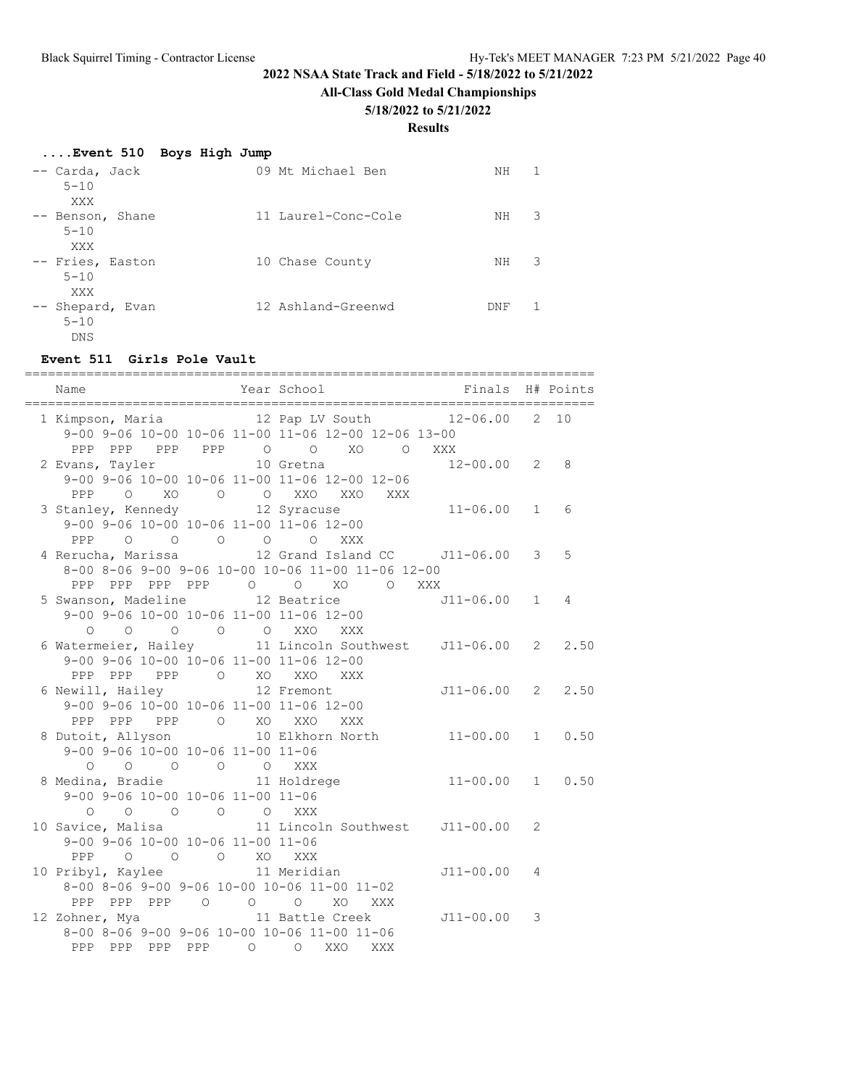**All-Class Gold Medal Championships**

## **5/18/2022 to 5/21/2022**

### **Results**

| Event 510 Boys High Jump            |                     |     |   |
|-------------------------------------|---------------------|-----|---|
| -- Carda, Jack<br>$5 - 10$<br>XXX   | 09 Mt Michael Ben   | NΗ  |   |
| -- Benson, Shane<br>$5 - 10$<br>XXX | 11 Laurel-Conc-Cole | NΗ  | 3 |
| -- Fries, Easton<br>$5 - 10$<br>XXX | 10 Chase County     | NΗ  | 3 |
| -- Shepard, Evan<br>$5 - 10$<br>DNS | 12 Ashland-Greenwd  | DNF |   |

### **Event 511 Girls Pole Vault**

| Name<br>============================                                                                          | Year School <a> Finals H# Points</a><br>______________________ |                    | .======= |   |
|---------------------------------------------------------------------------------------------------------------|----------------------------------------------------------------|--------------------|----------|---|
| 1 Kimpson, Maria 		 12 Pap LV South 		 12-06.00 	 2 10<br>9-00 9-06 10-00 10-06 11-00 11-06 12-00 12-06 13-00 |                                                                |                    |          |   |
| PPP PPP PPP PPP 0 0 XO 0 XXX                                                                                  |                                                                |                    |          |   |
| 2 Evans, Tayler 10 Gretna                                                                                     |                                                                | $12 - 00.00$ 2 8   |          |   |
| 9-00 9-06 10-00 10-06 11-00 11-06 12-00 12-06                                                                 |                                                                |                    |          |   |
| 0 XO O O XXO XXO XXX<br>PPP                                                                                   |                                                                |                    |          |   |
|                                                                                                               |                                                                |                    |          | 6 |
| 3 Stanley, Kennedy 12 Syracuse 11-06.00 1<br>9-00 9-06 10-00 10-06 11-00 11-06 12-00                          |                                                                |                    |          |   |
| PPP 0 0 0 0 0 XXX                                                                                             |                                                                |                    |          |   |
| 4 Rerucha, Marissa $12$ Grand Island CC $J11-06.00$ 3                                                         |                                                                |                    |          | 5 |
| 8-00 8-06 9-00 9-06 10-00 10-06 11-00 11-06 12-00                                                             |                                                                |                    |          |   |
| PPP PPP PPP PPP 0 0 XO 0 XXX                                                                                  |                                                                |                    |          |   |
| 5 Swanson, Madeline 12 Beatrice                                                                               |                                                                | $J11-06.00$ 1      |          | 4 |
| 9-00 9-06 10-00 10-06 11-00 11-06 12-00                                                                       |                                                                |                    |          |   |
| $\circ$ $\circ$<br>$\circ$                                                                                    | O O XXO XXX                                                    |                    |          |   |
| 6 Watermeier, Hailey                                                                                          |                                                                |                    |          |   |
| 9-00 9-06 10-00 10-06 11-00 11-06 12-00                                                                       |                                                                |                    |          |   |
| PPP PPP PPP O XO XXO                                                                                          | XXX                                                            |                    |          |   |
| 6 Newill, Hailey                                                                                              | 12 Fremont                                                     | $J11-06.00$ 2 2.50 |          |   |
| 9-00 9-06 10-00 10-06 11-00 11-06 12-00                                                                       |                                                                |                    |          |   |
| PPP PPP PPP 0 XO XXO                                                                                          | XXX                                                            |                    |          |   |
| 8 Dutoit, Allyson                                                                                             | 10 Elkhorn North 11-00.00 1 0.50                               |                    |          |   |
| 9-00 9-06 10-00 10-06 11-00 11-06                                                                             |                                                                |                    |          |   |
| 0 0 0 0 0 XXX                                                                                                 |                                                                |                    |          |   |
| 8 Medina, Bradie                                                                                              | 11 Holdrege                                                    | $11-00.00$ 1 0.50  |          |   |
| 9-00 9-06 10-00 10-06 11-00 11-06<br>$\begin{matrix} 0 & 0 & 0 & 0 \end{matrix}$<br>$\circ$                   | XXX                                                            |                    |          |   |
| 10 Savice, Malisa 11 Lincoln Southwest J11-00.00 2                                                            |                                                                |                    |          |   |
| 9-00 9-06 10-00 10-06 11-00 11-06                                                                             |                                                                |                    |          |   |
| $\begin{matrix} 0 & 0 & 0 & \text{X0} \end{matrix}$<br>PPP                                                    | XXX                                                            |                    |          |   |
| 10 Pribyl, Kaylee 11 Meridian                                                                                 |                                                                | $J11 - 00.00$ 4    |          |   |
| 8-00 8-06 9-00 9-06 10-00 10-06 11-00 11-02                                                                   |                                                                |                    |          |   |
| PPP PPP PPP 0 0 0 XO XXX                                                                                      |                                                                |                    |          |   |
| 12 Zohner, Mya 11 Battle Creek                                                                                |                                                                | $J11 - 00.00$ 3    |          |   |
| 8-00 8-06 9-00 9-06 10-00 10-06 11-00 11-06                                                                   |                                                                |                    |          |   |
| PPP PPP PPP PPP 0 0 XXO XXX                                                                                   |                                                                |                    |          |   |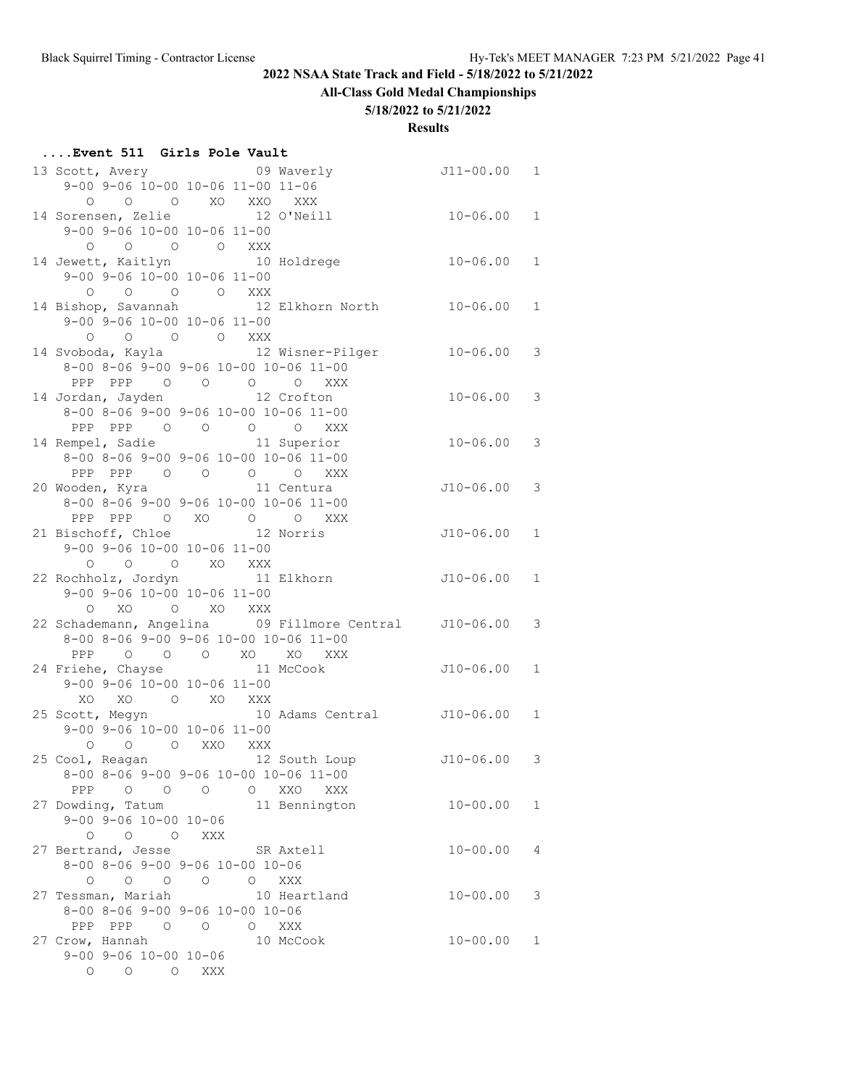# **All-Class Gold Medal Championships**

## **5/18/2022 to 5/21/2022**

|--|

| 13 Scott, Avery 09 Waverly                                                                                                             | J11-00.00     | $\mathbf{1}$ |
|----------------------------------------------------------------------------------------------------------------------------------------|---------------|--------------|
| 9-00 9-06 10-00 10-06 11-00 11-06                                                                                                      |               |              |
| 0 0 0 XO XXO<br>XXX                                                                                                                    |               |              |
| 14 Sorensen, Zelie 12 O'Neill                                                                                                          | 10-06.00      | $\mathbf{1}$ |
| 9-00 9-06 10-00 10-06 11-00                                                                                                            |               |              |
| $\begin{matrix} \mathsf{O} \qquad \mathsf{O} \qquad \mathsf{O} \qquad \mathsf{O} \qquad \mathsf{X} \mathsf{X} \mathsf{X} \end{matrix}$ |               |              |
| 14 Jewett, Kaitlyn 10 Holdrege                                                                                                         | $10 - 06.00$  | $\mathbf{1}$ |
| 9-00 9-06 10-00 10-06 11-00                                                                                                            |               |              |
| O O O XXX<br>$\circ$                                                                                                                   |               |              |
| 14 Bishop, Savannah 12 Elkhorn North                                                                                                   | $10 - 06.00$  | $\mathbf{1}$ |
| $9-00$ $9-06$ $10-00$ $10-06$ $11-00$                                                                                                  |               |              |
|                                                                                                                                        |               |              |
| $\begin{matrix} 0 & 0 & 0 & 0 & \text{XXX} \end{matrix}$<br>14 Svoboda, Kayla 12 Wisner-Pilger                                         | $10 - 06.00$  | 3            |
|                                                                                                                                        |               |              |
| 8-00 8-06 9-00 9-06 10-00 10-06 11-00                                                                                                  |               |              |
| PPP PPP 0 0 0 0 XXX                                                                                                                    |               |              |
| 14 Jordan, Jayden 12 Crofton                                                                                                           | $10 - 06.00$  | 3            |
| 8-00 8-06 9-00 9-06 10-00 10-06 11-00                                                                                                  |               |              |
| PPP PPP 0 0 0 0 XXX                                                                                                                    |               |              |
| 14 Rempel, Sadie 11 Superior                                                                                                           | $10 - 06.00$  | 3            |
| 8-00 8-06 9-00 9-06 10-00 10-06 11-00                                                                                                  |               |              |
| PPP PPP 0 0 0<br>O XXX                                                                                                                 |               |              |
| 20 Wooden, Kyra 11 Centura                                                                                                             | J10-06.00     | 3            |
| 8-00 8-06 9-00 9-06 10-00 10-06 11-00                                                                                                  |               |              |
| PPP PPP 0 XO 0 0 XXX                                                                                                                   |               |              |
| 12 Norris<br>21 Bischoff, Chloe                                                                                                        | J10-06.00     | $\mathbf{1}$ |
| 9-00 9-06 10-00 10-06 11-00                                                                                                            |               |              |
| O O XO XXX<br>$\circ$                                                                                                                  |               |              |
| 22 Rochholz, Jordyn 11 Elkhorn                                                                                                         | J10-06.00     | 1            |
| 9-00 9-06 10-00 10-06 11-00                                                                                                            |               |              |
| XO O XO XXX<br>$\circ$                                                                                                                 |               |              |
| 22 Schademann, Angelina      09 Fillmore Central     J10-06.00                                                                         |               | 3            |
| 8-00 8-06 9-00 9-06 10-00 10-06 11-00                                                                                                  |               |              |
| PPP 0 0 0 XO XO XXX                                                                                                                    |               |              |
|                                                                                                                                        | J10-06.00     | $\mathbf{1}$ |
| 24 Friehe, Chayse 11 McCook<br>9-00 9-06 10-00 10-06 11-00                                                                             |               |              |
|                                                                                                                                        |               |              |
| XO XO O XO XXX                                                                                                                         |               |              |
| 10 Adams Central J10-06.00<br>25 Scott, Megyn                                                                                          |               | 1            |
| 9-00 9-06 10-00 10-06 11-00                                                                                                            |               |              |
| O O O XXO XXX                                                                                                                          |               |              |
| 25 Cool, Reagan and 12 South Loup                                                                                                      | $J10-06.00$ 3 |              |
| $8-00$ $8-06$ $9-00$ $9-06$ $10-00$ $10-06$ $11-00$                                                                                    |               |              |
| O XXO XXX<br>PPP 0 0 0                                                                                                                 |               |              |
| 27 Dowding, Tatum<br>11 Bennington                                                                                                     | $10 - 00.00$  | $\mathbf{1}$ |
| $9 - 00$ $9 - 06$ $10 - 00$ $10 - 06$                                                                                                  |               |              |
| $0\qquad 0\qquad 0$<br>XXX                                                                                                             |               |              |
| 27 Bertrand, Jesse SR Axtell                                                                                                           | $10 - 00.00$  | 4            |
| 8-00 8-06 9-00 9-06 10-00 10-06                                                                                                        |               |              |
| $\begin{matrix} 0 & 0 & 0 & 0 \end{matrix}$<br>O XXX                                                                                   |               |              |
| 27 Tessman, Mariah<br>10 Heartland                                                                                                     | $10 - 00.00$  | 3            |
| 8-00 8-06 9-00 9-06 10-00 10-06                                                                                                        |               |              |
| PPP PPP 0 0 0 XXX                                                                                                                      |               |              |
| 27 Crow, Hannah<br>10 McCook                                                                                                           | $10 - 00.00$  | 1            |
| $9 - 00$ $9 - 06$ $10 - 00$ $10 - 06$                                                                                                  |               |              |
| O O O XXX                                                                                                                              |               |              |
|                                                                                                                                        |               |              |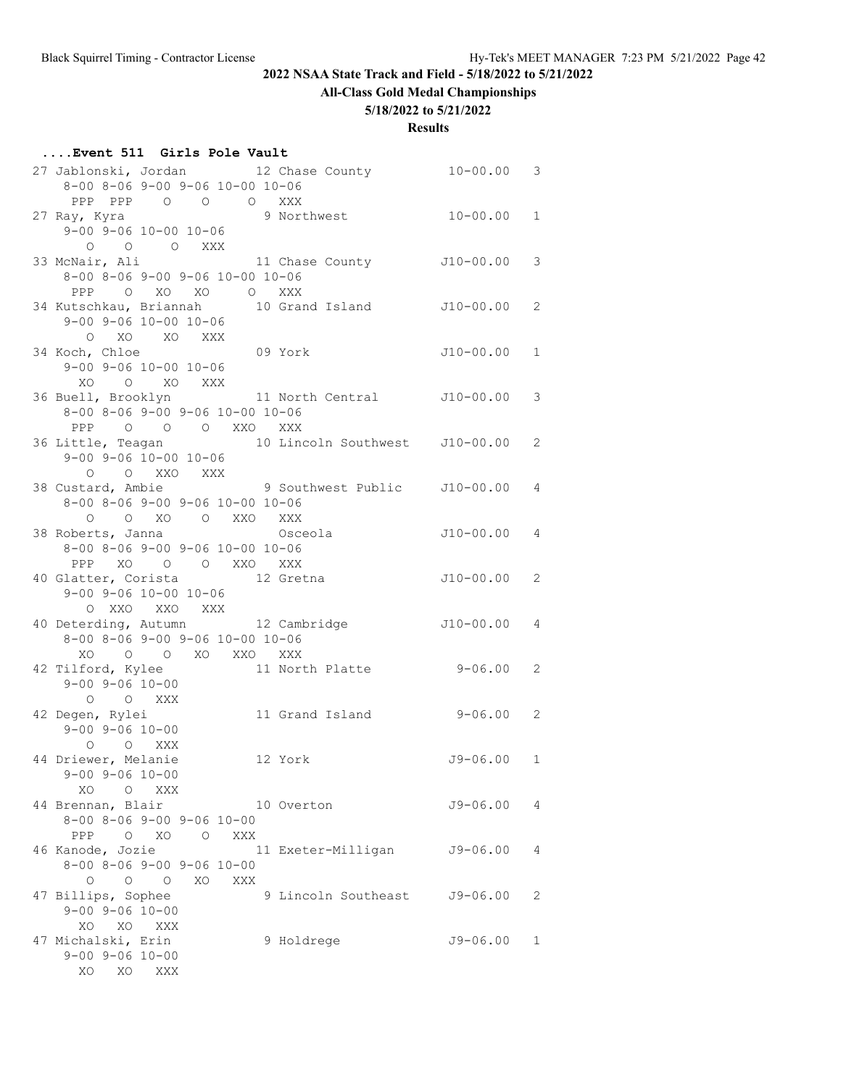# **All-Class Gold Medal Championships**

## **5/18/2022 to 5/21/2022**

| Event 511 Girls Pole Vault |  |  |  |
|----------------------------|--|--|--|
|                            |  |  |  |

| 27 Jablonski, Jordan 12 Chase County 10-00.00<br>8-00 8-06 9-00 9-06 10-00 10-06                                                 |                | 3            |
|----------------------------------------------------------------------------------------------------------------------------------|----------------|--------------|
| PPP PPP 0 0 0 XXX<br>9 Northwest<br>27 Ray, Kyra<br>⊲y, ryra<br>9-00 9-06 10-00 10-06                                            | $10 - 00.00$   | $\mathbf{1}$ |
| 0 0 0 XXX                                                                                                                        |                |              |
| 11 Chase County J10-00.00<br>33 McNair, Ali<br>8-00 8-06 9-00 9-06 10-00 10-06<br>PPP O XO XO O XXX                              |                | 3            |
| 34 Kutschkau, Briannah 10 Grand Island J10-00.00<br>$9 - 00$ $9 - 06$ $10 - 00$ $10 - 06$                                        |                | 2            |
| O XO XO XXX<br>09 York<br>34 Koch, Chloe                                                                                         | J10-00.00      | $\mathbf{1}$ |
| $9 - 00$ $9 - 06$ $10 - 00$ $10 - 06$<br>XO O XO XXX<br>36 Buell, Brooklyn 11 North Central 510-00.00                            |                | 3            |
| 8-00 8-06 9-00 9-06 10-00 10-06<br>PPP 0 0 0 XXO XXX                                                                             |                |              |
| 36 Little, Teagan 10 Lincoln Southwest J10-00.00<br>$9-00$ $9-06$ $10-00$ $10-06$                                                |                | 2            |
| O O XXO XXX<br>38 Custard, Ambie 9 Southwest Public J10-00.00<br>8-00 8-06 9-00 9-06 10-00 10-06                                 |                | 4            |
| O O XO O XXO XXX<br>Osceola<br>38 Roberts, Janna<br>8-00 8-06 9-00 9-06 10-00 10-06                                              | $J10-00.00$    | 4            |
| PPP XO O O XXO XXX<br>40 Glatter, Corista 12 Gretna                                                                              | J10-00.00      | 2            |
| $9 - 00$ $9 - 06$ $10 - 00$ $10 - 06$<br>O XXO XXO XXX                                                                           |                |              |
| 40 Deterding, Autumn 12 Cambridge<br>8-00 8-06 9-00 9-06 10-00 10-06                                                             | $J10-00.004$   |              |
| O O XO XXO XXX<br>XO<br>11 North Platte 9-06.00<br>42 Tilford, Kylee<br>$9 - 00$ $9 - 06$ $10 - 00$                              |                | 2            |
| O O XXX<br>42 Degen, Rylei<br>11 Grand Island 9-06.00<br>$9 - 00$ $9 - 06$ $10 - 00$                                             |                | 2            |
| O O XXX<br>44 Driewer, Melanie<br>12 York                                                                                        | $J9 - 06.00 1$ |              |
| $9 - 00$ $9 - 06$ $10 - 00$<br>XO<br>$\circ$<br>XXX                                                                              |                |              |
| 44 Brennan, Blair<br>10 Overton<br>$8-00$ $8-06$ $9-00$ $9-06$ $10-00$<br>$O$ XO<br>PPP<br>XXX<br>$\overline{O}$                 | $J9 - 06.00$   | 4            |
| 11 Exeter-Milligan<br>46 Kanode, Jozie<br>$8 - 00$ $8 - 06$ $9 - 00$ $9 - 06$ $10 - 00$                                          | $J9 - 06.00$   | 4            |
| $\begin{matrix} 0 & 0 & 0 \end{matrix}$<br>XO<br>XXX<br>47 Billips, Sophee<br>9 Lincoln Southeast<br>$9 - 00$ $9 - 06$ $10 - 00$ | $J9 - 06.00$   | 2            |
| XO XXX<br>XO<br>47 Michalski, Erin<br>9 Holdrege<br>$9 - 00$ $9 - 06$ $10 - 00$                                                  | $J9 - 06.00$   | 1            |
| XO<br>XO<br>XXX                                                                                                                  |                |              |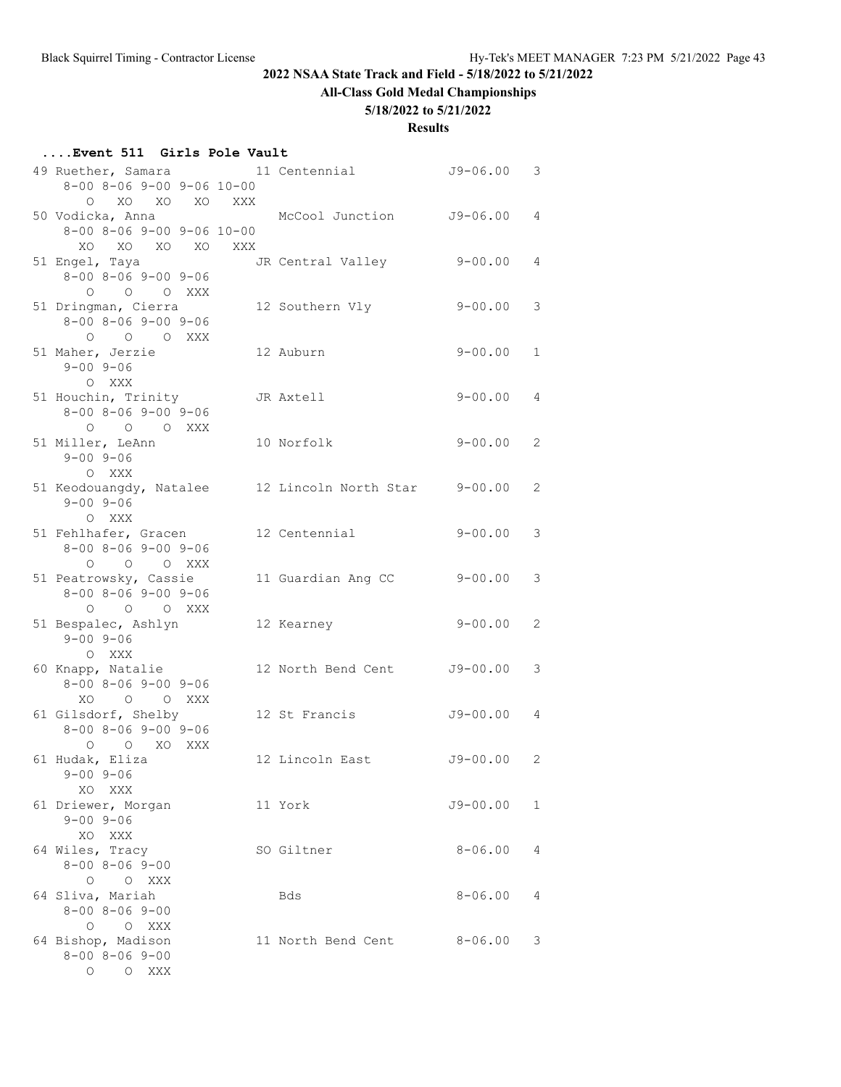# **All-Class Gold Medal Championships**

## **5/18/2022 to 5/21/2022**

| Event 511 Girls Pole Vault |  |  |
|----------------------------|--|--|
|                            |  |  |

| 49 Ruether, Samara                                       |     | 11 Centennial         | $J9 - 06.00$ | 3              |
|----------------------------------------------------------|-----|-----------------------|--------------|----------------|
| $8-00$ $8-06$ $9-00$ $9-06$ $10-00$                      |     |                       |              |                |
| o xo xo<br>XO                                            | XXX |                       |              |                |
| 50 Vodicka, Anna                                         |     | McCool Junction       | J9-06.00     | $\overline{4}$ |
| $8 - 00$ $8 - 06$ $9 - 00$ $9 - 06$ $10 - 00$            |     |                       |              |                |
| XO XO XO XO                                              | XXX |                       |              |                |
| 51 Engel, Taya                                           |     | JR Central Valley     | $9 - 00.00$  | $\overline{4}$ |
| $8 - 00$ $8 - 06$ $9 - 00$ $9 - 06$                      |     |                       |              |                |
| O O O XXX                                                |     |                       |              |                |
| 51 Dringman, Cierra                                      |     | 12 Southern Vly       | $9 - 00.00$  | 3              |
| $8 - 00$ $8 - 06$ $9 - 00$ $9 - 06$                      |     |                       |              |                |
| O O O XXX                                                |     |                       |              |                |
| 51 Maher, Jerzie                                         |     | 12 Auburn             | $9 - 00.00$  | $\mathbf{1}$   |
| $9 - 00$ $9 - 06$                                        |     |                       |              |                |
| O XXX                                                    |     |                       |              |                |
| 51 Houchin, Trinity                                      |     | JR Axtell             | $9 - 00.00$  | 4              |
| $8 - 00$ $8 - 06$ $9 - 00$ $9 - 06$                      |     |                       |              |                |
| $O$ $O$ $O$ $XXX$                                        |     |                       |              |                |
| 51 Miller, LeAnn                                         |     | 10 Norfolk            | $9 - 00.00$  | $\overline{2}$ |
| $9 - 00$ $9 - 06$                                        |     |                       |              |                |
| O XXX                                                    |     |                       |              |                |
| 51 Keodouangdy, Natalee                                  |     | 12 Lincoln North Star | $9 - 00.00$  | 2              |
| $9 - 00$ $9 - 06$                                        |     |                       |              |                |
| O XXX                                                    |     |                       |              |                |
| 51 Fehlhafer, Gracen                                     |     | 12 Centennial         | $9 - 00.00$  | 3              |
| $8 - 00$ $8 - 06$ $9 - 00$ $9 - 06$                      |     |                       |              |                |
| $\circ$<br>O O XXX                                       |     |                       |              |                |
| 51 Peatrowsky, Cassie                                    |     | 11 Guardian Ang CC    | $9 - 00.00$  | 3              |
| $8 - 00$ $8 - 06$ $9 - 00$ $9 - 06$                      |     |                       |              |                |
| O O O XXX                                                |     |                       |              |                |
| 51 Bespalec, Ashlyn                                      |     | 12 Kearney            | $9 - 00.00$  | 2              |
| $9 - 00$ $9 - 06$                                        |     |                       |              |                |
| O XXX                                                    |     |                       |              | 3              |
| 60 Knapp, Natalie<br>$8 - 00$ $8 - 06$ $9 - 00$ $9 - 06$ |     | 12 North Bend Cent    | J9-00.00     |                |
|                                                          |     |                       |              |                |
| XO O O XXX<br>61 Gilsdorf, Shelby                        |     | 12 St Francis         | $J9 - 00.00$ | 4              |
| $8 - 00$ $8 - 06$ $9 - 00$ $9 - 06$                      |     |                       |              |                |
| $O$ $O$ $XO$<br>XXX                                      |     |                       |              |                |
| 61 Hudak, Eliza                                          |     | 12 Lincoln East       | J9-00.00     | 2              |
| $9 - 00$ $9 - 06$                                        |     |                       |              |                |
| XO XXX                                                   |     |                       |              |                |
| 61 Driewer, Morgan                                       |     | 11 York               | J9-00.00     | 1              |
| $9 - 00$ $9 - 06$                                        |     |                       |              |                |
| XO XXX                                                   |     |                       |              |                |
| 64 Wiles, Tracy                                          |     | SO Giltner            | $8 - 06.00$  | 4              |
| $8 - 00$ $8 - 06$ $9 - 00$                               |     |                       |              |                |
| O O XXX                                                  |     |                       |              |                |
| 64 Sliva, Mariah                                         |     | Bds                   | $8 - 06.00$  | 4              |
| $8 - 00$ $8 - 06$ $9 - 00$                               |     |                       |              |                |
| O O XXX                                                  |     |                       |              |                |
| 64 Bishop, Madison                                       |     | 11 North Bend Cent    | $8 - 06.00$  | 3              |
| $8 - 00$ $8 - 06$ $9 - 00$                               |     |                       |              |                |
| O O XXX                                                  |     |                       |              |                |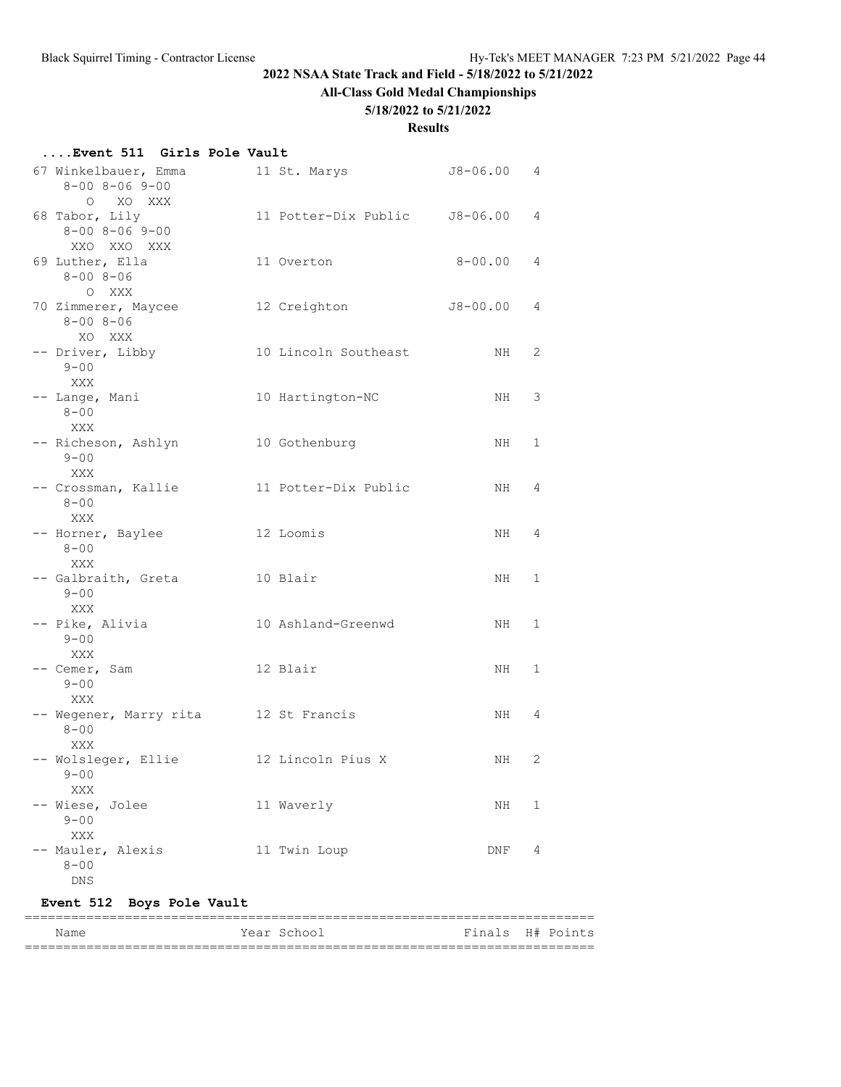## **All-Class Gold Medal Championships**

### **5/18/2022 to 5/21/2022**

#### **Results**

## **....Event 511 Girls Pole Vault**

| 67 Winkelbauer, Emma<br>$8 - 00$ $8 - 06$ $9 - 00$                      | 11 St. Marys         | $J8 - 06.00$ | 4 |
|-------------------------------------------------------------------------|----------------------|--------------|---|
| O XO XXX<br>68 Tabor, Lily<br>$8 - 00$ $8 - 06$ $9 - 00$<br>XXO XXO XXX | 11 Potter-Dix Public | J8-06.00     | 4 |
| 69 Luther, Ella<br>$8 - 008 - 06$<br>O XXX                              | 11 Overton           | 8-00.00      | 4 |
| 70 Zimmerer, Maycee<br>$8 - 008 - 06$<br>XO XXX                         | 12 Creighton         | $J8 - 00.00$ | 4 |
| -- Driver, Libby<br>$9 - 00$<br>XXX                                     | 10 Lincoln Southeast | NH           | 2 |
| -- Lange, Mani<br>$8 - 00$<br>XXX                                       | 10 Hartington-NC     | NH           | 3 |
| -- Richeson, Ashlyn<br>$9 - 00$<br>XXX                                  | 10 Gothenburg        | NH           | 1 |
| -- Crossman, Kallie<br>$8 - 00$<br>XXX                                  | 11 Potter-Dix Public | NH           | 4 |
| -- Horner, Baylee<br>$8 - 00$<br>XXX                                    | 12 Loomis            | NH           | 4 |
| -- Galbraith, Greta<br>$9 - 00$<br>XXX                                  | 10 Blair             | NH.          | 1 |
| -- Pike, Alivia<br>$9 - 00$<br>XXX                                      | 10 Ashland-Greenwd   | NH           | 1 |
| -- Cemer, Sam<br>$9 - 00$<br>XXX                                        | 12 Blair             | NH.          | 1 |
| -- Wegener, Marry rita<br>$8 - 00$<br>XXX                               | 12 St Francis        | NH           | 4 |
| -- Wolsleger, Ellie<br>$9 - 00$<br>XXX                                  | 12 Lincoln Pius X    | NH           | 2 |
| Wiese, Jolee<br>$9 - 00$<br>XXX                                         | 11 Waverly           | ΝH           | 1 |
| Mauler, Alexis<br>$8 - 00$<br>DNS                                       | 11 Twin Loup         | DNF          | 4 |

# **Event 512 Boys Pole Vault**

| Name | Year School | Finals H# Points |  |
|------|-------------|------------------|--|
|      |             |                  |  |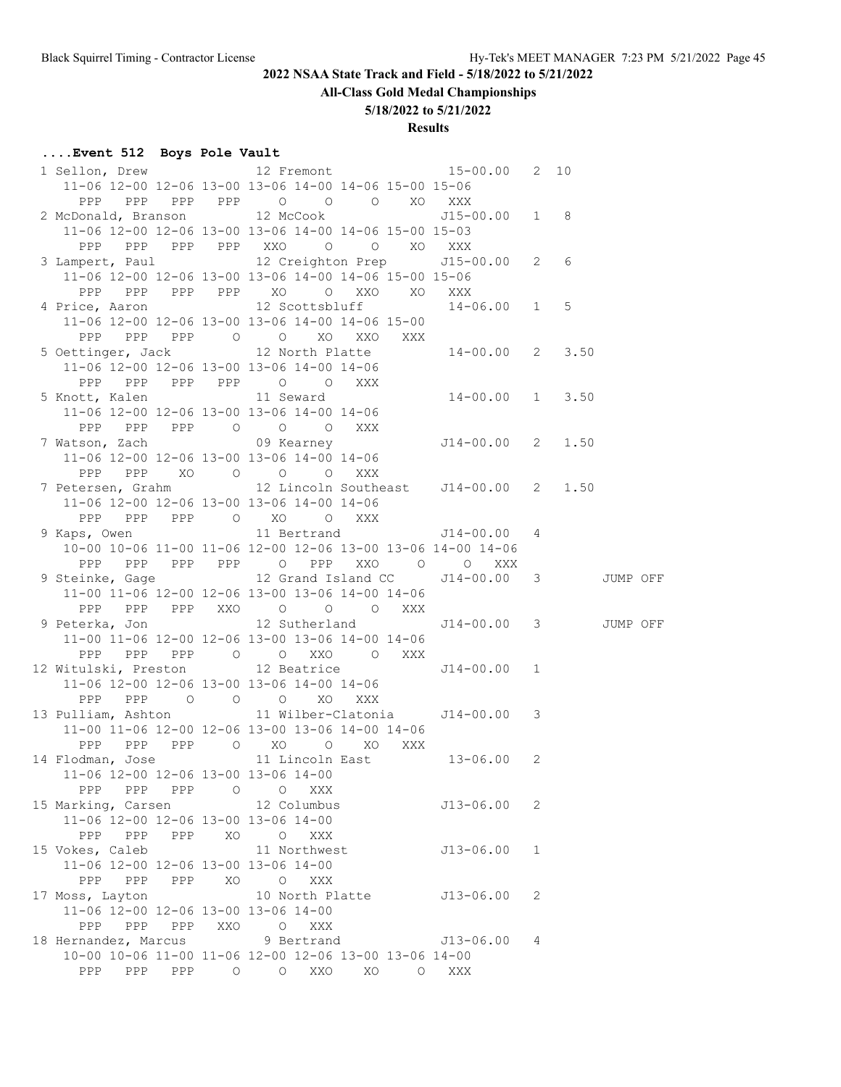# **All-Class Gold Medal Championships**

## **5/18/2022 to 5/21/2022**

## **Results**

# **....Event 512 Boys Pole Vault**

| 1 Sellon, Drew 12 Fremont 15-00.00 2 10                                                                                                 |     |         |                       |    |         |                                   |                |  |  |
|-----------------------------------------------------------------------------------------------------------------------------------------|-----|---------|-----------------------|----|---------|-----------------------------------|----------------|--|--|
| 11-06 12-00 12-06 13-00 13-06 14-00 14-06 15-00 15-06                                                                                   |     |         |                       |    |         |                                   |                |  |  |
| PPP PPP PPP PPP 0 0 0 XO XXX                                                                                                            |     |         |                       |    |         |                                   |                |  |  |
| 2 McDonald, Branson 12 McCook 515-00.00 1 8                                                                                             |     |         |                       |    |         |                                   |                |  |  |
| 11-06 12-00 12-06 13-00 13-06 14-00 14-06 15-00 15-03                                                                                   |     |         |                       |    |         |                                   |                |  |  |
| PPP PPP PPP PPP XXO O O XO XXX                                                                                                          |     |         |                       |    |         |                                   |                |  |  |
| 3 Lampert, Paul 12 Creighton Prep 515-00.00 2 6                                                                                         |     |         |                       |    |         |                                   |                |  |  |
| 11-06 12-00 12-06 13-00 13-06 14-00 14-06 15-00 15-06                                                                                   |     |         |                       |    |         |                                   |                |  |  |
| PPP PPP PPP PPP XO O XXO XO XXX                                                                                                         |     |         |                       |    |         |                                   |                |  |  |
| 4 Price, Aaron 12 Scottsbluff 14-06.00 1 5                                                                                              |     |         |                       |    |         |                                   |                |  |  |
| 11-06 12-00 12-06 13-00 13-06 14-00 14-06 15-00                                                                                         |     |         |                       |    |         |                                   |                |  |  |
| 5 Oettinger, Jack 12 North Platte 14-00.00 2 3.50<br>11-06 12-00 12-06 13-00 13-06 14-00 14 06                                          |     |         |                       |    |         |                                   |                |  |  |
|                                                                                                                                         |     |         |                       |    |         |                                   |                |  |  |
|                                                                                                                                         |     |         |                       |    |         |                                   |                |  |  |
| PPP PPP PPP PPP 0 0 XXX                                                                                                                 |     |         |                       |    |         |                                   |                |  |  |
| 5 Knott, Kalen 11 Seward 14-00.00 1 3.50                                                                                                |     |         |                       |    |         |                                   |                |  |  |
| 11-06 12-00 12-06 13-00 13-06 14-00 14-06                                                                                               |     |         |                       |    |         |                                   |                |  |  |
| PPP PPP PPP 0 0 0 XXX<br>7 Watson, Zach<br>11-06 12-00 12-06 13-00 12-06 13-06 14:00 14:00<br>11-06 12-00 12-06 13-00 12-06 14:00 14:00 |     |         |                       |    |         |                                   |                |  |  |
|                                                                                                                                         |     |         |                       |    |         |                                   |                |  |  |
| 11-06 12-00 12-06 13-00 13-06 14-00 14-06                                                                                               |     |         |                       |    |         |                                   |                |  |  |
| PPP PPP XO O O O XXX                                                                                                                    |     |         |                       |    |         |                                   |                |  |  |
| 7 Petersen, Grahm 12 Lincoln Southeast J14-00.00 2 1.50                                                                                 |     |         |                       |    |         |                                   |                |  |  |
| 11-06 12-00 12-06 13-00 13-06 14-00 14-06                                                                                               |     |         |                       |    |         |                                   |                |  |  |
| PPP                                                                                                                                     |     |         | PPP PPP 0 XO 0 XXX    |    |         |                                   |                |  |  |
| 9 Kaps, Owen 11 Bertrand 514-00.00 4                                                                                                    |     |         |                       |    |         |                                   |                |  |  |
| 10-00 10-06 11-00 11-06 12-00 12-06 13-00 13-06 14-00 14-06                                                                             |     |         |                       |    |         |                                   |                |  |  |
|                                                                                                                                         |     |         |                       |    |         | PPP PPP PPP PPP 0 PPP XXO 0 0 XXX |                |  |  |
|                                                                                                                                         |     |         |                       |    |         |                                   |                |  |  |
| 9 Steinke, Gage 12 Grand Island CC J14-00.00 3 JUMP OFF                                                                                 |     |         |                       |    |         |                                   |                |  |  |
| 11-00 11-06 12-00 12-06 13-00 13-06 14-00 14-06                                                                                         |     |         |                       |    |         |                                   |                |  |  |
| PPP PPP PPP XXO O O O XXX                                                                                                               |     |         |                       |    |         |                                   |                |  |  |
| 9 Peterka, Jon 12 Sutherland J14-00.00 3 JUMP OFF                                                                                       |     |         |                       |    |         |                                   |                |  |  |
| 11-00 11-06 12-00 12-06 13-00 13-06 14-00 14-06                                                                                         |     |         |                       |    |         |                                   |                |  |  |
| PPP PPP PPP 0 0 XXO 0 XXX                                                                                                               |     |         |                       |    |         |                                   |                |  |  |
|                                                                                                                                         |     |         |                       |    |         | $J14 - 00.00 1$                   |                |  |  |
| 12 Witulski, Preston 12 Beatrice<br>11-06 12-00 12-06 13-00 13-06 14-00 14-06                                                           |     |         |                       |    |         |                                   |                |  |  |
| PPP PPP 0 0 0 XO XXX                                                                                                                    |     |         |                       |    |         |                                   |                |  |  |
| 13 Pulliam, Ashton 11 Wilber-Clatonia 114-00.00 3                                                                                       |     |         |                       |    |         |                                   |                |  |  |
| 11-00 11-06 12-00 12-06 13-00 13-06 14-00 14-06                                                                                         |     |         |                       |    |         |                                   |                |  |  |
| PPP PPP PPP 0 XO 0 XO XXX                                                                                                               |     |         |                       |    |         |                                   |                |  |  |
| 14 Flodman, Jose 11 Lincoln East 13-06.00 2                                                                                             |     |         |                       |    |         |                                   |                |  |  |
| 11-06 12-00 12-06 13-00 13-06 14-00                                                                                                     |     |         |                       |    |         |                                   |                |  |  |
| PPP PPP PPP 0 0                                                                                                                         |     |         | XXX                   |    |         |                                   |                |  |  |
| 15 Marking, Carsen 12 Columbus                                                                                                          |     |         |                       |    |         | J13-06.00                         | 2              |  |  |
| 11-06 12-00 12-06 13-00 13-06 14-00                                                                                                     |     |         |                       |    |         |                                   |                |  |  |
| PPP PPP PPP                                                                                                                             |     | XO      | O XXX                 |    |         |                                   |                |  |  |
| 15 Vokes, Caleb                                                                                                                         |     |         | 11 Northwest          |    |         | J13-06.00                         | $\overline{1}$ |  |  |
| 11-06 12-00 12-06 13-00 13-06 14-00                                                                                                     |     |         |                       |    |         |                                   |                |  |  |
| PPP<br>PPP                                                                                                                              | PPP | XO      | XXX<br>$\circ$        |    |         |                                   |                |  |  |
| 17 Moss, Layton                                                                                                                         |     |         | 10 North Platte       |    |         | J13-06.00                         | 2              |  |  |
| 11-06 12-00 12-06 13-00 13-06 14-00                                                                                                     |     |         |                       |    |         |                                   |                |  |  |
| PPP PPP PPP                                                                                                                             |     | XXO     | $\overline{O}$<br>XXX |    |         |                                   |                |  |  |
| 18 Hernandez, Marcus                                                                                                                    |     |         | 9 Bertrand            |    |         | J13-06.00                         | 4              |  |  |
| 10-00 10-06 11-00 11-06 12-00 12-06 13-00 13-06 14-00<br><b>PPP</b><br>PPP                                                              | PPP | $\circ$ | XXO<br>$\circ$        | XO | $\circ$ | XXX                               |                |  |  |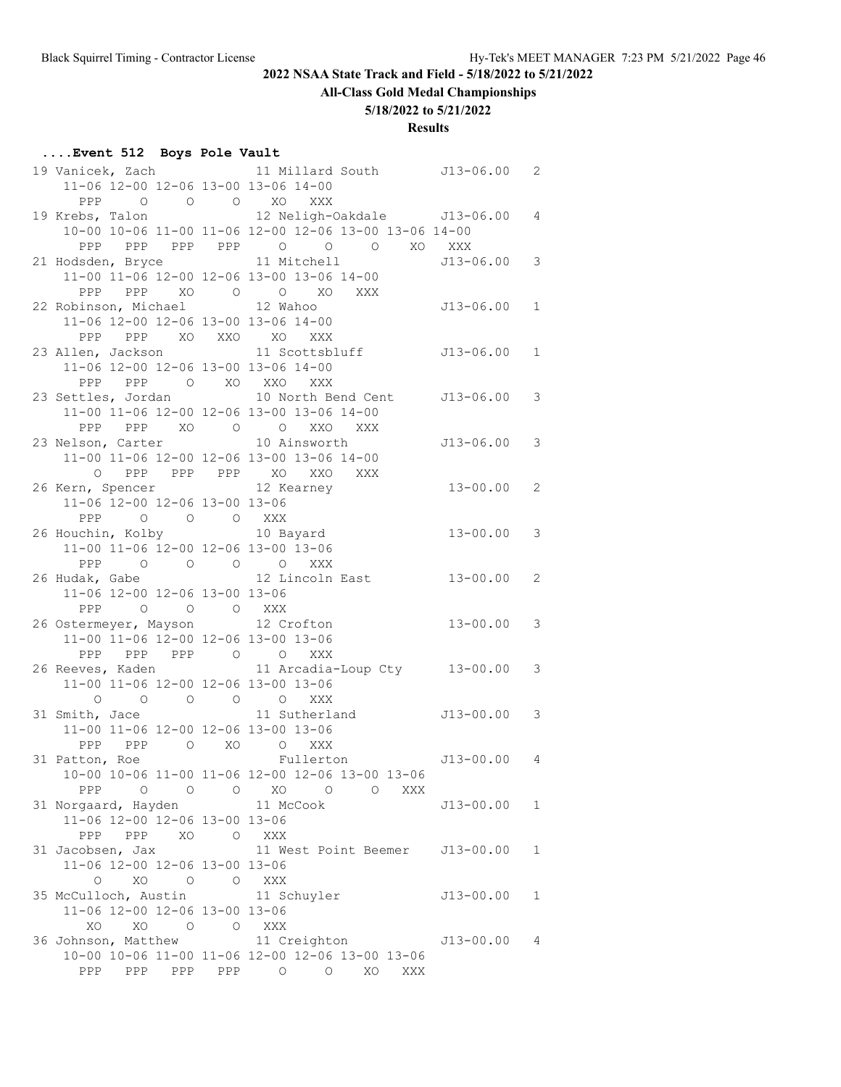# **All-Class Gold Medal Championships**

**5/18/2022 to 5/21/2022**

**Results**

## **....Event 512 Boys Pole Vault**

| 11-06 12-00 12-06 13-00 13-06 14-00 |          |                                                       |                 |              |
|-------------------------------------|----------|-------------------------------------------------------|-----------------|--------------|
| PPP 0 0 0 XO XXX                    |          |                                                       |                 |              |
|                                     |          | 19 Krebs, Talon 12 Neligh-Oakdale 313-06.00 4         |                 |              |
|                                     |          | 10-00 10-06 11-00 11-06 12-00 12-06 13-00 13-06 14-00 |                 |              |
|                                     |          | PPP PPP PPP PPP 0 0 0 XO XXX                          |                 |              |
|                                     |          | 21 Hodsden, Bryce 11 Mitchell                         | $J13-06.00 3$   |              |
|                                     |          | 11-00 11-06 12-00 12-06 13-00 13-06 14-00             |                 |              |
|                                     |          | PPP PPP XO O O XO XXX                                 |                 |              |
| 22 Robinson, Michael 12 Wahoo       |          |                                                       | $J13-06.00 1$   |              |
| 11-06 12-00 12-06 13-00 13-06 14-00 |          |                                                       |                 |              |
| PPP PPP XO XXO XO XXX               |          |                                                       |                 |              |
|                                     |          | 23 Allen, Jackson and 11 Scottsbluff 513-06.00        |                 | $\mathbf{1}$ |
| 11-06 12-00 12-06 13-00 13-06 14-00 |          |                                                       |                 |              |
| PPP PPP O XO XXO XXX                |          |                                                       |                 |              |
|                                     |          | 23 Settles, Jordan 10 North Bend Cent J13-06.00 3     |                 |              |
|                                     |          | 11-00 11-06 12-00 12-06 13-00 13-06 14-00             |                 |              |
|                                     |          | PPP PPP XO O O XXO XXX                                |                 |              |
| 23 Nelson, Carter 10 Ainsworth      |          |                                                       | $J13 - 06.00$ 3 |              |
|                                     |          | 11-00 11-06 12-00 12-06 13-00 13-06 14-00             |                 |              |
|                                     |          | O PPP PPP PPP XO XXO XXX                              |                 |              |
| 26 Kern, Spencer 12 Kearney         |          |                                                       | $13 - 00.00$ 2  |              |
| 11-06 12-00 12-06 13-00 13-06       |          |                                                       |                 |              |
| PPP 0 0 0 XXX                       |          |                                                       |                 |              |
|                                     |          | 26 Houchin, Kolby 10 Bayard                           | $13 - 00.00$ 3  |              |
| 11-00 11-06 12-00 12-06 13-00 13-06 |          |                                                       |                 |              |
| PPP 0 0 0 0 XXX                     |          |                                                       |                 |              |
|                                     |          | 26 Hudak, Gabe 12 Lincoln East                        | $13 - 00.00$ 2  |              |
| 11-06 12-00 12-06 13-00 13-06       |          |                                                       |                 |              |
| PPP 0 0 0 XXX                       |          |                                                       |                 |              |
| 26 Ostermeyer, Mayson 12 Crofton    |          |                                                       | $13 - 00.00$ 3  |              |
| 11-00 11-06 12-00 12-06 13-00 13-06 |          |                                                       |                 |              |
| PPP PPP PPP 0 0 XXX                 |          |                                                       |                 |              |
|                                     |          | 26 Reeves, Kaden 11 Arcadia-Loup Cty 13-00.00 3       |                 |              |
| 11-00 11-06 12-00 12-06 13-00 13-06 |          |                                                       |                 |              |
|                                     |          | 0 0 0 0 0 XXX                                         |                 |              |
| 31 Smith, Jace                      |          | 11 Sutherland J13-00.00 3                             |                 |              |
| 11-00 11-06 12-00 12-06 13-00 13-06 |          |                                                       |                 |              |
| PPP PPP O XO O XXX                  |          |                                                       |                 |              |
|                                     |          | 31 Patton, Roe Fullerton 513-00.00 4                  |                 |              |
|                                     |          | 10-00 10-06 11-00 11-06 12-00 12-06 13-00 13-06       |                 |              |
| PPP 0 0 0 XO 0                      |          |                                                       |                 |              |
| 31 Norgaard, Hayden 11 McCook       |          | XXX<br>$\circ$                                        |                 |              |
| 11-06 12-00 12-06 13-00 13-06       |          |                                                       | $J13-00.00 1$   |              |
| PPP                                 |          |                                                       |                 |              |
| PPP                                 | XO O XXX |                                                       |                 |              |
| 31 Jacobsen, Jax                    |          | 11 West Point Beemer J13-00.00                        |                 | $\mathbf{1}$ |
| 11-06 12-00 12-06 13-00 13-06       |          |                                                       |                 |              |
| XO<br>$\circ$                       | O O XXX  |                                                       |                 |              |
| 35 McCulloch, Austin                |          | 11 Schuyler                                           | $J13 - 00.00$   | $\mathbf{1}$ |
| 11-06 12-00 12-06 13-00 13-06       |          |                                                       |                 |              |
| XO                                  | $XO$ 0 0 | XXX                                                   |                 |              |
| 36 Johnson, Matthew                 |          | 11 Creighton                                          | $J13-00.004$    |              |
|                                     |          | 10-00 10-06 11-00 11-06 12-00 12-06 13-00 13-06       |                 |              |
|                                     |          | PPP PPP PPP PPP 0 0<br>XO<br>XXX                      |                 |              |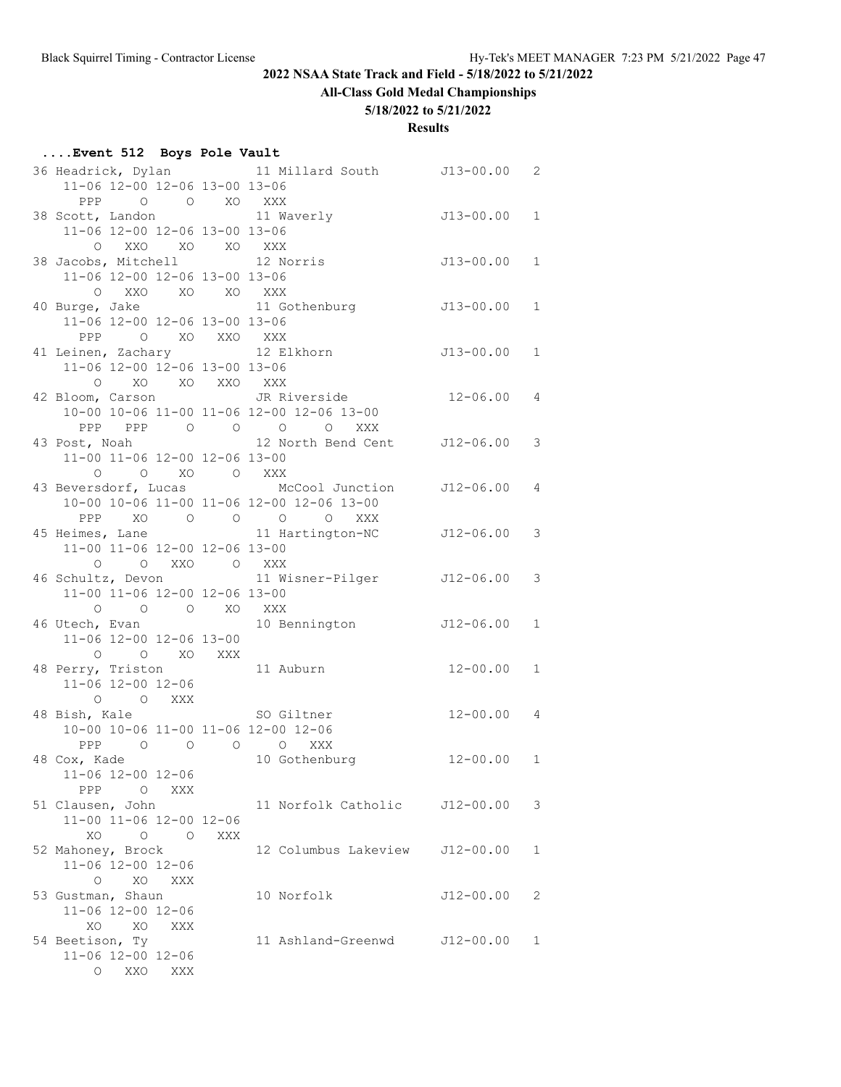# **All-Class Gold Medal Championships**

## **5/18/2022 to 5/21/2022**

| Event 512 Boys Pole Vault                                                                                                                                                               |     |     |                                                                            |                |   |
|-----------------------------------------------------------------------------------------------------------------------------------------------------------------------------------------|-----|-----|----------------------------------------------------------------------------|----------------|---|
| 11-06 12-00 12-06 13-00 13-06                                                                                                                                                           |     |     | 36 Headrick, Dylan 11 Millard South J13-00.00 2                            |                |   |
| PPP O O XO XXX<br>38 Scott, Landon                                                                                                                                                      |     |     | 11 Waverly 513-00.00 1                                                     |                |   |
| 11-06 12-00 12-06 13-00 13-06<br>O XXO XO XO XXX<br>38 Jacobs, Mitchell 12 Norris                                                                                                       |     |     |                                                                            | $J13-00.00 1$  |   |
| 11-06 12-00 12-06 13-00 13-06<br>O XXO XO XO XXX                                                                                                                                        |     |     |                                                                            |                |   |
| 11-06 12-00 12-06 13-00 13-06                                                                                                                                                           |     |     | 40 Burge, Jake 11 Gothenburg                                               | $J13-00.00 1$  |   |
| PPP 0 XO XXO XXX<br>11-06 12-00 12-06 13-00 13-06                                                                                                                                       |     |     | 41 Leinen, Zachary 12 Elkhorn 13-00.00 1                                   |                |   |
| O XO XO XXO XXX                                                                                                                                                                         |     |     | 42 Bloom, Carson JR Riverside<br>10-00 10-06 11-00 11-06 12-00 12-06 13-00 | $12 - 06.00$ 4 |   |
|                                                                                                                                                                                         |     |     | PPP PPP 0 0 0 0 XXX<br>43 Post, Noah 12 North Bend Cent J12-06.00 3        |                |   |
| 11-00 11-06 12-00 12-06 13-00<br>$\begin{matrix} \mathsf{O} \qquad & \mathsf{O} \qquad & \mathsf{X}\mathsf{O} \qquad & \mathsf{O} \qquad & \mathsf{X}\mathsf{X}\mathsf{X} \end{matrix}$ |     |     | 43 Beversdorf, Lucas McCool Junction J12-06.00 4                           |                |   |
|                                                                                                                                                                                         |     |     | 10-00 10-06 11-00 11-06 12-00 12-06 13-00<br>PPP XO O O O O XXX            |                |   |
| 11-00 11-06 12-00 12-06 13-00<br>$\begin{matrix} 0 && 0 && XX0 && 0 && XXX \end{matrix}$                                                                                                |     |     | 45 Heimes, Lane 11 Hartington-NC J12-06.00 3                               |                |   |
| 11-00 11-06 12-00 12-06 13-00                                                                                                                                                           |     |     | 46 Schultz, Devon 11 Wisner-Pilger 512-06.00 3                             |                |   |
| $\begin{matrix} 0 & 0 & 0 \end{matrix} \quad \begin{matrix} 0 & X0 \end{matrix} \quad \begin{matrix} XXX \end{matrix}$<br>11-06 12-00 12-06 13-00                                       |     |     | 46 Utech, Evan 10 Bennington 512-06.00 1                                   |                |   |
| 0 0 0 XO XXX<br>48 Perry, Triston 11 Auburn<br>11-06 12-00 12-06                                                                                                                        |     |     |                                                                            | $12 - 00.00$ 1 |   |
| O O XXX<br>48 Bish, Kale SO Giltner                                                                                                                                                     |     |     |                                                                            | $12 - 00.00$ 4 |   |
| 10-00 10-06 11-00 11-06 12-00 12-06<br>PPP 0 0 0 0 XXX<br>48 Cox, Kade 10 Gothenburg                                                                                                    |     |     |                                                                            | $12 - 00.00$ 1 |   |
| 11-06 12-00 12-06<br>PPP<br>$\overline{O}$                                                                                                                                              | XXX |     |                                                                            |                |   |
| 51 Clausen, John<br>11-00 11-06 12-00 12-06<br>XO<br>$\begin{matrix} 0 & 0 \\ 0 & 0 \end{matrix}$                                                                                       |     | XXX | 11 Norfolk Catholic                                                        | $J12 - 00.00$  | 3 |
| 52 Mahoney, Brock<br>11-06 12-00 12-06                                                                                                                                                  |     |     | 12 Columbus Lakeview                                                       | $J12 - 00.00$  | 1 |
| $\circ$<br>XO<br>53 Gustman, Shaun<br>11-06 12-00 12-06                                                                                                                                 | XXX |     | 10 Norfolk                                                                 | $J12 - 00.00$  | 2 |
| XO<br>XO<br>54 Beetison, Ty<br>11-06 12-00 12-06                                                                                                                                        | XXX |     | 11 Ashland-Greenwd J12-00.00                                               |                | 1 |
| O XXO XXX                                                                                                                                                                               |     |     |                                                                            |                |   |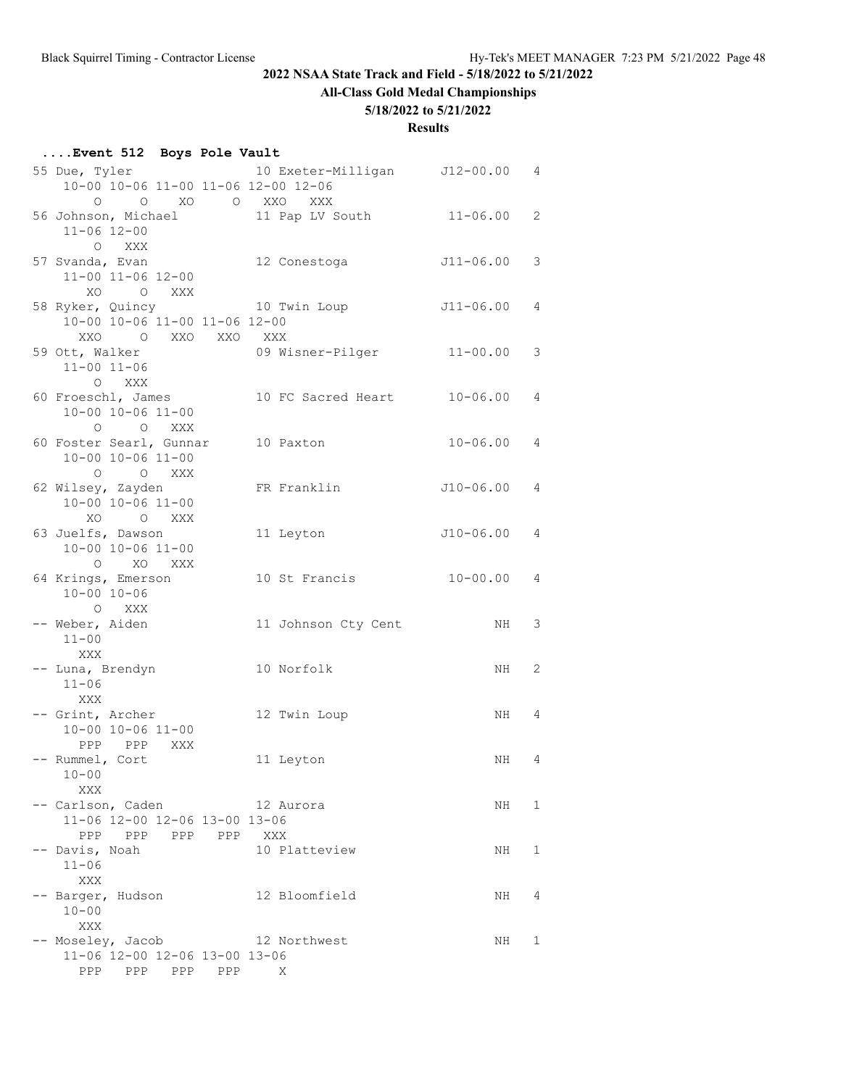# **All-Class Gold Medal Championships**

## **5/18/2022 to 5/21/2022**

| Event 512 Boys Pole Vault                                          |  |     |                                |               |              |
|--------------------------------------------------------------------|--|-----|--------------------------------|---------------|--------------|
| 55 Due, Tyler<br>10-00 10-06 11-00 11-06 12-00 12-06               |  |     | 10 Exeter-Milligan J12-00.00 4 |               |              |
| O O XO O XXO XXX<br>56 Johnson, Michael                            |  |     | 11 Pap LV South 11-06.00       |               | 2            |
| $11 - 06$ $12 - 00$<br>O XXX                                       |  |     |                                |               |              |
| 57 Svanda, Evan<br>11-00 11-06 12-00<br>XO O XXX                   |  |     | 12 Conestoga                   | J11-06.00     | 3            |
| 58 Ryker, Quincy<br>10-00 10-06 11-00 11-06 12-00                  |  |     | 10 Twin Loup                   | J11-06.00 4   |              |
| O XXO XXO XXX<br>XXO<br>59 Ott, Walker                             |  |     |                                |               | 3            |
| $11 - 00$ $11 - 06$<br>O XXX                                       |  |     |                                |               |              |
| 60 Froeschl, James<br>10-00 10-06 11-00<br>O O XXX                 |  |     | 10 FC Sacred Heart 10-06.00    |               | 4            |
| 60 Foster Searl, Gunnar<br>$10 - 00$ $10 - 06$ $11 - 00$           |  |     | 10 Paxton                      | $10 - 06.00$  | 4            |
| O O XXX<br>62 Wilsey, Zayden<br>$10 - 00$ $10 - 06$ $11 - 00$      |  |     | FR Franklin                    | $J10-06.004$  |              |
| O XXX<br>XO.<br>63 Juelfs, Dawson<br>$10 - 00$ $10 - 06$ $11 - 00$ |  |     | 11 Leyton                      | $J10-06.00 4$ |              |
| O XO XXX<br>64 Krings, Emerson                                     |  |     | 10 St Francis 10-00.00         |               | 4            |
| $10 - 00$ $10 - 06$<br>O XXX                                       |  |     |                                |               |              |
| -- Weber, Aiden<br>$11 - 00$<br>XXX                                |  |     | 11 Johnson Cty Cent            | NH            | 3            |
| -- Luna, Brendyn<br>$11 - 06$                                      |  |     | 10 Norfolk                     | NH            | 2            |
| XXX<br>-- Grint, Archer<br>10-00 10-06 11-00                       |  |     | 12 Twin Loup                   | NH 4          |              |
| PPP PPP XXX<br>- Rummel, Cort<br>$10 - 00$                         |  |     | 11 Leyton                      | NH 4          |              |
| XXX<br>-- Carlson, Caden<br>11-06 12-00 12-06 13-00 13-06          |  |     | 12 Aurora                      | NH            | $\mathbf{1}$ |
| PPP PPP PPP PPP<br>-- Davis, Noah                                  |  | XXX | 10 Platteview                  | NH            | 1            |
| $11 - 06$<br>XXX<br>-- Barger, Hudson                              |  |     | 12 Bloomfield                  | NH            | 4            |
| $10 - 00$<br>XXX                                                   |  |     |                                |               |              |
| -- Moseley, Jacob                                                  |  |     | 12 Northwest                   | NH            | 1            |
| 11-06 12-00 12-06 13-00 13-06                                      |  |     |                                |               |              |
| PPP PPP PPP PPP                                                    |  |     | X                              |               |              |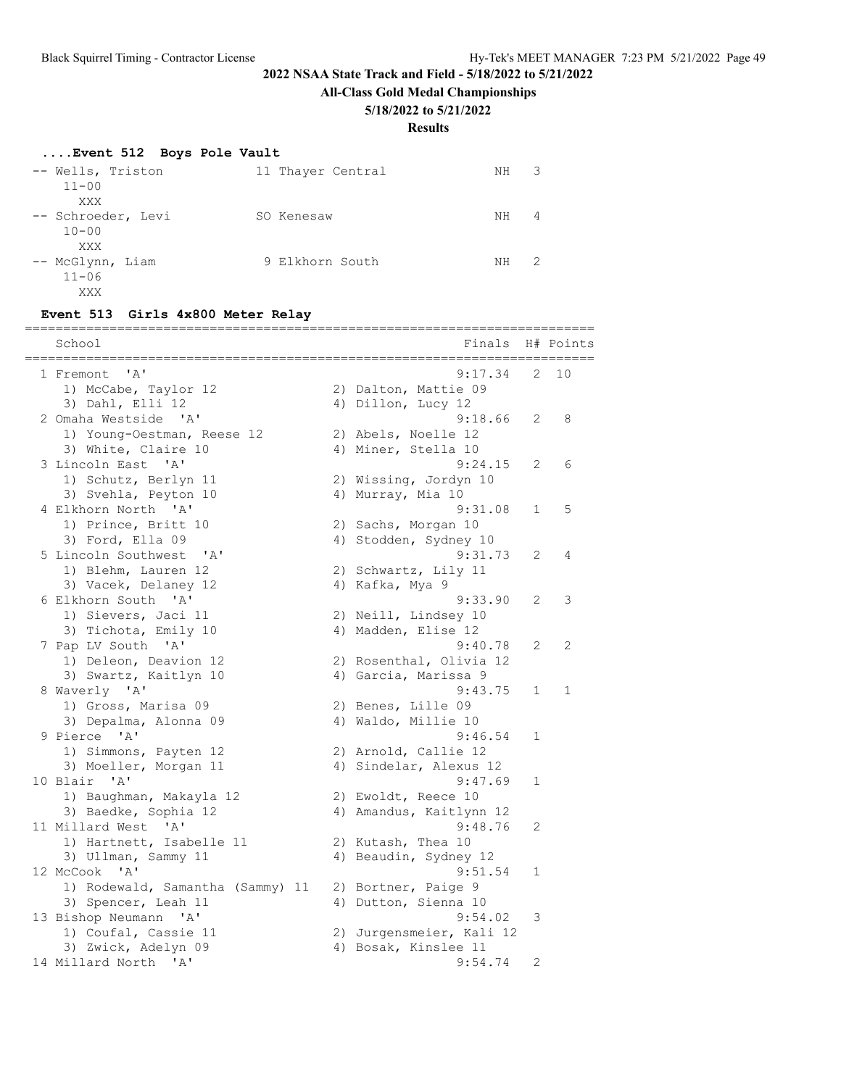**All-Class Gold Medal Championships**

### **5/18/2022 to 5/21/2022**

**Results**

## **....Event 512 Boys Pole Vault**

| -- Wells, Triston<br>$11 - 00$              | 11 Thayer Central | 3<br>NΗ  |
|---------------------------------------------|-------------------|----------|
| XXX<br>-- Schroeder, Levi<br>$10 - 00$      | SO Kenesaw        | 4<br>ΝH  |
| XXX<br>-- McGlynn, Liam<br>$11 - 06$<br>XXX | 9 Elkhorn South   | -2<br>NΗ |

#### **Event 513 Girls 4x800 Meter Relay**

| School<br>===================                 |    | Finals                   |   | H# Points |
|-----------------------------------------------|----|--------------------------|---|-----------|
| 1 Fremont 'A'                                 |    | 9:17.34                  | 2 | 10        |
| 1) McCabe, Taylor 12                          |    | 2) Dalton, Mattie 09     |   |           |
| 3) Dahl, Elli 12                              | 4) | Dillon, Lucy 12          |   |           |
| 2 Omaha Westside<br>$^{\prime}$ A $^{\prime}$ |    | 9:18.66                  | 2 | 8         |
| 1) Young-Oestman, Reese 12                    |    | 2) Abels, Noelle 12      |   |           |
| 3) White, Claire 10                           |    | 4) Miner, Stella 10      |   |           |
| 3 Lincoln East<br>$\mathsf{A}$                |    | 9:24.15                  | 2 | 6         |
| 1) Schutz, Berlyn 11                          |    | 2) Wissing, Jordyn 10    |   |           |
| 3) Svehla, Peyton 10                          |    | 4) Murray, Mia 10        |   |           |
| 4 Elkhorn North 'A'                           |    | 9:31.08                  | 1 | 5         |
| 1) Prince, Britt 10                           |    | 2) Sachs, Morgan 10      |   |           |
| 3) Ford, Ella 09                              |    | 4) Stodden, Sydney 10    |   |           |
| 5 Lincoln Southwest 'A'                       |    | 9:31.73                  | 2 | 4         |
| 1) Blehm, Lauren 12                           |    | 2) Schwartz, Lily 11     |   |           |
| 3) Vacek, Delaney 12                          |    | 4) Kafka, Mya 9          |   |           |
| 6 Elkhorn South 'A'                           |    | 9:33.90                  | 2 | 3         |
| 1) Sievers, Jaci 11                           |    | 2) Neill, Lindsey 10     |   |           |
| 3) Tichota, Emily 10                          |    | 4) Madden, Elise 12      |   |           |
| 7 Pap LV South 'A'                            |    | 9:40.78                  | 2 | 2         |
| 1) Deleon, Deavion 12                         |    | 2) Rosenthal, Olivia 12  |   |           |
| 3) Swartz, Kaitlyn 10                         |    | 4) Garcia, Marissa 9     |   |           |
| 8 Waverly 'A'                                 |    | 9:43.75                  | 1 | 1         |
| 1) Gross, Marisa 09                           |    | 2) Benes, Lille 09       |   |           |
| 3) Depalma, Alonna 09                         |    | 4) Waldo, Millie 10      |   |           |
| 9 Pierce 'A'                                  |    | 9:46.54                  | 1 |           |
| 1) Simmons, Payten 12                         |    | 2) Arnold, Callie 12     |   |           |
| 3) Moeller, Morgan 11                         | 4) | Sindelar, Alexus 12      |   |           |
| 10 Blair 'A'                                  |    | 9:47.69                  | 1 |           |
| 1) Baughman, Makayla 12                       |    | 2) Ewoldt, Reece 10      |   |           |
| 3) Baedke, Sophia 12                          |    | 4) Amandus, Kaitlynn 12  |   |           |
| 11 Millard West 'A'                           |    | 9:48.76                  | 2 |           |
| 1) Hartnett, Isabelle 11                      |    | 2) Kutash, Thea 10       |   |           |
| 3) Ullman, Sammy 11                           |    | 4) Beaudin, Sydney 12    |   |           |
| 12 McCook 'A'                                 |    | 9:51.54                  | 1 |           |
| 1) Rodewald, Samantha (Sammy) 11              |    | 2) Bortner, Paige 9      |   |           |
| 3) Spencer, Leah 11                           |    | 4) Dutton, Sienna 10     |   |           |
| 13 Bishop Neumann 'A'                         |    | 9:54.02                  | 3 |           |
| 1) Coufal, Cassie 11                          |    | 2) Jurgensmeier, Kali 12 |   |           |
| 3) Zwick, Adelyn 09                           |    | 4) Bosak, Kinslee 11     |   |           |
| 14 Millard North 'A'                          |    | 9:54.74                  | 2 |           |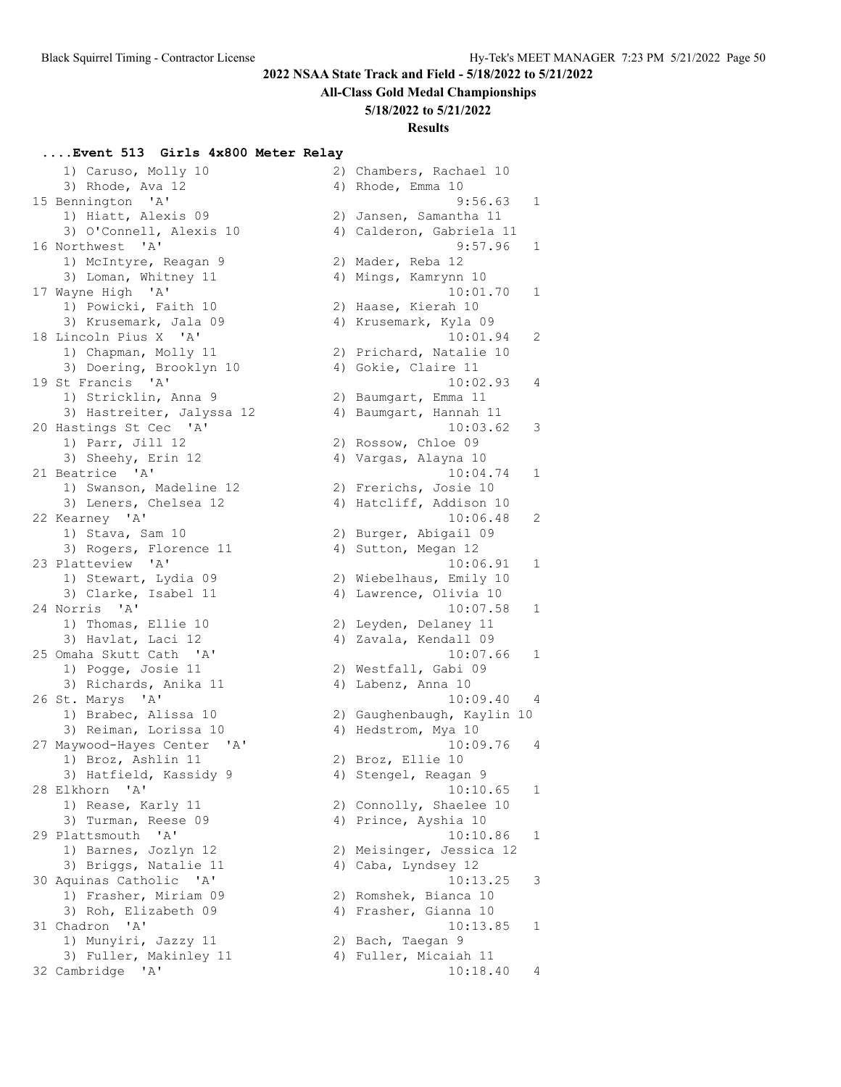#### **All-Class Gold Medal Championships**

#### **5/18/2022 to 5/21/2022**

### **Results**

#### **....Event 513 Girls 4x800 Meter Relay**

 1) Caruso, Molly 10 2) Chambers, Rachael 10 3) Rhode, Ava 12 4) Rhode, Emma 10 1) Hiatt, Alexis 09 2) Jansen, Samantha 11 3) O'Connell, Alexis 10 4) Calderon, Gabriela 11 1) McIntyre, Reagan 9 2) Mader, Reba 12 3) Loman, Whitney 11 4) Mings, Kamrynn 10 1) Powicki, Faith 10 2) Haase, Kierah 10 3) Krusemark, Jala 09 4) Krusemark, Kyla 09 1) Chapman, Molly 11 2) Prichard, Natalie 10 3) Doering, Brooklyn 10 (4) Gokie, Claire 11 1) Stricklin, Anna 9 120 20 Baumgart, Emma 3) Hastreiter, Jalyssa 12 4) Baumgart, Hannah 11 1) Parr, Jill 12 2) Rossow, Chloe 09 3) Sheehy, Erin 12 19 10 4) Vargas, Alayna 10 1) Swanson, Madeline 12 2) Frerichs, Josie 10 3) Leners, Chelsea 12 4) Hatcliff, Addison 10 1) Stava, Sam 10 2) Burger, Abigail 09 3) Rogers, Florence 11 (4) Sutton, Megan 12 1) Stewart, Lydia 09 2) Wiebelhaus, Emily 10 3) Clarke, Isabel 11 4) Lawrence, Olivia 10 1) Thomas, Ellie 10 2) Leyden, Delaney 11 3) Havlat, Laci 12 4) Zavala, Kendall 09 1) Pogge, Josie 11 2) Westfall, Gabi 09 3) Richards, Anika 11 (4) Labenz, Anna 10 1) Brabec, Alissa 10 2) Gaughenbaugh, Kaylin 10 3) Reiman, Lorissa 10 (4) Hedstrom, Mya 10 1) Broz, Ashlin 11 2) Broz, Ellie 10 3) Hatfield, Kassidy 9 1944 (4) Stengel, Reagan 9 1) Rease, Karly 11 2) Connolly, Shaelee 10 3) Turman, Reese 09 4) Prince, Ayshia 10 1) Barnes, Jozlyn 12 2) Meisinger, Jessica 12 3) Briggs, Natalie 11 (4) Caba, Lyndsey 12 1) Frasher, Miriam 09 2) Romshek, Bianca 10 3) Roh, Elizabeth 09 (4) Frasher, Gianna 10 1) Munyiri, Jazzy 11  $\hspace{1.6cm}$  2) Bach, Taegan 9 3) Fuller, Makinley 11 4) Fuller, Micaiah 11

 15 Bennington 'A' 9:56.63 1 16 Northwest 'A' 9:57.96 1 17 Wayne High 'A' 10:01.70 1 18 Lincoln Pius X 'A' 10:01.94 2 19 St Francis 'A' 10:02.93 4 20 Hastings St Cec 'A' 10:03.62 3 21 Beatrice 'A' 10:04.74 1 22 Kearney 'A' 10:06.48 2 23 Platteview 'A' 10:06.91 1 24 Norris 'A' 10:07.58 1 25 Omaha Skutt Cath 'A' 10:07.66 1 26 St. Marys 'A' 10:09.40 4 27 Maywood-Hayes Center 'A' 10:09.76 4 28 Elkhorn 'A' 10:10.65 1 29 Plattsmouth 'A' 10:10.86 1 30 Aquinas Catholic 'A' 10:13.25 3 31 Chadron 'A' 10:13.85 1 32 Cambridge 'A' 10:18.40 4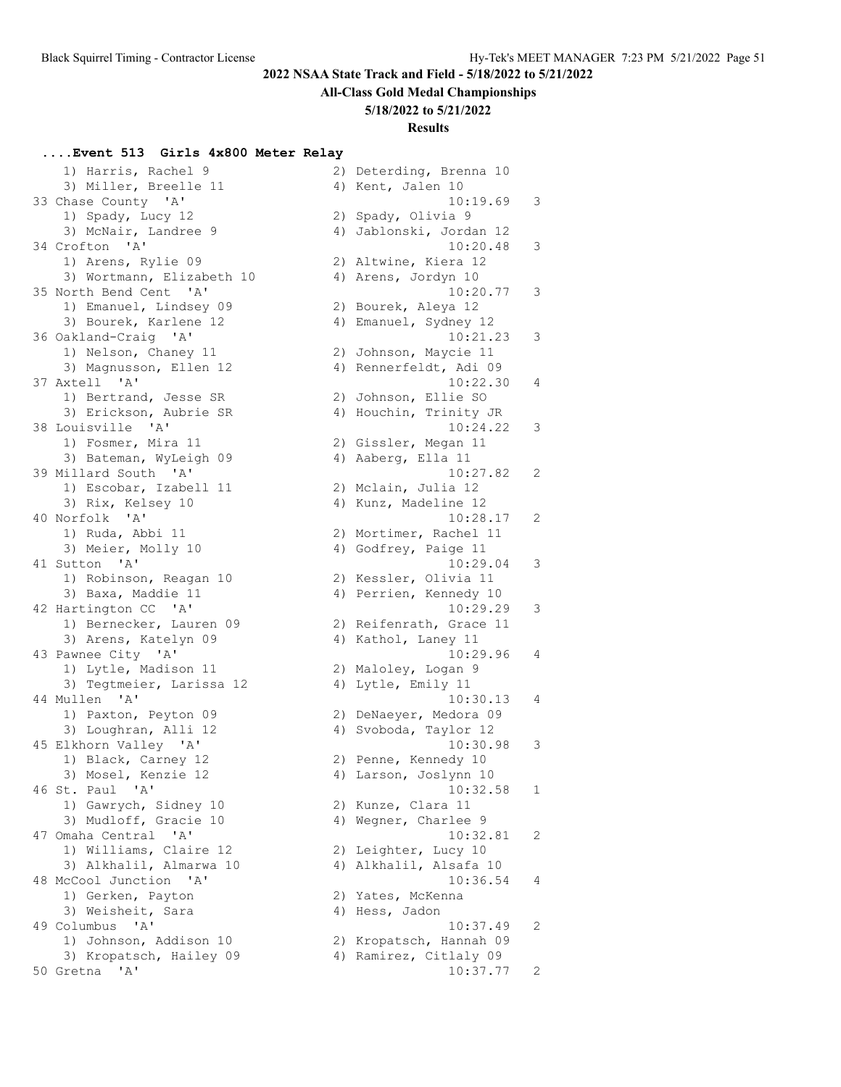#### **All-Class Gold Medal Championships**

#### **5/18/2022 to 5/21/2022**

### **Results**

#### **....Event 513 Girls 4x800 Meter Relay**

1) Harris, Rachel 9 3) Miller, Breelle 11 33 Chase County 'A' 1) Spady, Lucy 12 3) McNair, Landree 9 34 Crofton 'A' 1) Arens, Rylie 09 3) Wortmann, Elizabeth 10 35 North Bend Cent 'A' 1) Emanuel, Lindsey 09 3) Bourek, Karlene 12 36 Oakland-Craig 'A' 1) Nelson, Chaney 11 3) Magnusson, Ellen 12 37 Axtell 'A' 1) Bertrand, Jesse SR 3) Erickson, Aubrie SR 38 Louisville 'A' 1) Fosmer, Mira 11 3) Bateman, WyLeigh 09 39 Millard South 'A' 1) Escobar, Izabell 11 3) Rix, Kelsey 10 40 Norfolk 'A' 1) Ruda, Abbi 11 3) Meier, Molly 10 41 Sutton 'A' 1) Robinson, Reagan 10 3) Baxa, Maddie 11 42 Hartington CC 'A' 1) Bernecker, Lauren 09 3) Arens, Katelyn 09 43 Pawnee City 'A' 1) Lytle, Madison 11 3) Tegtmeier, Larissa 12 44 Mullen 'A' 1) Paxton, Peyton 09 3) Loughran, Alli 12 45 Elkhorn Valley 'A' 1) Black, Carney 12 3) Mosel, Kenzie 12 46 St. Paul 'A' 1) Gawrych, Sidney 10 3) Mudloff, Gracie 10 47 Omaha Central 'A' 1) Williams, Claire 12 3) Alkhalil, Almarwa 10 48 McCool Junction 'A' 1) Gerken, Payton 3) Weisheit, Sara 49 Columbus 'A' 1) Johnson, Addison 10 3) Kropatsch, Hailey 09 50 Gretna 'A'

|    | 2) Deterding, Brenna 10 |   |
|----|-------------------------|---|
|    | 4) Kent, Jalen 10       |   |
|    | 10:19.69                | 3 |
| 2) | Spady, Olivia 9         |   |
| 4) | Jablonski, Jordan 12    |   |
|    | 10:20.48                | 3 |
|    | 2) Altwine, Kiera 12    |   |
|    | 4) Arens, Jordyn 10     |   |
|    |                         |   |
|    | 10:20.77                | З |
| 2) | Bourek, Aleya 12        |   |
| 4) | Emanuel, Sydney 12      |   |
|    | 10:21.23                | 3 |
|    | 2) Johnson, Maycie 11   |   |
|    | 4) Rennerfeldt, Adi 09  |   |
|    | 10:22.30                | 4 |
| 2) | Johnson, Ellie SO       |   |
| 4) | Houchin, Trinity JR     |   |
|    | 10:24.22                | 3 |
|    | 2) Gissler, Megan 11    |   |
|    | 4) Aaberg, Ella 11      |   |
|    | 10:27.82                | 2 |
|    |                         |   |
| 2) | Mclain, Julia 12        |   |
| 4) | Kunz, Madeline 12       |   |
|    | 10:28.17                | 2 |
|    | 2) Mortimer, Rachel 11  |   |
|    | 4) Godfrey, Paige 11    |   |
|    | 10:29.04                | 3 |
| 2) | Kessler, Olivia 11      |   |
| 4) | Perrien, Kennedy 10     |   |
|    | 10:29.29                | 3 |
|    | 2) Reifenrath, Grace 11 |   |
| 4) | Kathol, Laney 11        |   |
|    | 10:29.96                | 4 |
| 2) | Maloley, Logan 9        |   |
| 4) | Lytle, Emily 11         |   |
|    | 10:30.13                | 4 |
|    |                         |   |
|    | 2) DeNaeyer, Medora 09  |   |
|    | 4) Svoboda, Taylor 12   |   |
|    | 10:30.98                | 3 |
| 2) | Penne, Kennedy 10       |   |
| 4) | Larson, Joslynn 10      |   |
|    | 10:32.58                | 1 |
| 2) | Kunze, Clara 11         |   |
| 4) | Wegner, Charlee 9       |   |
|    | 10:32.81                | 2 |
| 2) | Leighter, Lucy 10       |   |
| 4) | Alkhalil, Alsafa 10     |   |
|    | 10:36.54                | 4 |
| 2) | Yates, McKenna          |   |
| 4) | Hess, Jadon             |   |
|    | 10:37.49                |   |
| 2) |                         | 2 |
|    | Kropatsch, Hannah 09    |   |
| 4) | Ramirez, Citlaly 09     |   |
|    | 10:37.77                | 2 |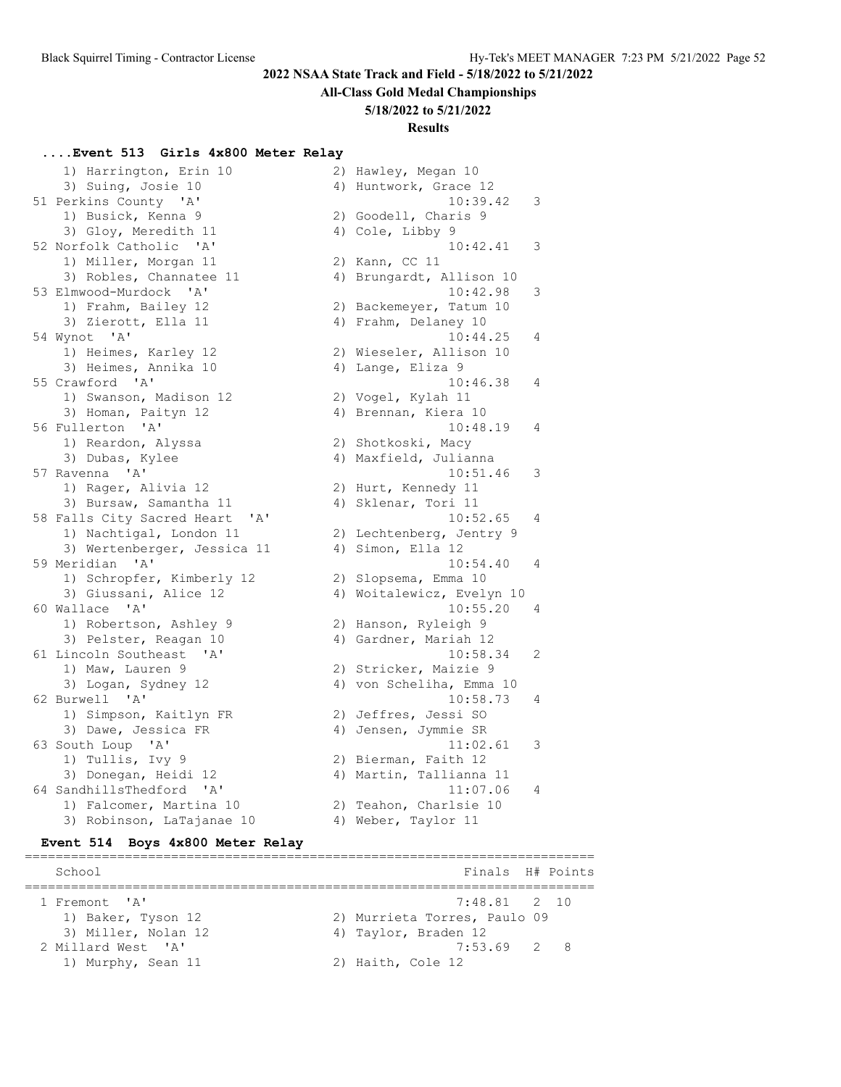#### **All-Class Gold Medal Championships**

#### **5/18/2022 to 5/21/2022**

#### **Results**

 $10:39.42$  3

 $10:42.41$  3

 $10:42.98$  3

 $10:44.25$  4

 $10:46.38$  4

 $10:48.19$  4

 $10:51.46$  3

 $10:52.65$  4

 $10:54.40 4$ 

 $10:55.20$  4

 $10:58.34$  2

 $10:58.73$  4

 $11:02.61$  3

 $11:07.06$  4

2) Hawley, Megan 10 4) Huntwork, Grace 12

2) Goodell, Charis 9 4) Cole, Libby 9

4) Brungardt, Allison 10

2) Backemeyer, Tatum 10 4) Frahm, Delaney 10

2) Wieseler, Allison 10 4) Lange, Eliza 9

2) Vogel, Kylah 11 4) Brennan, Kiera 10

2) Shotkoski, Macy 4) Maxfield, Julianna

2) Hurt, Kennedy 11 4) Sklenar, Tori 11

4) Simon, Ella 12

2) Slopsema, Emma 10 4) Woitalewicz, Evelyn 10

2) Hanson, Ryleigh 9 4) Gardner, Mariah 12

2) Stricker, Maizie 9 4) von Scheliha, Emma 10

2) Jeffres, Jessi SO 4) Jensen, Jymmie SR

2) Bierman, Faith 12 4) Martin, Tallianna 11

2) Teahon, Charlsie 10 4) Weber, Taylor 11

==========================================================================

2) Lechtenberg, Jentry 9

2) Kann, CC 11

#### **....Event 513 Girls 4x800 Meter Relay**

|    | 1) Harrington, Erin 10                |
|----|---------------------------------------|
|    | 3) Suing, Josie 10                    |
|    | 51 Perkins County 'A'                 |
|    | 1) Busick, Kenna 9                    |
|    | 3) Gloy, Meredith 11                  |
| 52 | Norfolk Catholic 'A'                  |
|    | 1) Miller, Morgan 11                  |
|    | 3) Robles, Channatee 11               |
|    | 53 Elmwood-Murdock 'A'                |
|    | 1) Frahm, Bailey 12                   |
|    | 3) Zierott, Ella 11                   |
|    | 54 Wynot 'A'                          |
|    | 1) Heimes, Karley 12                  |
|    | 3) Heimes, Annika 10                  |
|    | 55 Crawford 'A'                       |
|    | 1) Swanson, Madison 12                |
|    | 3) Homan, Paityn 12                   |
|    | 56 Fullerton 'A'                      |
|    | 1) Reardon, Alyssa                    |
|    | 3) Dubas, Kylee                       |
|    | 57 Ravenna 'A'                        |
|    | 1) Rager, Alivia 12                   |
|    | 3) Bursaw, Samantha 11                |
|    | 58 Falls City Sacred Heart 'A'        |
|    | 1) Nachtigal, London 11               |
|    | 3) Wertenberger, Jessica 11           |
|    | 59 Meridian 'A'                       |
|    | 1) Schropfer, Kimberly 12             |
|    | 3) Giussani, Alice 12                 |
|    | 60 Wallace 'A'                        |
|    | 1) Robertson, Ashley 9                |
|    | 3) Pelster, Reagan 10                 |
| 61 | Lincoln Southeast 'A'                 |
|    | 1) Maw, Lauren 9                      |
|    | 3) Logan, Sydney 12<br>62 Burwell 'A' |
|    | 1) Simpson, Kaitlyn FR                |
|    | 3) Dawe, Jessica FR                   |
|    | 63 South Loup 'A'                     |
|    | 1) Tullis, Ivy 9                      |
|    | 3) Donegan, Heidi 12                  |
| 64 | SandhillsThedford 'A'                 |
|    | 1) Falcomer, Martina 10               |
|    | 3) Robinson, LaTajanae 10             |
|    |                                       |

#### **Event 514 Boys 4x800 Meter Relay**

| School              | Finals H# Points             |  |
|---------------------|------------------------------|--|
| 1 Fremont. 'A'      | 7:48.81 2 10                 |  |
| 1) Baker, Tyson 12  | 2) Murrieta Torres, Paulo 09 |  |
| 3) Miller, Nolan 12 | 4) Taylor, Braden 12         |  |
| 2 Millard West. 'A' | $7:53.69$ 2 8                |  |
| 1) Murphy, Sean 11  | 2) Haith, Cole 12            |  |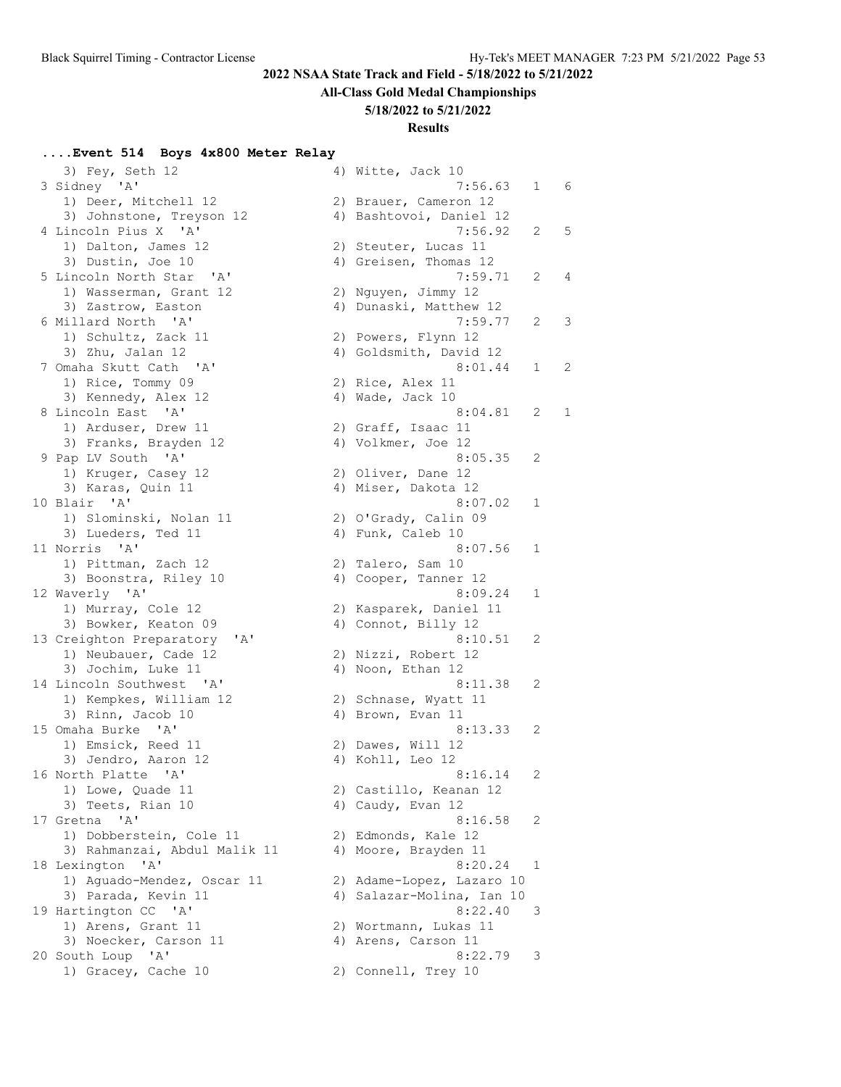**All-Class Gold Medal Championships**

#### **5/18/2022 to 5/21/2022**

#### **Results**

#### **....Event 514 Boys 4x800 Meter Relay**

3) Fey, Seth 12 4) Witte, Jack 10 3 Sidney 'A' 1) Deer, Mitchell 12 3) Johnstone, Treyson 12 4 Lincoln Pius X 'A' 1) Dalton, James 12 3) Dustin, Joe 10 5 Lincoln North Star 'A' 1) Wasserman, Grant 12 3) Zastrow, Easton 6 Millard North 'A' 1) Schultz, Zack 11 3) Zhu, Jalan  $12$ 7 Omaha Skutt Cath 'A' 1) Rice, Tommy 09 3) Kennedy, Alex 12 8 Lincoln East 'A' 1) Arduser, Drew 11 3) Franks, Brayden 12 9 Pap LV South 'A' 1) Kruger, Casey 12 3) Karas, Quin 11 10 Blair 'A' 1) Slominski, Nolan 11 3) Lueders, Ted 11 11 Norris 'A' 1) Pittman, Zach 12 3) Boonstra, Riley 10 12 Waverly 'A' 1) Murray, Cole 12 3) Bowker, Keaton 09 13 Creighton Preparatory 'A' 1) Neubauer, Cade 12 3) Jochim, Luke 11 14 Lincoln Southwest 'A' 1) Kempkes, William 12 3) Rinn, Jacob  $10$ 15 Omaha Burke 'A' 1) Emsick, Reed 11 3) Jendro, Aaron 12 16 North Platte 'A' 1) Lowe, Quade 11 3) Teets, Rian 10 17 Gretna 'A' 1) Dobberstein, Cole 11 3) Rahmanzai, Abdul Malik 11 18 Lexington 'A' 1) Aguado-Mendez, Oscar 11 3) Parada, Kevin 11 19 Hartington CC 'A' 1) Arens, Grant 11 3) Noecker, Carson 11 20 South Loup 'A' 8:22.79 3 1) Gracey, Cache 10 2) Connell, Trey 10

|    | ענ אשטר, טמכג בט                   |                |            |
|----|------------------------------------|----------------|------------|
|    | 7:56.63                            | 1              | 6          |
|    | 2) Brauer, Cameron 12              |                |            |
|    | 4) Bashtovoi, Daniel 12<br>7:56.92 | $\mathbf{2}$   | 5          |
|    |                                    |                |            |
| 2) | Steuter, Lucas 11                  |                |            |
|    | Greisen, Thomas 12<br>4)           |                |            |
|    | 7:59.71                            | $\mathbf{2}$   | $\sqrt{4}$ |
| 2) | Nguyen, Jimmy 12                   |                |            |
|    | 4) Dunaski, Matthew 12             |                |            |
|    | 7:59.77                            | 2              | 3          |
| 2) | Powers, Flynn 12                   |                |            |
|    | Goldsmith, David 12<br>4)          |                |            |
|    | 8:01.44                            | $\mathbf{1}$   | 2          |
|    |                                    |                |            |
| 2) | Rice, Alex 11                      |                |            |
|    | 4) Wade, Jack 10                   |                |            |
|    | 8:04.81                            | 2              | 1          |
|    | 2) Graff, Isaac 11                 |                |            |
|    | 4) Volkmer, Joe 12                 |                |            |
|    | 8:05.35                            | 2              |            |
|    | 2) Oliver, Dane 12                 |                |            |
|    | 4) Miser, Dakota 12                |                |            |
|    | 8:07.02                            | 1              |            |
|    | 2) O'Grady, Calin 09               |                |            |
|    |                                    |                |            |
| 4) | Funk, Caleb 10                     |                |            |
|    | 8:07.56                            | 1              |            |
| 2) | Talero, Sam 10                     |                |            |
| 4) | Cooper, Tanner 12                  |                |            |
|    | 8:09.24                            | 1              |            |
| 2) | Kasparek, Daniel 11                |                |            |
| 4) | Connot, Billy 12                   |                |            |
|    | 8:10.51                            | 2              |            |
|    | 2) Nizzi, Robert 12                |                |            |
|    | Noon, Ethan 12<br>4)               |                |            |
|    |                                    |                |            |
|    | 8:11.38                            | 2              |            |
|    | 2) Schnase, Wyatt 11               |                |            |
| 4) | Brown, Evan 11                     |                |            |
|    | 8:13.33                            | $\overline{2}$ |            |
|    | 2) Dawes, Will 12                  |                |            |
|    | 4) Kohll, Leo 12                   |                |            |
|    | 8:16.14                            | 2              |            |
|    | 2) Castillo, Keanan 12             |                |            |
| 4) | Caudy, Evan 12                     |                |            |
|    | 8:16.58                            | 2              |            |
|    |                                    |                |            |
| 2) | Edmonds, Kale 12                   |                |            |
| 4) | Moore, Brayden 11                  |                |            |
|    | 8:20.24                            | 1              |            |
| 2) | Adame-Lopez, Lazaro 10             |                |            |
| 4) | Salazar-Molina, Ian 10             |                |            |
|    | 8:22.40                            | 3              |            |
| 2) | Wortmann, Lukas 11                 |                |            |
|    | 4) Arens, Carson 11                |                |            |
|    | 8:22.79                            | 3              |            |
| 2) | Connell, Trey 10                   |                |            |
|    |                                    |                |            |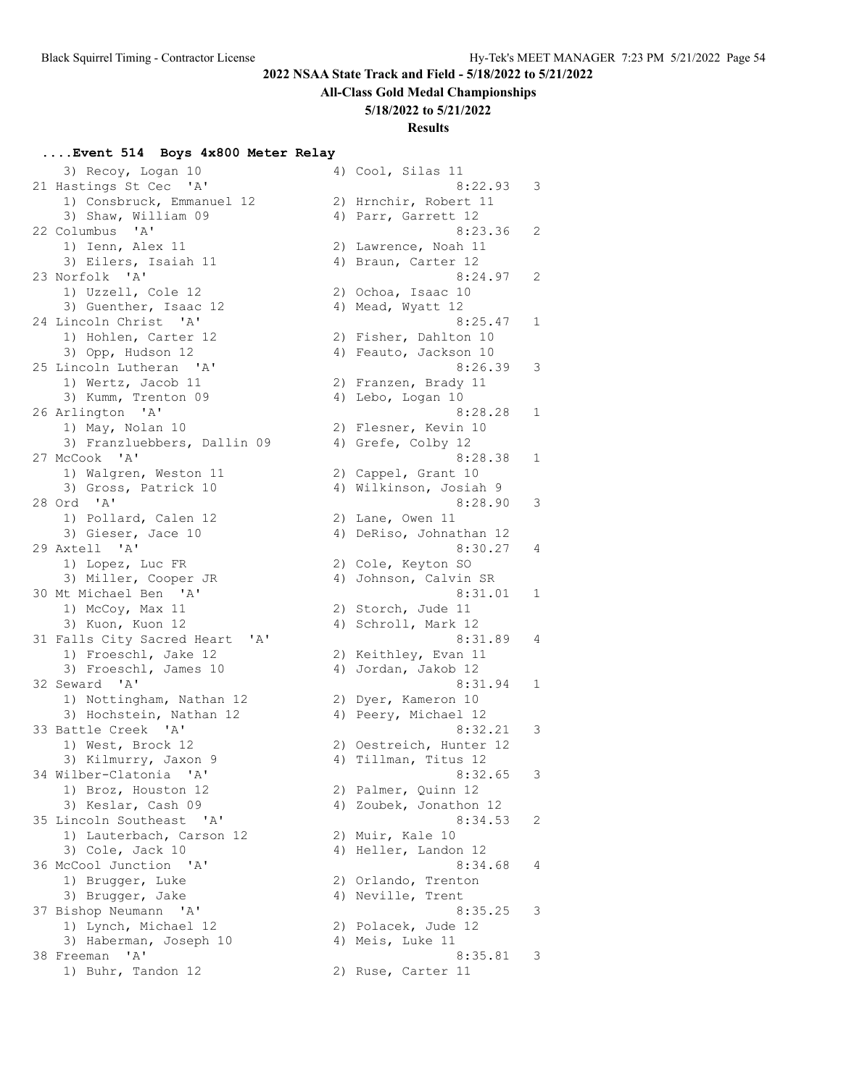#### **All-Class Gold Medal Championships**

#### **5/18/2022 to 5/21/2022**

#### **Results**

#### **....Event 514 Boys 4x800 Meter Relay**

3) Recoy, Logan 10 4) Cool, Silas 11 21 Hastings St Cec 'A' 8:22.93 3 1) Consbruck, Emmanuel 12 2) Hrnchir, Robert 11 3) Shaw, William 09 4) Parr, Garrett 12 22 Columbus 'A' 8:23.36 2 1) Ienn, Alex 11 2) Lawrence, Noah 11 3) Eilers, Isaiah 11 (4) Braun, Carter 12 23 Norfolk 'A' 8:24.97 2 1) Uzzell, Cole 12 2) Ochoa, Isaac 10 3) Guenther, Isaac 12 4) Mead, Wyatt 12 24 Lincoln Christ 'A' 8:25.47 1 1) Hohlen, Carter 12 2) Fisher, Dahlton 10 3) Opp, Hudson 12 4) Feauto, Jackson 10 25 Lincoln Lutheran 'A' 8:26.39 3 1) Wertz, Jacob 11 2) Franzen, Brady 11 3) Kumm, Trenton 09 4) Lebo, Logan 10 26 Arlington 'A' 8:28.28 1 1) May, Nolan 10 2) Flesner, Kevin 10 3:28.28 1) May, Nolan 10<br>3) Franzluebbers, Dallin 09 4) Grefe, Colby 12<br>3) Franzluebbers, Dallin 09 4) Grefe, Colby 12 27 McCook 'A' 8:28.38 1 1) Walgren, Weston 11 2) Cappel, Grant 10 3) Gross, Patrick 10 4) Wilkinson, Josiah 9 28 Ord 'A' 8:28.90 3 1) Pollard, Calen 12 2) Lane, Owen 11 3) Gieser, Jace 10 4) DeRiso, Johnathan 12 29 Axtell 'A' 8:30.27 4 1) Lopez, Luc FR 2) Cole, Keyton SO 3) Miller, Cooper JR 4) Johnson, Calvin SR 30 Mt Michael Ben 'A' 30 Mt 331.01 1 1) McCoy, Max 11 2) Storch, Jude 11 3) Kuon, Kuon 12 (a. 4) Schroll, Mark 12 31 Falls City Sacred Heart 'A' 8:31.89 4 1) Froeschl, Jake 12 2) Keithley, Evan 11 3) Froeschl, James 10 (4) Jordan, Jakob 12 32 Seward 'A' 8:31.94 1 1) Nottingham, Nathan 12 12 2) Dyer, Kameron 10 3) Hochstein, Nathan 12 (4) Peery, Michael 12 33 Battle Creek 'A' 8:32.21 3 1) West, Brock 12 2) Oestreich, Hunter 12 3) Kilmurry, Jaxon 9 (4) Tillman, Titus 12 34 Wilber-Clatonia 'A' 8:32.65 3 1) Broz, Houston 12 2) Palmer, Quinn 12 3) Keslar, Cash 09 4) Zoubek, Jonathon 12 35 Lincoln Southeast 'A' 8:34.53 2 1) Lauterbach, Carson 12 (2) Muir, Kale 10 3) Cole, Jack 10 4) Heller, Landon 12 36 McCool Junction 'A' 36 McCool 31 1) Brugger, Luke 2) Orlando, Trenton 3) Brugger, Jake 4) Neville, Trent 37 Bishop Neumann 'A' 8:35.25 3 1) Lynch, Michael 12 2) Polacek, Jude 12 3) Haberman, Joseph 10 (4) Meis, Luke 11 38 Freeman 'A' 38 Ani and 1992 and 1993 and 1993 and 1994 and 1994 and 1994 and 1994 and 1994 and 1994 and 199 1) Buhr, Tandon 12 2) Ruse, Carter 11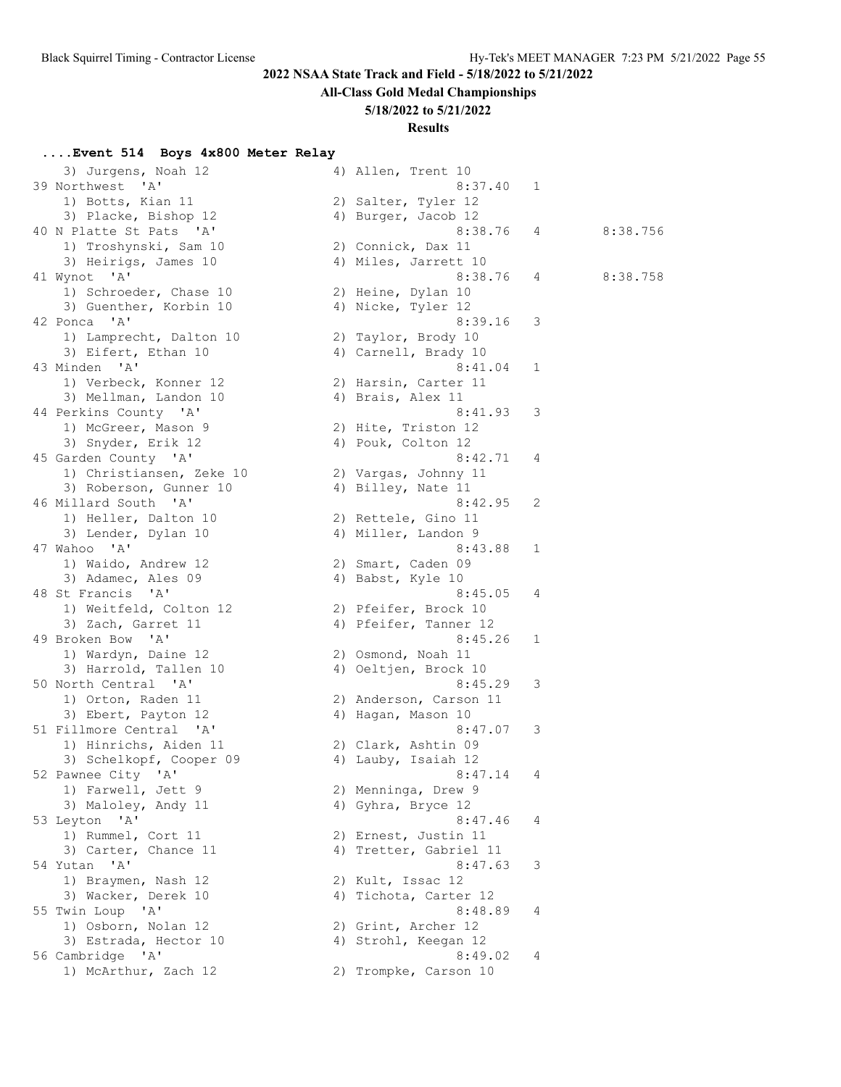**All-Class Gold Medal Championships**

## **5/18/2022 to 5/21/2022**

### **Results**

## **....Event 514 Boys 4x800 Meter Relay**

| 3) Jurgens, Noah 12                           | 4) Allen, Trent 10                           |   |          |
|-----------------------------------------------|----------------------------------------------|---|----------|
| 39 Northwest<br>'' A '                        | 8:37.40                                      | 1 |          |
| 1) Botts, Kian 11                             | 2) Salter, Tyler 12                          |   |          |
| 3) Placke, Bishop 12                          | 4) Burger, Jacob 12                          |   |          |
| 40 N Platte St Pats 'A'                       | 8:38.76                                      | 4 | 8:38.756 |
| 1) Troshynski, Sam 10                         | 2) Connick, Dax 11                           |   |          |
| 3) Heirigs, James 10                          | 4) Miles, Jarrett 10                         |   |          |
| 41 Wynot 'A'                                  | 8:38.76                                      | 4 | 8:38.758 |
| 1) Schroeder, Chase 10                        | 2) Heine, Dylan 10                           |   |          |
| 3) Guenther, Korbin 10                        | 4) Nicke, Tyler 12                           |   |          |
| 42 Ponca 'A'                                  | 8:39.16                                      | 3 |          |
| 1) Lamprecht, Dalton 10                       | 2) Taylor, Brody 10                          |   |          |
| 3) Eifert, Ethan 10                           | 4) Carnell, Brady 10                         |   |          |
| 43 Minden 'A'                                 | 8:41.04                                      | 1 |          |
| 1) Verbeck, Konner 12                         | 2) Harsin, Carter 11                         |   |          |
| 3) Mellman, Landon 10                         | 4) Brais, Alex 11                            |   |          |
| 44 Perkins County 'A'                         | 8:41.93                                      | 3 |          |
| 1) McGreer, Mason 9                           | 2) Hite, Triston 12                          |   |          |
| 3) Snyder, Erik 12                            | 4) Pouk, Colton 12                           |   |          |
| 45 Garden County 'A'                          | 8:42.71                                      | 4 |          |
| 1) Christiansen, Zeke 10                      | 2) Vargas, Johnny 11                         |   |          |
| 3) Roberson, Gunner 10                        | 4) Billey, Nate 11                           |   |          |
| 46 Millard South 'A'                          | 8:42.95                                      | 2 |          |
| 1) Heller, Dalton 10                          | 2) Rettele, Gino 11                          |   |          |
| 3) Lender, Dylan 10                           | 4) Miller, Landon 9                          |   |          |
| 47 Wahoo 'A'                                  | 8:43.88                                      | 1 |          |
| 1) Waido, Andrew 12                           | 2) Smart, Caden 09                           |   |          |
| 3) Adamec, Ales 09                            | 4) Babst, Kyle 10                            |   |          |
| 48 St Francis 'A'                             | 8:45.05                                      | 4 |          |
| 1) Weitfeld, Colton 12                        | 2) Pfeifer, Brock 10                         |   |          |
| 3) Zach, Garret 11                            | 4) Pfeifer, Tanner 12                        |   |          |
| 49 Broken Bow 'A'                             | 8:45.26                                      | 1 |          |
| 1) Wardyn, Daine 12                           | 2) Osmond, Noah 11                           |   |          |
| 3) Harrold, Tallen 10<br>50 North Central 'A' | 4) Oeltjen, Brock 10<br>8:45.29              | 3 |          |
|                                               |                                              |   |          |
| 1) Orton, Raden 11<br>3) Ebert, Payton 12     | 2) Anderson, Carson 11<br>4) Hagan, Mason 10 |   |          |
| 51 Fillmore Central 'A'                       | 8:47.07                                      | 3 |          |
| 1) Hinrichs, Aiden 11                         | 2) Clark, Ashtin 09                          |   |          |
| 3) Schelkopf, Cooper 09                       | 4) Lauby, Isaiah 12                          |   |          |
| 52 Pawnee City 'A'                            | 8:47.14                                      | 4 |          |
| 1) Farwell, Jett 9                            | 2) Menninga, Drew 9                          |   |          |
| 3) Maloley, Andy 11                           | 4) Gyhra, Bryce 12                           |   |          |
| 53 Leyton 'A'                                 | 8:47.46                                      | 4 |          |
| 1) Rummel, Cort 11                            | 2) Ernest, Justin 11                         |   |          |
| 3) Carter, Chance 11                          | 4) Tretter, Gabriel 11                       |   |          |
| 54 Yutan 'A'                                  | 8:47.63                                      | 3 |          |
| 1) Braymen, Nash 12                           | 2) Kult, Issac 12                            |   |          |
| 3) Wacker, Derek 10                           | 4) Tichota, Carter 12                        |   |          |
| 55 Twin Loup 'A'                              | 8:48.89                                      | 4 |          |
| 1) Osborn, Nolan 12                           | 2) Grint, Archer 12                          |   |          |
| 3) Estrada, Hector 10                         | 4) Strohl, Keegan 12                         |   |          |
| 56 Cambridge 'A'                              | 8:49.02                                      | 4 |          |
| 1) McArthur, Zach 12                          | 2) Trompke, Carson 10                        |   |          |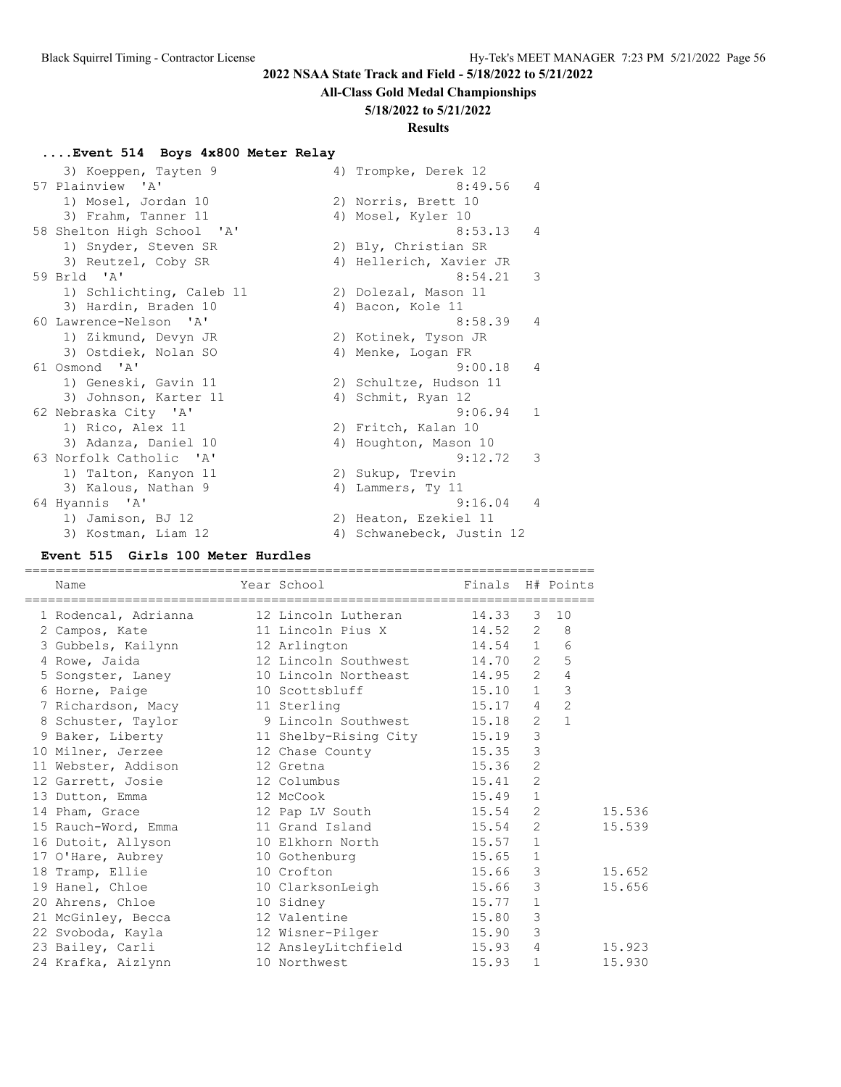## **All-Class Gold Medal Championships**

### **5/18/2022 to 5/21/2022**

# **Results**

## **....Event 514 Boys 4x800 Meter Relay**

| 3) Koeppen, Tayten 9       | 4) Trompke, Derek 12      |
|----------------------------|---------------------------|
| 57 Plainview 'A'           | 8:49.56<br>4              |
| 1) Mosel, Jordan 10        | 2) Norris, Brett 10       |
| 3) Frahm, Tanner 11        | 4) Mosel, Kyler 10        |
| 58 Shelton High School 'A' | 8:53.13<br>$\overline{4}$ |
| 1) Snyder, Steven SR       | 2) Bly, Christian SR      |
| 3) Reutzel, Coby SR        | 4) Hellerich, Xavier JR   |
| 59 Brld 'A'                | 8:54.21<br>3              |
| 1) Schlichting, Caleb 11   | 2) Dolezal, Mason 11      |
| 3) Hardin, Braden 10       | 4) Bacon, Kole 11         |
| 60 Lawrence-Nelson 'A'     | 8:58.39<br>$\overline{4}$ |
| 1) Zikmund, Devyn JR       | 2) Kotinek, Tyson JR      |
| 3) Ostdiek, Nolan SO       | 4) Menke, Logan FR        |
| 61 Osmond 'A'              | 9:00.18<br>4              |
| 1) Geneski, Gavin 11       | 2) Schultze, Hudson 11    |
| 3) Johnson, Karter 11      | 4) Schmit, Ryan 12        |
| 62 Nebraska City 'A'       | 1<br>9:06.94              |
| 1) Rico, Alex 11           | 2) Fritch, Kalan 10       |
| 3) Adanza, Daniel 10       | 4) Houghton, Mason 10     |
| 63 Norfolk Catholic 'A'    | 3<br>9:12.72              |
| 1) Talton, Kanyon 11       | 2) Sukup, Trevin          |
| 3) Kalous, Nathan 9        | 4) Lammers, Ty 11         |
| 64 Hyannis 'A'             | 9:16.04<br>$\overline{4}$ |
| 1) Jamison, BJ 12          | 2) Heaton, Ezekiel 11     |
| 3) Kostman, Liam 12        | 4) Schwanebeck, Justin 12 |

## **Event 515 Girls 100 Meter Hurdles**

| Name                                             | Year School    | Finals H# Points  |                |                |
|--------------------------------------------------|----------------|-------------------|----------------|----------------|
|                                                  |                |                   |                |                |
| 1 Rodencal, Adrianna 12 Lincoln Lutheran 14.33   |                |                   |                | $3 \quad 10$   |
| 2 Campos, Kate 11 Lincoln Pius X 14.52 2 8       |                |                   |                |                |
| 3 Gubbels, Kailynn 12 Arlington 14.54 1 6        |                |                   |                |                |
|                                                  |                |                   |                |                |
| 5 Songster, Laney 10 Lincoln Northeast 14.95 2 4 |                |                   |                |                |
| 6 Horne, Paige                                   | 10 Scottsbluff | $15.10 \t 1 \t 3$ |                |                |
| 7 Richardson, Macy 11 Sterling                   |                | $15.17$ 4 2       |                |                |
| 8 Schuster, Taylor 9 Lincoln Southwest 15.18 2   |                |                   |                | $\overline{1}$ |
| 9 Baker, Liberty 11 Shelby-Rising City 15.19 3   |                |                   |                |                |
| 10 Milner, Jerzee 12 Chase County 15.35          |                |                   | $\mathcal{S}$  |                |
| 11 Webster, Addison 12 Gretna                    |                | 15.36             | 2              |                |
| 12 Garrett, Josie 12 Columbus                    |                | 15.41             | $\overline{c}$ |                |
| 13 Dutton, Emma 12 McCook                        |                | $15.49$ 1         |                |                |
| 14 Pham, Grace 12 Pap LV South 15.54 2           |                |                   |                |                |
| 15 Rauch-Word, Emma 11 Grand Island 15.54        |                |                   | 2              |                |
| 16 Dutoit, Allyson 10 Elkhorn North 15.57 1      |                |                   |                |                |
| 17 O'Hare, Aubrey 10 Gothenburg 15.65 1          |                |                   |                |                |
| 18 Tramp, Ellie 10 Crofton                       |                | 15.66 3           |                | 15.652         |
| 19 Hanel, Chloe 10 ClarksonLeigh 15.66 3         |                |                   |                |                |
| 20 Ahrens, Chloe 10 Sidney                       | 15.77          |                   | $\mathbf{1}$   |                |
| 21 McGinley, Becca 12 Valentine 15.80            |                |                   | $\overline{3}$ |                |
|                                                  |                |                   | $\mathcal{S}$  |                |
| 23 Bailey, Carli 12 AnsleyLitchfield 15.93 4     |                |                   |                | 15.923         |
| 24 Krafka, Aizlynn                               | 10 Northwest   | 15.93             | $\mathbf{1}$   |                |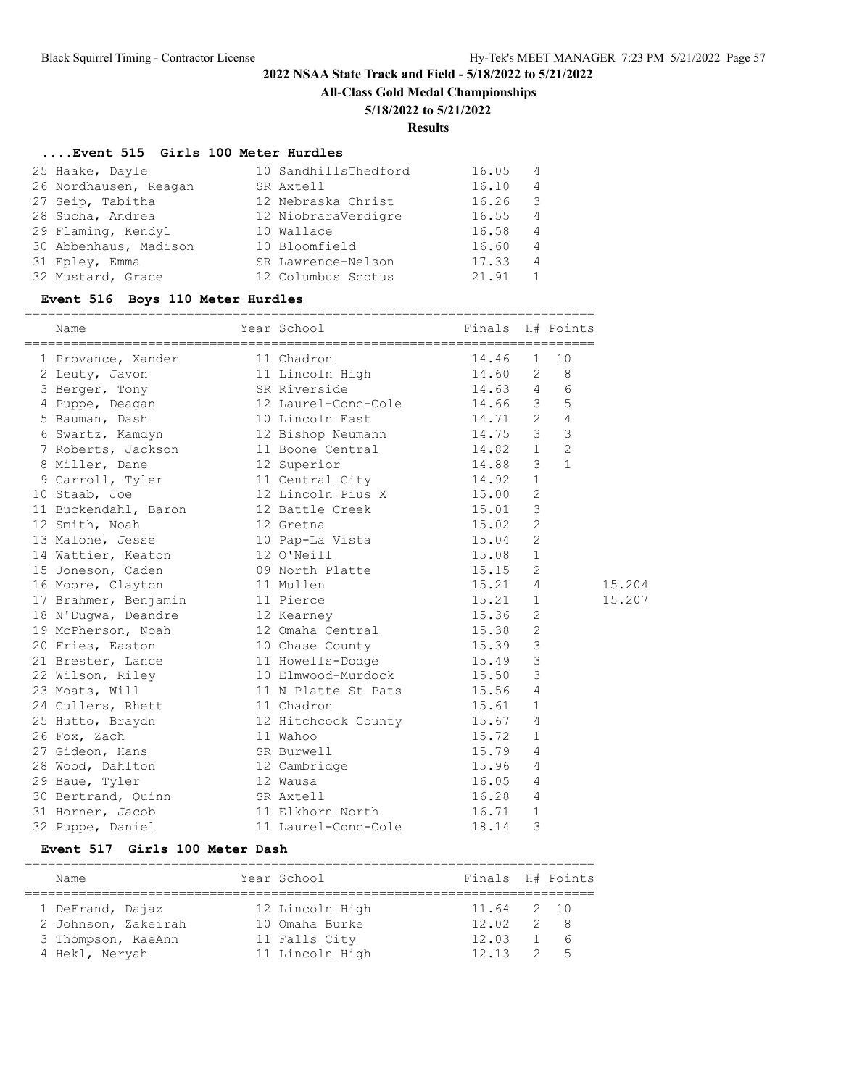**All-Class Gold Medal Championships**

#### **5/18/2022 to 5/21/2022**

#### **Results**

#### **....Event 515 Girls 100 Meter Hurdles**

| 25 Haake, Dayle       | 10 SandhillsThedford | 16.05 | 4 |
|-----------------------|----------------------|-------|---|
| 26 Nordhausen, Reagan | SR Axtell            | 16.10 | 4 |
| 27 Seip, Tabitha      | 12 Nebraska Christ   | 16.26 | 3 |
| 28 Sucha, Andrea      | 12 NiobraraVerdigre  | 16.55 | 4 |
| 29 Flaming, Kendyl    | 10 Wallace           | 16.58 | 4 |
| 30 Abbenhaus, Madison | 10 Bloomfield        | 16.60 | 4 |
| 31 Epley, Emma        | SR Lawrence-Nelson   | 17.33 | 4 |
| 32 Mustard, Grace     | 12 Columbus Scotus   | 21.91 |   |

#### **Event 516 Boys 110 Meter Hurdles**

========================================================================== Name The Year School Finals H# Points ========================================================================== 1 Provance, Xander 11 Chadron 14.46 1 10 2 Leuty, Javon 11 Lincoln High 14.60 2 8 3 Berger, Tony SR Riverside 14.63 4 6 4 Puppe, Deagan 12 Laurel-Conc-Cole 14.66 3 5 5 Bauman, Dash 10 Lincoln East 14.71 2 4 6 Swartz, Kamdyn 12 Bishop Neumann 14.75 3 3 7 Roberts, Jackson 11 Boone Central 14.82 1 2 8 Miller, Dane 12 Superior 14.88 3 1 9 Carroll, Tyler 11 Central City 14.92 1 10 Staab, Joe 12 Lincoln Pius X 15.00 2 11 Buckendahl, Baron 12 Battle Creek 15.01 3 12 Smith, Noah 12 Gretna 15.02 2 13 Malone, Jesse 10 Pap-La Vista 15.04 2 14 Wattier, Keaton 12 O'Neill 15.08 1 15 Joneson, Caden 15.15 2 16 Moore, Clayton 11 Mullen 15.21 4 15.204 17 Brahmer, Benjamin 11 Pierce 15.21 1 15.207 18 N'Dugwa, Deandre 12 Kearney 15.36 2 19 McPherson, Noah 12 Omaha Central 15.38 2 20 Fries, Easton 10 Chase County 15.39 3 21 Brester, Lance 11 Howells-Dodge 15.49 3 22 Wilson, Riley 10 Elmwood-Murdock 15.50 3 23 Moats, Will **11 N** Platte St Pats 15.56 4 24 Cullers, Rhett 11 Chadron 15.61 1 25 Hutto, Braydn 12 Hitchcock County 15.67 4 26 Fox, Zach 11 Wahoo 15.72 1 27 Gideon, Hans SR Burwell 15.79 4 28 Wood, Dahlton 12 Cambridge 15.96 4 29 Baue, Tyler 12 Wausa 16.05 4 30 Bertrand, Quinn SR Axtell 16.28 4 31 Horner, Jacob 11 Elkhorn North 16.71 1 32 Puppe, Daniel 11 Laurel-Conc-Cole 18.14 3

#### **Event 517 Girls 100 Meter Dash**

| Name                | Year School     | Finals H# Points |            |
|---------------------|-----------------|------------------|------------|
| 1 DeFrand, Dajaz    | 12 Lincoln High | 11.64 2 10       |            |
| 2 Johnson, Zakeirah | 10 Omaha Burke  | 12.02            | 2 8        |
| 3 Thompson, RaeAnn  | 11 Falls City   | 12.03            | $1\quad 6$ |
| 4 Hekl, Neryah      | 11 Lincoln High | 12.13            | 25         |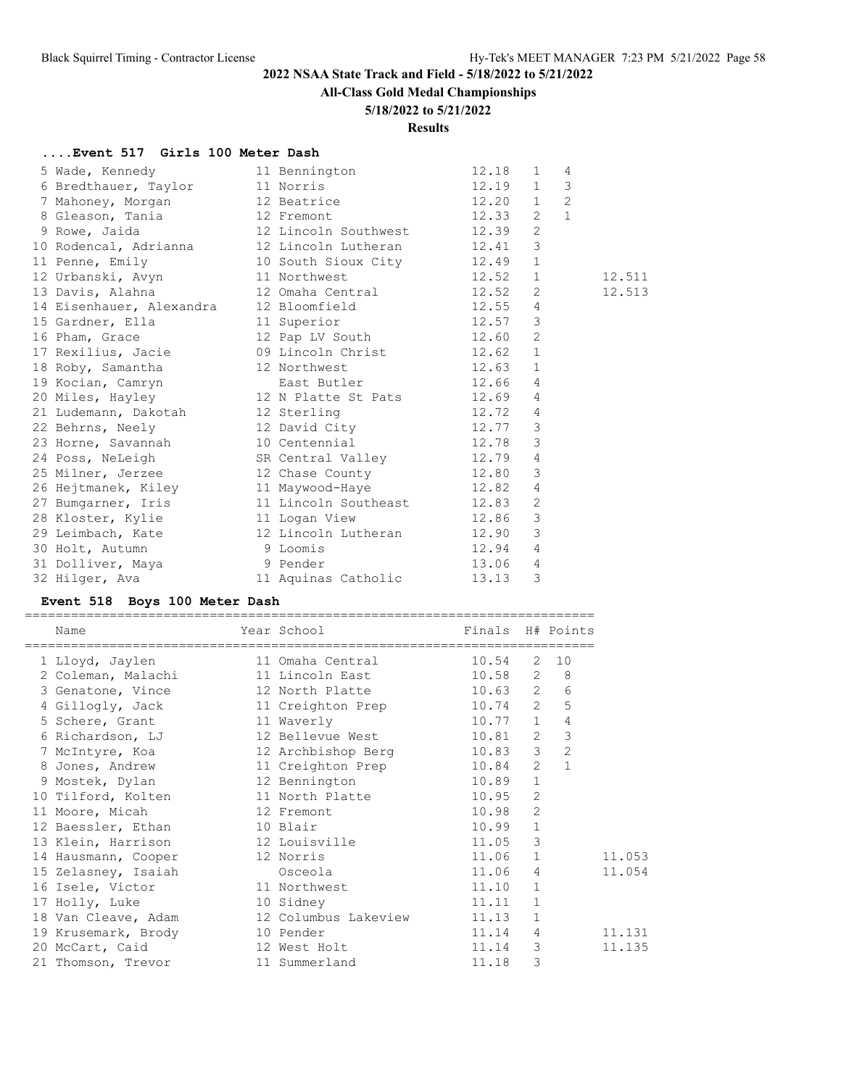**All-Class Gold Medal Championships**

### **5/18/2022 to 5/21/2022**

**Results**

## **....Event 517 Girls 100 Meter Dash**

| 5 Wade, Kennedy                                                                                                                  | 11 Bennington      | 12.18 | 1              | $\overline{4}$ |        |
|----------------------------------------------------------------------------------------------------------------------------------|--------------------|-------|----------------|----------------|--------|
|                                                                                                                                  |                    |       |                | 3              |        |
|                                                                                                                                  |                    |       |                | $\overline{2}$ |        |
| 6 Bredthauer, Taylor 11 Norris 12.19 1<br>7 Mahoney, Morgan 12 Beatrice 12.20 1<br>8 Gleason, Tania 12 Fremont 12.33 2           |                    |       | $\overline{1}$ |                |        |
| 9 Rowe, Jaida (12 Lincoln Southwest 12.39)                                                                                       |                    |       | 2              |                |        |
| 10 Rodencal, Adrianna 12 Lincoln Lutheran 12.41 3<br>11 Penne, Emily 10 South Sioux City 12.49 1                                 |                    |       |                |                |        |
|                                                                                                                                  |                    |       |                |                |        |
| 12 Urbanski, Avyn 11 Northwest 12.52 1                                                                                           |                    |       |                |                | 12.511 |
|                                                                                                                                  |                    |       | 2              |                | 12.513 |
| 14 Eisenhauer, Alexandra 12 Bloomfield 12.55                                                                                     |                    |       | $\overline{4}$ |                |        |
| 15 Gardner, Ella (11 Superior 12.57 3)<br>16 Pham, Grace (12 Pap LV South 12.60 2)                                               |                    |       |                |                |        |
|                                                                                                                                  |                    |       |                |                |        |
| 17 Rexilius, Jacie <sup>11</sup> 09 Lincoln Christ 12.62 1                                                                       |                    |       |                |                |        |
|                                                                                                                                  |                    |       |                |                |        |
| 18 Roby, Samantha 12 Northwest 12.63 1<br>19 Kocian, Camryn 12 Northwest 12.66 4<br>20 Miles, Hayley 12 N Platte St Pats 12.69 4 |                    |       |                |                |        |
|                                                                                                                                  |                    |       |                |                |        |
| 21 Ludemann, Dakotah 12 Sterling                                                                                                 |                    | 12.72 | $\overline{4}$ |                |        |
| 22 Behrns, Neely 12 David City 12.77<br>23 Horne, Savannah 10 Centennial 12.78                                                   |                    |       | $\mathcal{E}$  |                |        |
|                                                                                                                                  |                    |       | $\mathcal{E}$  |                |        |
| 24 Poss, NeLeigh SR Central Valley 12.79 4                                                                                       |                    |       |                |                |        |
| 25 Milner, Jerzee 12 Chase County 12.80                                                                                          |                    |       | $\mathcal{E}$  |                |        |
| 26 Hejtmanek, Kiley               11 Maywood-Haye                  12.82                                                         |                    |       | $\overline{4}$ |                |        |
| 27 Bumgarner, Iris 11 Lincoln Southeast 12.83                                                                                    |                    |       | $\overline{c}$ |                |        |
| 28 Kloster, Kylie 11 Logan View 12.86                                                                                            |                    |       | $\mathcal{S}$  |                |        |
| 29 Leimbach, Kate 12 Lincoln Lutheran 12.90                                                                                      |                    |       | $\mathcal{E}$  |                |        |
| 30 Holt, Autumn 9 Loomis                                                                                                         |                    |       | $\overline{4}$ |                |        |
| 31 Dolliver, Maya (1) 9 Pender<br>32 Hilger, Ava (1) 11 Aquinas Catholic                                                         | $12.94$<br>$13.06$ |       | $\overline{4}$ |                |        |
|                                                                                                                                  |                    | 13.13 | 3              |                |        |
|                                                                                                                                  |                    |       |                |                |        |

# **Event 518 Boys 100 Meter Dash**

| Name                                           | Year School       | Finals H# Points |                |                |
|------------------------------------------------|-------------------|------------------|----------------|----------------|
| 1 Lloyd, Jaylen                                | 11 Omaha Central  | 10.54            | 2              | 10             |
| 2 Coleman, Malachi 11 Lincoln East 10.58 2     |                   |                  |                | 8 <sup>8</sup> |
| 3 Genatone, Vince 12 North Platte 10.63 2 6    |                   |                  |                |                |
| 4 Gilloqly, Jack                               | 11 Creighton Prep | $10.74$ 2 5      |                |                |
| 5 Schere, Grant 11 Waverly                     | $10.77$ 1         |                  |                | $\overline{4}$ |
| 6 Richardson, LJ 12 Bellevue West 10.81 2      |                   |                  |                | $\mathcal{S}$  |
| 7 McIntyre, Koa and 12 Archbishop Berg 10.83 3 |                   |                  |                | $\overline{2}$ |
| 8 Jones, Andrew 11 Creighton Prep 10.84 2      |                   |                  |                | $\mathbf{1}$   |
| 9 Mostek, Dylan 12 Bennington                  |                   | 10.89            | $\mathbf{1}$   |                |
| 10 Tilford, Kolten 11 North Platte 10.95       |                   |                  | $\overline{2}$ |                |
| 11 Moore, Micah 12 Fremont                     |                   | 10.98            | $\overline{2}$ |                |
| 12 Baessler, Ethan 10 Blair                    |                   | 10.99            | $\mathbf{1}$   |                |
| 13 Klein, Harrison 12 Louisville               |                   | 11.05            | $\mathcal{E}$  |                |
| 14 Hausmann, Cooper 12 Norris                  |                   | 11.06 1          |                |                |
| 15 Zelasney, Isaiah                            | Osceola           | 11.06            | $\overline{4}$ |                |
| 16 Isele, Victor 11 Northwest                  |                   | 11.10            | $\mathbf{1}$   |                |
| 10 Sidney<br>17 Holly, Luke                    |                   | 11.11            | $\mathbf{1}$   |                |
| 18 Van Cleave, Adam 12 Columbus Lakeview 11.13 |                   |                  | $\mathbf{1}$   |                |
| 19 Krusemark, Brody 10 Pender                  |                   | 11.14            | 4              |                |
| 20 McCart, Caid 12 West Holt                   |                   | 11.14            | 3              |                |
| 21 Thomson, Trevor 11 Summerland               |                   | 11.18            | 3              |                |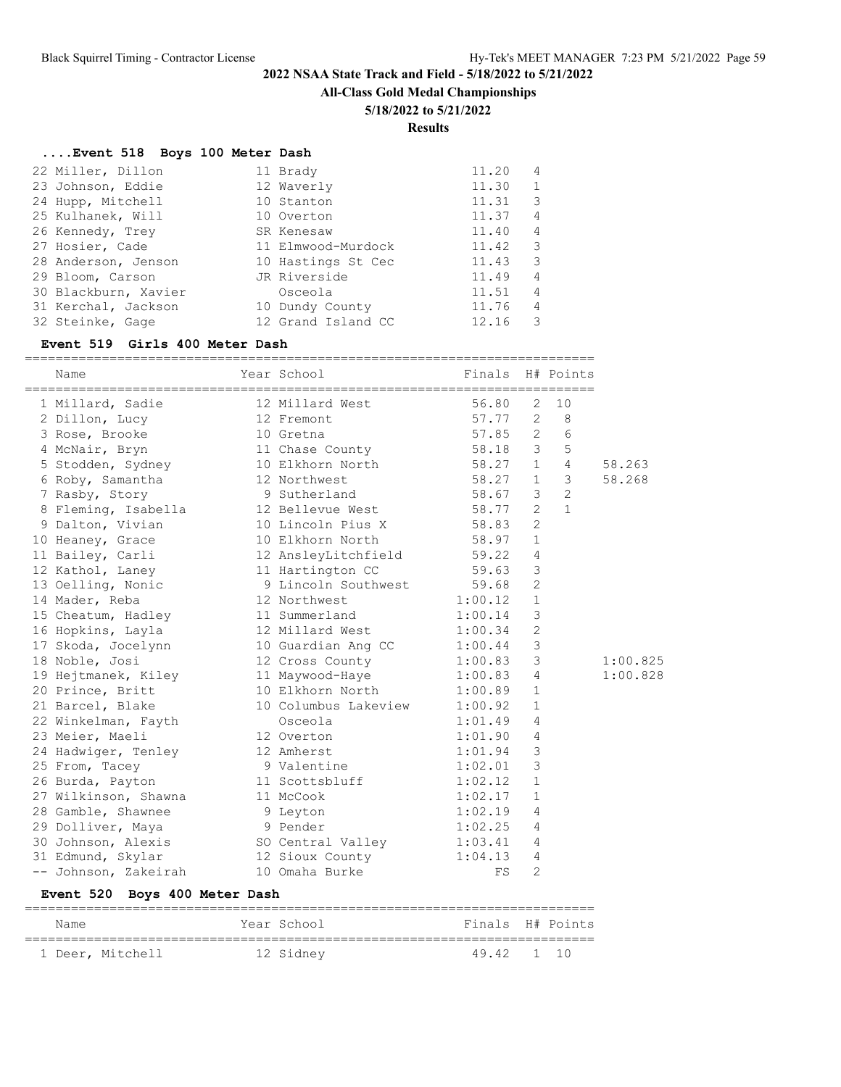**All-Class Gold Medal Championships**

### **5/18/2022 to 5/21/2022**

**Results**

===================================

## **....Event 518 Boys 100 Meter Dash**

| 22 Miller, Dillon    | 11 Brady           | 11.20 | 4              |
|----------------------|--------------------|-------|----------------|
| 23 Johnson, Eddie    | 12 Waverly         | 11.30 | $\mathbf{1}$   |
| 24 Hupp, Mitchell    | 10 Stanton         | 11.31 | 3              |
| 25 Kulhanek, Will    | 10 Overton         | 11.37 | $\overline{4}$ |
| 26 Kennedy, Trey     | SR Kenesaw         | 11.40 | 4              |
| 27 Hosier, Cade      | 11 Elmwood-Murdock | 11.42 | 3              |
| 28 Anderson, Jenson  | 10 Hastings St Cec | 11.43 | 3              |
| 29 Bloom, Carson     | JR Riverside       | 11.49 | 4              |
| 30 Blackburn, Xavier | Osceola            | 11.51 | $\overline{4}$ |
| 31 Kerchal, Jackson  | 10 Dundy County    | 11.76 | 4              |
| 32 Steinke, Gage     | 12 Grand Island CC | 12.16 | 3              |

### **Event 519 Girls 400 Meter Dash**

| Name                 | Year School          | Finals  |                | H# Points      |          |
|----------------------|----------------------|---------|----------------|----------------|----------|
| 1 Millard, Sadie     | 12 Millard West      | 56.80   | 2              | 10             |          |
| 2 Dillon, Lucy       | 12 Fremont           | 57.77   | 2              | 8              |          |
| 3 Rose, Brooke       | 10 Gretna            | 57.85   | $\overline{2}$ | 6              |          |
| 4 McNair, Bryn       | 11 Chase County      | 58.18   | 3              | 5              |          |
| 5 Stodden, Sydney    | 10 Elkhorn North     | 58.27   | $\mathbf{1}$   | 4              | 58.263   |
| 6 Roby, Samantha     | 12 Northwest         | 58.27   | $\mathbf{1}$   | 3              | 58.268   |
| 7 Rasby, Story       | 9 Sutherland         | 58.67   | 3              | $\overline{2}$ |          |
| 8 Fleming, Isabella  | 12 Bellevue West     | 58.77   | $\overline{2}$ | $\mathbf{1}$   |          |
| 9 Dalton, Vivian     | 10 Lincoln Pius X    | 58.83   | $\overline{2}$ |                |          |
| 10 Heaney, Grace     | 10 Elkhorn North     | 58.97   | $\mathbf{1}$   |                |          |
| 11 Bailey, Carli     | 12 AnsleyLitchfield  | 59.22   | 4              |                |          |
| 12 Kathol, Laney     | 11 Hartington CC     | 59.63   | 3              |                |          |
| 13 Oelling, Nonic    | 9 Lincoln Southwest  | 59.68   | $\overline{2}$ |                |          |
| 14 Mader, Reba       | 12 Northwest         | 1:00.12 | $\mathbf{1}$   |                |          |
| 15 Cheatum, Hadley   | 11 Summerland        | 1:00.14 | 3              |                |          |
| 16 Hopkins, Layla    | 12 Millard West      | 1:00.34 | $\overline{2}$ |                |          |
| 17 Skoda, Jocelynn   | 10 Guardian Ang CC   | 1:00.44 | 3              |                |          |
| 18 Noble, Josi       | 12 Cross County      | 1:00.83 | 3              |                | 1:00.825 |
| 19 Hejtmanek, Kiley  | 11 Maywood-Haye      | 1:00.83 | $\overline{4}$ |                | 1:00.828 |
| 20 Prince, Britt     | 10 Elkhorn North     | 1:00.89 | $\mathbf{1}$   |                |          |
| 21 Barcel, Blake     | 10 Columbus Lakeview | 1:00.92 | $\mathbf{1}$   |                |          |
| 22 Winkelman, Fayth  | Osceola              | 1:01.49 | 4              |                |          |
| 23 Meier, Maeli      | 12 Overton           | 1:01.90 | 4              |                |          |
| 24 Hadwiger, Tenley  | 12 Amherst           | 1:01.94 | 3              |                |          |
| 25 From, Tacey       | 9 Valentine          | 1:02.01 | 3              |                |          |
| 26 Burda, Payton     | 11 Scottsbluff       | 1:02.12 | $\mathbf{1}$   |                |          |
| 27 Wilkinson, Shawna | 11 McCook            | 1:02.17 | $\mathbf{1}$   |                |          |
| 28 Gamble, Shawnee   | 9 Leyton             | 1:02.19 | 4              |                |          |
| 29 Dolliver, Maya    | 9 Pender             | 1:02.25 | 4              |                |          |
| 30 Johnson, Alexis   | SO Central Valley    | 1:03.41 | 4              |                |          |
| 31 Edmund, Skylar    | 12 Sioux County      | 1:04.13 | 4              |                |          |
| -- Johnson, Zakeirah | 10 Omaha Burke       | FS      | $\overline{2}$ |                |          |

### **Event 520 Boys 400 Meter Dash**

| Name             | Year School | Finals H# Points |  |
|------------------|-------------|------------------|--|
| 1 Deer, Mitchell | 12 Sidney   | 49.42 1 10       |  |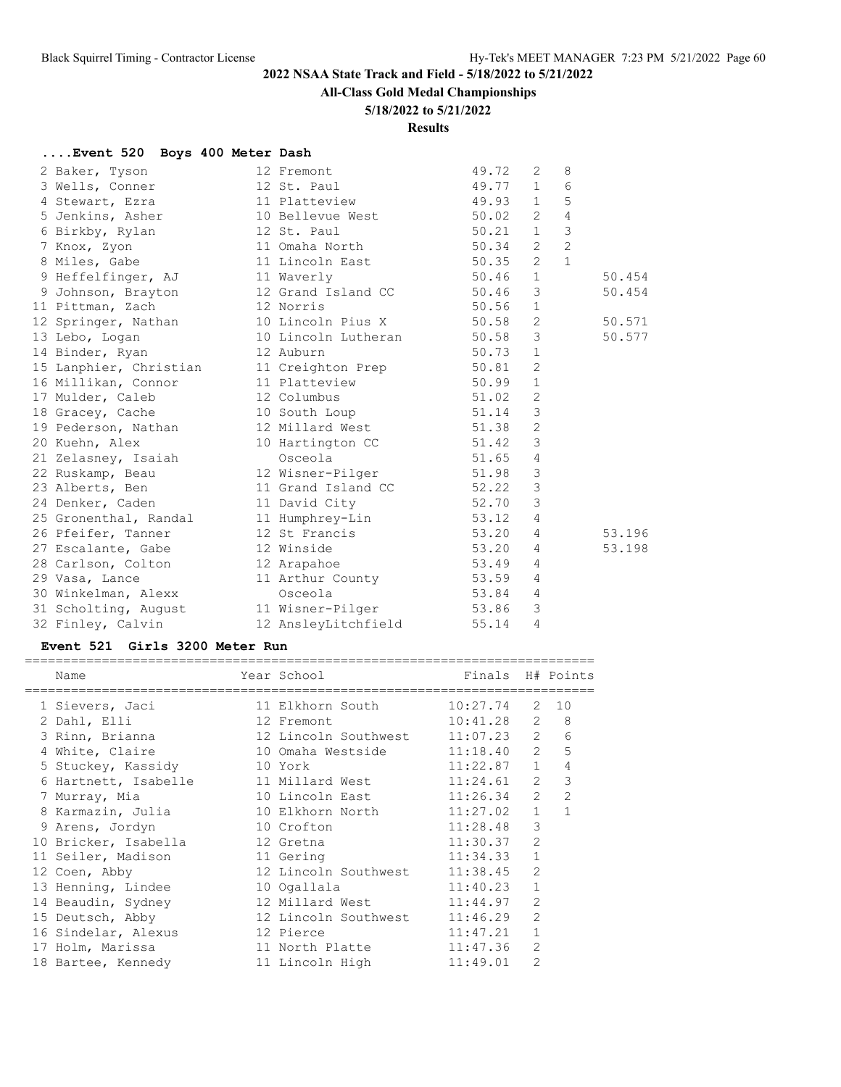## **All-Class Gold Medal Championships**

### **5/18/2022 to 5/21/2022**

### **Results**

## **....Event 520 Boys 400 Meter Dash**

| 2 Baker, Tyson                                                                                | 12 Fremont                  | 49.72     | 2              | 8              |        |
|-----------------------------------------------------------------------------------------------|-----------------------------|-----------|----------------|----------------|--------|
| 3 Wells, Conner 12 St. Paul                                                                   |                             | 49.77 1 6 |                |                |        |
| 4 Stewart, Ezra 11 Platteview                                                                 |                             | 49.93 1 5 |                |                |        |
| 5 Jenkins, Asher 10 Bellevue West 50.02 2                                                     |                             |           |                | $\overline{4}$ |        |
| 6 Birkby, Rylan 12 St. Paul                                                                   | $50.21$ 1                   |           |                | $\mathcal{S}$  |        |
| 7 Knox, Zyon                                                                                  | 11 Omaha North 50.34 2 2    |           |                |                |        |
|                                                                                               |                             |           |                | $\overline{1}$ |        |
| 9 Heffelfinger, AJ 11 Waverly                                                                 |                             | $50.46$ 1 |                |                | 50.454 |
| 9 Johnson, Brayton 12 Grand Island CC 50.46                                                   |                             |           | $\mathbf{3}$   |                | 50.454 |
| 11 Pittman, Zach 12 Norris                                                                    |                             | 50.56     | $\mathbf{1}$   |                |        |
| 12 Springer, Nathan 10 Lincoln Pius X 50.58 2                                                 |                             |           |                |                | 50.571 |
| 13 Lebo, Logan                                                                                | 10 Lincoln Lutheran 50.58 3 |           |                |                | 50.577 |
| 14 Binder, Ryan<br>12 Auburn                                                                  |                             | 50.73     | $\overline{1}$ |                |        |
| 15 Lanphier, Christian 11 Creighton Prep 50.81 2<br>16 Millikan, Connor 11 Platteview 50.99 1 |                             |           |                |                |        |
|                                                                                               |                             |           |                |                |        |
| 17 Mulder, Caleb 12 Columbus                                                                  | $51.02$ 2                   |           |                |                |        |
| 18 Gracey, Cache 10 South Loup                                                                |                             | $51.14$ 3 |                |                |        |
| 19 Pederson, Nathan 12 Millard West 51.38                                                     |                             |           | 2              |                |        |
| 20 Kuehn, Alex                                                                                | 10 Hartington CC 51.42 3    |           |                |                |        |
| 21 Zelasney, Isaiah                                                                           | Osceola                     | $51.65$ 4 |                |                |        |
| 22 Ruskamp, Beau 12 Wisner-Pilger 51.98 3                                                     |                             |           |                |                |        |
| 23 Alberts, Ben                                                                               | 11 Grand Island CC 52.22 3  |           |                |                |        |
| 24 Denker, Caden                                                                              | 11 David City<br>52.70      |           | $\mathcal{S}$  |                |        |
| 25 Gronenthal, Randal 11 Humphrey-Lin 53.12 4                                                 |                             |           |                |                |        |
| 26 Pfeifer, Tanner 12 St Francis                                                              | 53.20                       |           | $\overline{4}$ |                | 53.196 |
| 27 Escalante, Gabe 12 Winside                                                                 |                             | 53.20     | 4              |                | 53.198 |
| 28 Carlson, Colton 12 Arapahoe                                                                |                             | 53.49     | $\overline{4}$ |                |        |
| 29 Vasa, Lance                                                                                | 11 Arthur County 53.59      |           | $\overline{4}$ |                |        |
| 30 Winkelman, Alexx                                                                           | Osceola                     | 53.84 4   |                |                |        |
| 31 Scholting, August 11 Wisner-Pilger 53.86                                                   |                             |           | 3              |                |        |
| 32 Finley, Calvin                                                                             | 12 AnsleyLitchfield         | 55.14     | $\overline{4}$ |                |        |

## **Event 521 Girls 3200 Meter Run**

| Name                 | Year School                       | Finals H# Points |                |                |
|----------------------|-----------------------------------|------------------|----------------|----------------|
| 1 Sievers, Jaci      | 11 Elkhorn South                  | 10:27.74         |                | 2 10           |
| 2 Dahl, Elli         | 12 Fremont                        | $10:41.28$ 2 8   |                |                |
| 3 Rinn, Brianna      | 12 Lincoln Southwest 11:07.23 2 6 |                  |                |                |
| 4 White, Claire      | 10 Omaha Westside 11:18.40 2 5    |                  |                |                |
| 5 Stuckey, Kassidy   | 10 York                           | 11:22.87 1       |                | $\overline{4}$ |
| 6 Hartnett, Isabelle | 11 Millard West                   | 11:24.61         | $\mathbf{2}$   | 3              |
| 7 Murray, Mia        | 10 Lincoln East                   | $11:26.34$ 2     |                | $\overline{2}$ |
| 8 Karmazin, Julia    | 10 Elkhorn North 11:27.02 1 1     |                  |                |                |
| 9 Arens, Jordyn      | 11:28.48<br>10 Crofton            |                  | 3              |                |
| 10 Bricker, Isabella | 12 Gretna                         | 11:30.37         | $\overline{2}$ |                |
| 11 Seiler, Madison   | 11 Gering                         | 11:34.33         | $\mathbf{1}$   |                |
| 12 Coen, Abby        | 12 Lincoln Southwest 11:38.45     |                  | $\mathfrak{D}$ |                |
| 13 Henning, Lindee   | 10 Ogallala                       | 11:40.23         | $\mathbf{1}$   |                |
| 14 Beaudin, Sydney   | 12 Millard West 11:44.97          |                  | $\overline{2}$ |                |
| 15 Deutsch, Abby     | 12 Lincoln Southwest              | 11:46.29         | $\overline{2}$ |                |
| 16 Sindelar, Alexus  | 12 Pierce                         | 11:47.21         | $\mathbf{1}$   |                |
| 17 Holm, Marissa     | 11 North Platte                   | 11:47.36         | $\overline{2}$ |                |
| 18 Bartee, Kennedy   | 11 Lincoln High                   | 11:49.01         | $\overline{2}$ |                |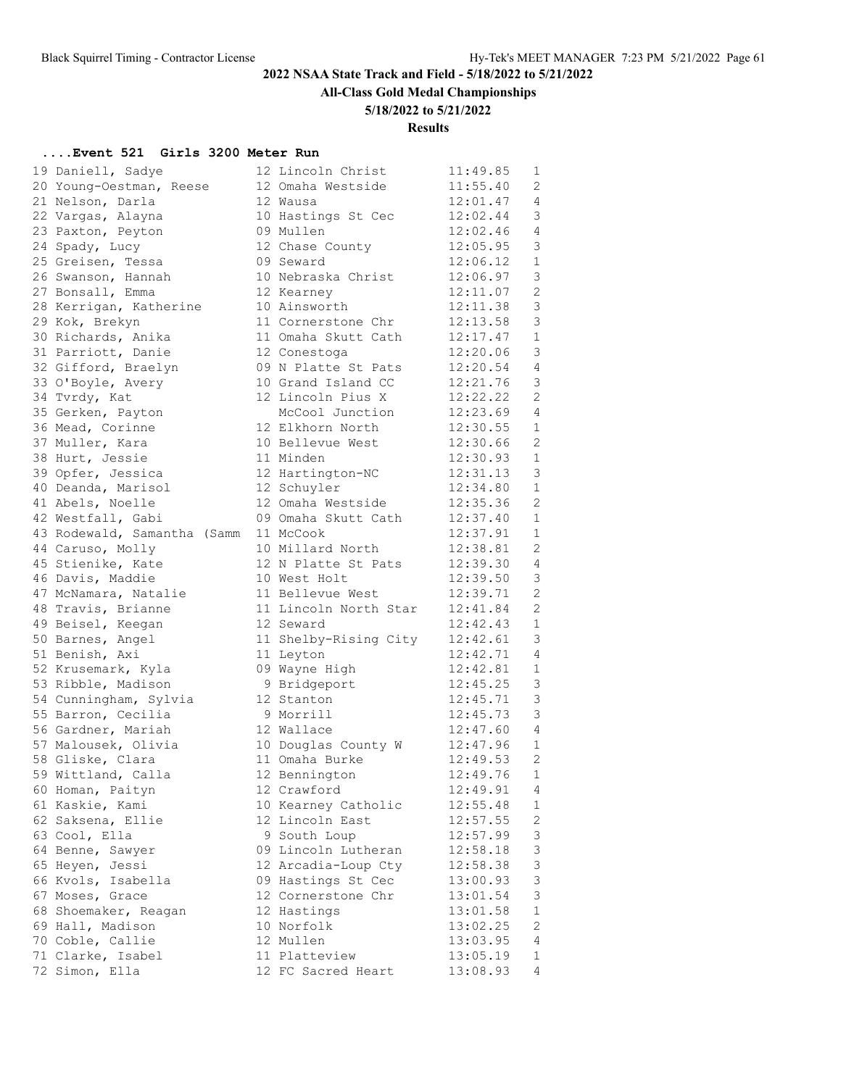**All-Class Gold Medal Championships**

### **5/18/2022 to 5/21/2022**

## **Results**

## **....Event 521 Girls 3200 Meter Run**

| 19 Daniell, Sadye           | 12 Lincoln Christ     | 11:49.85 | 1                         |
|-----------------------------|-----------------------|----------|---------------------------|
| 20 Young-Oestman, Reese     | 12 Omaha Westside     | 11:55.40 | 2                         |
| 21 Nelson, Darla            | 12 Wausa              | 12:01.47 | 4                         |
| 22 Vargas, Alayna           | 10 Hastings St Cec    | 12:02.44 | 3                         |
| 23 Paxton, Peyton           | 09 Mullen             | 12:02.46 | 4                         |
| 24 Spady, Lucy              | 12 Chase County       | 12:05.95 | 3                         |
| 25 Greisen, Tessa           | 09 Seward             | 12:06.12 | $\mathbf{1}$              |
| 26 Swanson, Hannah          | 10 Nebraska Christ    | 12:06.97 | 3                         |
| 27 Bonsall, Emma            | 12 Kearney            | 12:11.07 | 2                         |
| 28 Kerrigan, Katherine      | 10 Ainsworth          | 12:11.38 | $\mathcal{S}$             |
| 29 Kok, Brekyn              | 11 Cornerstone Chr    | 12:13.58 | 3                         |
| 30 Richards, Anika          | 11 Omaha Skutt Cath   | 12:17.47 | $\mathbf{1}$              |
| 31 Parriott, Danie          | 12 Conestoga          | 12:20.06 | $\mathsf 3$               |
| 32 Gifford, Braelyn         | 09 N Platte St Pats   | 12:20.54 | $\overline{4}$            |
| 33 O'Boyle, Avery           | 10 Grand Island CC    | 12:21.76 | 3                         |
| 34 Tvrdy, Kat               | 12 Lincoln Pius X     | 12:22.22 | $\mathbf{2}$              |
| 35 Gerken, Payton           | McCool Junction       | 12:23.69 | 4                         |
| 36 Mead, Corinne            | 12 Elkhorn North      | 12:30.55 | $\mathbf{1}$              |
| 37 Muller, Kara             | 10 Bellevue West      | 12:30.66 | 2                         |
| 38 Hurt, Jessie             | 11 Minden             | 12:30.93 | $\mathbf{1}$              |
| 39 Opfer, Jessica           | 12 Hartington-NC      | 12:31.13 | 3                         |
| 40 Deanda, Marisol          | 12 Schuyler           | 12:34.80 | $\mathbf{1}$              |
| 41 Abels, Noelle            | 12 Omaha Westside     | 12:35.36 | 2                         |
| 42 Westfall, Gabi           | 09 Omaha Skutt Cath   | 12:37.40 | $\mathbf{1}$              |
| 43 Rodewald, Samantha (Samm | 11 McCook             | 12:37.91 | $\mathbf{1}$              |
| 44 Caruso, Molly            | 10 Millard North      | 12:38.81 | 2                         |
| 45 Stienike, Kate           | 12 N Platte St Pats   | 12:39.30 | $\overline{4}$            |
| 46 Davis, Maddie            | 10 West Holt          | 12:39.50 | 3                         |
| 47 McNamara, Natalie        | 11 Bellevue West      | 12:39.71 | 2                         |
| 48 Travis, Brianne          | 11 Lincoln North Star | 12:41.84 | 2                         |
| 49 Beisel, Keegan           | 12 Seward             | 12:42.43 | $\mathbf{1}$              |
| 50 Barnes, Angel            | 11 Shelby-Rising City | 12:42.61 | 3                         |
| 51 Benish, Axi              | 11 Leyton             | 12:42.71 | 4                         |
| 52 Krusemark, Kyla          | 09 Wayne High         | 12:42.81 | $\mathbf 1$               |
| 53 Ribble, Madison          | 9 Bridgeport          | 12:45.25 | 3                         |
| 54 Cunningham, Sylvia       | 12 Stanton            | 12:45.71 | 3                         |
| 55 Barron, Cecilia          | 9 Morrill             | 12:45.73 | $\mathfrak{Z}$            |
| 56 Gardner, Mariah          | 12 Wallace            | 12:47.60 | $\overline{4}$            |
| 57 Malousek, Olivia         | 10 Douglas County W   | 12:47.96 | $\mathbf{1}$              |
| 58 Gliske, Clara            | 11 Omaha Burke        | 12:49.53 | 2                         |
| 59 Wittland, Calla          | 12 Bennington         | 12:49.76 | 1                         |
| 60 Homan, Paityn            | 12 Crawford           | 12:49.91 | 4                         |
| 61 Kaskie, Kami             | 10 Kearney Catholic   | 12:55.48 | $\mathbf{1}$              |
| 62 Saksena, Ellie           | 12 Lincoln East       | 12:57.55 | 2                         |
| 63 Cool, Ella               | 9 South Loup          | 12:57.99 | $\mathsf 3$               |
| 64 Benne, Sawyer            | 09 Lincoln Lutheran   | 12:58.18 | $\mathsf 3$               |
| 65 Heyen, Jessi             | 12 Arcadia-Loup Cty   | 12:58.38 | 3                         |
| 66 Kvols, Isabella          | 09 Hastings St Cec    | 13:00.93 | $\ensuremath{\mathsf{3}}$ |
| 67 Moses, Grace             | 12 Cornerstone Chr    | 13:01.54 | $\ensuremath{\mathsf{3}}$ |
| 68 Shoemaker, Reagan        | 12 Hastings           | 13:01.58 | $\,1$                     |
| 69 Hall, Madison            | 10 Norfolk            | 13:02.25 | 2                         |
| 70 Coble, Callie            | 12 Mullen             | 13:03.95 | 4                         |
| 71 Clarke, Isabel           | 11 Platteview         | 13:05.19 | 1                         |
| 72 Simon, Ella              | 12 FC Sacred Heart    | 13:08.93 | 4                         |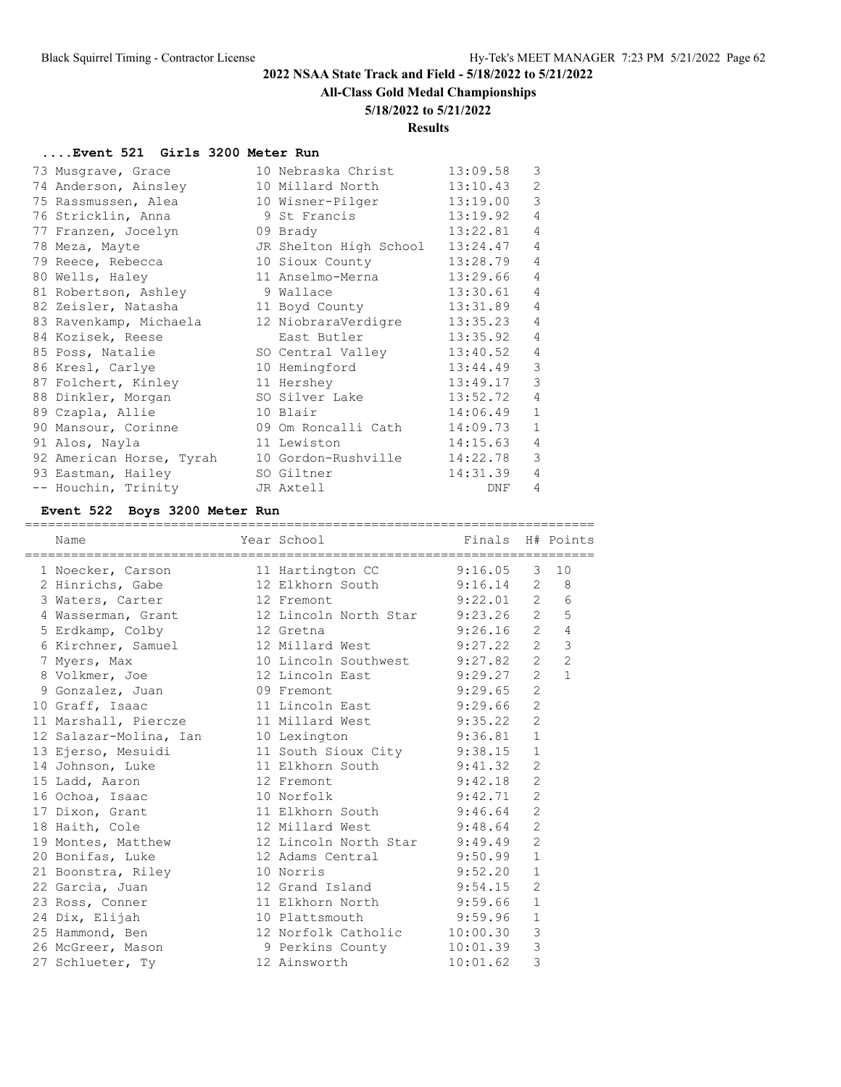# **All-Class Gold Medal Championships**

## **5/18/2022 to 5/21/2022**

## **Results**

# **....Event 521 Girls 3200 Meter Run**

| 73 Musqrave, Grace       | 10 Nebraska Christ           | 13:09.58 | 3              |
|--------------------------|------------------------------|----------|----------------|
| 74 Anderson, Ainsley     | 10 Millard North             | 13:10.43 | $\overline{2}$ |
| 75 Rassmussen, Alea      | 10 Wisner-Pilger             | 13:19.00 | 3              |
| 76 Stricklin, Anna       | 9 St Francis                 | 13:19.92 | $\overline{4}$ |
| 77 Franzen, Jocelyn      | 09 Brady                     | 13:22.81 | $\overline{4}$ |
| 78 Meza, Mayte           | JR Shelton High School       | 13:24.47 | $\overline{4}$ |
| 79 Reece, Rebecca        | 10 Sioux County              | 13:28.79 | $\overline{4}$ |
| 80 Wells, Haley          | 11 Anselmo-Merna             | 13:29.66 | $\overline{4}$ |
| 81 Robertson, Ashley     | 9 Wallace                    | 13:30.61 | $\overline{4}$ |
| 82 Zeisler, Natasha      | 11 Boyd County               | 13:31.89 | $\overline{4}$ |
| 83 Ravenkamp, Michaela   | 12 NiobraraVerdigre          | 13:35.23 | $\overline{4}$ |
| 84 Kozisek, Reese        | East Butler                  | 13:35.92 | $\overline{4}$ |
| 85 Poss, Natalie         | SO Central Valley            | 13:40.52 | $\overline{4}$ |
| 86 Kresl, Carlye         | 10 Hemingford                | 13:44.49 | 3              |
| 87 Folchert, Kinley      | 11 Hershey                   | 13:49.17 | 3              |
| 88 Dinkler, Morgan       | SO Silver Lake               | 13:52.72 | $\overline{4}$ |
| 89 Czapla, Allie         | 10 Blair                     | 14:06.49 | $\mathbf{1}$   |
| 90 Mansour, Corinne      | 09 Om Roncalli Cath 14:09.73 |          | $\mathbf{1}$   |
| 91 Alos, Nayla           | 11 Lewiston                  | 14:15.63 | $\overline{4}$ |
| 92 American Horse, Tyrah | 10 Gordon-Rushville          | 14:22.78 | 3              |
| 93 Eastman, Hailey       | SO Giltner                   | 14:31.39 | $\overline{4}$ |
| -- Houchin, Trinity      | JR Axtell                    | DNF      | $\overline{4}$ |

## **Event 522 Boys 3200 Meter Run**

| Name                                                                                                                                  | Year School Tinals H# Points |             |                |                |
|---------------------------------------------------------------------------------------------------------------------------------------|------------------------------|-------------|----------------|----------------|
| 1 Noecker, Carson 11 Hartington CC 9:16.05 3 10                                                                                       |                              |             |                |                |
| 2 Hinrichs, Gabe 12 Elkhorn South 9:16.14 2 8                                                                                         |                              |             |                |                |
| 3 Waters, Carter 12 Fremont                                                                                                           | $9:22.01$ 2 6                |             |                |                |
| 4 Wasserman, Grant 12 Lincoln North Star 9:23.26 2 5                                                                                  |                              |             |                |                |
| 5 Erdkamp, Colby 12 Gretna 9:26.16 2                                                                                                  |                              |             |                | $\overline{4}$ |
| 6 Kirchner, Samuel 12 Millard West 9:27.22 2                                                                                          |                              |             |                | $\mathcal{S}$  |
| 7 Myers, Max 10 Lincoln Southwest 9:27.82 2 2<br>8 Volkmer, Joe 12 Lincoln East 9:29.27 2 1                                           |                              |             |                |                |
|                                                                                                                                       |                              |             |                |                |
| 9 Gonzalez, Juan 69 Fremont 9:29.65                                                                                                   |                              |             | $\overline{2}$ |                |
| 10 Graff, Isaac 11 Lincoln East 9:29.66 2                                                                                             |                              |             |                |                |
| 11 Marshall, Piercze 11 Millard West 9:35.22 2                                                                                        |                              |             |                |                |
| 12 Salazar-Molina, Ian 10 Lexington 9:36.81 1                                                                                         |                              |             |                |                |
|                                                                                                                                       |                              |             | $\mathbf{1}$   |                |
| 13 Ejerso, Mesuidi 11 South Sioux City 9:38.15<br>14 Johnson, Luke 11 Elkhorn South 9:41.32                                           |                              |             | 2              |                |
| 15 Ladd, Aaron 12 Fremont 9:42.18 2                                                                                                   |                              |             |                |                |
| 16 Ochoa, Isaac 10 Norfolk                                                                                                            |                              | $9:42.71$ 2 |                |                |
|                                                                                                                                       |                              |             | $\overline{2}$ |                |
| 17 Dixon, Grant 11 Elkhorn South 9:46.64<br>18 Haith, Cole 12 Millard West 9:48.64                                                    |                              |             | 2              |                |
| 19 Montes, Matthew 12 Lincoln North Star 9:49.49 2                                                                                    |                              |             |                |                |
| 20 Bonifas, Luke 12 Adams Central 9:50.99                                                                                             |                              |             | $\mathbf{1}$   |                |
|                                                                                                                                       | 10 Norris 9:52.20            |             | $\mathbf{1}$   |                |
|                                                                                                                                       |                              |             | $\overline{2}$ |                |
| 23 Ross, Conner 11 Elkhorn North 9:59.66                                                                                              |                              |             | $\mathbf{1}$   |                |
| 24 Dix, Elijah 10 Plattsmouth 9:59.96                                                                                                 |                              |             | $\mathbf{1}$   |                |
| 25 Hammond, Ben 12 Norfolk Catholic 10:00.30<br>26 McGreer, Mason 9 Perkins County 10:01.39<br>27 Schlueter, Ty 12 Ainsworth 10:01.62 |                              |             | $\mathcal{E}$  |                |
|                                                                                                                                       |                              |             | $\mathbf{3}$   |                |
|                                                                                                                                       |                              |             | 3              |                |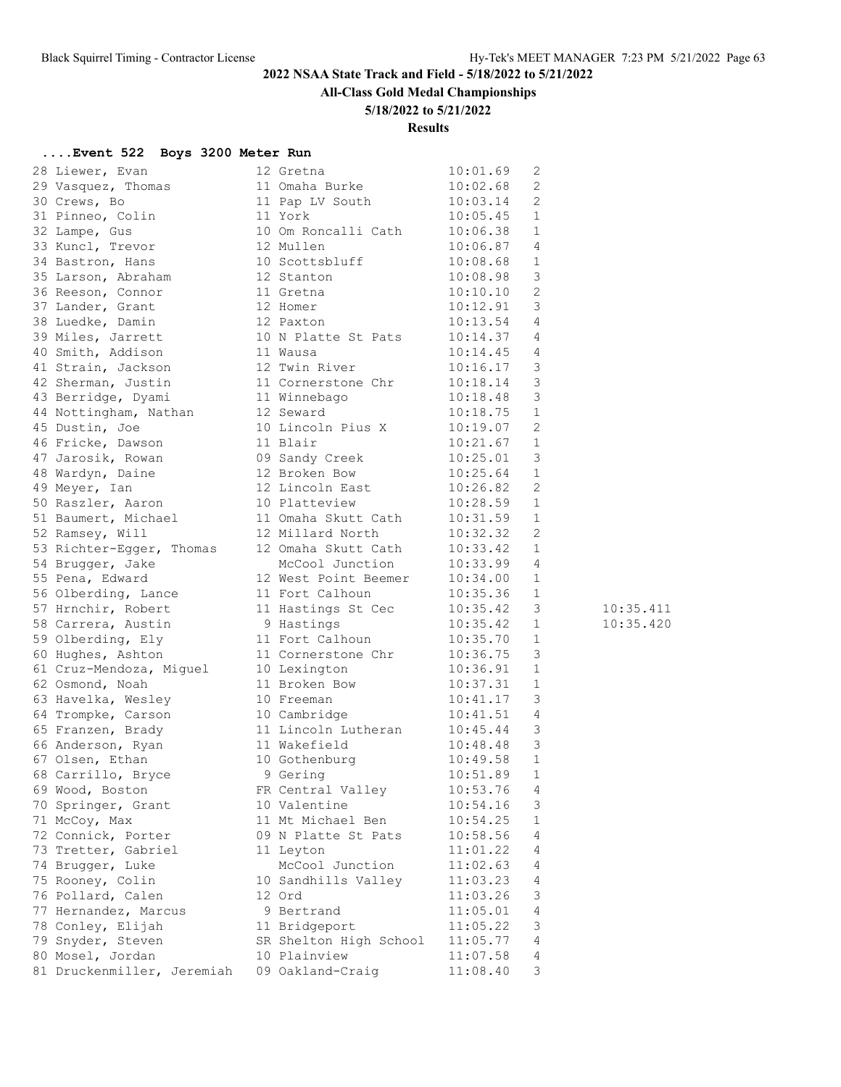# **All-Class Gold Medal Championships**

## **5/18/2022 to 5/21/2022**

### **Results**

# **....Event 522 Boys 3200 Meter Run**

| 28 Liewer, Evan            | 12 Gretna                           | 10:01.69     | 2                       |           |
|----------------------------|-------------------------------------|--------------|-------------------------|-----------|
| 29 Vasquez, Thomas         | 11 Omaha Burke                      | 10:02.68     | 2                       |           |
| 30 Crews, Bo               | -<br>11 Pap LV South                | 10:03.14     | 2                       |           |
| 31 Pinneo, Colin           | 11 York                             | 10:05.45     | 1                       |           |
| 32 Lampe, Gus              | 10 Om Roncalli Cath                 | 10:06.38     | 1                       |           |
| 33 Kuncl, Trevor           | 12 Mullen                           | 10:06.87     | $\overline{4}$          |           |
| 34 Bastron, Hans           | 10 Scottsbluff                      | 10:08.68     | $\overline{1}$          |           |
| 35 Larson, Abraham         | 12 Stanton                          | 10:08.98     | $\overline{\mathbf{3}}$ |           |
| 36 Reeson, Connor          | 11 Gretna                           | 10:10.10     | $\overline{c}$          |           |
| 37 Lander, Grant           | 12 Homer                            | 10:12.91     | $\overline{\mathbf{3}}$ |           |
| 38 Luedke, Damin           | 12 Paxton                           | 10:13.54 4   |                         |           |
| 39 Miles, Jarrett          | 10 N Platte St Pats                 | 10:14.37 4   |                         |           |
| 40 Smith, Addison          | 11 Wausa                            | $10:14.45$ 4 |                         |           |
| 41 Strain, Jackson         |                                     | 10:16.17     | $\overline{\mathbf{3}}$ |           |
| 42 Sherman, Justin         | 12 Twin River<br>11 Cornerstone Chr | 10:18.14     | $\overline{\mathbf{3}}$ |           |
| 43 Berridge, Dyami         | 11 Winnebago                        | 10:18.48     | $\overline{\mathbf{3}}$ |           |
| 44 Nottingham, Nathan      | 12 Seward                           | 10:18.75     | $\mathbf{1}$            |           |
| 45 Dustin, Joe             | 10 Lincoln Pius X                   | 10:19.07     | 2                       |           |
| 46 Fricke, Dawson          | 11 Blair                            | 10:21.67     | $\mathbf{1}$            |           |
| 47 Jarosik, Rowan          | 09 Sandy Creek                      | 10:25.01     | $\overline{3}$          |           |
| 48 Wardyn, Daine           | 12 Broken Bow                       | 10:25.64     | $\overline{1}$          |           |
| 49 Meyer, Ian              | 12 Lincoln East                     | 10:26.82     | 2                       |           |
| 50 Raszler, Aaron          | 10 Platteview                       | 10:28.59     | $\mathbf{1}$            |           |
| 51 Baumert, Michael        | 11 Omaha Skutt Cath                 | 10:31.59     | 1                       |           |
| 52 Ramsey, Will            | 12 Millard North                    | 10:32.32     | 2                       |           |
| 53 Richter-Egger, Thomas   | 12 Omaha Skutt Cath                 | 10:33.42     | $\mathbf{1}$            |           |
| 54 Brugger, Jake           | McCool Junction                     | 10:33.99 4   |                         |           |
| 55 Pena, Edward            | 12 West Point Beemer                | 10:34.00     | 1                       |           |
| 56 Olberding, Lance        | 11 Fort Calhoun                     | 10:35.36     | 1                       |           |
| 57 Hrnchir, Robert         | 11 Hastings St Cec                  | 10:35.42     | 3                       | 10:35.411 |
| 58 Carrera, Austin         | 9 Hastings                          | 10:35.42     | 1                       | 10:35.420 |
| 59 Olberding, Ely          | 11 Fort Calhoun                     | 10:35.70     | $\mathbf{1}$            |           |
| 60 Hughes, Ashton          | 11 Cornerstone Chr                  | 10:36.75     | $\mathcal{E}$           |           |
| 61 Cruz-Mendoza, Miguel    | 10 Lexington                        | 10:36.91     | $\mathbf{1}$            |           |
| 62 Osmond, Noah            | 11 Broken Bow                       | 10:37.31     | 1                       |           |
| 63 Havelka, Wesley         | 10 Freeman                          | 10:41.17     | 3                       |           |
| 64 Trompke, Carson         | 10 Cambridge                        | 10:41.51     | $\overline{4}$          |           |
| 65 Franzen, Brady          | 11 Lincoln Lutheran                 | 10:45.44     | $\overline{\mathbf{3}}$ |           |
| 66 Anderson, Ryan          | 11 Wakefield                        | 10:48.48     | $\overline{3}$          |           |
| 67 Olsen, Ethan            | 10 Gothenburg                       | 10:49.58     | 1                       |           |
| 68 Carrillo, Bryce         | 9 Gering                            | 10:51.89     | 1                       |           |
| 69 Wood, Boston            | FR Central Valley                   | 10:53.76     | 4                       |           |
| 70 Springer, Grant         | 10 Valentine                        | 10:54.16     | 3                       |           |
| 71 McCoy, Max              | 11 Mt Michael Ben                   | 10:54.25     | 1                       |           |
| 72 Connick, Porter         | 09 N Platte St Pats                 | 10:58.56     | 4                       |           |
| 73 Tretter, Gabriel        | 11 Leyton                           | 11:01.22     | 4                       |           |
| 74 Brugger, Luke           | McCool Junction                     | 11:02.63     | 4                       |           |
| 75 Rooney, Colin           | 10 Sandhills Valley                 | 11:03.23     | 4                       |           |
| 76 Pollard, Calen          | 12 Ord                              | 11:03.26     | 3                       |           |
| 77 Hernandez, Marcus       | 9 Bertrand                          | 11:05.01     | 4                       |           |
| 78 Conley, Elijah          | 11 Bridgeport                       | 11:05.22     | 3                       |           |
| 79 Snyder, Steven          | SR Shelton High School              | 11:05.77     | 4                       |           |
| 80 Mosel, Jordan           | 10 Plainview                        | 11:07.58     | 4                       |           |
| 81 Druckenmiller, Jeremiah | 09 Oakland-Craig                    | 11:08.40     | 3                       |           |
|                            |                                     |              |                         |           |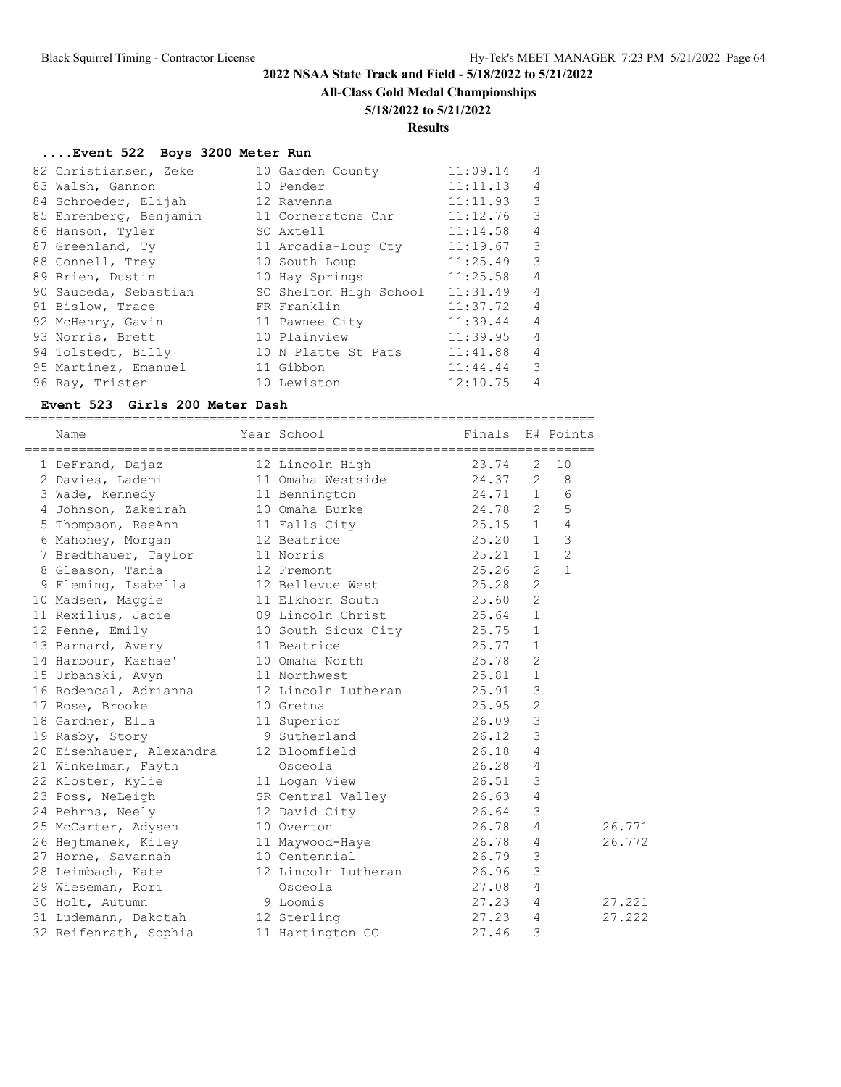## **All-Class Gold Medal Championships**

### **5/18/2022 to 5/21/2022**

### **Results**

### **....Event 522 Boys 3200 Meter Run**

| 82 Christiansen, Zeke  | 10 Garden County       | 11:09.14 | $\overline{4}$          |
|------------------------|------------------------|----------|-------------------------|
| 83 Walsh, Gannon       | 10 Pender              | 11:11.13 | 4                       |
| 84 Schroeder, Elijah   | 12 Ravenna             | 11:11.93 | 3                       |
| 85 Ehrenberg, Benjamin | 11 Cornerstone Chr     | 11:12.76 | 3                       |
| 86 Hanson, Tyler       | SO Axtell              | 11:14.58 | $\overline{4}$          |
| 87 Greenland, Ty       | 11 Arcadia-Loup Cty    | 11:19.67 | 3                       |
| 88 Connell, Trey       | 10 South Loup          | 11:25.49 | -3                      |
| 89 Brien, Dustin       | 10 Hay Springs         | 11:25.58 | 4                       |
| 90 Sauceda, Sebastian  | SO Shelton High School | 11:31.49 | $\overline{4}$          |
| 91 Bislow, Trace       | FR Franklin            | 11:37.72 | $\overline{4}$          |
| 92 McHenry, Gavin      | 11 Pawnee City         | 11:39.44 | 4                       |
| 93 Norris, Brett       | 10 Plainview           | 11:39.95 | $\overline{4}$          |
| 94 Tolstedt, Billy     | 10 N Platte St Pats    | 11:41.88 | $\overline{4}$          |
| 95 Martinez, Emanuel   | 11 Gibbon              | 11:44.44 | $\overline{\mathbf{3}}$ |
| 96 Ray, Tristen        | 10 Lewiston            | 12:10.75 | 4                       |

### **Event 523 Girls 200 Meter Dash**

========================================================================== Name  $Year School$  Finals H# Points ========================================================================== 1 DeFrand, Dajaz 12 Lincoln High

| 2 Davies, Lademi 11 Omaha Westside 24.37 2 8                                                                                |         |             |                     |              |        |
|-----------------------------------------------------------------------------------------------------------------------------|---------|-------------|---------------------|--------------|--------|
| 3 Wade, Kennedy 11 Bennington 24.71 1 6                                                                                     |         |             |                     |              |        |
| 4 Johnson, Zakeirah 10 Omaha Burke 24.78 2 5                                                                                |         |             |                     |              |        |
| 5 Thompson, RaeAnn 11 Falls City 25.15 1 4                                                                                  |         |             |                     |              |        |
| 6 Mahoney, Morgan 12 Beatrice 25.20 1                                                                                       |         |             |                     | $\mathbf{3}$ |        |
| 7 Bredthauer, Taylor 11 Norris<br>8 Gleason, Tania 12 Fremont                                                               |         | $25.21$ 1 2 |                     |              |        |
|                                                                                                                             |         | 25.26       | $\overline{1}$<br>2 |              |        |
| 9 Fleming, Isabella 12 Bellevue West 25.28                                                                                  |         |             | $\overline{c}$      |              |        |
| 10 Madsen, Maggie 11 Elkhorn South 25.60                                                                                    |         |             | 2                   |              |        |
| 11 Rexilius, Jacie 19 Dincoln Christ 25.64 1                                                                                |         |             |                     |              |        |
| 12 Penne, Emily 10 South Sioux City 25.75 1                                                                                 |         |             |                     |              |        |
| 13 Barnard, Avery 11 Beatrice 25.77 1                                                                                       |         |             |                     |              |        |
| 14 Harbour, Kashae' 10 Omaha North 25.78                                                                                    |         |             | $\overline{c}$      |              |        |
| 15 Urbanski, Avyn 11 Northwest 15 Urbanski, Avyn 12 Urbanski, 25.81 1<br>16 Rodencal, Adrianna 12 Lincoln Lutheran 125.91 3 |         |             |                     |              |        |
|                                                                                                                             |         |             |                     |              |        |
| 17 Rose, Brooke 10 Gretna                                                                                                   | 25.95 2 |             |                     |              |        |
| 18 Gardner, Ella 11 Superior                                                                                                |         | $26.09$ 3   |                     |              |        |
| 19 Rasby, Story 9 Sutherland 26.12                                                                                          |         |             | 3                   |              |        |
| 20 Eisenhauer, Alexandra 12 Bloomfield 16.18                                                                                |         |             | $\overline{4}$      |              |        |
| 21 Winkelman, Fayth Cosceola 26.28 4                                                                                        |         |             |                     |              |        |
| 22 Kloster, Kylie and 11 Logan View 26.51 3                                                                                 |         |             |                     |              |        |
| 23 Poss, NeLeigh SR Central Valley 26.63 4<br>24 Behrns, Neely 12 David City 26.64 3                                        |         |             |                     |              |        |
|                                                                                                                             |         |             |                     |              |        |
| 25 McCarter, Adysen 10 Overton 26.78                                                                                        |         |             | $\overline{4}$      |              | 26.771 |
| 26 Hejtmanek, Kiley 11 Maywood-Haye 26.78 4                                                                                 |         |             |                     |              | 26.772 |
| 27 Horne, Savannah 10 Centennial 26.79                                                                                      |         |             | $\mathbf{3}$        |              |        |
| 28 Leimbach, Kate 12 Lincoln Lutheran 26.96                                                                                 |         |             | 3                   |              |        |
| 29 Wieseman, Rori i Social Company (27.08 4                                                                                 |         |             |                     |              |        |
| 30 Holt, Autumn 9 Loomis                                                                                                    |         | 27.23 4     |                     |              | 27.221 |
| 31 Ludemann, Dakotah 12 Sterling                                                                                            |         | 27.23 4     |                     |              | 27.222 |
| 32 Reifenrath, Sophia 11 Hartington CC 27.46                                                                                |         |             | 3                   |              |        |
|                                                                                                                             |         |             |                     |              |        |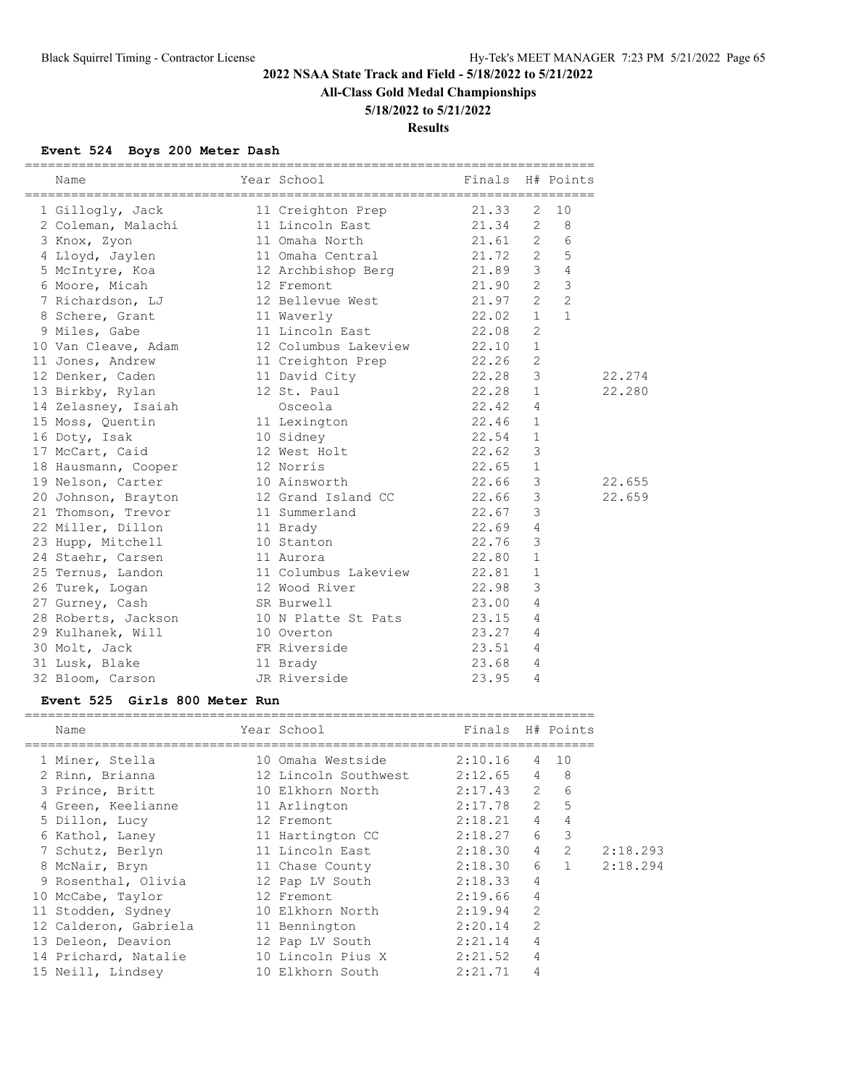**All-Class Gold Medal Championships**

# **5/18/2022 to 5/21/2022**

**Results**

## **Event 524 Boys 200 Meter Dash**

| Name                                    | Year School<br>__________________________________ | Finals           |                | H# Points      |          |
|-----------------------------------------|---------------------------------------------------|------------------|----------------|----------------|----------|
| 1 Gillogly, Jack                        | 11 Creighton Prep                                 | 21.33            | 2              | 10             |          |
| 2 Coleman, Malachi                      | 11 Lincoln East                                   | 21.34            | $\mathbf{2}$   | 8              |          |
| 3 Knox, Zyon                            | 11 Omaha North                                    | 21.61            | 2              | 6              |          |
| 4 Lloyd, Jaylen                         | 11 Omaha Central                                  | 21.72            | 2              | 5              |          |
| 5 McIntyre, Koa                         | 12 Archbishop Berg                                | 21.89            | 3              | 4              |          |
| 6 Moore, Micah                          | 12 Fremont                                        | 21.90            | $\overline{2}$ | 3              |          |
| 7 Richardson, LJ                        | 12 Bellevue West                                  | 21.97            | 2              | $\overline{c}$ |          |
| 8 Schere, Grant                         | 11 Waverly                                        | 22.02            | $\mathbf{1}$   | $\mathbf{1}$   |          |
| 9 Miles, Gabe                           | 11 Lincoln East                                   | 22.08            | 2              |                |          |
| 10 Van Cleave, Adam                     | 12 Columbus Lakeview                              | 22.10            | $\mathbf{1}$   |                |          |
| 11 Jones, Andrew                        | 11 Creighton Prep                                 | 22.26            | $\overline{c}$ |                |          |
| 12 Denker, Caden                        | 11 David City                                     | 22.28            | 3              |                | 22.274   |
| 13 Birkby, Rylan                        | 12 St. Paul                                       | 22.28            | $\mathbf{1}$   |                | 22.280   |
| 14 Zelasney, Isaiah                     | Osceola                                           | 22.42            | 4              |                |          |
| 15 Moss, Quentin                        | 11 Lexington                                      | 22.46            | 1              |                |          |
| 16 Doty, Isak                           | 10 Sidney                                         | 22.54            | $\mathbf 1$    |                |          |
| 17 McCart, Caid                         | 12 West Holt                                      | 22.62            | 3              |                |          |
| 18 Hausmann, Cooper                     | 12 Norris                                         | 22.65            | $\mathbf 1$    |                |          |
| 19 Nelson, Carter                       | 10 Ainsworth                                      | 22.66            | 3              |                | 22.655   |
| 20 Johnson, Brayton                     | 12 Grand Island CC                                | 22.66            | 3              |                | 22.659   |
| 21 Thomson, Trevor                      | 11 Summerland                                     | 22.67            | 3              |                |          |
| 22 Miller, Dillon                       | 11 Brady                                          | 22.69            | 4              |                |          |
| 23 Hupp, Mitchell                       | 10 Stanton                                        | 22.76            | 3              |                |          |
| 24 Staehr, Carsen                       | 11 Aurora                                         | 22.80            | $\mathbf{1}$   |                |          |
| 25 Ternus, Landon                       | 11 Columbus Lakeview                              | 22.81            | $\mathbf{1}$   |                |          |
| 26 Turek, Logan                         | 12 Wood River                                     | 22.98            | 3              |                |          |
| 27 Gurney, Cash                         | SR Burwell                                        | 23.00            | 4              |                |          |
| 28 Roberts, Jackson                     | 10 N Platte St Pats                               | 23.15            | 4              |                |          |
| 29 Kulhanek, Will                       | 10 Overton                                        | 23.27            | 4              |                |          |
| 30 Molt, Jack                           | FR Riverside                                      | 23.51            | 4              |                |          |
| 31 Lusk, Blake                          | 11 Brady                                          | 23.68            | 4              |                |          |
| 32 Bloom, Carson                        | JR Riverside                                      | 23.95            | 4              |                |          |
| Girls 800 Meter Run<br><b>Event 525</b> |                                                   |                  |                |                |          |
| Name                                    | Year School                                       | Finals H# Points |                |                |          |
|                                         |                                                   |                  |                |                |          |
| 1 Miner, Stella                         | 10 Omaha Westside                                 | 2:10.16          | 4              | 10             |          |
| 2 Rinn, Brianna                         | 12 Lincoln Southwest                              | 2:12.65          | 4              | 8              |          |
| 3 Prince, Britt                         | 10 Elkhorn North                                  | 2:17.43          | 2              | 6              |          |
| 4 Green, Keelianne                      | 11 Arlington                                      | 2:17.78          | 2              | 5              |          |
| 5 Dillon, Lucy                          | 12 Fremont                                        | 2:18.21          | 4              | $\overline{4}$ |          |
| 6 Kathol, Laney                         | 11 Hartington CC                                  | 2:18.27          | 6              | 3              |          |
| 7 Schutz, Berlyn                        | 11 Lincoln East                                   | 2:18.30          | 4              | $\mathbf{2}$   | 2:18.293 |
| 8 McNair, Bryn                          | 11 Chase County                                   | 2:18.30          | 6              | 1              | 2:18.294 |
| 9 Rosenthal, Olivia                     | 12 Pap LV South                                   | 2:18.33          | 4              |                |          |
| 10 McCabe, Taylor                       | 12 Fremont                                        | 2:19.66          | 4              |                |          |
| 11 Stodden, Sydney                      | 10 Elkhorn North                                  | 2:19.94          | 2              |                |          |
| 12 Calderon, Gabriela                   | 11 Bennington                                     | 2:20.14          | 2              |                |          |
| 13 Deleon, Deavion                      | 12 Pap LV South                                   | 2:21.14          | 4              |                |          |
| 14 Prichard, Natalie                    | 10 Lincoln Pius X                                 | 2:21.52          | 4              |                |          |
| 15 Neill, Lindsey                       | 10 Elkhorn South                                  | 2:21.71          | 4              |                |          |

==========================================================================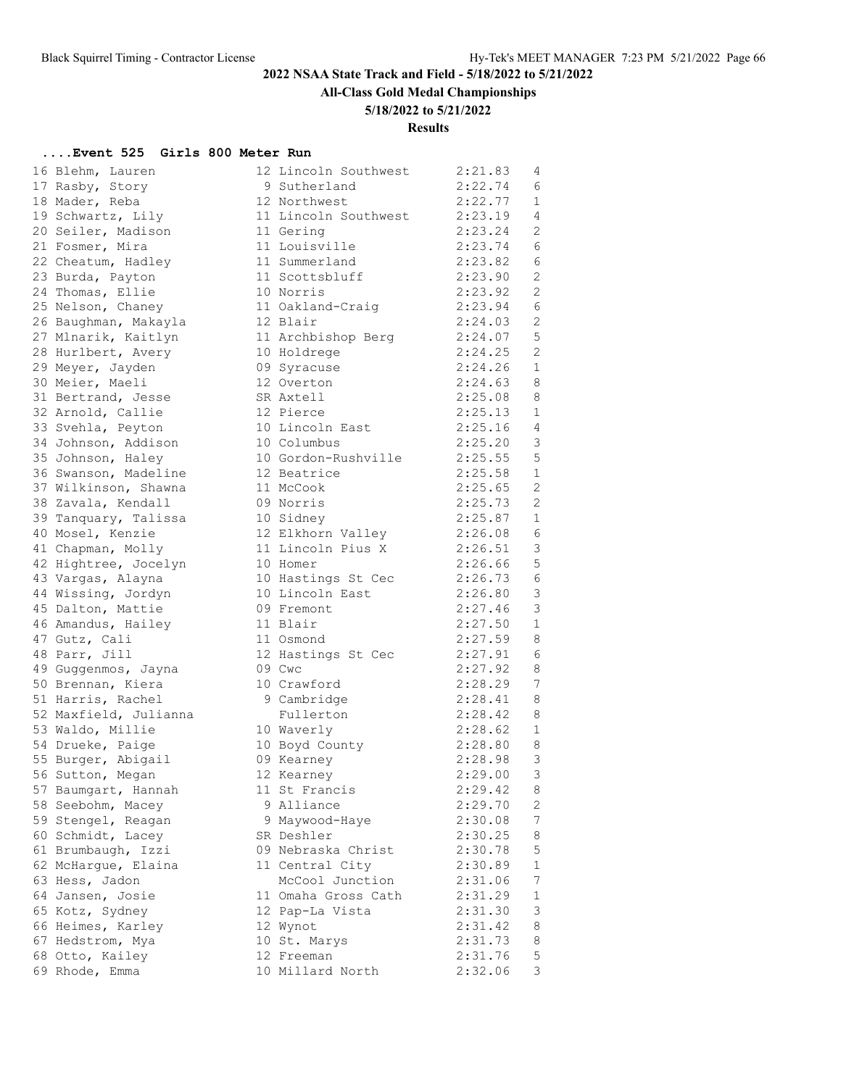**All-Class Gold Medal Championships**

### **5/18/2022 to 5/21/2022**

### **Results**

### **....Event 525 Girls 800 Meter Run**

| 16 Blehm, Lauren      | 12 Lincoln Southwest | 2:21.83 | 4              |
|-----------------------|----------------------|---------|----------------|
| 17 Rasby, Story       | 9 Sutherland         | 2:22.74 | 6              |
| 18 Mader, Reba        | 12 Northwest         | 2:22.77 | 1              |
| 19 Schwartz, Lily     | 11 Lincoln Southwest | 2:23.19 | $\overline{4}$ |
| 20 Seiler, Madison    | 11 Gering            | 2:23.24 | $\overline{c}$ |
| 21 Fosmer, Mira       | 11 Louisville        | 2:23.74 | 6              |
| 22 Cheatum, Hadley    | 11 Summerland        | 2:23.82 | 6              |
| 23 Burda, Payton      | 11 Scottsbluff       | 2:23.90 | $\overline{c}$ |
| 24 Thomas, Ellie      | 10 Norris            | 2:23.92 | $\overline{c}$ |
| 25 Nelson, Chaney     | 11 Oakland-Craig     | 2:23.94 | 6              |
| 26 Baughman, Makayla  | 12 Blair             | 2:24.03 | 2              |
| 27 Mlnarik, Kaitlyn   | 11 Archbishop Berg   | 2:24.07 | 5              |
| 28 Hurlbert, Avery    | 10 Holdrege          | 2:24.25 | $\overline{c}$ |
|                       | 09 Syracuse          | 2:24.26 | 1              |
| 29 Meyer, Jayden      |                      | 2:24.63 | 8              |
| 30 Meier, Maeli       | 12 Overton           |         | 8              |
| 31 Bertrand, Jesse    | SR Axtell            | 2:25.08 |                |
| 32 Arnold, Callie     | 12 Pierce            | 2:25.13 | 1              |
| 33 Svehla, Peyton     | 10 Lincoln East      | 2:25.16 | $\overline{4}$ |
| 34 Johnson, Addison   | 10 Columbus          | 2:25.20 | 3              |
| 35 Johnson, Haley     | 10 Gordon-Rushville  | 2:25.55 | 5              |
| 36 Swanson, Madeline  | 12 Beatrice          | 2:25.58 | $\mathbf{1}$   |
| 37 Wilkinson, Shawna  | 11 McCook            | 2:25.65 | $\overline{c}$ |
| 38 Zavala, Kendall    | 09 Norris            | 2:25.73 | $\overline{2}$ |
| 39 Tanquary, Talissa  | 10 Sidney            | 2:25.87 | $\mathbf{1}$   |
| 40 Mosel, Kenzie      | 12 Elkhorn Valley    | 2:26.08 | 6              |
| 41 Chapman, Molly     | 11 Lincoln Pius X    | 2:26.51 | 3              |
| 42 Hightree, Jocelyn  | 10 Homer             | 2:26.66 | 5              |
| 43 Vargas, Alayna     | 10 Hastings St Cec   | 2:26.73 | 6              |
| 44 Wissing, Jordyn    | 10 Lincoln East      | 2:26.80 | 3              |
| 45 Dalton, Mattie     | 09 Fremont           | 2:27.46 | 3              |
| 46 Amandus, Hailey    | 11 Blair             | 2:27.50 | $\mathbf{1}$   |
| 47 Gutz, Cali         | 11 Osmond            | 2:27.59 | 8              |
| 48 Parr, Jill         | 12 Hastings St Cec   | 2:27.91 | 6              |
| 49 Guggenmos, Jayna   | 09 Cwc               | 2:27.92 | 8              |
| 50 Brennan, Kiera     | 10 Crawford          | 2:28.29 | 7              |
| 51 Harris, Rachel     | 9 Cambridge          | 2:28.41 | 8              |
| 52 Maxfield, Julianna | Fullerton            | 2:28.42 | 8              |
| 53 Waldo, Millie      | 10 Waverly           | 2:28.62 | 1              |
| 54 Drueke, Paige      | 10 Boyd County       | 2:28.80 | 8              |
| 55 Burger, Abigail    | 09 Kearney           | 2:28.98 | 3              |
| 56 Sutton, Megan      | 12 Kearney           | 2:29.00 | $\mathcal{E}$  |
| 57 Baumgart, Hannah   | 11 St Francis        | 2:29.42 | 8              |
| 58 Seebohm, Macey     | 9 Alliance           | 2:29.70 | $\overline{c}$ |
| 59 Stengel, Reagan    | 9 Maywood-Haye       | 2:30.08 | 7              |
| 60 Schmidt, Lacey     | SR Deshler           | 2:30.25 | 8              |
| 61 Brumbaugh, Izzi    | 09 Nebraska Christ   | 2:30.78 | 5              |
|                       | 11 Central City      | 2:30.89 | $\mathbf{1}$   |
| 62 McHargue, Elaina   |                      |         |                |
| 63 Hess, Jadon        | McCool Junction      | 2:31.06 | 7              |
| 64 Jansen, Josie      | 11 Omaha Gross Cath  | 2:31.29 | $\mathbf 1$    |
| 65 Kotz, Sydney       | 12 Pap-La Vista      | 2:31.30 | 3              |
| 66 Heimes, Karley     | 12 Wynot             | 2:31.42 | 8              |
| 67 Hedstrom, Mya      | 10 St. Marys         | 2:31.73 | 8              |
| 68 Otto, Kailey       | 12 Freeman           | 2:31.76 | 5              |
| 69 Rhode, Emma        | 10 Millard North     | 2:32.06 | 3              |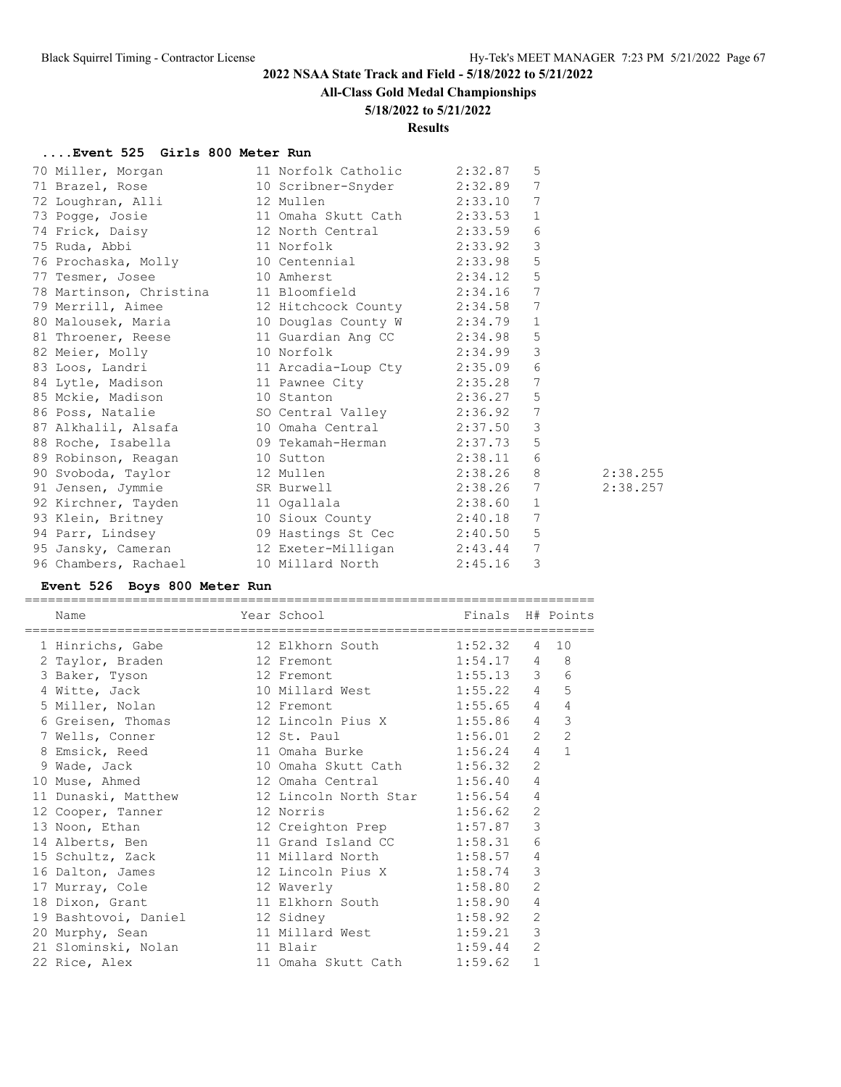# **All-Class Gold Medal Championships**

### **5/18/2022 to 5/21/2022**

### **Results**

## **....Event 525 Girls 800 Meter Run**

| 70 Miller, Morgan 11 Norfolk Catholic 2:32.87                                                                                                                                 |         | 5            |          |
|-------------------------------------------------------------------------------------------------------------------------------------------------------------------------------|---------|--------------|----------|
| 71 Brazel, Rose 10 Scribner-Snyder 2:32.89                                                                                                                                    |         | 7            |          |
| 72 Loughran, Alli 12 Mullen                                                                                                                                                   | 2:33.10 | 7            |          |
| 73 Pogge, Josie 11 Omaha Skutt Cath 2:33.53                                                                                                                                   |         | $\mathbf{1}$ |          |
|                                                                                                                                                                               |         | 6            |          |
|                                                                                                                                                                               |         | 3            |          |
| 76 Prochaska, Molly 10 Centennial 2:33.98                                                                                                                                     |         | 5            |          |
| 77 Tesmer, Josee 10 Amherst 2:34.12                                                                                                                                           |         | 5            |          |
|                                                                                                                                                                               |         | 7            |          |
| 78 Martinson, Christina 11 Bloomfield 2:34.16<br>79 Merrill, Aimee 12 Hitchcock County 2:34.58                                                                                |         | 7            |          |
| 80 Malousek, Maria 10 Douglas County W 2:34.79 1                                                                                                                              |         |              |          |
| 81 Throener, Reese 11 Guardian Ang CC 2:34.98                                                                                                                                 |         | 5            |          |
| 82 Meier, Molly 10 Norfolk 2:34.99 3<br>83 Loos, Landri 11 Arcadia-Loup Cty 2:35.09 6<br>84 Lytle, Madison 11 Pawnee City 2:35.28 7<br>85 Mckie, Madison 10 Stanton 2:36.27 5 |         |              |          |
|                                                                                                                                                                               |         |              |          |
|                                                                                                                                                                               |         |              |          |
|                                                                                                                                                                               |         |              |          |
| 86 Poss, Natalie 30 Central Valley 2:36.92 7                                                                                                                                  |         |              |          |
| 87 Alkhalil, Alsafa (10 Omaha Central (2:37.50)                                                                                                                               |         | 3            |          |
| 88 Roche, Isabella 69 Tekamah-Herman 2:37.73                                                                                                                                  |         | 5            |          |
| 89 Robinson, Reagan<br>90 Svoboda, Taylor<br>91 Jensen, Jymmie SR Burwell<br>2:38.26 8<br>2:38.26 7<br>2:38.26 7                                                              |         |              |          |
|                                                                                                                                                                               |         |              | 2:38.255 |
|                                                                                                                                                                               |         |              | 2:38.257 |
| 92 Kirchner, Tayden 11 Ogallala (1986) 2:38.60                                                                                                                                |         | $\mathbf{1}$ |          |
| 93 Klein, Britney 10 Sioux County 2:40.18 7                                                                                                                                   |         |              |          |
| 94 Parr, Lindsey 09 Hastings St Cec 2:40.50                                                                                                                                   |         | 5            |          |
| 95 Jansky, Cameran 12 Exeter-Milligan 2:43.44 7                                                                                                                               |         |              |          |
| 96 Chambers, Rachael 10 Millard North 2:45.16                                                                                                                                 |         | 3            |          |

# **Event 526 Boys 800 Meter Run**

| Name                        | Year School Finals H# Points<br>============================ |                |                 |                |
|-----------------------------|--------------------------------------------------------------|----------------|-----------------|----------------|
| 1 Hinrichs, Gabe            | 12 Elkhorn South                                             | $1:52.32$ 4 10 |                 |                |
| 2 Taylor, Braden 12 Fremont |                                                              | $1:54.17$ 4 8  |                 |                |
| 3 Baker, Tyson              | 12 Fremont                                                   | $1:55.13$ 3    |                 | 6              |
| 4 Witte, Jack               | 10 Millard West                                              | $1:55.22$ 4    |                 | 5              |
| 5 Miller, Nolan             | 12 Fremont                                                   | $1:55.65$ 4    |                 | 4              |
|                             |                                                              | $1:55.86$ 4    |                 | 3              |
| 7 Wells, Conner             | 12 St. Paul                                                  | 1:56.01        | $2^{\circ}$     | $\overline{2}$ |
| 8 Emsick, Reed              | 11 Omaha Burke                                               | 1:56.24        | $4\overline{ }$ | $\mathbf{1}$   |
| 9 Wade, Jack                | 10 Omaha Skutt Cath                                          | 1:56.32        | $\overline{2}$  |                |
| 10 Muse, Ahmed              | 12 Omaha Central                                             | 1:56.40        | $\overline{4}$  |                |
| 11 Dunaski, Matthew         | 12 Lincoln North Star                                        | 1:56.54        | 4               |                |
| 12 Cooper, Tanner           | 12 Norris                                                    | 1:56.62        | $\overline{2}$  |                |
| 13 Noon, Ethan              | 12 Creighton Prep                                            | 1:57.87        | 3               |                |
| 14 Alberts, Ben             | 11 Grand Island CC                                           | 1:58.31        | 6               |                |
| 15 Schultz, Zack            | 11 Millard North                                             | 1:58.57        | 4               |                |
| 16 Dalton, James            | 12 Lincoln Pius X                                            | 1:58.74        | 3               |                |
| 17 Murray, Cole             | 12 Waverly                                                   | 1:58.80        | $\overline{2}$  |                |
| 18 Dixon, Grant             | 11 Elkhorn South                                             | 1:58.90        | $\overline{4}$  |                |
| 19 Bashtovoi, Daniel        | 12 Sidney                                                    | 1:58.92        | 2               |                |
| 20 Murphy, Sean             | 11 Millard West                                              | 1:59.21        | 3               |                |
| 21 Slominski, Nolan         | 11 Blair                                                     | 1:59.44        | $\overline{2}$  |                |
| 22 Rice, Alex               | 11 Omaha Skutt Cath                                          | 1:59.62        | $\mathbf{1}$    |                |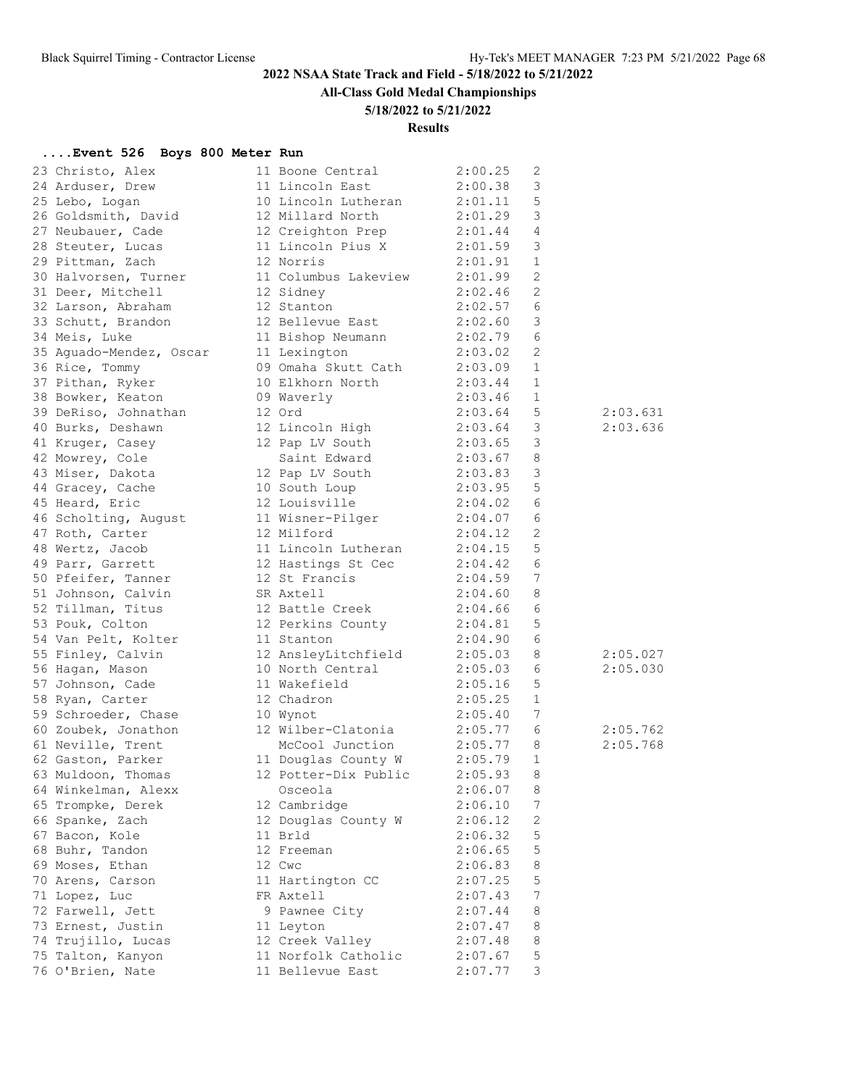**All-Class Gold Medal Championships**

## **5/18/2022 to 5/21/2022**

## **Results**

# **....Event 526 Boys 800 Meter Run**

| 23 Christo, Alex                   | 11 Boone Central                    | 2:00.25     | 2                       |          |
|------------------------------------|-------------------------------------|-------------|-------------------------|----------|
| 24 Arduser, Drew                   | 11 Lincoln East                     | 2:00.38     | $\mathsf 3$             |          |
| 25 Lebo, Logan                     | 10 Lincoln Lutheran                 | 2:01.11     | 5                       |          |
| 26 Goldsmith, David                | 12 Millard North                    | 2:01.29     | $\mathcal{E}$           |          |
| 27 Neubauer, Cade                  | 12 Creighton Prep                   | 2:01.44     | $\overline{4}$          |          |
| 28 Steuter, Lucas                  | 11 Lincoln Pius X                   | 2:01.59     | $\mathcal{E}$           |          |
| 29 Pittman, Zach                   | 12 Norris                           | 2:01.91     | 1                       |          |
| 30 Halvorsen, Turner               | 11 Columbus Lakeview                | 2:01.99     | 2                       |          |
| 31 Deer, Mitchell                  | 12 Sidney                           | 2:02.46     | - 2                     |          |
| 32 Larson, Abraham                 | 12 Stanton                          | 2:02.57     | 6                       |          |
| 33 Schutt, Brandon                 | 12 Bellevue East                    | 2:02.60     | $\overline{\mathbf{3}}$ |          |
| 34 Meis, Luke                      | 11 Bishop Neumann                   | 2:02.79     | - 6                     |          |
| 35 Aguado-Mendez, Oscar            | 11 Lexington                        | 2:03.02     | - 2                     |          |
| 36 Rice, Tommy                     | 09 Omaha Skutt Cath                 | 2:03.09     | 1                       |          |
| 37 Pithan, Ryker                   | 10 Elkhorn North                    | 2:03.44     | 1                       |          |
| 38 Bowker, Keaton                  | 09 Waverly                          | 2:03.46     | 1                       |          |
| 39 DeRiso, Johnathan               | 12 Ord                              | 2:03.64     | 5                       | 2:03.631 |
| 40 Burks, Deshawn                  | 12 Lincoln High 2:03.64             |             | $\mathcal{S}$           | 2:03.636 |
| 41 Kruger, Casey                   | 12 Pap LV South                     | 2:03.65     | $\mathbf{3}$            |          |
| 42 Mowrey, Cole                    | Saint Edward                        | 2:03.67     | 8                       |          |
| 43 Miser, Dakota                   | 12 Pap LV South                     | 2:03.83     | $\overline{\mathbf{3}}$ |          |
| 44 Gracey, Cache                   | 10 South Loup                       | 2:03.95     | $-5$                    |          |
| 45 Heard, Eric                     | 12 Louisville                       | 2:04.02     | - 6                     |          |
| 46 Scholting, August               | 11 Wisner-Pilger                    | $2:04.07$ 6 |                         |          |
|                                    | 12 Milford                          | 2:04.12     | 2                       |          |
| 47 Roth, Carter<br>48 Wertz, Jacob | 11 Lincoln Lutheran                 | 2:04.15     | $-5$                    |          |
|                                    |                                     |             |                         |          |
| 49 Parr, Garrett                   | 12 Hastings St Cec<br>12 St Francis | 2:04.42     | - 6                     |          |
| 50 Pfeifer, Tanner                 |                                     | 2:04.59     | $\overline{7}$          |          |
| 51 Johnson, Calvin                 | SR Axtell                           | 2:04.60     | 8                       |          |
| 52 Tillman, Titus                  | 12 Battle Creek                     | 2:04.66     | - 6                     |          |
| 53 Pouk, Colton                    | 12 Perkins County                   | 2:04.81     | 5                       |          |
| 54 Van Pelt, Kolter                | 11 Stanton                          | 2:04.90     | 6                       |          |
| 55 Finley, Calvin                  | 12 AnsleyLitchfield                 | 2:05.03     | 8                       | 2:05.027 |
| 56 Hagan, Mason                    | 10 North Central                    | 2:05.03     | 6                       | 2:05.030 |
| 57 Johnson, Cade                   | 11 Wakefield                        | 2:05.16     | 5                       |          |
| 58 Ryan, Carter                    | 12 Chadron                          | 2:05.25     | 1                       |          |
| 59 Schroeder, Chase                | 10 Wynot                            | 2:05.40     | 7                       |          |
| 60 Zoubek, Jonathon                | 12 Wilber-Clatonia                  | 2:05.77     | - 6                     | 2:05.762 |
| 61 Neville, Trent                  | McCool Junction                     | 2:05.77     | 8                       | 2:05.768 |
| 62 Gaston, Parker                  | 11 Douglas County W                 | 2:05.79     | 1                       |          |
| 63 Muldoon, Thomas                 | 12 Potter-Dix Public                | 2:05.93     | 8                       |          |
| 64 Winkelman, Alexx                | Osceola                             | 2:06.07     | 8                       |          |
| 65 Trompke, Derek                  | 12 Cambridge                        | 2:06.10     | 7                       |          |
| 66 Spanke, Zach                    | 12 Douglas County W                 | 2:06.12     | 2                       |          |
| 67 Bacon, Kole                     | 11 Brld                             | 2:06.32     | 5                       |          |
| 68 Buhr, Tandon                    | 12 Freeman                          | 2:06.65     | 5                       |          |
| 69 Moses, Ethan                    | 12 Cwc                              | 2:06.83     | 8                       |          |
| 70 Arens, Carson                   | 11 Hartington CC                    | 2:07.25     | 5                       |          |
| 71 Lopez, Luc                      | FR Axtell                           | 2:07.43     | 7                       |          |
| 72 Farwell, Jett                   | 9 Pawnee City                       | 2:07.44     | 8                       |          |
| 73 Ernest, Justin                  | 11 Leyton                           | 2:07.47     | 8                       |          |
| 74 Trujillo, Lucas                 | 12 Creek Valley                     | 2:07.48     | 8                       |          |
| 75 Talton, Kanyon                  | 11 Norfolk Catholic                 | 2:07.67     | 5                       |          |
| 76 O'Brien, Nate                   | 11 Bellevue East                    | 2:07.77     | 3                       |          |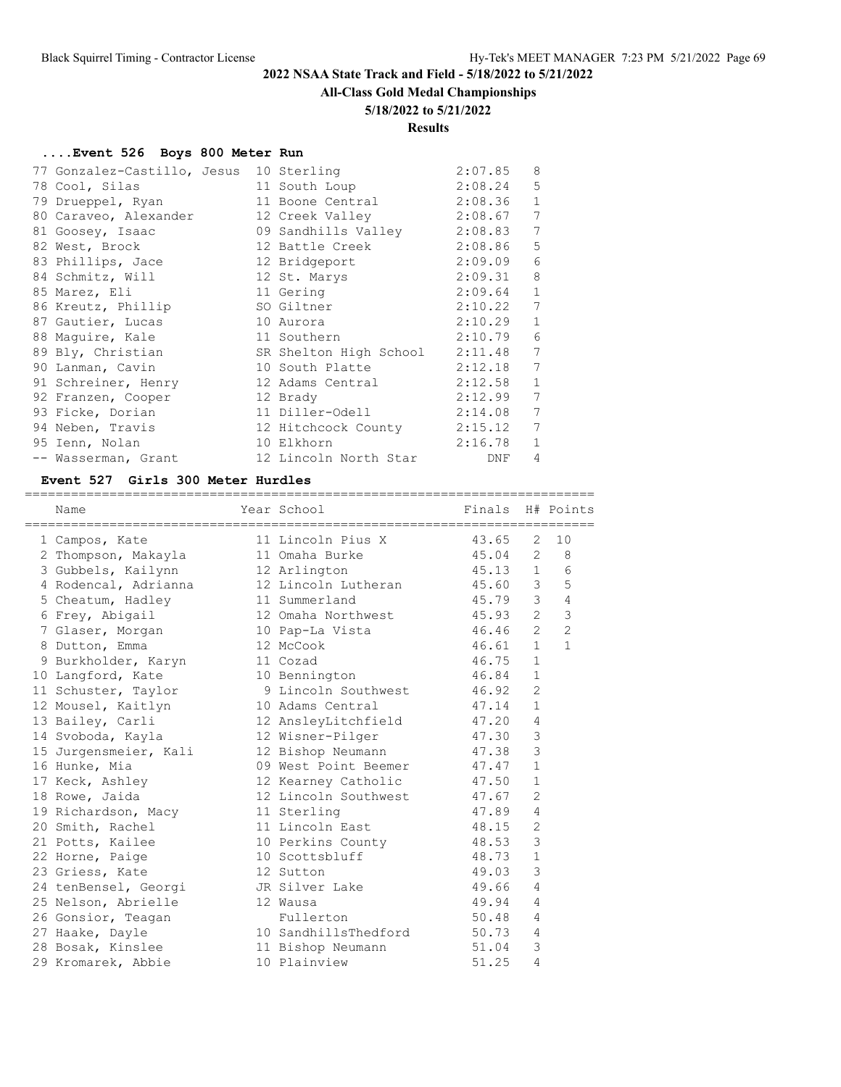#### **All-Class Gold Medal Championships**

#### **5/18/2022 to 5/21/2022**

### **Results**

#### **....Event 526 Boys 800 Meter Run**

| 77 Gonzalez-Castillo, Jesus 10 Sterling          |                             | 2:07.85 | 8                |
|--------------------------------------------------|-----------------------------|---------|------------------|
| 78 Cool, Silas                                   | 11 South Loup               | 2:08.24 | 5                |
| 79 Drueppel, Ryan                                | 11 Boone Central 2:08.36    |         | $\mathbf 1$      |
| 80 Caraveo, Alexander 12 Creek Valley 2:08.67    |                             |         | 7                |
| 81 Goosey, Isaac                                 | 09 Sandhills Valley 2:08.83 |         | 7                |
| 82 West, Brock                                   | 12 Battle Creek 2:08.86     |         | 5                |
| 83 Phillips, Jace                                | 12 Bridgeport               | 2:09.09 | 6                |
| 84 Schmitz, Will                                 | 12 St. Marys                | 2:09.31 | 8                |
| 85 Marez, Eli                                    | 11 Gering                   | 2:09.64 | $\mathbf{1}$     |
| 86 Kreutz, Phillip                               | SO Giltner                  | 2:10.22 | $\boldsymbol{7}$ |
| 87 Gautier, Lucas                                | 10 Aurora                   | 2:10.29 | $\mathbf{1}$     |
| 88 Maquire, Kale                                 | 11 Southern                 | 2:10.79 | $\epsilon$       |
| 89 Bly, Christian SR Shelton High School 2:11.48 |                             |         | 7                |
| 90 Lanman, Cavin                                 | 10 South Platte 2:12.18     |         | 7                |
| 91 Schreiner, Henry                              | 12 Adams Central 2:12.58    |         | $\mathbf{1}$     |
| 92 Franzen, Cooper                               | 12 Brady                    | 2:12.99 | 7                |
| 93 Ficke, Dorian                                 | 11 Diller-Odell             | 2:14.08 | 7                |
| 94 Neben, Travis                                 | 12 Hitchcock County 2:15.12 |         | 7                |
| 95 Ienn, Nolan                                   | 10 Elkhorn                  | 2:16.78 | $\mathbf{1}$     |
| -- Wasserman, Grant                              | 12 Lincoln North Star       | DNF     | 4                |

#### **Event 527 Girls 300 Meter Hurdles**

========================================================================== Name The Year School Finals H# Points ========================================================================== 1 Campos, Kate 11 Lincoln Pius X 43.65 2 10 2 Thompson, Makayla 11 Omaha Burke 45.04 2 8 3 Gubbels, Kailynn 12 Arlington 45.13 1 6 4 Rodencal, Adrianna 12 Lincoln Lutheran 45.60 3 5 5 Cheatum, Hadley 11 Summerland 45.79 3 4 6 Frey, Abigail 12 Omaha Northwest 45.93 2 3 7 Glaser, Morgan 10 Pap-La Vista 46.46 2 2 8 Dutton, Emma 12 McCook 46.61 1 1 9 Burkholder, Karyn 11 Cozad 46.75 1 10 Langford, Kate 10 Bennington 46.84 1 11 Schuster, Taylor 9 Lincoln Southwest 46.92 2 12 Mousel, Kaitlyn 10 Adams Central 47.14 1 13 Bailey, Carli 12 AnsleyLitchfield 47.20 4 14 Svoboda, Kayla 12 Wisner-Pilger 47.30 3 15 Jurgensmeier, Kali 12 Bishop Neumann 47.38 3 16 Hunke, Mia 09 West Point Beemer 47.47 1 17 Keck, Ashley 12 Kearney Catholic 47.50 1 18 Rowe, Jaida 12 Lincoln Southwest 47.67 2 19 Richardson, Macy 11 Sterling 19 247.89 4 20 Smith, Rachel 11 Lincoln East 48.15 2 21 Potts, Kailee  $10$  Perkins County  $48.53$  3 22 Horne, Paige 10 Scottsbluff 48.73 1 23 Griess, Kate 12 Sutton 49.03 3 24 tenBensel, Georgi JR Silver Lake 49.66 4 25 Nelson, Abrielle 12 Wausa 12 49.94 4 26 Gonsior, Teagan Fullerton 50.48 4 27 Haake, Dayle 10 SandhillsThedford 50.73 4 28 Bosak, Kinslee 11 Bishop Neumann 51.04 3 29 Kromarek, Abbie 10 Plainview 51.25 4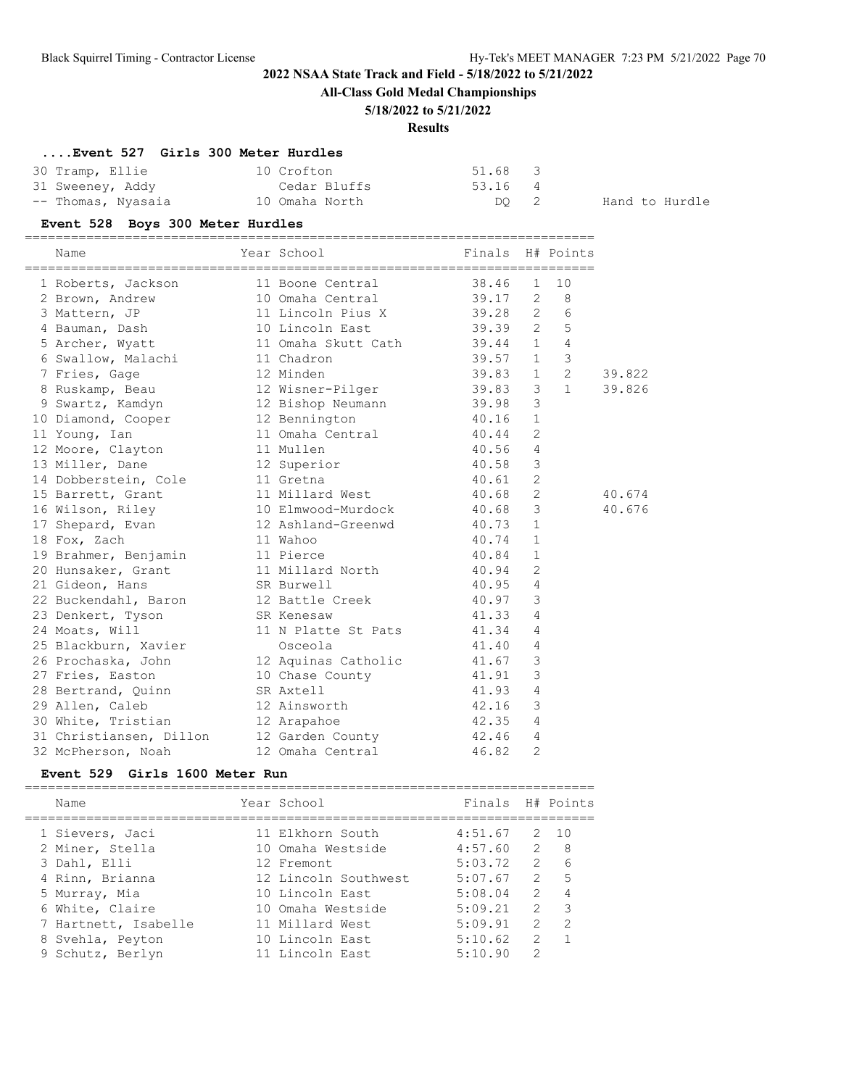**All-Class Gold Medal Championships**

### **5/18/2022 to 5/21/2022**

## **Results**

# **....Event 527 Girls 300 Meter Hurdles**

| 30 Tramp, Ellie    | 10 Crofton     | 51.68 3 |                |
|--------------------|----------------|---------|----------------|
| 31 Sweeney, Addy   | Cedar Bluffs   | 53.16 4 |                |
| -- Thomas, Nyasaia | 10 Omaha North | DO 2    | Hand to Hurdle |

## **Event 528 Boys 300 Meter Hurdles**

==========================================================================

| Name                    | Year School              | Finals  |                | H# Points       |        |
|-------------------------|--------------------------|---------|----------------|-----------------|--------|
| 1 Roberts, Jackson      | 11 Boone Central         | 38.46   | 1              | 10              |        |
| 2 Brown, Andrew         | 10 Omaha Central         | 39.17   |                | $2 \quad 8$     |        |
| 3 Mattern, JP           | 11 Lincoln Pius X        | 39.28   |                | $2\overline{6}$ |        |
| 4 Bauman, Dash          | 10 Lincoln East          | 39.39   |                | 2 <sub>5</sub>  |        |
| 5 Archer, Wyatt         | 11 Omaha Skutt Cath      | 39.44 1 |                | $\overline{4}$  |        |
| 6 Swallow, Malachi      | 11 Chadron               | 39.57   | $\mathbf{1}$   | $\mathfrak{Z}$  |        |
| 7 Fries, Gage           | 12 Minden                | 39.83   | $\mathbf{1}$   | $\overline{2}$  | 39.822 |
| 8 Ruskamp, Beau         | 12 Wisner-Pilger         | 39.83   | 3              | $\mathbf{1}$    | 39.826 |
| 9 Swartz, Kamdyn        | 12 Bishop Neumann        | 39.98   | 3              |                 |        |
| 10 Diamond, Cooper      | 12 Bennington<br>40.16   |         | $\mathbf{1}$   |                 |        |
| 11 Young, Ian           | 11 Omaha Central 40.44   |         | $\overline{2}$ |                 |        |
| 12 Moore, Clayton       | 11 Mullen                | 40.56   | $\overline{4}$ |                 |        |
| 13 Miller, Dane         | 12 Superior              | 40.58   | $\mathcal{E}$  |                 |        |
| 14 Dobberstein, Cole    | 11 Gretna                | 40.61   | $\overline{2}$ |                 |        |
| 15 Barrett, Grant       | 11 Millard West 40.68    |         | $\overline{2}$ |                 | 40.674 |
| 16 Wilson, Riley        | 10 Elmwood-Murdock 40.68 |         | 3              |                 | 40.676 |
| 17 Shepard, Evan        | 12 Ashland-Greenwd       | 40.73   | $\mathbf{1}$   |                 |        |
| 18 Fox, Zach            | 11 Wahoo                 | 40.74   | $\mathbf{1}$   |                 |        |
| 19 Brahmer, Benjamin    | 11 Pierce                | 40.84   | $\mathbf{1}$   |                 |        |
| 20 Hunsaker, Grant      | 11 Millard North 40.94   |         | $\overline{2}$ |                 |        |
| 21 Gideon, Hans         | SR Burwell               | 40.95   | $\overline{4}$ |                 |        |
| 22 Buckendahl, Baron    | 12 Battle Creek          | 40.97   | $\mathcal{S}$  |                 |        |
| 23 Denkert, Tyson       | SR Kenesaw               | 41.33   | $\overline{4}$ |                 |        |
| 24 Moats, Will          | 11 N Platte St Pats      | 41.34   | 4              |                 |        |
| 25 Blackburn, Xavier    | Osceola                  | 41.40   | 4              |                 |        |
| 26 Prochaska, John      | 12 Aquinas Catholic      | 41.67   | 3              |                 |        |
| 27 Fries, Easton        | 10 Chase County          | 41.91   | 3              |                 |        |
| 28 Bertrand, Quinn      | SR Axtell                | 41.93   | 4              |                 |        |
| 29 Allen, Caleb         | 12 Ainsworth             | 42.16   | 3              |                 |        |
| 30 White, Tristian      | 12 Arapahoe              | 42.35   | $\overline{4}$ |                 |        |
| 31 Christiansen, Dillon | 12 Garden County         | 42.46   | $\overline{4}$ |                 |        |
| 32 McPherson, Noah      | 12 Omaha Central         | 46.82   | $\overline{2}$ |                 |        |

### **Event 529 Girls 1600 Meter Run**

| Name                 | Year School          | Finals H# Points |               |                  |
|----------------------|----------------------|------------------|---------------|------------------|
| 1 Sievers, Jaci      | 11 Elkhorn South     | 4:51.67          |               | 2, 10            |
| 2 Miner, Stella      | 10 Omaha Westside    | 4:57.60          | $\mathcal{L}$ | - 8              |
| 3 Dahl, Elli         | 12 Fremont           | 5:03.72          |               | $2^{\circ}$<br>6 |
| 4 Rinn, Brianna      | 12 Lincoln Southwest | 5:07.67          |               | 2 <sub>5</sub>   |
| 5 Murray, Mia        | 10 Lincoln East      | 5:08.04          | 2             | 4                |
| 6 White, Claire      | 10 Omaha Westside    | 5:09.21          | $\mathcal{P}$ | 3                |
| 7 Hartnett, Isabelle | 11 Millard West      | 5:09.91          | $\mathcal{L}$ | $\mathcal{L}$    |
| 8 Svehla, Peyton     | 10 Lincoln East      | 5:10.62          | $\mathcal{L}$ |                  |
| 9 Schutz, Berlyn     | 11 Lincoln East      | 5:10.90          | 2             |                  |
|                      |                      |                  |               |                  |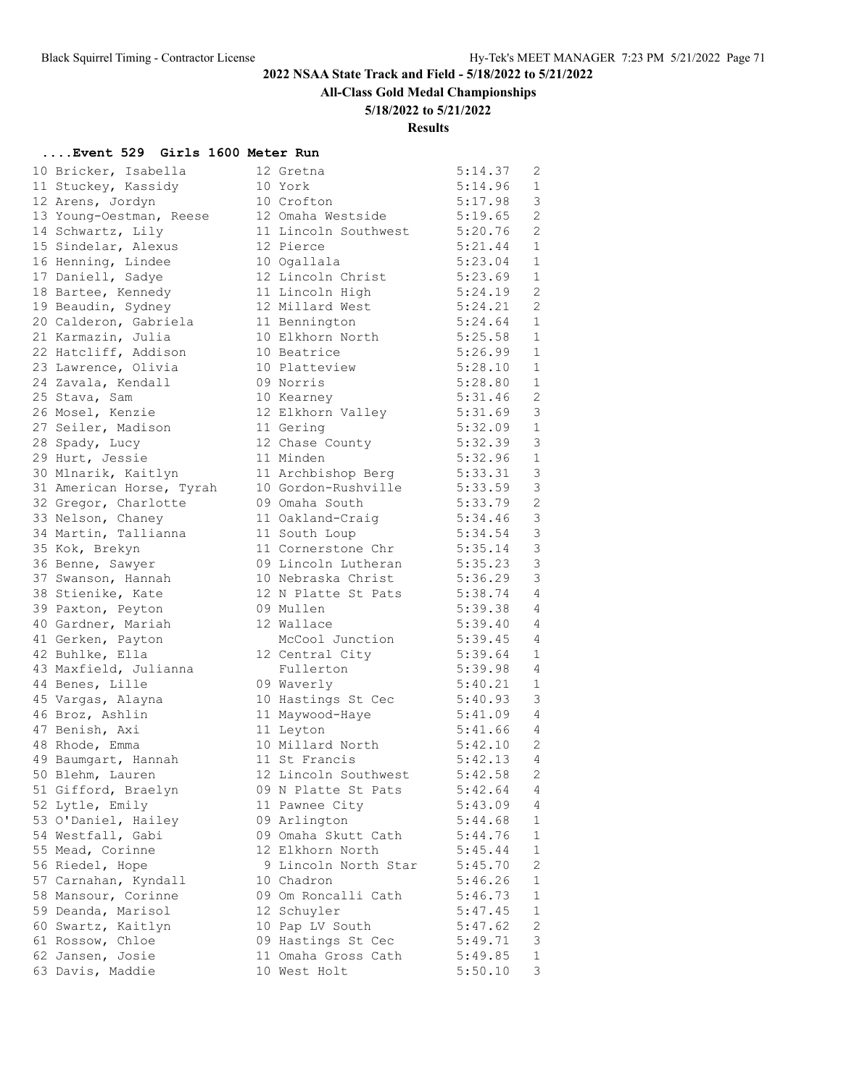**All-Class Gold Medal Championships**

### **5/18/2022 to 5/21/2022**

### **Results**

### **....Event 529 Girls 1600 Meter Run**

|                          |                      | 5:14.37 | 2              |
|--------------------------|----------------------|---------|----------------|
| 10 Bricker, Isabella     | 12 Gretna            |         |                |
| 11 Stuckey, Kassidy      | 10 York              | 5:14.96 | 1              |
| 12 Arens, Jordyn         | 10 Crofton           | 5:17.98 | $\mathsf 3$    |
| 13 Young-Oestman, Reese  | 12 Omaha Westside    | 5:19.65 | $\overline{2}$ |
| 14 Schwartz, Lily        | 11 Lincoln Southwest | 5:20.76 | $\mathbf{2}$   |
| 15 Sindelar, Alexus      | 12 Pierce            | 5:21.44 | 1              |
| 16 Henning, Lindee       | 10 Ogallala          | 5:23.04 | 1              |
| 17 Daniell, Sadye        | 12 Lincoln Christ    | 5:23.69 | $\mathbf 1$    |
| 18 Bartee, Kennedy       | 11 Lincoln High      | 5:24.19 | $\overline{2}$ |
| 19 Beaudin, Sydney       | 12 Millard West      | 5:24.21 | $\overline{2}$ |
| 20 Calderon, Gabriela    | 11 Bennington        | 5:24.64 | 1              |
| 21 Karmazin, Julia       | 10 Elkhorn North     | 5:25.58 | 1              |
| 22 Hatcliff, Addison     | 10 Beatrice          | 5:26.99 | $\mathbf 1$    |
| 23 Lawrence, Olivia      | 10 Platteview        | 5:28.10 | 1              |
| 24 Zavala, Kendall       | 09 Norris            | 5:28.80 | $\mathbf{1}$   |
| 25 Stava, Sam            | 10 Kearney           | 5:31.46 | $\overline{2}$ |
| 26 Mosel, Kenzie         | 12 Elkhorn Valley    | 5:31.69 | 3              |
| 27 Seiler, Madison       | 11 Gering            | 5:32.09 | 1              |
| 28 Spady, Lucy           | 12 Chase County      | 5:32.39 | 3              |
| 29 Hurt, Jessie          | 11 Minden            | 5:32.96 | $\mathbf 1$    |
| 30 Mlnarik, Kaitlyn      | 11 Archbishop Berg   | 5:33.31 | 3              |
| 31 American Horse, Tyrah | 10 Gordon-Rushville  | 5:33.59 | 3              |
| 32 Gregor, Charlotte     | 09 Omaha South       | 5:33.79 | $\mathbf{2}$   |
| 33 Nelson, Chaney        | 11 Oakland-Craig     | 5:34.46 | 3              |
| 34 Martin, Tallianna     | 11 South Loup        | 5:34.54 | 3              |
| 35 Kok, Brekyn           | 11 Cornerstone Chr   | 5:35.14 | 3              |
| 36 Benne, Sawyer         | 09 Lincoln Lutheran  | 5:35.23 | 3              |
|                          | 10 Nebraska Christ   | 5:36.29 | 3              |
| 37 Swanson, Hannah       |                      |         |                |
| 38 Stienike, Kate        | 12 N Platte St Pats  | 5:38.74 | 4              |
| 39 Paxton, Peyton        | 09 Mullen            | 5:39.38 | 4              |
| 40 Gardner, Mariah       | 12 Wallace           | 5:39.40 | 4              |
| 41 Gerken, Payton        | McCool Junction      | 5:39.45 | 4              |
| 42 Buhlke, Ella          | 12 Central City      | 5:39.64 | 1              |
| 43 Maxfield, Julianna    | Fullerton            | 5:39.98 | 4              |
| 44 Benes, Lille          | 09 Waverly           | 5:40.21 | 1              |
| 45 Vargas, Alayna        | 10 Hastings St Cec   | 5:40.93 | 3              |
| 46 Broz, Ashlin          | 11 Maywood-Haye      | 5:41.09 | 4              |
| 47 Benish, Axi           | 11 Leyton            | 5:41.66 | 4              |
| 48 Rhode, Emma           | 10 Millard North     | 5:42.10 | 2              |
| 49 Baumgart, Hannah      | 11 St Francis        | 5:42.13 | $\overline{4}$ |
| 50 Blehm, Lauren         | 12 Lincoln Southwest | 5:42.58 | $\overline{2}$ |
| 51 Gifford, Braelyn      | 09 N Platte St Pats  | 5:42.64 | 4              |
| 52 Lytle, Emily          | 11 Pawnee City       | 5:43.09 | 4              |
| 53 O'Daniel, Hailey      | 09 Arlington         | 5:44.68 | 1              |
| 54 Westfall, Gabi        | 09 Omaha Skutt Cath  | 5:44.76 | 1              |
| 55 Mead, Corinne         | 12 Elkhorn North     | 5:45.44 | $\mathbf 1$    |
| 56 Riedel, Hope          | 9 Lincoln North Star | 5:45.70 | $\overline{c}$ |
| 57 Carnahan, Kyndall     | 10 Chadron           | 5:46.26 | 1              |
| 58 Mansour, Corinne      | 09 Om Roncalli Cath  | 5:46.73 | 1              |
| 59 Deanda, Marisol       | 12 Schuyler          | 5:47.45 | 1              |
| 60 Swartz, Kaitlyn       | 10 Pap LV South      | 5:47.62 | $\mathbf{2}$   |
| 61 Rossow, Chloe         | 09 Hastings St Cec   | 5:49.71 | 3              |
| 62 Jansen, Josie         | 11 Omaha Gross Cath  | 5:49.85 | $\mathbf{1}$   |
| 63 Davis, Maddie         | 10 West Holt         | 5:50.10 | 3              |
|                          |                      |         |                |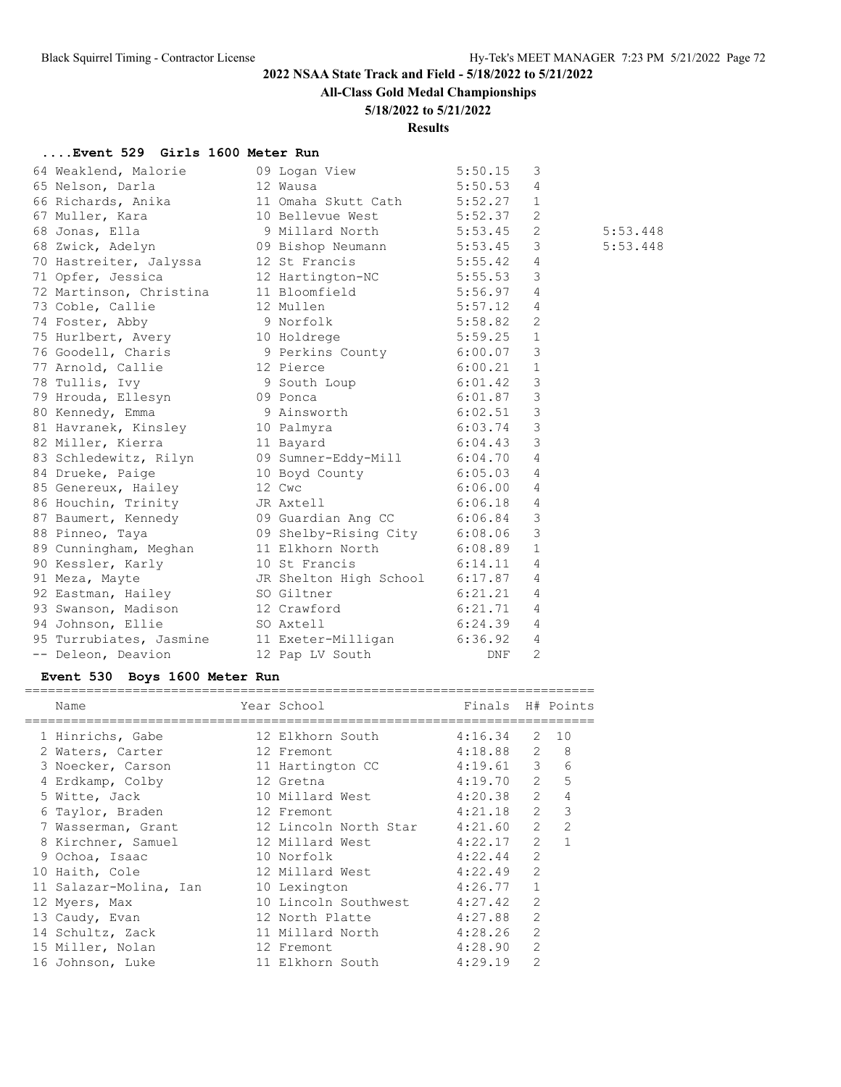**All-Class Gold Medal Championships**

## **5/18/2022 to 5/21/2022**

### **Results**

## **....Event 529 Girls 1600 Meter Run**

| 64 Weaklend, Malorie                               | 09 Logan View                 | 5:50.15 | 3              |          |
|----------------------------------------------------|-------------------------------|---------|----------------|----------|
| 65 Nelson, Darla                                   | 12 Wausa                      | 5:50.53 | 4              |          |
| 66 Richards, Anika                                 | 11 Omaha Skutt Cath 5:52.27   |         | $\mathbf{1}$   |          |
| 67 Muller, Kara                                    | 10 Bellevue West 5:52.37      |         | 2              |          |
| 68 Jonas, Ella                                     | 9 Millard North 5:53.45       |         | 2              | 5:53.448 |
| 68 Zwick, Adelyn                                   | 09 Bishop Neumann 5:53.45     |         | 3              | 5:53.448 |
| 70 Hastreiter, Jalyssa 12 St Francis               |                               | 5:55.42 | 4              |          |
| 71 Opfer, Jessica                                  | 12 Hartington-NC 5:55.53      |         | 3              |          |
| 72 Martinson, Christina 11 Bloomfield 5:56.97      |                               |         | 4              |          |
| 73 Coble, Callie                                   | 5:57.12<br>12 Mullen          |         | 4              |          |
| 74 Foster, Abby                                    | 9 Norfolk                     | 5:58.82 | 2              |          |
| 75 Hurlbert, Avery 10 Holdrege                     |                               | 5:59.25 | $\mathbf{1}$   |          |
| 76 Goodell, Charis 3 Perkins County 6:00.07        |                               |         | 3              |          |
| 77 Arnold, Callie                                  | 12 Pierce                     | 6:00.21 | $\mathbf{1}$   |          |
| 78 Tullis, Ivy                                     | 9 South Loup 6:01.42          |         | 3              |          |
| 79 Hrouda, Ellesyn 69 Ponca                        |                               | 6:01.87 | 3              |          |
| 80 Kennedy, Emma                                   | 9 Ainsworth 6:02.51           |         | 3              |          |
| 81 Havranek, Kinsley 10 Palmyra                    |                               | 6:03.74 | 3              |          |
| 82 Miller, Kierra                                  | 11 Bayard                     | 6:04.43 | 3              |          |
| 83 Schledewitz, Rilyn 09 Sumner-Eddy-Mill 6:04.70  |                               |         | 4              |          |
| 84 Drueke, Paige                                   | 10 Boyd County 6:05.03        |         | 4              |          |
| 85 Genereux, Hailey                                | 12 Cwc                        | 6:06.00 | 4              |          |
| 86 Houchin, Trinity JR Axtell                      |                               | 6:06.18 | 4              |          |
| 87 Baumert, Kennedy 6:09 Guardian Ang CC 6:06.84   |                               |         | 3              |          |
| 88 Pinneo, Taya                                    | 09 Shelby-Rising City 6:08.06 |         | 3              |          |
| 89 Cunningham, Meghan 11 Elkhorn North             |                               | 6:08.89 | $\mathbf{1}$   |          |
| 90 Kessler, Karly                                  | 10 St Francis                 | 6:14.11 | 4              |          |
| 91 Meza, Mayte                                     | JR Shelton High School        | 6:17.87 | 4              |          |
| 92 Eastman, Hailey                                 | SO Giltner                    | 6:21.21 | 4              |          |
| 93 Swanson, Madison 12 Crawford                    |                               | 6:21.71 | 4              |          |
| 94 Johnson, Ellie                                  | SO Axtell                     | 6:24.39 | $\overline{4}$ |          |
| 95 Turrubiates, Jasmine 11 Exeter-Milligan 6:36.92 |                               |         | 4              |          |
| -- Deleon, Deavion                                 | 12 Pap LV South               | DNF     | $\overline{2}$ |          |

## **Event 530 Boys 1600 Meter Run**

| Name                   | Year School           | Finals H# Points |                         |                |
|------------------------|-----------------------|------------------|-------------------------|----------------|
| 1 Hinrichs, Gabe       | 12 Elkhorn South      | 4:16.34          | 2                       | 10             |
| 2 Waters, Carter       | 12 Fremont            | 4:18.88          | $\overline{2}$          | 8              |
| 3 Noecker, Carson      | 11 Hartington CC      | 4:19.61          | $\overline{\mathbf{3}}$ | 6              |
| 4 Erdkamp, Colby       | 12 Gretna             | 4:19.70          | $\overline{2}$          | 5              |
| 5 Witte, Jack          | 10 Millard West       | 4:20.38          | $\overline{2}$          | 4              |
| 6 Taylor, Braden       | 12 Fremont            | 4:21.18          | $\overline{2}$          | 3              |
| 7 Wasserman, Grant     | 12 Lincoln North Star | 4:21.60          | $\overline{2}$          | $\overline{2}$ |
| 8 Kirchner, Samuel     | 12 Millard West       | 4:22.17          | $\mathfrak{L}$          |                |
| 9 Ochoa, Isaac         | 10 Norfolk            | 4:22.44          | $\overline{2}$          |                |
| 10 Haith, Cole         | 12 Millard West       | 4:22.49          | $\overline{2}$          |                |
| 11 Salazar-Molina, Ian | 10 Lexington          | 4:26.77          | 1                       |                |
| 12 Myers, Max          | 10 Lincoln Southwest  | 4:27.42          | $\overline{2}$          |                |
| 13 Caudy, Evan         | 12 North Platte       | 4:27.88          | $\overline{2}$          |                |
| 14 Schultz, Zack       | 11 Millard North      | 4:28.26          | $\overline{2}$          |                |
| 15 Miller, Nolan       | 12 Fremont            | 4:28.90          | $\overline{2}$          |                |
| 16 Johnson, Luke       | 11 Elkhorn South      | 4:29.19          | $\overline{2}$          |                |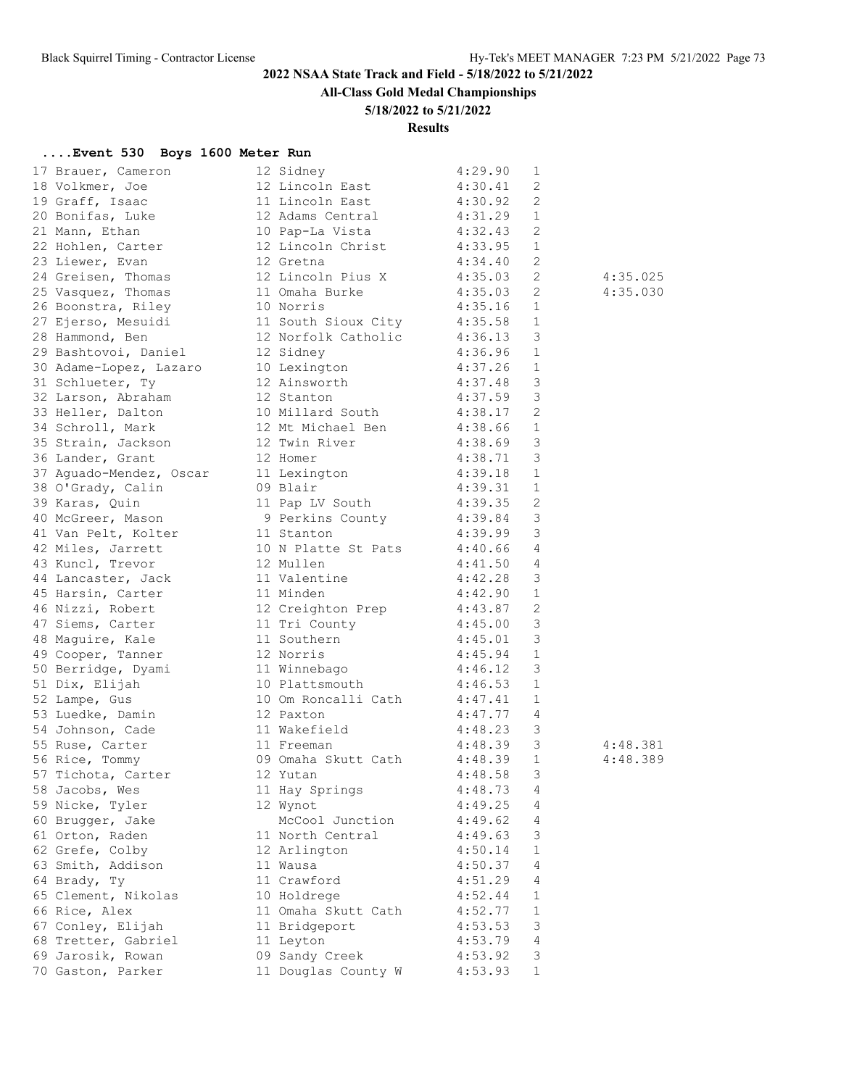**All-Class Gold Medal Championships**

### **5/18/2022 to 5/21/2022**

**Results**

### **....Event 530 Boys 1600 Meter Run**

| 17 Brauer, Cameron                                                            | 12 Sidney                    | 4:29.90                             | 1                       |          |
|-------------------------------------------------------------------------------|------------------------------|-------------------------------------|-------------------------|----------|
|                                                                               | 12 Lincoln East              | 4:30.41                             | 2                       |          |
| 18 Volkmer, Joe<br>19 Graff, Isaac                                            | 11 Lincoln East              | 4:30.92                             | 2                       |          |
| 20 Bonifas, Luke                                                              | 12 Adams Central 4:31.29     |                                     | 1                       |          |
| 21 Mann, Ethan                                                                | 10 Pap-La Vista 4:32.43      |                                     | 2                       |          |
| 22 Hohlen, Carter                                                             | 12 Lincoln Christ 4:33.95    |                                     | $\mathbf{1}$            |          |
| 23 Liewer, Evan                                                               | 12 Gretna                    |                                     | 2                       |          |
|                                                                               | 12 Lincoln Pius X            | $4:34.40$<br>$4:35.03$              | 2                       | 4:35.025 |
| 23 Literal,<br>24 Greisen, Thomas<br>11 Million Thomas                        | 11 Omaha Burke               | 4:35.03                             | 2                       | 4:35.030 |
| 26 Boonstra, Riley                                                            | 10 Norris                    | 4:35.16                             | 1                       |          |
| 27 Ejerso, Mesuidi                                                            | 11 South Sioux City 4:35.58  |                                     | $\mathbf{1}$            |          |
| 28 Hammond, Ben                                                               | 12 Norfolk Catholic 4:36.13  |                                     | $\overline{\mathbf{3}}$ |          |
| 29 Bashtovoi, Daniel                                                          | 12 Sidney                    |                                     | $\mathbf{1}$            |          |
| 30 Adame-Lopez, Lazaro                                                        |                              | $4:36.96$<br>$4:37.26$<br>$4:37.48$ | $\mathbf{1}$            |          |
| 31 Schlueter, Ty                                                              | 10 Lexington<br>12 Ainsworth |                                     | $\overline{3}$          |          |
| 32 Larson, Abraham                                                            | 12 Stanton                   | 4:37.59                             | $\overline{\mathbf{3}}$ |          |
| 33 Heller, Dalton                                                             | 10 Millard South 4:38.17 2   |                                     |                         |          |
|                                                                               |                              |                                     |                         |          |
| 34 Schroll, Mark                                                              | 12 Mt Michael Ben 4:38.66    |                                     | 1                       |          |
| 35 Strain, Jackson                                                            | 12 Twin River                | $4:38.69$<br>$4:38.71$<br>$4:39.18$ | $\overline{3}$          |          |
|                                                                               |                              |                                     | $\overline{\mathbf{3}}$ |          |
| 36 Lander, Grant<br>37 Aguado-Mendez, Oscar 11 Lexington<br>09 Blair          |                              |                                     | $\mathbf{1}$            |          |
| 38 O'Grady, Calin                                                             | 09 Blair                     | 4:39.31                             | $\mathbf{1}$            |          |
| 39 Karas, Quin                                                                | 11 Pap LV South 4:39.35 2    |                                     |                         |          |
| 40 McGreer, Mason                                                             | 9 Perkins County 4:39.84 3   |                                     |                         |          |
| 41 Van Pelt, Kolter                                                           | 11 Stanton                   | 4:39.99                             | $\overline{3}$          |          |
| 42 Miles, Jarrett                                                             | 10 N Platte St Pats          | $4:40.66$<br>$4:41.50$              | $\overline{4}$          |          |
| 43 Kuncl, Trevor                                                              | 12 Mullen                    |                                     | $\overline{4}$          |          |
| 44 Lancaster, Jack                                                            | 11 Valentine                 | 4:42.28                             | $\overline{\mathbf{3}}$ |          |
| 45 Harsin, Carter                                                             | 11 Minden                    | 4:42.90                             | 1                       |          |
|                                                                               | 12 Creighton Prep 4:43.87    |                                     | 2                       |          |
|                                                                               | 11 Tri County                |                                     | $\overline{3}$          |          |
|                                                                               | 11 Southern<br>12 M          |                                     | $\overline{\mathbf{3}}$ |          |
| 46 Nizzi, Robert<br>47 Siems, Carter<br>48 Maguire, Kale<br>49 Cooper, Tanner | 12 Norris                    | $4:45.00$<br>$4:45.01$<br>$4:45.94$ | $\overline{1}$          |          |
| 50 Berridge, Dyami                                                            | 11 Winnebago 4:46.12         |                                     | $\overline{\mathbf{3}}$ |          |
| 51 Dix, Elijah                                                                | 10 Plattsmouth 4:46.53       |                                     | $\mathbf{1}$            |          |
| 52 Lampe, Gus                                                                 | 10 Om Roncalli Cath 4:47.41  |                                     | 1                       |          |
| 53 Luedke, Damin                                                              | 12 Paxton                    | 4:47.77                             | $\overline{4}$          |          |
|                                                                               | 11 Wakefield                 | 4:48.23                             | $\mathcal{S}$           |          |
| 54 Johnson, Cade<br>55 Ruse, Carter                                           | 11 Freeman                   | 4:48.39                             | $\overline{\mathbf{3}}$ | 4:48.381 |
| 56 Rice, Tommy                                                                | 09 Omaha Skutt Cath 4:48.39  |                                     | $\mathbf{1}$            | 4:48.389 |
| 57 Tichota, Carter                                                            |                              | 4:48.58                             | 3                       |          |
| 58 Jacobs, Wes                                                                | 11 Hay Springs               | 4:48.73                             | 4                       |          |
| 59 Nicke, Tyler                                                               | 12 Wynot                     | 4:49.25                             | 4                       |          |
| 60 Brugger, Jake                                                              | McCool Junction              | 4:49.62                             | 4                       |          |
| 61 Orton, Raden                                                               | 11 North Central             | 4:49.63                             | 3                       |          |
| 62 Grefe, Colby                                                               | 12 Arlington                 | 4:50.14                             | 1                       |          |
| 63 Smith, Addison                                                             | 11 Wausa                     | 4:50.37                             | 4                       |          |
| 64 Brady, Ty                                                                  | 11 Crawford                  | 4:51.29                             | 4                       |          |
| 65 Clement, Nikolas                                                           | 10 Holdrege                  | 4:52.44                             | 1                       |          |
| 66 Rice, Alex                                                                 | 11 Omaha Skutt Cath          | 4:52.77                             | 1                       |          |
| 67 Conley, Elijah                                                             | 11 Bridgeport                | 4:53.53                             | 3                       |          |
| 68 Tretter, Gabriel                                                           | 11 Leyton                    | 4:53.79                             | 4                       |          |
| 69 Jarosik, Rowan                                                             | 09 Sandy Creek               | 4:53.92                             | 3                       |          |
| 70 Gaston, Parker                                                             | 11 Douglas County W          | 4:53.93                             | 1                       |          |
|                                                                               |                              |                                     |                         |          |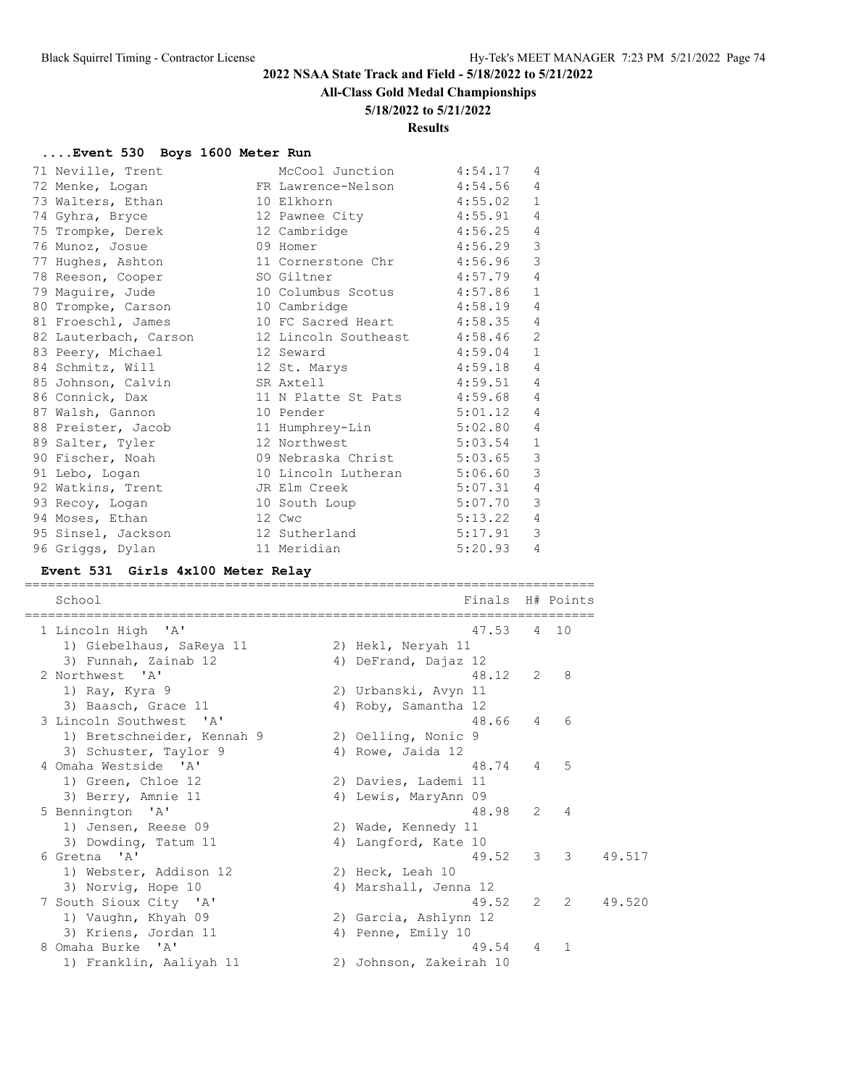### **All-Class Gold Medal Championships**

#### **5/18/2022 to 5/21/2022**

### **Results**

### **....Event 530 Boys 1600 Meter Run**

|  | 71 Neville, Trent     | McCool Junction                                                                                                | 4:54.17 | 4              |
|--|-----------------------|----------------------------------------------------------------------------------------------------------------|---------|----------------|
|  | 72 Menke, Logan       | FR Lawrence-Nelson                                                                                             | 4:54.56 | $\overline{4}$ |
|  | 73 Walters, Ethan     | 10 Elkhorn to the search of the search of the search of the search of the search of the search of the search o | 4:55.02 | $\mathbf{1}$   |
|  | 74 Gyhra, Bryce       | 12 Pawnee City                                                                                                 | 4:55.91 | $\overline{4}$ |
|  | 75 Trompke, Derek     | 12 Cambridge                                                                                                   | 4:56.25 | $\overline{4}$ |
|  | 76 Munoz, Josue       | 09 Homer                                                                                                       | 4:56.29 | $\mathsf 3$    |
|  | 77 Hughes, Ashton     | 11 Cornerstone Chr                                                                                             | 4:56.96 | 3              |
|  | 78 Reeson, Cooper     | SO Giltner                                                                                                     | 4:57.79 | $\overline{4}$ |
|  | 79 Maquire, Jude      | 10 Columbus Scotus                                                                                             | 4:57.86 | $\mathbf{1}$   |
|  | 80 Trompke, Carson    | 10 Cambridge                                                                                                   | 4:58.19 | 4              |
|  | 81 Froeschl, James    | 10 FC Sacred Heart 4:58.35                                                                                     |         | 4              |
|  | 82 Lauterbach, Carson | 12 Lincoln Southeast 4:58.46                                                                                   |         | $\overline{2}$ |
|  | 83 Peery, Michael     | 12 Seward                                                                                                      | 4:59.04 | $\mathbf{1}$   |
|  | 84 Schmitz, Will      | 12 St. Marys                                                                                                   | 4:59.18 | $\overline{4}$ |
|  | 85 Johnson, Calvin    | SR Axtell                                                                                                      | 4:59.51 | 4              |
|  | 86 Connick, Dax       | 11 N Platte St Pats                                                                                            | 4:59.68 | $\overline{4}$ |
|  | 87 Walsh, Gannon      | 10 Pender                                                                                                      | 5:01.12 | 4              |
|  | 88 Preister, Jacob    | 11 Humphrey-Lin                                                                                                | 5:02.80 | $\overline{4}$ |
|  | 89 Salter, Tyler      | 12 Northwest                                                                                                   | 5:03.54 | $\mathbf{1}$   |
|  | 90 Fischer, Noah      | 09 Nebraska Christ 5:03.65                                                                                     |         | $\mathsf 3$    |
|  | 91 Lebo, Logan        | 10 Lincoln Lutheran 5:06.60                                                                                    |         | 3              |
|  | 92 Watkins, Trent     | JR Elm Creek                                                                                                   | 5:07.31 | 4              |
|  | 93 Recoy, Logan       | 10 South Loup                                                                                                  | 5:07.70 | 3              |
|  | 94 Moses, Ethan       | 12 Cwc                                                                                                         | 5:13.22 | $\overline{4}$ |
|  | 95 Sinsel, Jackson    | 12 Sutherland                                                                                                  | 5:17.91 | $\mathcal{E}$  |
|  | 96 Griggs, Dylan      | 11 Meridian                                                                                                    | 5:20.93 | $\overline{4}$ |
|  |                       |                                                                                                                |         |                |

#### **Event 531 Girls 4x100 Meter Relay**

==========================================================================

| School                     | Finals                  |                | H# Points           |        |
|----------------------------|-------------------------|----------------|---------------------|--------|
| 1 Lincoln High 'A'         | 47.53                   |                | 4 10                |        |
| 1) Giebelhaus, SaReya 11   | 2) Hekl, Neryah 11      |                |                     |        |
| 3) Funnah, Zainab 12       | 4) DeFrand, Dajaz 12    |                |                     |        |
| 2 Northwest 'A'            | 48.12                   | 2              | 8                   |        |
| 1) Ray, Kyra 9             | 2) Urbanski, Avyn 11    |                |                     |        |
| 3) Baasch, Grace 11        | 4) Roby, Samantha 12    |                |                     |        |
| 3 Lincoln Southwest 'A'    | 48.66                   | $\overline{4}$ | 6                   |        |
| 1) Bretschneider, Kennah 9 | 2) Oelling, Nonic 9     |                |                     |        |
| 3) Schuster, Taylor 9      | 4) Rowe, Jaida 12       |                |                     |        |
| 4 Omaha Westside 'A'       | 48.74                   |                | 5<br>$\overline{4}$ |        |
| 1) Green, Chloe 12         | 2) Davies, Lademi 11    |                |                     |        |
| 3) Berry, Amnie 11         | 4) Lewis, MaryAnn 09    |                |                     |        |
| 5 Bennington 'A'           | 48.98                   | 2              | $\overline{4}$      |        |
| 1) Jensen, Reese 09        | 2) Wade, Kennedy 11     |                |                     |        |
| 3) Dowding, Tatum 11       | 4) Langford, Kate 10    |                |                     |        |
| 6 Gretna 'A'               | 49.52                   | 3              | 3                   | 49.517 |
| 1) Webster, Addison 12     | 2) Heck, Leah 10        |                |                     |        |
| 3) Norvig, Hope 10         | 4) Marshall, Jenna 12   |                |                     |        |
| 7 South Sioux City 'A'     | 49.52                   | $\mathcal{L}$  | $\mathcal{L}$       | 49.520 |
| 1) Vaughn, Khyah 09        | 2) Garcia, Ashlynn 12   |                |                     |        |
| 3) Kriens, Jordan 11       | 4) Penne, Emily 10      |                |                     |        |
| Omaha Burke 'A'<br>8       | 49.54                   | $\overline{4}$ | 1                   |        |
| 1) Franklin, Aaliyah 11    | 2) Johnson, Zakeirah 10 |                |                     |        |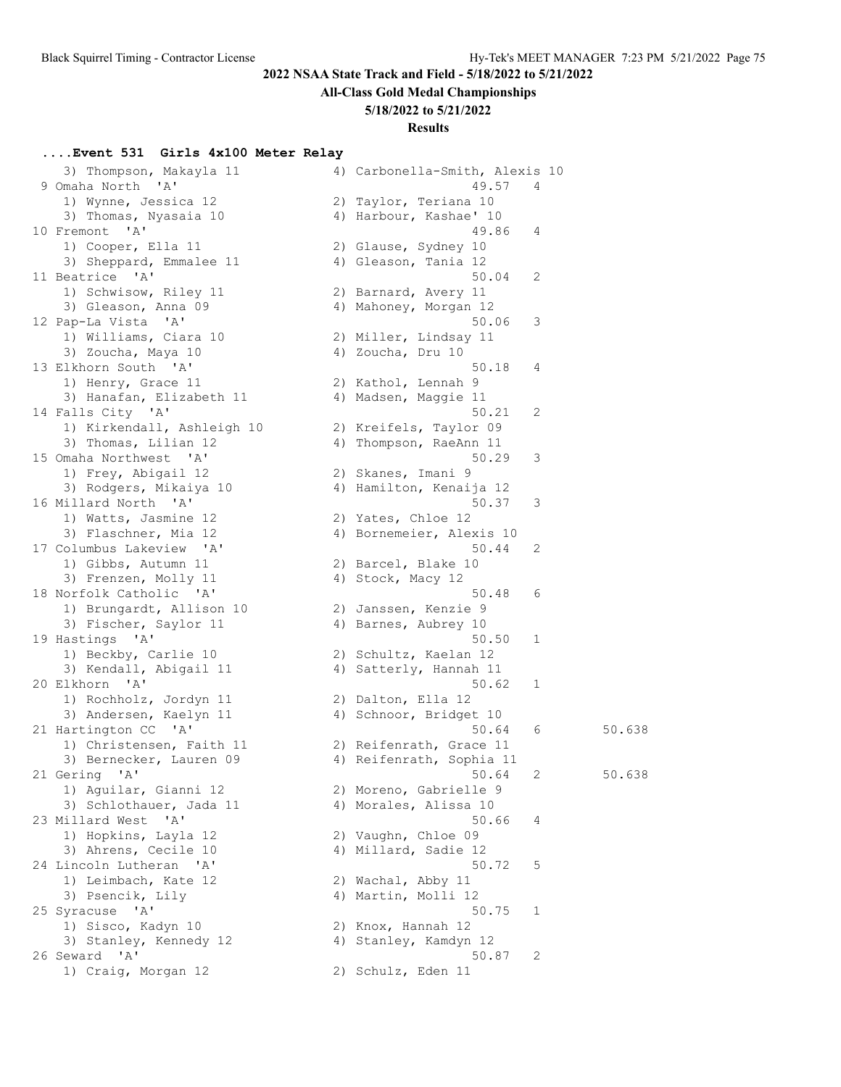# **All-Class Gold Medal Championships**

### **5/18/2022 to 5/21/2022**

### **Results**

# **....Event 531 Girls 4x100 Meter Relay**

| 3) Thompson, Makayla 11<br>9 Omaha North 'A'  | 4) Carbonella-Smith, Alexis 10<br>49.57         | 4 |        |
|-----------------------------------------------|-------------------------------------------------|---|--------|
| 1) Wynne, Jessica 12<br>3) Thomas, Nyasaia 10 | 2) Taylor, Teriana 10<br>4) Harbour, Kashae' 10 |   |        |
| 10 Fremont 'A'                                | 49.86                                           | 4 |        |
| 1) Cooper, Ella 11                            | 2) Glause, Sydney 10                            |   |        |
| 3) Sheppard, Emmalee 11                       | 4) Gleason, Tania 12                            |   |        |
| 11 Beatrice 'A'                               | 50.04                                           | 2 |        |
| 1) Schwisow, Riley 11                         | 2) Barnard, Avery 11                            |   |        |
| 3) Gleason, Anna 09                           | 4) Mahoney, Morgan 12                           |   |        |
| 12 Pap-La Vista 'A'                           | 50.06                                           | 3 |        |
| 1) Williams, Ciara 10                         | 2) Miller, Lindsay 11                           |   |        |
| 3) Zoucha, Maya 10                            | 4) Zoucha, Dru 10                               |   |        |
| 13 Elkhorn South 'A'                          | 50.18                                           | 4 |        |
| 1) Henry, Grace 11                            | 2) Kathol, Lennah 9<br>4) Madsen, Maggie 11     |   |        |
| 3) Hanafan, Elizabeth 11<br>14 Falls City 'A' | 50.21                                           | 2 |        |
| 1) Kirkendall, Ashleigh 10                    | 2) Kreifels, Taylor 09                          |   |        |
| 3) Thomas, Lilian 12                          | 4) Thompson, RaeAnn 11                          |   |        |
| 15 Omaha Northwest 'A'                        | 50.29                                           | 3 |        |
| 1) Frey, Abigail 12                           | 2) Skanes, Imani 9                              |   |        |
| 3) Rodgers, Mikaiya 10                        | 4) Hamilton, Kenaija 12                         |   |        |
| 16 Millard North 'A'                          | 50.37                                           | 3 |        |
| 1) Watts, Jasmine 12                          | 2) Yates, Chloe 12                              |   |        |
| 3) Flaschner, Mia 12                          | 4) Bornemeier, Alexis 10                        |   |        |
| 17 Columbus Lakeview 'A'                      | 50.44                                           | 2 |        |
| 1) Gibbs, Autumn 11                           | 2) Barcel, Blake 10                             |   |        |
| 3) Frenzen, Molly 11                          | 4) Stock, Macy 12                               |   |        |
| 18 Norfolk Catholic 'A'                       | 50.48                                           | 6 |        |
| 1) Brungardt, Allison 10                      | 2) Janssen, Kenzie 9                            |   |        |
| 3) Fischer, Saylor 11                         | 4) Barnes, Aubrey 10                            |   |        |
| 19 Hastings 'A'                               | 50.50                                           | 1 |        |
| 1) Beckby, Carlie 10                          | 2) Schultz, Kaelan 12                           |   |        |
| 3) Kendall, Abigail 11<br>20 Elkhorn 'A'      | 4) Satterly, Hannah 11<br>50.62                 | 1 |        |
| 1) Rochholz, Jordyn 11                        | 2) Dalton, Ella 12                              |   |        |
| 3) Andersen, Kaelyn 11                        | 4) Schnoor, Bridget 10                          |   |        |
| 21 Hartington CC 'A'                          | 50.64                                           | 6 | 50.638 |
| 1) Christensen, Faith 11                      | 2) Reifenrath, Grace 11                         |   |        |
| 3) Bernecker, Lauren 09                       | 4) Reifenrath, Sophia 11                        |   |        |
| 21 Gering 'A'                                 | 50.64                                           | 2 | 50.638 |
| 1) Aguilar, Gianni 12                         | 2) Moreno, Gabrielle 9                          |   |        |
| 3) Schlothauer, Jada 11                       | 4) Morales, Alissa 10                           |   |        |
| 23 Millard West 'A'                           | 50.66                                           | 4 |        |
| 1) Hopkins, Layla 12                          | 2) Vaughn, Chloe 09                             |   |        |
| 3) Ahrens, Cecile 10                          | 4) Millard, Sadie 12                            |   |        |
| 24 Lincoln Lutheran<br>A'                     | 50.72                                           | 5 |        |
| 1) Leimbach, Kate 12                          | 2) Wachal, Abby 11                              |   |        |
| 3) Psencik, Lily                              | 4) Martin, Molli 12                             |   |        |
| 25 Syracuse 'A'                               | 50.75                                           | 1 |        |
| 1) Sisco, Kadyn 10                            | 2) Knox, Hannah 12                              |   |        |
| 3) Stanley, Kennedy 12                        | 4) Stanley, Kamdyn 12                           |   |        |
| 26 Seward 'A'                                 | 50.87                                           | 2 |        |
| 1) Craig, Morgan 12                           | 2) Schulz, Eden 11                              |   |        |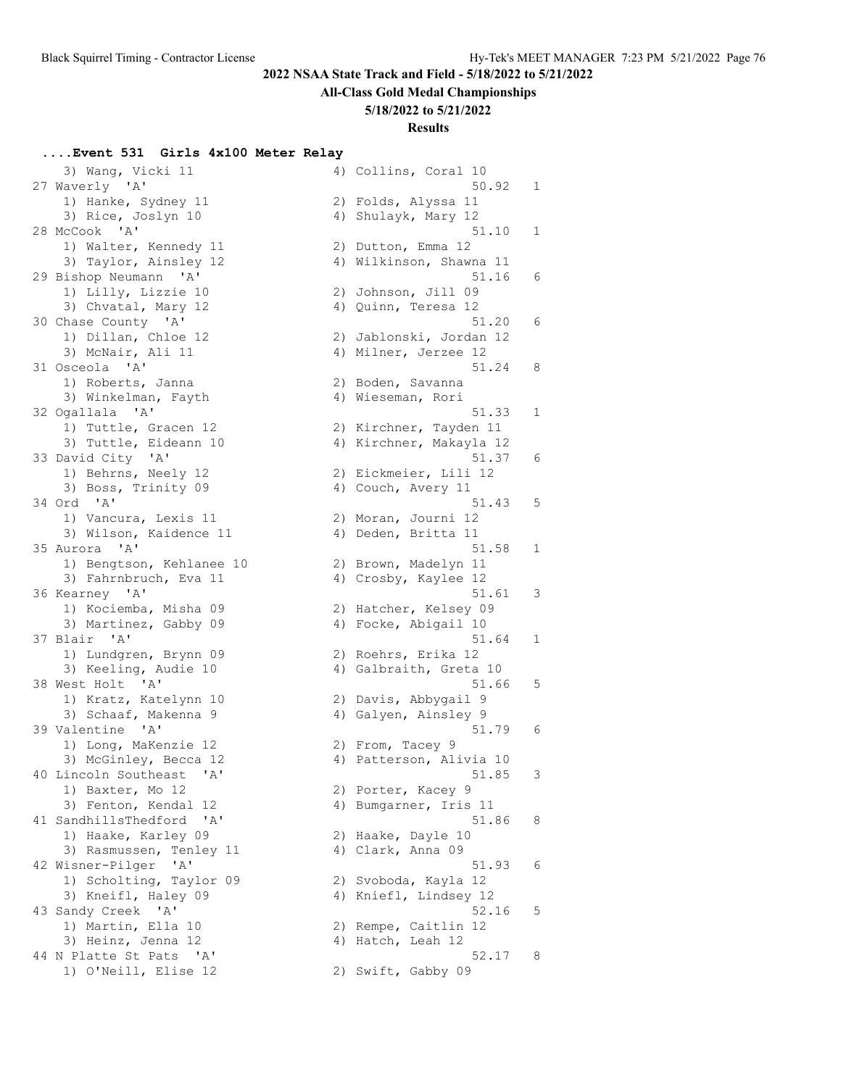# **All-Class Gold Medal Championships**

### **5/18/2022 to 5/21/2022**

#### **Results**

# **....Event 531 Girls 4x100 Meter Relay**

| 3) Wang, Vicki 11                             | 4) Collins, Coral 10    |
|-----------------------------------------------|-------------------------|
| 27 Waverly 'A'                                | 50.92<br>$\mathbf{1}$   |
| 1) Hanke, Sydney 11                           | 2) Folds, Alyssa 11     |
| 3) Rice, Joslyn 10                            | 4) Shulayk, Mary 12     |
| 28 McCook 'A'                                 | 51.10<br>$\mathbf{1}$   |
| 1) Walter, Kennedy 11                         | 2) Dutton, Emma 12      |
| 3) Taylor, Ainsley 12                         | 4) Wilkinson, Shawna 11 |
| 29 Bishop Neumann 'A'                         | 51.16<br>6              |
| 1) Lilly, Lizzie 10                           | 2) Johnson, Jill 09     |
| 3) Chvatal, Mary 12                           | 4) Quinn, Teresa 12     |
| 30 Chase County 'A'                           | 51.20<br>6              |
| 1) Dillan, Chloe 12                           | 2) Jablonski, Jordan 12 |
| 3) McNair, Ali 11                             | 4) Milner, Jerzee 12    |
|                                               |                         |
| 31 Osceola 'A'                                | 51.24<br>8              |
| 1) Roberts, Janna                             | 2) Boden, Savanna       |
| 3) Winkelman, Fayth                           | 4) Wieseman, Rori       |
| 32 Ogallala 'A'                               | $\mathbf{1}$<br>51.33   |
| 1) Tuttle, Gracen 12                          | 2) Kirchner, Tayden 11  |
| 3) Tuttle, Eideann 10                         | 4) Kirchner, Makayla 12 |
| 33 David City 'A'                             | 51.37<br>6              |
| 1) Behrns, Neely 12                           | 2) Eickmeier, Lili 12   |
| 3) Boss, Trinity 09                           | 4) Couch, Avery 11      |
| 34 Ord 'A'                                    | 5<br>51.43              |
| 1) Vancura, Lexis 11                          | 2) Moran, Journi 12     |
| 3) Wilson, Kaidence 11                        | 4) Deden, Britta 11     |
| 35 Aurora 'A'                                 | 51.58<br>1              |
| 1) Bengtson, Kehlanee 10                      | 2) Brown, Madelyn 11    |
|                                               |                         |
| 3) Fahrnbruch, Eva 11                         | 4) Crosby, Kaylee 12    |
| 36 Kearney 'A'                                | 51.61<br>3              |
| 1) Kociemba, Misha 09                         | 2) Hatcher, Kelsey 09   |
| 3) Martinez, Gabby 09                         | 4) Focke, Abigail 10    |
| 37 Blair 'A'                                  | 51.64<br>1              |
| 1) Lundgren, Brynn 09                         | 2) Roehrs, Erika 12     |
| 3) Keeling, Audie 10                          | 4) Galbraith, Greta 10  |
| 38 West Holt<br>$^{\prime}$ A $^{\prime}$     | 5<br>51.66              |
| 1) Kratz, Katelynn 10                         | 2) Davis, Abbygail 9    |
| 3) Schaaf, Makenna 9                          | 4) Galyen, Ainsley 9    |
| 39 Valentine 'A'                              | 6<br>51.79              |
| 1) Long, MaKenzie 12                          | 2) From, Tacey 9        |
| 3) McGinley, Becca 12                         | 4) Patterson, Alivia 10 |
| 40 Lincoln Southeast 'A'                      | 3<br>51.85              |
| 1) Baxter, Mo 12                              | 2) Porter, Kacey 9      |
| 3) Fenton, Kendal 12                          |                         |
|                                               | 4) Bumgarner, Iris 11   |
| 41 SandhillsThedford 'A'                      | 51.86<br>8              |
| 1) Haake, Karley 09                           | 2) Haake, Dayle 10      |
| 3) Rasmussen, Tenley 11                       | 4) Clark, Anna 09       |
| 42 Wisner-Pilger<br>$^{\prime}$ A $^{\prime}$ | 51.93<br>6              |
| 1) Scholting, Taylor 09                       | 2) Svoboda, Kayla 12    |
| 3) Kneifl, Haley 09                           | 4) Kniefl, Lindsey 12   |
| 43 Sandy Creek 'A'                            | 5<br>52.16              |
| 1) Martin, Ella 10                            | 2) Rempe, Caitlin 12    |
| 3) Heinz, Jenna 12                            | 4) Hatch, Leah 12       |
| 44 N Platte St Pats 'A'                       | 52.17<br>8              |
| 1) O'Neill, Elise 12                          | 2) Swift, Gabby 09      |
|                                               |                         |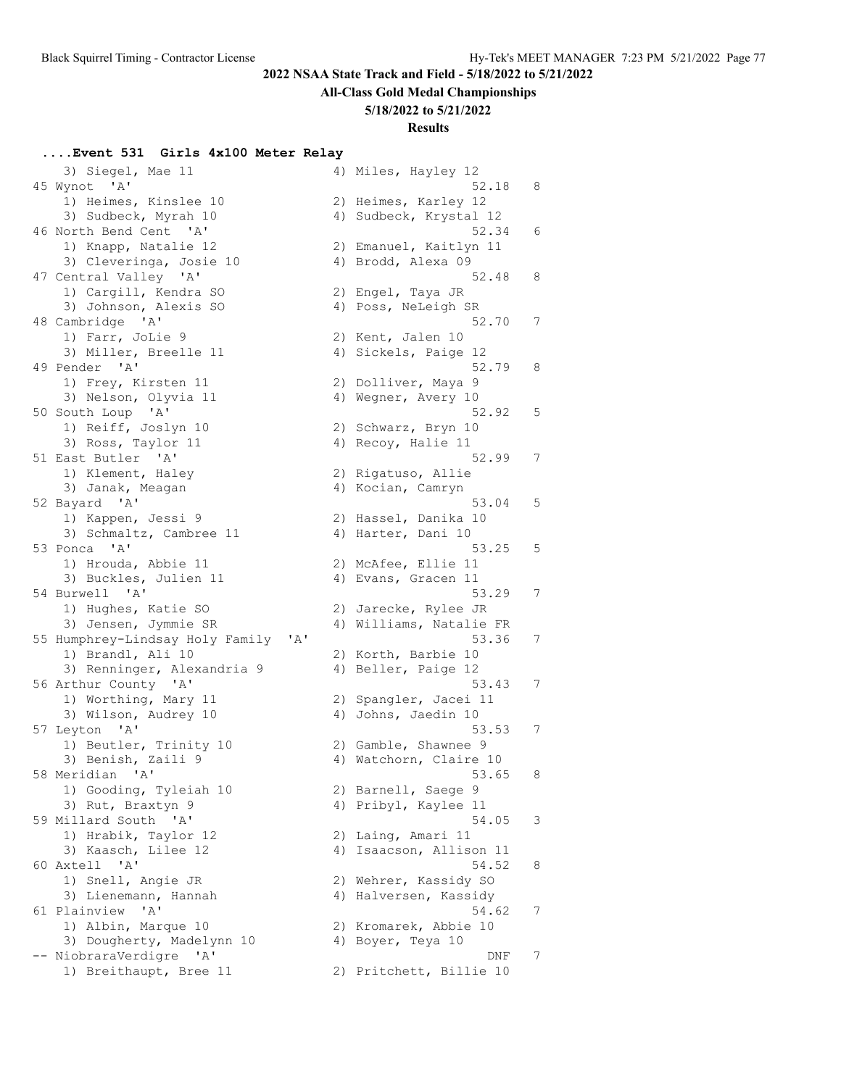# **All-Class Gold Medal Championships**

### **5/18/2022 to 5/21/2022**

### **Results**

# **....Event 531 Girls 4x100 Meter Relay**

|                                           |                                                                                                                                                                                                                                                                                                                                                                                                                                                                                                                                                                                                                                                                                                                                                                                                                                                                                                                                                                                                                | 52.18                               | 8                                                                                                                                                                                                                                                                                                                                                                                                                                                                                                                                                                                                                                                                                                                                                                                                                                                                                                                                                                                          |
|-------------------------------------------|----------------------------------------------------------------------------------------------------------------------------------------------------------------------------------------------------------------------------------------------------------------------------------------------------------------------------------------------------------------------------------------------------------------------------------------------------------------------------------------------------------------------------------------------------------------------------------------------------------------------------------------------------------------------------------------------------------------------------------------------------------------------------------------------------------------------------------------------------------------------------------------------------------------------------------------------------------------------------------------------------------------|-------------------------------------|--------------------------------------------------------------------------------------------------------------------------------------------------------------------------------------------------------------------------------------------------------------------------------------------------------------------------------------------------------------------------------------------------------------------------------------------------------------------------------------------------------------------------------------------------------------------------------------------------------------------------------------------------------------------------------------------------------------------------------------------------------------------------------------------------------------------------------------------------------------------------------------------------------------------------------------------------------------------------------------------|
|                                           |                                                                                                                                                                                                                                                                                                                                                                                                                                                                                                                                                                                                                                                                                                                                                                                                                                                                                                                                                                                                                |                                     |                                                                                                                                                                                                                                                                                                                                                                                                                                                                                                                                                                                                                                                                                                                                                                                                                                                                                                                                                                                            |
|                                           |                                                                                                                                                                                                                                                                                                                                                                                                                                                                                                                                                                                                                                                                                                                                                                                                                                                                                                                                                                                                                |                                     |                                                                                                                                                                                                                                                                                                                                                                                                                                                                                                                                                                                                                                                                                                                                                                                                                                                                                                                                                                                            |
|                                           |                                                                                                                                                                                                                                                                                                                                                                                                                                                                                                                                                                                                                                                                                                                                                                                                                                                                                                                                                                                                                |                                     | 6                                                                                                                                                                                                                                                                                                                                                                                                                                                                                                                                                                                                                                                                                                                                                                                                                                                                                                                                                                                          |
|                                           |                                                                                                                                                                                                                                                                                                                                                                                                                                                                                                                                                                                                                                                                                                                                                                                                                                                                                                                                                                                                                |                                     |                                                                                                                                                                                                                                                                                                                                                                                                                                                                                                                                                                                                                                                                                                                                                                                                                                                                                                                                                                                            |
|                                           |                                                                                                                                                                                                                                                                                                                                                                                                                                                                                                                                                                                                                                                                                                                                                                                                                                                                                                                                                                                                                |                                     |                                                                                                                                                                                                                                                                                                                                                                                                                                                                                                                                                                                                                                                                                                                                                                                                                                                                                                                                                                                            |
|                                           |                                                                                                                                                                                                                                                                                                                                                                                                                                                                                                                                                                                                                                                                                                                                                                                                                                                                                                                                                                                                                |                                     | 8                                                                                                                                                                                                                                                                                                                                                                                                                                                                                                                                                                                                                                                                                                                                                                                                                                                                                                                                                                                          |
|                                           |                                                                                                                                                                                                                                                                                                                                                                                                                                                                                                                                                                                                                                                                                                                                                                                                                                                                                                                                                                                                                |                                     |                                                                                                                                                                                                                                                                                                                                                                                                                                                                                                                                                                                                                                                                                                                                                                                                                                                                                                                                                                                            |
|                                           |                                                                                                                                                                                                                                                                                                                                                                                                                                                                                                                                                                                                                                                                                                                                                                                                                                                                                                                                                                                                                |                                     |                                                                                                                                                                                                                                                                                                                                                                                                                                                                                                                                                                                                                                                                                                                                                                                                                                                                                                                                                                                            |
|                                           |                                                                                                                                                                                                                                                                                                                                                                                                                                                                                                                                                                                                                                                                                                                                                                                                                                                                                                                                                                                                                |                                     |                                                                                                                                                                                                                                                                                                                                                                                                                                                                                                                                                                                                                                                                                                                                                                                                                                                                                                                                                                                            |
|                                           |                                                                                                                                                                                                                                                                                                                                                                                                                                                                                                                                                                                                                                                                                                                                                                                                                                                                                                                                                                                                                |                                     | 7                                                                                                                                                                                                                                                                                                                                                                                                                                                                                                                                                                                                                                                                                                                                                                                                                                                                                                                                                                                          |
|                                           |                                                                                                                                                                                                                                                                                                                                                                                                                                                                                                                                                                                                                                                                                                                                                                                                                                                                                                                                                                                                                |                                     |                                                                                                                                                                                                                                                                                                                                                                                                                                                                                                                                                                                                                                                                                                                                                                                                                                                                                                                                                                                            |
|                                           |                                                                                                                                                                                                                                                                                                                                                                                                                                                                                                                                                                                                                                                                                                                                                                                                                                                                                                                                                                                                                |                                     |                                                                                                                                                                                                                                                                                                                                                                                                                                                                                                                                                                                                                                                                                                                                                                                                                                                                                                                                                                                            |
|                                           |                                                                                                                                                                                                                                                                                                                                                                                                                                                                                                                                                                                                                                                                                                                                                                                                                                                                                                                                                                                                                |                                     | 8                                                                                                                                                                                                                                                                                                                                                                                                                                                                                                                                                                                                                                                                                                                                                                                                                                                                                                                                                                                          |
| 1) Frey, Kirsten 11                       |                                                                                                                                                                                                                                                                                                                                                                                                                                                                                                                                                                                                                                                                                                                                                                                                                                                                                                                                                                                                                |                                     |                                                                                                                                                                                                                                                                                                                                                                                                                                                                                                                                                                                                                                                                                                                                                                                                                                                                                                                                                                                            |
| 3) Nelson, Olyvia 11                      |                                                                                                                                                                                                                                                                                                                                                                                                                                                                                                                                                                                                                                                                                                                                                                                                                                                                                                                                                                                                                |                                     |                                                                                                                                                                                                                                                                                                                                                                                                                                                                                                                                                                                                                                                                                                                                                                                                                                                                                                                                                                                            |
| 50 South Loup 'A'                         |                                                                                                                                                                                                                                                                                                                                                                                                                                                                                                                                                                                                                                                                                                                                                                                                                                                                                                                                                                                                                | 52.92                               | 5                                                                                                                                                                                                                                                                                                                                                                                                                                                                                                                                                                                                                                                                                                                                                                                                                                                                                                                                                                                          |
| 1) Reiff, Joslyn 10                       |                                                                                                                                                                                                                                                                                                                                                                                                                                                                                                                                                                                                                                                                                                                                                                                                                                                                                                                                                                                                                |                                     |                                                                                                                                                                                                                                                                                                                                                                                                                                                                                                                                                                                                                                                                                                                                                                                                                                                                                                                                                                                            |
|                                           |                                                                                                                                                                                                                                                                                                                                                                                                                                                                                                                                                                                                                                                                                                                                                                                                                                                                                                                                                                                                                |                                     |                                                                                                                                                                                                                                                                                                                                                                                                                                                                                                                                                                                                                                                                                                                                                                                                                                                                                                                                                                                            |
| 51 East Butler 'A'                        |                                                                                                                                                                                                                                                                                                                                                                                                                                                                                                                                                                                                                                                                                                                                                                                                                                                                                                                                                                                                                | 52.99                               | 7                                                                                                                                                                                                                                                                                                                                                                                                                                                                                                                                                                                                                                                                                                                                                                                                                                                                                                                                                                                          |
|                                           |                                                                                                                                                                                                                                                                                                                                                                                                                                                                                                                                                                                                                                                                                                                                                                                                                                                                                                                                                                                                                |                                     |                                                                                                                                                                                                                                                                                                                                                                                                                                                                                                                                                                                                                                                                                                                                                                                                                                                                                                                                                                                            |
|                                           |                                                                                                                                                                                                                                                                                                                                                                                                                                                                                                                                                                                                                                                                                                                                                                                                                                                                                                                                                                                                                |                                     |                                                                                                                                                                                                                                                                                                                                                                                                                                                                                                                                                                                                                                                                                                                                                                                                                                                                                                                                                                                            |
|                                           |                                                                                                                                                                                                                                                                                                                                                                                                                                                                                                                                                                                                                                                                                                                                                                                                                                                                                                                                                                                                                | 53.04                               | 5                                                                                                                                                                                                                                                                                                                                                                                                                                                                                                                                                                                                                                                                                                                                                                                                                                                                                                                                                                                          |
|                                           |                                                                                                                                                                                                                                                                                                                                                                                                                                                                                                                                                                                                                                                                                                                                                                                                                                                                                                                                                                                                                |                                     |                                                                                                                                                                                                                                                                                                                                                                                                                                                                                                                                                                                                                                                                                                                                                                                                                                                                                                                                                                                            |
|                                           |                                                                                                                                                                                                                                                                                                                                                                                                                                                                                                                                                                                                                                                                                                                                                                                                                                                                                                                                                                                                                |                                     |                                                                                                                                                                                                                                                                                                                                                                                                                                                                                                                                                                                                                                                                                                                                                                                                                                                                                                                                                                                            |
|                                           |                                                                                                                                                                                                                                                                                                                                                                                                                                                                                                                                                                                                                                                                                                                                                                                                                                                                                                                                                                                                                |                                     | 5                                                                                                                                                                                                                                                                                                                                                                                                                                                                                                                                                                                                                                                                                                                                                                                                                                                                                                                                                                                          |
|                                           |                                                                                                                                                                                                                                                                                                                                                                                                                                                                                                                                                                                                                                                                                                                                                                                                                                                                                                                                                                                                                |                                     |                                                                                                                                                                                                                                                                                                                                                                                                                                                                                                                                                                                                                                                                                                                                                                                                                                                                                                                                                                                            |
|                                           |                                                                                                                                                                                                                                                                                                                                                                                                                                                                                                                                                                                                                                                                                                                                                                                                                                                                                                                                                                                                                |                                     |                                                                                                                                                                                                                                                                                                                                                                                                                                                                                                                                                                                                                                                                                                                                                                                                                                                                                                                                                                                            |
|                                           |                                                                                                                                                                                                                                                                                                                                                                                                                                                                                                                                                                                                                                                                                                                                                                                                                                                                                                                                                                                                                |                                     | 7                                                                                                                                                                                                                                                                                                                                                                                                                                                                                                                                                                                                                                                                                                                                                                                                                                                                                                                                                                                          |
|                                           |                                                                                                                                                                                                                                                                                                                                                                                                                                                                                                                                                                                                                                                                                                                                                                                                                                                                                                                                                                                                                |                                     |                                                                                                                                                                                                                                                                                                                                                                                                                                                                                                                                                                                                                                                                                                                                                                                                                                                                                                                                                                                            |
|                                           |                                                                                                                                                                                                                                                                                                                                                                                                                                                                                                                                                                                                                                                                                                                                                                                                                                                                                                                                                                                                                |                                     |                                                                                                                                                                                                                                                                                                                                                                                                                                                                                                                                                                                                                                                                                                                                                                                                                                                                                                                                                                                            |
|                                           |                                                                                                                                                                                                                                                                                                                                                                                                                                                                                                                                                                                                                                                                                                                                                                                                                                                                                                                                                                                                                |                                     | 7                                                                                                                                                                                                                                                                                                                                                                                                                                                                                                                                                                                                                                                                                                                                                                                                                                                                                                                                                                                          |
|                                           |                                                                                                                                                                                                                                                                                                                                                                                                                                                                                                                                                                                                                                                                                                                                                                                                                                                                                                                                                                                                                |                                     |                                                                                                                                                                                                                                                                                                                                                                                                                                                                                                                                                                                                                                                                                                                                                                                                                                                                                                                                                                                            |
|                                           |                                                                                                                                                                                                                                                                                                                                                                                                                                                                                                                                                                                                                                                                                                                                                                                                                                                                                                                                                                                                                |                                     |                                                                                                                                                                                                                                                                                                                                                                                                                                                                                                                                                                                                                                                                                                                                                                                                                                                                                                                                                                                            |
|                                           |                                                                                                                                                                                                                                                                                                                                                                                                                                                                                                                                                                                                                                                                                                                                                                                                                                                                                                                                                                                                                |                                     | 7                                                                                                                                                                                                                                                                                                                                                                                                                                                                                                                                                                                                                                                                                                                                                                                                                                                                                                                                                                                          |
|                                           |                                                                                                                                                                                                                                                                                                                                                                                                                                                                                                                                                                                                                                                                                                                                                                                                                                                                                                                                                                                                                |                                     |                                                                                                                                                                                                                                                                                                                                                                                                                                                                                                                                                                                                                                                                                                                                                                                                                                                                                                                                                                                            |
|                                           |                                                                                                                                                                                                                                                                                                                                                                                                                                                                                                                                                                                                                                                                                                                                                                                                                                                                                                                                                                                                                |                                     |                                                                                                                                                                                                                                                                                                                                                                                                                                                                                                                                                                                                                                                                                                                                                                                                                                                                                                                                                                                            |
|                                           |                                                                                                                                                                                                                                                                                                                                                                                                                                                                                                                                                                                                                                                                                                                                                                                                                                                                                                                                                                                                                |                                     | 7                                                                                                                                                                                                                                                                                                                                                                                                                                                                                                                                                                                                                                                                                                                                                                                                                                                                                                                                                                                          |
|                                           |                                                                                                                                                                                                                                                                                                                                                                                                                                                                                                                                                                                                                                                                                                                                                                                                                                                                                                                                                                                                                |                                     |                                                                                                                                                                                                                                                                                                                                                                                                                                                                                                                                                                                                                                                                                                                                                                                                                                                                                                                                                                                            |
|                                           |                                                                                                                                                                                                                                                                                                                                                                                                                                                                                                                                                                                                                                                                                                                                                                                                                                                                                                                                                                                                                |                                     |                                                                                                                                                                                                                                                                                                                                                                                                                                                                                                                                                                                                                                                                                                                                                                                                                                                                                                                                                                                            |
|                                           |                                                                                                                                                                                                                                                                                                                                                                                                                                                                                                                                                                                                                                                                                                                                                                                                                                                                                                                                                                                                                |                                     |                                                                                                                                                                                                                                                                                                                                                                                                                                                                                                                                                                                                                                                                                                                                                                                                                                                                                                                                                                                            |
|                                           |                                                                                                                                                                                                                                                                                                                                                                                                                                                                                                                                                                                                                                                                                                                                                                                                                                                                                                                                                                                                                |                                     | 8                                                                                                                                                                                                                                                                                                                                                                                                                                                                                                                                                                                                                                                                                                                                                                                                                                                                                                                                                                                          |
|                                           |                                                                                                                                                                                                                                                                                                                                                                                                                                                                                                                                                                                                                                                                                                                                                                                                                                                                                                                                                                                                                |                                     |                                                                                                                                                                                                                                                                                                                                                                                                                                                                                                                                                                                                                                                                                                                                                                                                                                                                                                                                                                                            |
|                                           |                                                                                                                                                                                                                                                                                                                                                                                                                                                                                                                                                                                                                                                                                                                                                                                                                                                                                                                                                                                                                |                                     |                                                                                                                                                                                                                                                                                                                                                                                                                                                                                                                                                                                                                                                                                                                                                                                                                                                                                                                                                                                            |
|                                           |                                                                                                                                                                                                                                                                                                                                                                                                                                                                                                                                                                                                                                                                                                                                                                                                                                                                                                                                                                                                                |                                     | 3                                                                                                                                                                                                                                                                                                                                                                                                                                                                                                                                                                                                                                                                                                                                                                                                                                                                                                                                                                                          |
|                                           |                                                                                                                                                                                                                                                                                                                                                                                                                                                                                                                                                                                                                                                                                                                                                                                                                                                                                                                                                                                                                |                                     |                                                                                                                                                                                                                                                                                                                                                                                                                                                                                                                                                                                                                                                                                                                                                                                                                                                                                                                                                                                            |
|                                           |                                                                                                                                                                                                                                                                                                                                                                                                                                                                                                                                                                                                                                                                                                                                                                                                                                                                                                                                                                                                                |                                     |                                                                                                                                                                                                                                                                                                                                                                                                                                                                                                                                                                                                                                                                                                                                                                                                                                                                                                                                                                                            |
|                                           |                                                                                                                                                                                                                                                                                                                                                                                                                                                                                                                                                                                                                                                                                                                                                                                                                                                                                                                                                                                                                |                                     | 8                                                                                                                                                                                                                                                                                                                                                                                                                                                                                                                                                                                                                                                                                                                                                                                                                                                                                                                                                                                          |
|                                           |                                                                                                                                                                                                                                                                                                                                                                                                                                                                                                                                                                                                                                                                                                                                                                                                                                                                                                                                                                                                                |                                     |                                                                                                                                                                                                                                                                                                                                                                                                                                                                                                                                                                                                                                                                                                                                                                                                                                                                                                                                                                                            |
|                                           |                                                                                                                                                                                                                                                                                                                                                                                                                                                                                                                                                                                                                                                                                                                                                                                                                                                                                                                                                                                                                |                                     |                                                                                                                                                                                                                                                                                                                                                                                                                                                                                                                                                                                                                                                                                                                                                                                                                                                                                                                                                                                            |
| 61 Plainview<br>$^{\prime}$ A $^{\prime}$ |                                                                                                                                                                                                                                                                                                                                                                                                                                                                                                                                                                                                                                                                                                                                                                                                                                                                                                                                                                                                                | 54.62                               | 7                                                                                                                                                                                                                                                                                                                                                                                                                                                                                                                                                                                                                                                                                                                                                                                                                                                                                                                                                                                          |
| 1) Albin, Marque 10                       |                                                                                                                                                                                                                                                                                                                                                                                                                                                                                                                                                                                                                                                                                                                                                                                                                                                                                                                                                                                                                |                                     |                                                                                                                                                                                                                                                                                                                                                                                                                                                                                                                                                                                                                                                                                                                                                                                                                                                                                                                                                                                            |
| 3) Dougherty, Madelynn 10                 |                                                                                                                                                                                                                                                                                                                                                                                                                                                                                                                                                                                                                                                                                                                                                                                                                                                                                                                                                                                                                |                                     |                                                                                                                                                                                                                                                                                                                                                                                                                                                                                                                                                                                                                                                                                                                                                                                                                                                                                                                                                                                            |
| -- NiobraraVerdigre<br>' A'               |                                                                                                                                                                                                                                                                                                                                                                                                                                                                                                                                                                                                                                                                                                                                                                                                                                                                                                                                                                                                                | DNF                                 | 7                                                                                                                                                                                                                                                                                                                                                                                                                                                                                                                                                                                                                                                                                                                                                                                                                                                                                                                                                                                          |
| 1) Breithaupt, Bree 11                    |                                                                                                                                                                                                                                                                                                                                                                                                                                                                                                                                                                                                                                                                                                                                                                                                                                                                                                                                                                                                                |                                     |                                                                                                                                                                                                                                                                                                                                                                                                                                                                                                                                                                                                                                                                                                                                                                                                                                                                                                                                                                                            |
|                                           | 3) Siegel, Mae 11<br>45 Wynot 'A'<br>1) Heimes, Kinslee 10<br>3) Sudbeck, Myrah 10<br>46 North Bend Cent 'A'<br>1) Knapp, Natalie 12<br>3) Cleveringa, Josie 10<br>47 Central Valley 'A'<br>1) Cargill, Kendra SO<br>3) Johnson, Alexis SO<br>48 Cambridge 'A'<br>1) Farr, JoLie 9<br>3) Miller, Breelle 11<br>49 Pender 'A'<br>3) Ross, Taylor 11<br>1) Klement, Haley<br>3) Janak, Meagan<br>52 Bayard 'A'<br>1) Kappen, Jessi 9<br>3) Schmaltz, Cambree 11<br>53 Ponca 'A'<br>1) Hrouda, Abbie 11<br>3) Buckles, Julien 11<br>54 Burwell 'A'<br>1) Hughes, Katie SO<br>3) Jensen, Jymmie SR<br>1) Brandl, Ali 10<br>3) Renninger, Alexandria 9<br>56 Arthur County 'A'<br>1) Worthing, Mary 11<br>3) Wilson, Audrey 10<br>57 Leyton 'A'<br>1) Beutler, Trinity 10<br>3) Benish, Zaili 9<br>58 Meridian 'A'<br>1) Gooding, Tyleiah 10<br>3) Rut, Braxtyn 9<br>59 Millard South 'A'<br>1) Hrabik, Taylor 12<br>3) Kaasch, Lilee 12<br>$\mathsf{A}$<br>60 Axtell<br>1) Snell, Angie JR<br>3) Lienemann, Hannah | 55 Humphrey-Lindsay Holy Family 'A' | 4) Miles, Hayley 12<br>2) Heimes, Karley 12<br>4) Sudbeck, Krystal 12<br>52.34<br>2) Emanuel, Kaitlyn 11<br>4) Brodd, Alexa 09<br>52.48<br>2) Engel, Taya JR<br>4) Poss, NeLeigh SR<br>52.70<br>2) Kent, Jalen 10<br>4) Sickels, Paige 12<br>52.79<br>2) Dolliver, Maya 9<br>4) Wegner, Avery 10<br>2) Schwarz, Bryn 10<br>4) Recoy, Halie 11<br>2) Rigatuso, Allie<br>4) Kocian, Camryn<br>2) Hassel, Danika 10<br>4) Harter, Dani 10<br>53.25<br>2) McAfee, Ellie 11<br>4) Evans, Gracen 11<br>53.29<br>2) Jarecke, Rylee JR<br>4) Williams, Natalie FR<br>53.36<br>2) Korth, Barbie 10<br>4) Beller, Paige 12<br>53.43<br>2) Spangler, Jacei 11<br>4) Johns, Jaedin 10<br>53.53<br>2) Gamble, Shawnee 9<br>4) Watchorn, Claire 10<br>53.65<br>2) Barnell, Saege 9<br>4) Pribyl, Kaylee 11<br>54.05<br>2) Laing, Amari 11<br>4) Isaacson, Allison 11<br>54.52<br>2) Wehrer, Kassidy SO<br>4) Halversen, Kassidy<br>2) Kromarek, Abbie 10<br>4) Boyer, Teya 10<br>2) Pritchett, Billie 10 |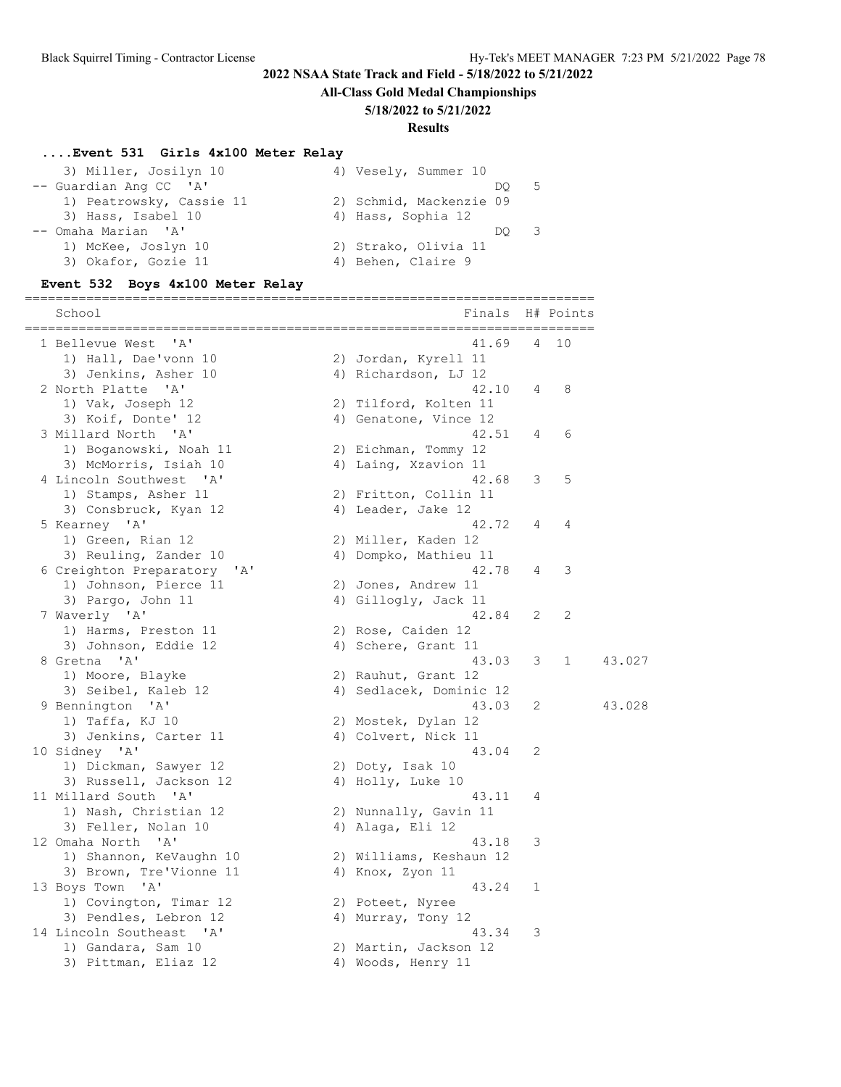**All-Class Gold Medal Championships**

#### **5/18/2022 to 5/21/2022**

#### **Results**

#### **....Event 531 Girls 4x100 Meter Relay**

| 3) Miller, Josilyn 10    |  | 4) Vesely, Summer 10    |    |     |
|--------------------------|--|-------------------------|----|-----|
| -- Guardian Ang CC 'A'   |  |                         | DO | - 5 |
| 1) Peatrowsky, Cassie 11 |  | 2) Schmid, Mackenzie 09 |    |     |
| 3) Hass, Isabel 10       |  | 4) Hass, Sophia 12      |    |     |
| -- Omaha Marian 'A'      |  |                         |    |     |
| 1) McKee, Joslyn 10      |  | 2) Strako, Olivia 11    |    |     |
| 3) Okafor, Gozie 11      |  | 4) Behen, Claire 9      |    |     |
|                          |  |                         |    |     |

#### **Event 532 Boys 4x100 Meter Relay**

========================================================================== School **Finals** H# Points ========================================================================== 1 Bellevue West 'A' 41.69 4 10 1) Hall, Dae'vonn 10 2) Jordan, Kyrell 11 3) Jenkins, Asher 10 (4) Richardson, LJ 12 2 North Platte 'A' 42.10 4 8 1) Vak, Joseph 12 2) Tilford, Kolten 11 3) Koif, Donte' 12 4) Genatone, Vince 12 3 Millard North 'A' 42.51 4 6 1) Boganowski, Noah 11  $\qquad \qquad$  2) Eichman, Tommy 12 3) McMorris, Isiah 10  $\hspace{1cm}$  4) Laing, Xzavion 11 4 Lincoln Southwest 'A' 42.68 3 5 1) Stamps, Asher 11 2) Fritton, Collin 11 3) Consbruck, Kyan 12 (4) Leader, Jake 12 5 Kearney 'A' 42.72 4 4 1) Green, Rian 12 2) Miller, Kaden 12 3) Reuling, Zander 10 4) Dompko, Mathieu 11 6 Creighton Preparatory 'A' 42.78 4 3 1) Johnson, Pierce 11 2) Jones, Andrew 11 3) Pargo, John 11 4) Gillogly, Jack 11 7 Waverly 'A' 42.84 2 2 1) Harms, Preston 11 2) Rose, Caiden 12 3) Johnson, Eddie 12 (a) 4) Schere, Grant 11 8 Gretna 'A' 43.03 3 1 43.027 1) Moore, Blayke 2) Rauhut, Grant 12 3) Seibel, Kaleb 12 4) Sedlacek, Dominic 12 9 Bennington 'A' 43.03 2 43.028 1) Taffa, KJ 10 2) Mostek, Dylan 12 3) Jenkins, Carter 11 (4) Colvert, Nick 11 10 Sidney 'A' 43.04 2 1) Dickman, Sawyer 12 2) Doty, Isak 10 3) Russell, Jackson 12 (4) Holly, Luke 10 11 Millard South 'A' 43.11 4 1) Nash, Christian 12 2) Nunnally, Gavin 11 3) Feller, Nolan 10 (4) Alaga, Eli 12 12 Omaha North 'A' 43.18 3 1) Shannon, KeVaughn 10 2) Williams, Keshaun 12 3) Brown, Tre'Vionne 11 4) Knox, Zyon 11 13 Boys Town 'A' 43.24 1 1) Covington, Timar 12 (2) Poteet, Nyree 3) Pendles, Lebron 12 (4) Murray, Tony 12 14 Lincoln Southeast 'A' 43.34 3 1) Gandara, Sam 10 2) Martin, Jackson 12 3) Pittman, Eliaz 12 (4) Woods, Henry 11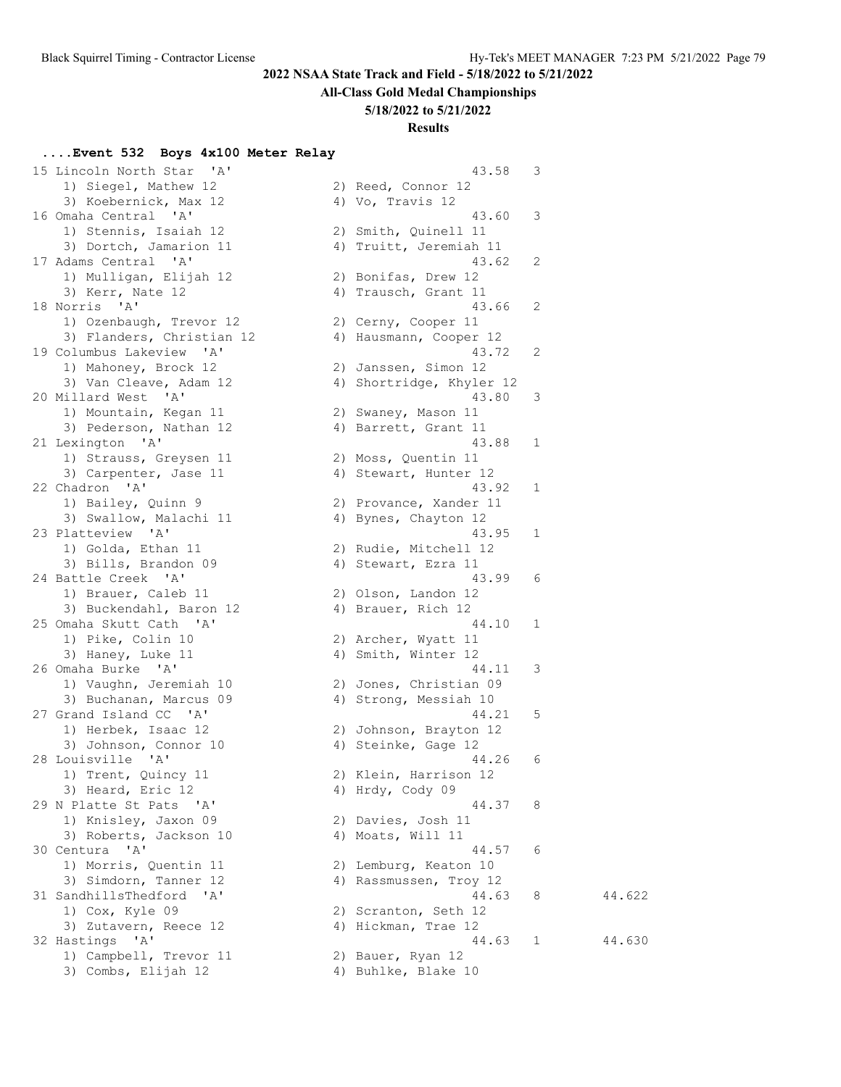#### **All-Class Gold Medal Championships**

#### **5/18/2022 to 5/21/2022**

### **Results**

#### **....Event 532 Boys 4x100 Meter Relay**

 15 Lincoln North Star 'A' 43.58 3 1) Siegel, Mathew 12 2) Reed, Connor 12 3) Koebernick, Max 12 16 Omaha Central 'A' 1) Stennis, Isaiah 12 3) Dortch, Jamarion 11 17 Adams Central 'A' 1) Mulligan, Elijah 12 3) Kerr, Nate 12 18 Norris 'A' 1) Ozenbaugh, Trevor 12 3) Flanders, Christian 12 19 Columbus Lakeview 'A' 1) Mahoney, Brock 12 3) Van Cleave, Adam 12 20 Millard West 'A' 1) Mountain, Kegan 11 3) Pederson, Nathan 12 21 Lexington 'A' 1) Strauss, Greysen 11 3) Carpenter, Jase 11 22 Chadron 'A' 1) Bailey, Quinn 9 3) Swallow, Malachi 11 23 Platteview 'A' 1) Golda, Ethan 11 3) Bills, Brandon 09 24 Battle Creek 'A' 1) Brauer, Caleb 11 3) Buckendahl, Baron 12 25 Omaha Skutt Cath 'A' 1) Pike, Colin 10 3) Haney, Luke 11 26 Omaha Burke 'A' 1) Vaughn, Jeremiah 10 3) Buchanan, Marcus 09 27 Grand Island CC 'A' 1) Herbek, Isaac 12 3) Johnson, Connor 10 28 Louisville 'A' 1) Trent, Quincy 11 2) Klein, Harrison 12 3) Heard, Eric 12 4) Hrdy, Cody 09 29 N Platte St Pats 'A' 1) Knisley, Jaxon 09 3) Roberts, Jackson 10 30 Centura 'A' 1) Morris, Quentin 11 3) Simdorn, Tanner 12 31 SandhillsThedford 'A' 1)  $Cox$ , Kyle 09 3) Zutavern, Reece 12 32 Hastings 'A' 1) Campbell, Trevor 11 3) Combs, Elijah 12

| 4) | Vo, Travis 12         |   |        |
|----|-----------------------|---|--------|
|    | 43.60                 | 3 |        |
| 2) | Smith, Quinell 11     |   |        |
| 4) | Truitt, Jeremiah 11   |   |        |
|    | 43.62                 | 2 |        |
| 2) | Bonifas,<br>Drew 12   |   |        |
| 4) | Trausch, Grant 11     |   |        |
|    | 43.66                 | 2 |        |
| 2) | Cerny, Cooper 11      |   |        |
| 4) | Hausmann, Cooper 12   |   |        |
|    | 43.72                 | 2 |        |
| 2) | Janssen, Simon 12     |   |        |
| 4) | Shortridge, Khyler 12 |   |        |
|    | 43.80                 | 3 |        |
| 2) | Swaney, Mason 11      |   |        |
| 4) | Barrett, Grant 11     |   |        |
|    | 43.88                 | 1 |        |
| 2) | Moss, Quentin 11      |   |        |
| 4) | Stewart, Hunter 12    |   |        |
|    | 43.92                 | 1 |        |
| 2) | Provance, Xander 11   |   |        |
| 4) | Bynes, Chayton 12     |   |        |
|    | 43.95                 | 1 |        |
| 2) | Rudie, Mitchell 12    |   |        |
| 4) | Stewart, Ezra<br>11   |   |        |
|    | 43.99                 | 6 |        |
|    | 2) Olson, Landon 12   |   |        |
| 4) | Brauer, Rich 12       |   |        |
|    | 44.10                 | 1 |        |
| 2) | Archer, Wyatt<br>11   |   |        |
| 4) | Smith, Winter<br>12   |   |        |
|    | 44.11                 | 3 |        |
| 2) | Jones, Christian 09   |   |        |
| 4) | Strong, Messiah 10    |   |        |
|    | 44.21                 | 5 |        |
| 2) | Johnson, Brayton 12   |   |        |
| 4) | Steinke, Gage 12      |   |        |
|    | 44.26                 | 6 |        |
| 2) | Klein, Harrison 12    |   |        |
| 4) | Hrdy, Cody 09         |   |        |
|    | 44.37                 | 8 |        |
| 2) | Davies, Josh 11       |   |        |
| 4) | Moats, Will 11        |   |        |
|    | 44.57                 | 6 |        |
| 2) | Lemburg, Keaton 10    |   |        |
| 4) | Rassmussen, Troy 12   |   |        |
|    | 44.63                 | 8 | 44.622 |
| 2) | Scranton, Seth 12     |   |        |
| 4) | Hickman, Trae 12      |   |        |
|    | 44.63                 | 1 | 44.630 |
| 2) | Bauer, Ryan 12        |   |        |
|    | 4) Buhlke, Blake 10   |   |        |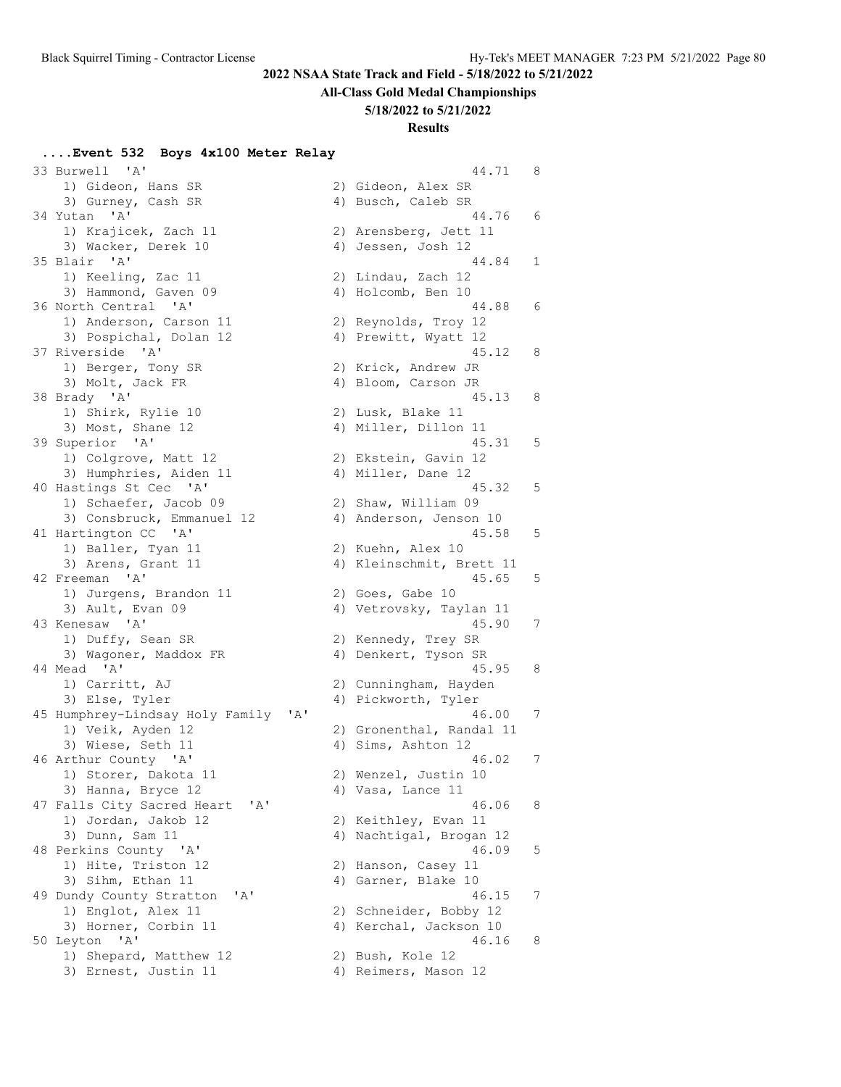#### **All-Class Gold Medal Championships**

**5/18/2022 to 5/21/2022**

### **Results**

#### **....Event 532 Boys 4x100 Meter Relay**

 33 Burwell 'A' 44.71 8 1) Gideon, Hans SR 2) Gideon, Alex SR 3) Gurney, Cash SR 34 Yutan 'A' 1) Krajicek, Zach 11 3) Wacker, Derek 10 35 Blair 'A' 1) Keeling, Zac 11 3) Hammond, Gaven 09 36 North Central 'A' 1) Anderson, Carson 11 3) Pospichal, Dolan 12 37 Riverside 'A' 1) Berger, Tony SR 3) Molt, Jack FR 38 Brady 'A' 1) Shirk, Rylie 10 3) Most, Shane 12 39 Superior 'A' 1) Colgrove, Matt 12 3) Humphries, Aiden 11 40 Hastings St Cec 'A' 1) Schaefer, Jacob 09 3) Consbruck, Emmanuel 12 41 Hartington CC 'A' 1) Baller, Tyan 11 3) Arens, Grant 11 42 Freeman 'A' 1) Jurgens, Brandon 11 3) Ault, Evan 09 43 Kenesaw 'A' 1) Duffy, Sean SR 3) Wagoner, Maddox FR 44 Mead 'A' 1) Carritt, AJ 3) Else, Tyler 45 Humphrey-Lindsay Holy Family 1) Veik, Ayden 12 3) Wiese, Seth 11 46 Arthur County 'A' 1) Storer, Dakota 11 3) Hanna, Bryce 12 47 Falls City Sacred Heart 'A 1) Jordan, Jakob 12 3) Dunn, Sam 11 48 Perkins County 'A' 1) Hite, Triston 12 3) Sihm, Ethan 11 49 Dundy County Stratton 'A' 1) Englot, Alex 11 3) Horner, Corbin 11 50 Leyton 'A' 1) Shepard, Matthew 12 3) Ernest, Justin 11

| 4)       | Busch, Caleb SR                               |   |
|----------|-----------------------------------------------|---|
|          | 44.76                                         | 6 |
|          | 2)<br>Arensberg, Jett 11                      |   |
|          | 4) Jessen, Josh 12                            |   |
|          | 44.84                                         | 1 |
|          | 2) Lindau, Zach 12                            |   |
|          | 4) Holcomb, Ben 10                            |   |
|          | 44.88                                         | 6 |
| 2)       | Reynolds, Troy 12                             |   |
|          | 4) Prewitt, Wyatt 12<br>45.12                 | 8 |
| 2)       | Krick, Andrew JR                              |   |
|          | 4) Bloom, Carson JR                           |   |
|          | 45.13                                         | 8 |
|          | 2)<br>Lusk, Blake 11                          |   |
|          | 4) Miller, Dillon 11                          |   |
|          | 45.31                                         | 5 |
|          | 2) Ekstein, Gavin 12                          |   |
|          | 4) Miller, Dane 12                            |   |
|          | 45.32                                         | 5 |
|          | 2) Shaw, William 09                           |   |
| 4)       | Anderson, Jenson 10                           |   |
|          | 45.58                                         | 5 |
|          | 2) Kuehn, Alex 10<br>4) Kleinschmit, Brett 11 |   |
|          | 45.65                                         | 5 |
|          | 2) Goes, Gabe 10                              |   |
| 4)       | Vetrovsky, Taylan 11<br>45.90                 | 7 |
|          | 2) Kennedy, Trey SR                           |   |
|          | 4) Denkert, Tyson SR                          |   |
|          | 45.95                                         | 8 |
|          | 2) Cunningham, Hayden                         |   |
|          | 4) Pickworth, Tyler                           |   |
| ' A '    | 46.00                                         | 7 |
|          | 2) Gronenthal, Randal 11                      |   |
|          | 4) Sims, Ashton 12                            |   |
|          | 46.02                                         | 7 |
|          | Wenzel, Justin<br>2)<br>10                    |   |
|          | 4) Vasa, Lance 11                             |   |
|          | 46.06                                         | 8 |
| 2)<br>4) | Keithley, Evan 11<br>Nachtigal, Brogan 12     |   |
|          | 46.09                                         | 5 |
| 2)       | 11<br>Hanson, Casey                           |   |
| 4)       | 10<br>Garner, Blake                           |   |
|          | 46.15                                         | 7 |
| 2)       | Schneider, Bobby 12                           |   |
| 4)       | Kerchal, Jackson 10<br>46.16                  | 8 |
| 2)       | Bush, Kole 12                                 |   |
|          | 4) Reimers, Mason 12                          |   |
|          |                                               |   |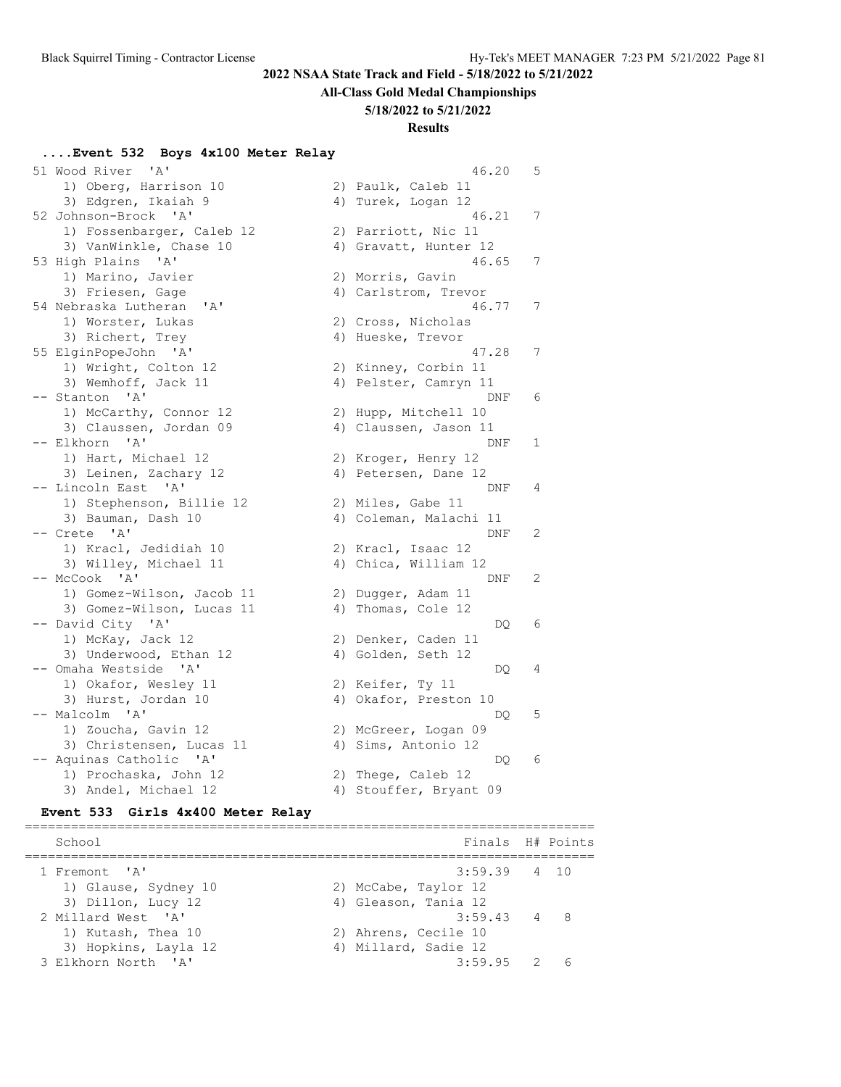### **All-Class Gold Medal Championships**

#### **5/18/2022 to 5/21/2022**

## **Results**

#### **....Event 532 Boys 4x100 Meter Relay**

| 51 Wood River 'A'                            | 46.20<br>5             |
|----------------------------------------------|------------------------|
| 1) Oberg, Harrison 10                        | 2) Paulk, Caleb 11     |
| 3) Edgren, Ikaiah 9                          | 4) Turek, Logan 12     |
| 52 Johnson-Brock 'A'                         | 46.21<br>7             |
| 1) Fossenbarger, Caleb 12                    | 2) Parriott, Nic 11    |
| 3) VanWinkle, Chase 10                       | 4) Gravatt, Hunter 12  |
| 53 High Plains<br>$^{\prime}$ A $^{\prime}$  | 46.65<br>7             |
| 1) Marino, Javier                            | 2) Morris, Gavin       |
| 3) Friesen, Gage                             | 4) Carlstrom, Trevor   |
| 54 Nebraska Lutheran 'A'                     | 46.77<br>7             |
| 1) Worster, Lukas                            | 2) Cross, Nicholas     |
| 3) Richert, Trey                             | 4) Hueske, Trevor      |
| 55 ElginPopeJohn 'A'                         | 7<br>47.28             |
| 1) Wright, Colton 12                         | 2) Kinney, Corbin 11   |
| 3) Wemhoff, Jack 11                          | 4) Pelster, Camryn 11  |
| -- Stanton 'A'                               | 6<br>DNF               |
| 1) McCarthy, Connor 12                       | 2) Hupp, Mitchell 10   |
| 3) Claussen, Jordan 09                       | 4) Claussen, Jason 11  |
| -- Elkhorn 'A'                               | 1<br>DNF               |
| 1) Hart, Michael 12                          | 2) Kroger, Henry 12    |
| 3) Leinen, Zachary 12                        | 4) Petersen, Dane 12   |
| -- Lincoln East<br>$^{\prime}$ A $^{\prime}$ | 4<br>DNF               |
| 1) Stephenson, Billie 12                     | 2) Miles, Gabe 11      |
| 3) Bauman, Dash 10                           | 4) Coleman, Malachi 11 |
| -- Crete 'A'                                 | 2<br>DNF               |
| 1) Kracl, Jedidiah 10                        | 2) Kracl, Isaac 12     |
| 3) Willey, Michael 11                        | 4) Chica, William 12   |
| -- McCook 'A'                                | 2<br>DNF               |
| 1) Gomez-Wilson, Jacob 11                    | 2) Dugger, Adam 11     |
| 3) Gomez-Wilson, Lucas 11                    | 4) Thomas, Cole 12     |
| -- David City 'A'                            | 6<br>DQ                |
| 1) McKay, Jack 12                            | 2) Denker, Caden 11    |
| 3) Underwood, Ethan 12                       | 4) Golden, Seth 12     |
| -- Omaha Westside 'A'                        | 4<br>DQ                |
| 1) Okafor, Wesley 11                         | 2) Keifer, Ty 11       |
| 3) Hurst, Jordan 10                          | 4) Okafor, Preston 10  |
| -- Malcolm 'A'                               | 5<br>DQ                |
| 1) Zoucha, Gavin 12                          | 2) McGreer, Logan 09   |
| 3) Christensen, Lucas 11                     | 4) Sims, Antonio 12    |
| -- Aquinas Catholic 'A'                      | 6<br>DQ                |
| 1) Prochaska, John 12                        | 2) Thege, Caleb 12     |
| 3) Andel, Michael 12                         | 4) Stouffer, Bryant 09 |

#### **Event 533 Girls 4x400 Meter Relay**

========================================================================== School **Finals** H# Points ========================================================================== 1 Fremont 'A' 3:59.39 4 10 1) Glause, Sydney 10 2) McCabe, Taylor 12 3) Dillon, Lucy 12 (4) Gleason, Tania 12 2 Millard West 'A' 3:59.43 4 8 1) Kutash, Thea 10 2) Ahrens, Cecile 10 3) Hopkins, Layla 12 4) Millard, Sadie 12 3 Elkhorn North 'A' 3:59.95 2 6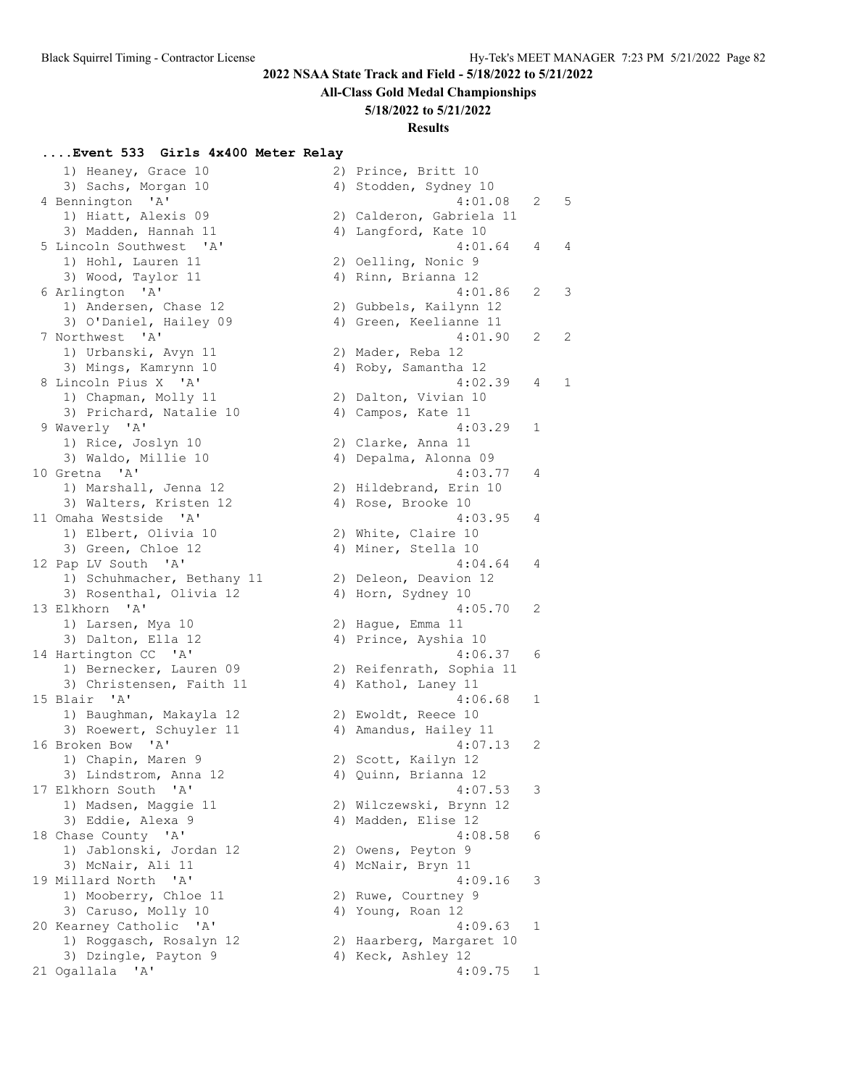# **All-Class Gold Medal Championships**

### **5/18/2022 to 5/21/2022**

### **Results**

# **....Event 533 Girls 4x400 Meter Relay**

| 1) Heaney, Grace 10        | 2) Prince, Britt 10      |   |   |
|----------------------------|--------------------------|---|---|
| 3) Sachs, Morgan 10        | 4) Stodden, Sydney 10    |   |   |
| 4 Bennington 'A'           | 4:01.08                  | 2 | 5 |
| 1) Hiatt, Alexis 09        | 2) Calderon, Gabriela 11 |   |   |
| 3) Madden, Hannah 11       | 4) Langford, Kate 10     |   |   |
| 5 Lincoln Southwest 'A'    | 4:01.64                  | 4 | 4 |
| 1) Hohl, Lauren 11         |                          |   |   |
| 3) Wood, Taylor 11         | 2) Oelling, Nonic 9      |   |   |
|                            | 4) Rinn, Brianna 12      |   |   |
| 6 Arlington 'A'            | 4:01.86                  | 2 | 3 |
| 1) Andersen, Chase 12      | 2) Gubbels, Kailynn 12   |   |   |
| 3) O'Daniel, Hailey 09     | 4) Green, Keelianne 11   |   |   |
| 7 Northwest 'A'            | 4:01.90                  | 2 | 2 |
| 1) Urbanski, Avyn 11       | 2) Mader, Reba 12        |   |   |
| 3) Mings, Kamrynn 10       | 4) Roby, Samantha 12     |   |   |
| 8 Lincoln Pius X 'A'       | 4:02.39                  | 4 | 1 |
| 1) Chapman, Molly 11       | 2) Dalton, Vivian 10     |   |   |
| 3) Prichard, Natalie 10    | 4) Campos, Kate 11       |   |   |
| 9 Waverly 'A'              | 4:03.29                  | 1 |   |
| 1) Rice, Joslyn 10         | 2) Clarke, Anna 11       |   |   |
| 3) Waldo, Millie 10        | 4) Depalma, Alonna 09    |   |   |
| 10 Gretna 'A'              | 4:03.77                  | 4 |   |
| 1) Marshall, Jenna 12      | 2) Hildebrand, Erin 10   |   |   |
| 3) Walters, Kristen 12     | 4) Rose, Brooke 10       |   |   |
| 11 Omaha Westside 'A'      | 4:03.95                  | 4 |   |
| 1) Elbert, Olivia 10       | 2) White, Claire 10      |   |   |
| 3) Green, Chloe 12         | 4) Miner, Stella 10      |   |   |
| 12 Pap LV South 'A'        | 4:04.64                  | 4 |   |
| 1) Schuhmacher, Bethany 11 | 2) Deleon, Deavion 12    |   |   |
| 3) Rosenthal, Olivia 12    | 4) Horn, Sydney 10       |   |   |
| 13 Elkhorn 'A'             | 4:05.70                  | 2 |   |
| 1) Larsen, Mya 10          | 2) Hague, Emma 11        |   |   |
| 3) Dalton, Ella 12         | 4) Prince, Ayshia 10     |   |   |
| 14 Hartington CC 'A'       | 4:06.37                  | 6 |   |
| 1) Bernecker, Lauren 09    | 2) Reifenrath, Sophia 11 |   |   |
| 3) Christensen, Faith 11   | 4) Kathol, Laney 11      |   |   |
| 15 Blair 'A'               | 4:06.68                  | 1 |   |
| 1) Baughman, Makayla 12    | 2) Ewoldt, Reece 10      |   |   |
| 3) Roewert, Schuyler 11    | 4) Amandus, Hailey 11    |   |   |
| 16 Broken Bow 'A'          | 4:07.13                  | 2 |   |
| 1) Chapin, Maren 9         | 2) Scott, Kailyn 12      |   |   |
| 3) Lindstrom, Anna 12      | 4) Quinn, Brianna 12     |   |   |
| 17 Elkhorn South 'A'       | 4:07.53                  | 3 |   |
| 1) Madsen, Maggie 11       | 2) Wilczewski, Brynn 12  |   |   |
| 3) Eddie, Alexa 9          | 4) Madden, Elise 12      |   |   |
| 18 Chase County 'A'        | 4:08.58                  | 6 |   |
| 1) Jablonski, Jordan 12    | 2) Owens, Peyton 9       |   |   |
| 3) McNair, Ali 11          | 4) McNair, Bryn 11       |   |   |
| 19 Millard North 'A'       | 4:09.16                  | 3 |   |
| 1) Mooberry, Chloe 11      | 2) Ruwe, Courtney 9      |   |   |
| 3) Caruso, Molly 10        | 4) Young, Roan 12        |   |   |
| 20 Kearney Catholic 'A'    | 4:09.63                  | 1 |   |
|                            |                          |   |   |
| 1) Roggasch, Rosalyn 12    | 2) Haarberg, Margaret 10 |   |   |
| 3) Dzingle, Payton 9       | 4) Keck, Ashley 12       |   |   |
| 21 Ogallala 'A'            | 4:09.75                  | 1 |   |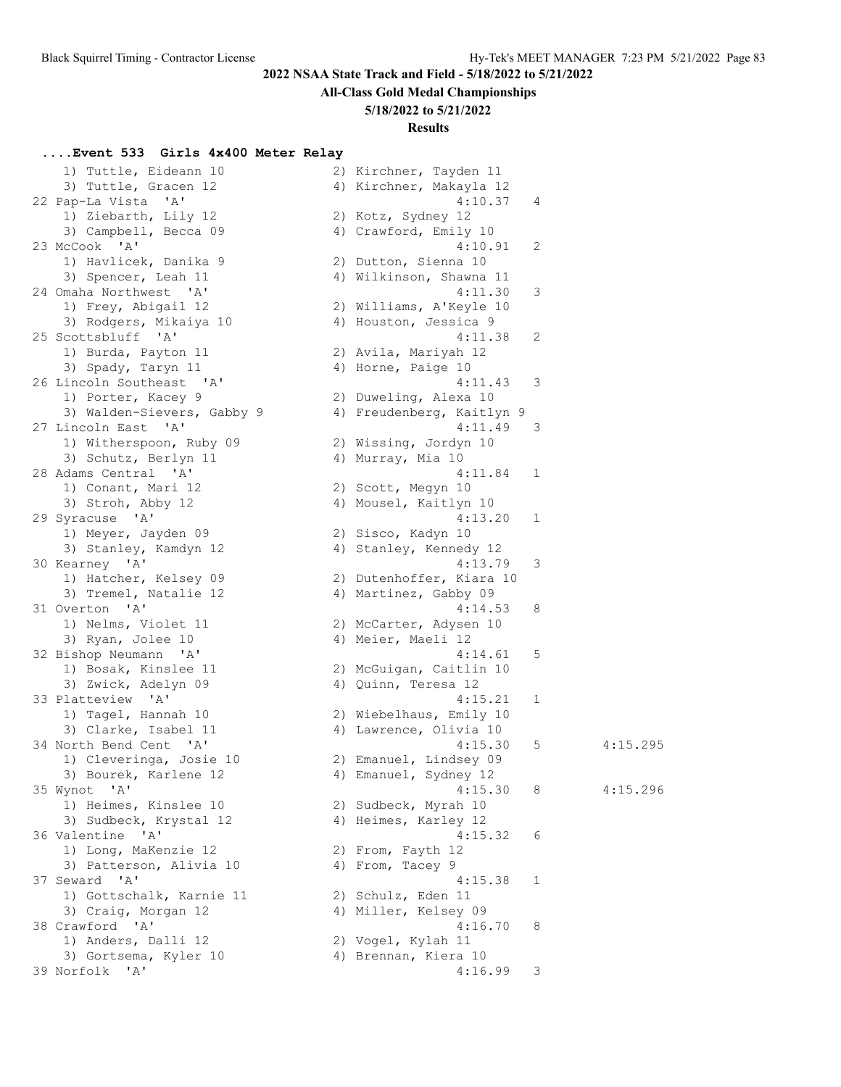# **All-Class Gold Medal Championships**

### **5/18/2022 to 5/21/2022**

# **Results**

# **....Event 533 Girls 4x400 Meter Relay**

| 1) Tuttle, Eideann 10                        | 2) Kirchner, Tayden 11    |                |
|----------------------------------------------|---------------------------|----------------|
| 3) Tuttle, Gracen 12                         | 4) Kirchner, Makayla 12   |                |
| 22 Pap-La Vista<br>$\mathsf{A}$              | 4:10.37                   | 4              |
| 1) Ziebarth, Lily 12                         | 2) Kotz, Sydney 12        |                |
| 3) Campbell, Becca 09                        | 4) Crawford, Emily 10     |                |
| 23 McCook 'A'                                | 4:10.91                   | $\overline{c}$ |
| 1) Havlicek, Danika 9                        | 2) Dutton, Sienna 10      |                |
| 3) Spencer, Leah 11                          | 4) Wilkinson, Shawna 11   |                |
| 24 Omaha Northwest 'A'                       | 4:11.30                   | 3              |
| 1) Frey, Abigail 12                          | 2) Williams, A'Keyle 10   |                |
| 3) Rodgers, Mikaiya 10                       | 4) Houston, Jessica 9     |                |
| 25 Scottsbluff 'A'                           | 4:11.38                   | $\overline{c}$ |
|                                              |                           |                |
| 1) Burda, Payton 11                          | 2) Avila, Mariyah 12      |                |
| 3) Spady, Taryn 11                           | 4) Horne, Paige 10        |                |
| 26 Lincoln Southeast 'A'                     | 4:11.43                   | 3              |
| 1) Porter, Kacey 9                           | 2) Duweling, Alexa 10     |                |
| 3) Walden-Sievers, Gabby 9                   | 4) Freudenberg, Kaitlyn 9 |                |
| 27 Lincoln East<br>$^{\prime}$ A $^{\prime}$ | 4:11.49                   | 3              |
| 1) Witherspoon, Ruby 09                      | 2) Wissing, Jordyn 10     |                |
| 3) Schutz, Berlyn 11                         | 4) Murray, Mia 10         |                |
| 28 Adams Central 'A'                         | 4:11.84                   | $\mathbf{1}$   |
| 1) Conant, Mari 12                           | 2) Scott, Megyn 10        |                |
| 3) Stroh, Abby 12                            | 4) Mousel, Kaitlyn 10     |                |
| 29 Syracuse 'A'                              | 4:13.20                   | 1              |
| 1) Meyer, Jayden 09                          | 2) Sisco, Kadyn 10        |                |
| 3) Stanley, Kamdyn 12                        | 4) Stanley, Kennedy 12    |                |
| 30 Kearney 'A'                               | 4:13.79                   | 3              |
| 1) Hatcher, Kelsey 09                        | 2) Dutenhoffer, Kiara 10  |                |
| 3) Tremel, Natalie 12                        | 4) Martinez, Gabby 09     |                |
| 31 Overton 'A'                               | 4:14.53                   | 8              |
| 1) Nelms, Violet 11                          | 2) McCarter, Adysen 10    |                |
| 3) Ryan, Jolee 10                            | 4) Meier, Maeli 12        |                |
|                                              |                           | 5              |
| 32 Bishop Neumann<br>$\mathsf{A}$            | 4:14.61                   |                |
| 1) Bosak, Kinslee 11                         | 2) McGuigan, Caitlin 10   |                |
| 3) Zwick, Adelyn 09                          | 4) Quinn, Teresa 12       |                |
| 33 Platteview 'A'                            | 4:15.21                   | 1              |
| 1) Tagel, Hannah 10                          | 2) Wiebelhaus, Emily 10   |                |
| 3) Clarke, Isabel 11                         | 4) Lawrence, Olivia 10    |                |
| 34 North Bend Cent 'A'                       | 4:15.30                   | 5              |
| 1) Cleveringa, Josie 10                      | 2) Emanuel, Lindsey 09    |                |
| 3) Bourek, Karlene 12                        | 4) Emanuel, Sydney 12     |                |
| 35 Wynot 'A'                                 | 4:15.30                   | 8              |
| 1) Heimes, Kinslee 10                        | 2) Sudbeck, Myrah 10      |                |
| 3) Sudbeck, Krystal 12                       | 4) Heimes, Karley 12      |                |
| 36 Valentine<br>$^{\prime}$ A $^{\prime}$    | 4:15.32                   | 6              |
| 1) Long, MaKenzie 12                         | 2) From, Fayth 12         |                |
| 3) Patterson, Alivia 10                      | 4) From, Tacey 9          |                |
| 37 Seward 'A'                                | 4:15.38                   | 1              |
| 1) Gottschalk, Karnie 11                     | 2) Schulz, Eden 11        |                |
| 3) Craig, Morgan 12                          | 4) Miller, Kelsey 09      |                |
| 38 Crawford 'A'                              | 4:16.70                   | 8              |
|                                              |                           |                |
| 1) Anders, Dalli 12                          | 2) Vogel, Kylah 11        |                |
| 3) Gortsema, Kyler 10                        | 4) Brennan, Kiera 10      |                |
| 39 Norfolk 'A'                               | 4:16.99                   | 3              |

| 1) Tuttle, Eideann 10                        | 2) Kirchner, Tayden 11    |               |          |
|----------------------------------------------|---------------------------|---------------|----------|
| 3) Tuttle, Gracen 12                         | 4) Kirchner, Makayla 12   |               |          |
| 22 Pap-La Vista 'A'                          | 4:10.37                   | 4             |          |
| 1) Ziebarth, Lily 12                         | 2) Kotz, Sydney 12        |               |          |
| 3) Campbell, Becca 09                        | 4) Crawford, Emily 10     |               |          |
| 23 McCook 'A'                                | 4:10.91                   | 2             |          |
| 1) Havlicek, Danika 9                        | 2) Dutton, Sienna 10      |               |          |
|                                              |                           |               |          |
| 3) Spencer, Leah 11                          | 4) Wilkinson, Shawna 11   |               |          |
| 24 Omaha Northwest 'A'                       | 4:11.30                   | 3             |          |
| 1) Frey, Abigail 12                          | 2) Williams, A'Keyle 10   |               |          |
| 3) Rodgers, Mikaiya 10                       | 4) Houston, Jessica 9     |               |          |
| 25 Scottsbluff 'A'                           | 4:11.38                   | 2             |          |
| 1) Burda, Payton 11                          | 2) Avila, Mariyah 12      |               |          |
| 3) Spady, Taryn 11                           | 4) Horne, Paige 10        |               |          |
| 26 Lincoln Southeast 'A'                     | 4:11.43                   | 3             |          |
| 1) Porter, Kacey 9                           | 2) Duweling, Alexa 10     |               |          |
| 3) Walden-Sievers, Gabby 9                   | 4) Freudenberg, Kaitlyn 9 |               |          |
| 27 Lincoln East<br>$^{\prime}$ A $^{\prime}$ | 4:11.49                   | 3             |          |
| 1) Witherspoon, Ruby 09                      | 2) Wissing, Jordyn 10     |               |          |
| 3) Schutz, Berlyn 11                         | 4) Murray, Mia 10         |               |          |
| 28 Adams Central 'A'                         | 4:11.84                   | 1             |          |
|                                              |                           |               |          |
| 1) Conant, Mari 12                           | 2) Scott, Megyn 10        |               |          |
| 3) Stroh, Abby 12                            | 4) Mousel, Kaitlyn 10     |               |          |
| 29 Syracuse 'A'                              | 4:13.20                   | 1             |          |
| 1) Meyer, Jayden 09                          | 2) Sisco, Kadyn 10        |               |          |
| 3) Stanley, Kamdyn 12                        | 4) Stanley, Kennedy 12    |               |          |
| 30 Kearney 'A'                               | 4:13.79                   | 3             |          |
| 1) Hatcher, Kelsey 09                        | 2) Dutenhoffer, Kiara 10  |               |          |
| 3) Tremel, Natalie 12                        | 4) Martinez, Gabby 09     |               |          |
| 31 Overton 'A'                               | 4:14.53                   | 8             |          |
| 1) Nelms, Violet 11                          | 2) McCarter, Adysen 10    |               |          |
| 3) Ryan, Jolee 10                            | 4) Meier, Maeli 12        |               |          |
| 32 Bishop Neumann 'A'                        | 4:14.61                   | 5             |          |
| 1) Bosak, Kinslee 11                         | 2) McGuigan, Caitlin 10   |               |          |
| 3) Zwick, Adelyn 09                          | 4) Quinn, Teresa 12       |               |          |
| 33 Platteview 'A'                            | 4:15.21                   | 1             |          |
| 1) Tagel, Hannah 10                          | 2) Wiebelhaus, Emily 10   |               |          |
| 3) Clarke, Isabel 11                         |                           |               |          |
|                                              | 4) Lawrence, Olivia 10    |               |          |
| 34 North Bend Cent 'A'                       | 4:15.30                   | 5             | 4:15.295 |
| 1) Cleveringa, Josie 10                      | 2) Emanuel, Lindsey 09    |               |          |
| 3) Bourek, Karlene 12                        | 4) Emanuel, Sydney 12     |               |          |
| 35 Wynot 'A'                                 | 4:15.30                   | 8             | 4:15.296 |
| 1) Heimes, Kinslee 10                        | 2) Sudbeck, Myrah 10      |               |          |
| 3) Sudbeck, Krystal 12                       | 4) Heimes, Karley 12      |               |          |
| 36 Valentine 'A'                             | 4:15.32                   | 6             |          |
| 1) Long, MaKenzie 12                         | 2) From, Fayth 12         |               |          |
| 3) Patterson, Alivia 10                      | 4) From, Tacey 9          |               |          |
| 37 Seward 'A'                                | 4:15.38                   | 1             |          |
| 1) Gottschalk, Karnie 11                     | 2) Schulz, Eden 11        |               |          |
| 3) Craig, Morgan 12                          | 4) Miller, Kelsey 09      |               |          |
| 38 Crawford 'A'                              | 4:16.70                   | 8             |          |
| 1) Anders, Dalli 12                          | 2) Vogel, Kylah 11        |               |          |
|                                              |                           |               |          |
| 3) Gortsema, Kyler 10                        | 4) Brennan, Kiera 10      |               |          |
| 39 Norfolk 'A'                               | 4:16.99                   | $\mathcal{E}$ |          |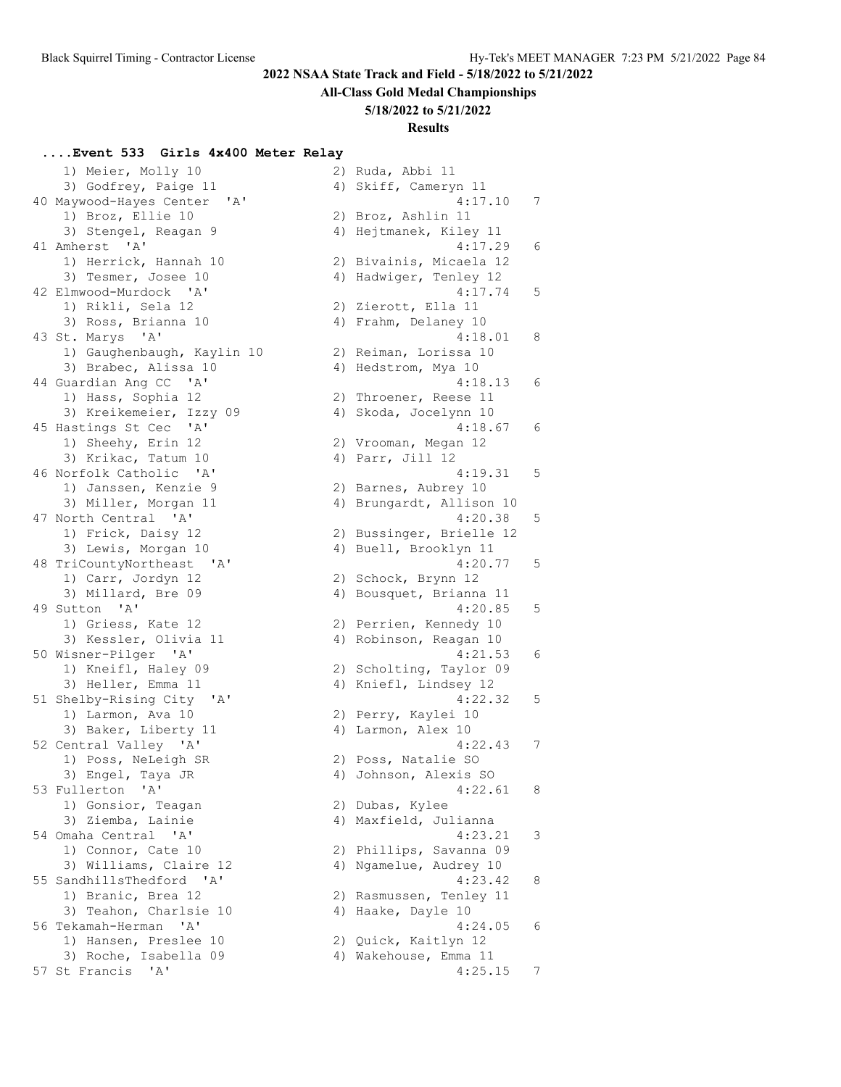#### **All-Class Gold Medal Championships**

#### **5/18/2022 to 5/21/2022**

## **Results**

#### **....Event 533 Girls 4x400 Meter Relay**

1) Meier, Molly 10 2) Ruda, Abbi 11<br>3) Godfrey, Paige 11 4) Skiff Cameryn 11 3) Godfrey, Paige 11 40 Maywood-Hayes Center 'A' 1) Broz, Ellie 10 3) Stengel, Reagan 9 41 Amherst 'A' 1) Herrick, Hannah 10 3) Tesmer, Josee 10 42 Elmwood-Murdock 'A' 1) Rikli, Sela 12 3) Ross, Brianna 10 43 St. Marys 'A' 1) Gaughenbaugh, Kaylin 10 3) Brabec, Alissa 10 44 Guardian Ang CC 'A' 1) Hass, Sophia 12 3) Kreikemeier, Izzy 09 45 Hastings St Cec 'A' 1) Sheehy, Erin 12 3) Krikac, Tatum 10 46 Norfolk Catholic 'A' 1) Janssen, Kenzie 9 3) Miller, Morgan 11 47 North Central 'A' 1) Frick, Daisy 12 3) Lewis, Morgan 10 48 TriCountyNortheast 'A' 1) Carr, Jordyn 12 3) Millard, Bre 09 49 Sutton 'A' 1) Griess, Kate 12 3) Kessler, Olivia 11 50 Wisner-Pilger 'A' 1) Kneifl, Haley 09 3) Heller, Emma 11 51 Shelby-Rising City 'A' 1) Larmon, Ava 10 3) Baker, Liberty 11 52 Central Valley 'A' 1) Poss, NeLeigh SR 3) Engel, Taya JR 4) Johnson, Alexis SO 53 Fullerton 'A' 4:22.61 8 1) Gonsior, Teagan 3) Ziemba, Lainie 54 Omaha Central 'A' 1) Connor, Cate 10 3) Williams, Claire 12 55 SandhillsThedford 'A' 1) Branic, Brea 12 3) Teahon, Charlsie 10 56 Tekamah-Herman 'A' 1) Hansen, Preslee 10 3) Roche, Isabella 09 57 St Francis 'A'

| 4 J | pyrrr, cameryn ir                 |   |
|-----|-----------------------------------|---|
|     | 4:17.10                           | 7 |
| 2)  | Broz, Ashlin 11                   |   |
|     | 4) Hejtmanek, Kiley 11            |   |
|     | 4:17.29                           | 6 |
| 2)  | Bivainis, Micaela 12              |   |
|     | 4) Hadwiger, Tenley 12            |   |
|     | 4:17.74                           | 5 |
|     | 2) Zierott, Ella 11               |   |
| 4)  | Frahm, Delaney 10                 |   |
|     | 4:18.01                           | 8 |
| 2)  | Reiman, Lorissa 10                |   |
| 4)  | Hedstrom, Mya 10                  |   |
|     | 4:18.13                           | 6 |
|     | 2) Throener, Reese 11             |   |
|     | 4) Skoda, Jocelynn 10             |   |
|     | 4:18.67                           | 6 |
| 2)  | Vrooman, Megan 12                 |   |
| 4)  | Parr, Jill 12                     |   |
|     | 4:19.31                           | 5 |
|     |                                   |   |
|     | 2) Barnes, Aubrey 10              |   |
| 4)  | Brungardt, Allison 10             |   |
|     | 4:20.38                           | 5 |
| 2)  | Bussinger, Brielle 12             |   |
| 4)  | Buell, Brooklyn 11                |   |
|     | 4:20.77                           | 5 |
|     | 2) Schock, Brynn 12               |   |
| 4)  | Bousquet, Brianna 11              |   |
|     | 4:20.85                           | 5 |
| 2)  | Perrien, Kennedy 10               |   |
| 4)  | Robinson, Reagan 10               |   |
|     | 4:21.53                           | 6 |
|     | 2) Scholting, Taylor 09           |   |
| 4)  | Kniefl, Lindsey 12                |   |
|     | 4:22.32                           | 5 |
| 2)  | Perry, Kaylei 10                  |   |
| 4)  | Larmon, Alex 10                   |   |
|     | 4:22.43                           | 7 |
|     | 2) Poss, Natalie SO               |   |
|     | 4) Johnson, Alexis SO             |   |
|     | 4:22.61                           | 8 |
|     | 2) Dubas, Kylee                   |   |
|     | 4) Maxfield, Julianna             |   |
|     | 4:23.21                           | З |
| 2)  | Phillips, Savanna 09              |   |
|     |                                   |   |
|     | 4) Ngamelue, Audrey 10<br>4:23.42 |   |
|     |                                   | 8 |
| 2)  | Rasmussen, Tenley 11              |   |
|     | 4) Haake, Dayle 10                |   |
|     | 4:24.05                           | 6 |
|     | 2) Quick, Kaitlyn 12              |   |
|     | 4) Wakehouse, Emma 11             |   |
|     | 4:25.15                           | 7 |
|     |                                   |   |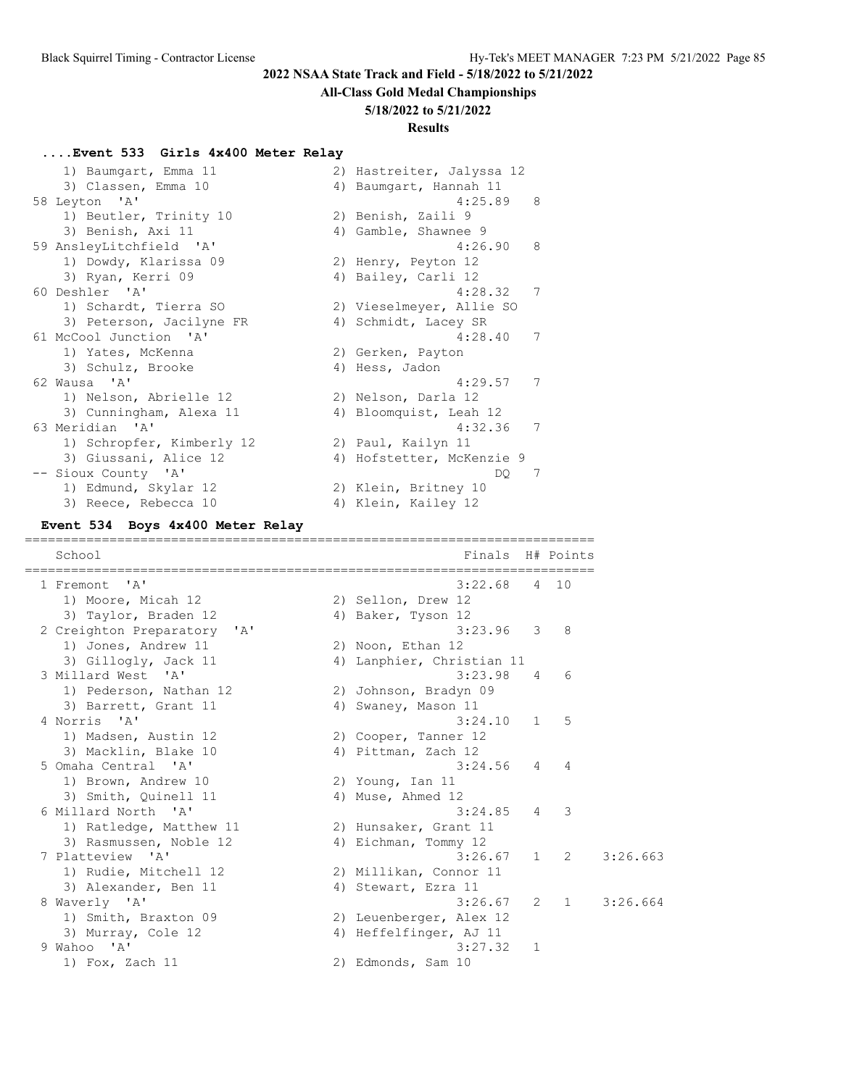### **All-Class Gold Medal Championships**

#### **5/18/2022 to 5/21/2022**

### **Results**

### **....Event 533 Girls 4x400 Meter Relay**

| 1) Baumgart, Emma 11      | 2) Hastreiter, Jalyssa 12 |
|---------------------------|---------------------------|
| 3) Classen, Emma 10       | 4) Baumgart, Hannah 11    |
| 58 Leyton 'A'             | 4:25.89<br>- 8            |
| 1) Beutler, Trinity 10    | 2) Benish, Zaili 9        |
| 3) Benish, Axi 11         | 4) Gamble, Shawnee 9      |
| 59 AnsleyLitchfield 'A'   | 4:26.90<br>- 8            |
| 1) Dowdy, Klarissa 09     | 2) Henry, Peyton 12       |
| 3) Ryan, Kerri 09         | 4) Bailey, Carli 12       |
| 60 Deshler 'A'            | 4:28.32<br>7              |
| 1) Schardt, Tierra SO     | 2) Vieselmeyer, Allie SO  |
| 3) Peterson, Jacilyne FR  | 4) Schmidt, Lacey SR      |
| 61 McCool Junction 'A'    | 4:28.40<br>7              |
| 1) Yates, McKenna         | 2) Gerken, Payton         |
| 3) Schulz, Brooke         | 4) Hess, Jadon            |
| 62 Wausa 'A'              | 7<br>4:29.57              |
| 1) Nelson, Abrielle 12    | 2) Nelson, Darla 12       |
| 3) Cunningham, Alexa 11   | 4) Bloomquist, Leah 12    |
| 63 Meridian 'A'           | 7<br>4:32.36              |
| 1) Schropfer, Kimberly 12 | 2) Paul, Kailyn 11        |
| 3) Giussani, Alice 12     | 4) Hofstetter, McKenzie 9 |
| -- Sioux County 'A'       | 7<br>DO.                  |
| 1) Edmund, Skylar 12      | 2) Klein, Britney 10      |
| 3) Reece, Rebecca 10      | 4) Klein, Kailey 12       |

### **Event 534 Boys 4x400 Meter Relay**

| School                                               | Finals H# Points          |                |                |          |
|------------------------------------------------------|---------------------------|----------------|----------------|----------|
| 1 Fremont 'A'                                        | 3:22.68                   |                | 4 10           |          |
| 1) Moore, Micah 12                                   | 2) Sellon, Drew 12        |                |                |          |
| 3) Taylor, Braden 12                                 | 4) Baker, Tyson 12        |                |                |          |
| 2 Creighton Preparatory<br>$^{\prime}$ A $^{\prime}$ | $3:23.96$ 3               |                | 8              |          |
| 1) Jones, Andrew 11                                  | 2) Noon, Ethan 12         |                |                |          |
| 3) Gillogly, Jack 11                                 | 4) Lanphier, Christian 11 |                |                |          |
| 3 Millard West<br>$^{\prime}$ A $^{\prime}$          | 3:23.98                   | $\overline{4}$ | 6              |          |
| 1) Pederson, Nathan 12                               | 2) Johnson, Bradyn 09     |                |                |          |
| 3) Barrett, Grant 11                                 | 4) Swaney, Mason 11       |                |                |          |
| 4 Norris 'A'                                         | 3:24.10                   | $\mathbf{1}$   | 5              |          |
| 1) Madsen, Austin 12                                 | 2) Cooper, Tanner 12      |                |                |          |
| 3) Macklin, Blake 10                                 | 4) Pittman, Zach 12       |                |                |          |
| 5 Omaha Central 'A'                                  | $3:24.56$ 4               |                | $\overline{4}$ |          |
| 1) Brown, Andrew 10                                  | 2) Young, Ian 11          |                |                |          |
| 3) Smith, Quinell 11                                 | 4) Muse, Ahmed 12         |                |                |          |
| 6 Millard North 'A'                                  | 3:24.85                   | $\overline{4}$ | -3             |          |
| 1) Ratledge, Matthew 11                              | 2) Hunsaker, Grant 11     |                |                |          |
| 3) Rasmussen, Noble 12                               | 4) Eichman, Tommy 12      |                |                |          |
| 7 Platteview 'A'                                     | 3:26.67                   |                | $1 \quad 2$    | 3:26.663 |
| 1) Rudie, Mitchell 12                                | 2) Millikan, Connor 11    |                |                |          |
| 3) Alexander, Ben 11                                 | 4) Stewart, Ezra 11       |                |                |          |
| 8 Waverly 'A'                                        | 3:26.67                   |                | $2 \quad 1$    | 3:26.664 |
| 1) Smith, Braxton 09                                 | 2) Leuenberger, Alex 12   |                |                |          |
| 3) Murray, Cole 12                                   | 4) Heffelfinger, AJ 11    |                |                |          |
| 9 Wahoo 'A'                                          | 3:27.32                   | 1              |                |          |
| 1) Fox, Zach 11                                      | 2) Edmonds, Sam 10        |                |                |          |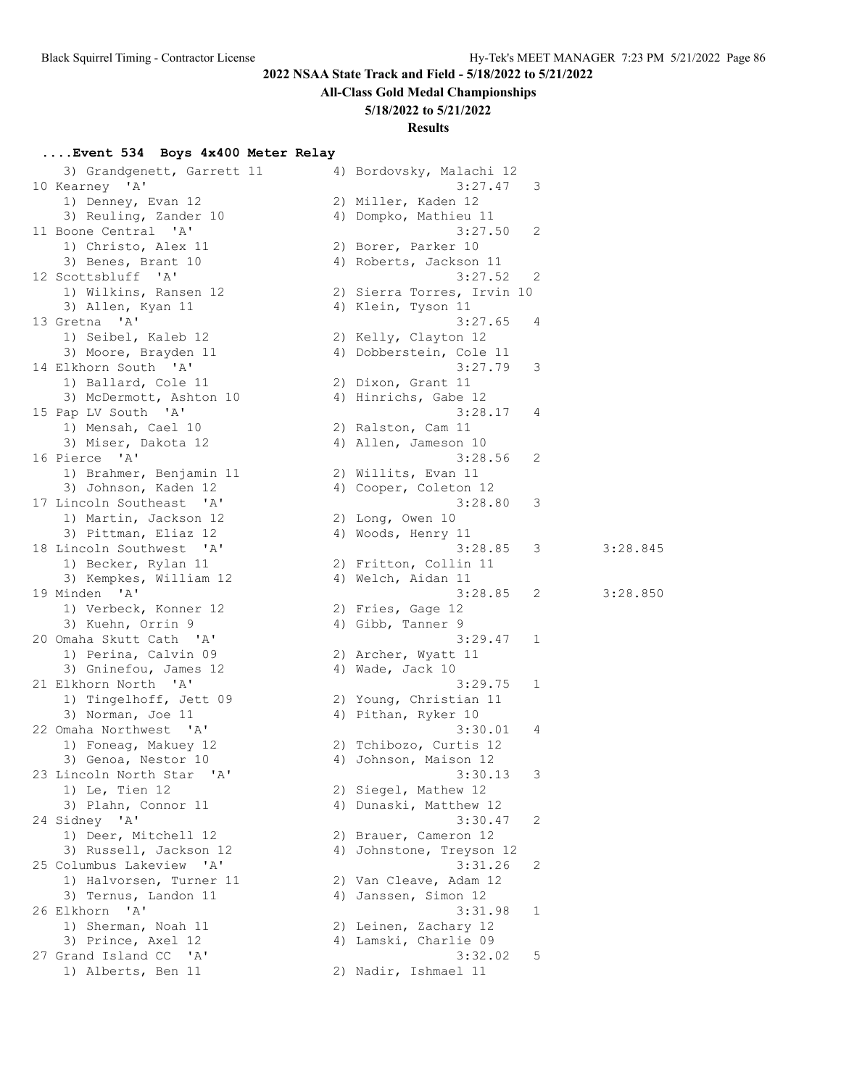# **All-Class Gold Medal Championships**

### **5/18/2022 to 5/21/2022**

### **Results**

### **....Event 534 Boys 4x400 Meter Relay**

| 3) Grandgenett, Garrett 11                      | 4) Bordovsky, Malachi 12   |    |          |
|-------------------------------------------------|----------------------------|----|----------|
| 10 Kearney 'A'                                  | 3:27.47                    | 3  |          |
| 1) Denney, Evan 12                              | 2) Miller, Kaden 12        |    |          |
| 3) Reuling, Zander 10                           | 4) Dompko, Mathieu 11      |    |          |
| 11 Boone Central 'A'                            | 3:27.50                    | -2 |          |
| 1) Christo, Alex 11                             | 2) Borer, Parker 10        |    |          |
| 3) Benes, Brant 10                              | 4) Roberts, Jackson 11     |    |          |
| 12 Scottsbluff 'A'                              | 3:27.52                    | 2  |          |
| 1) Wilkins, Ransen 12                           | 2) Sierra Torres, Irvin 10 |    |          |
| 3) Allen, Kyan 11                               | 4) Klein, Tyson 11         |    |          |
| 13 Gretna 'A'                                   | 3:27.65                    | 4  |          |
| 1) Seibel, Kaleb 12                             | 2) Kelly, Clayton 12       |    |          |
| 3) Moore, Brayden 11                            | 4) Dobberstein, Cole 11    |    |          |
| 14 Elkhorn South 'A'                            | 3:27.79                    | 3  |          |
| 1) Ballard, Cole 11                             | 2) Dixon, Grant 11         |    |          |
| 3) McDermott, Ashton 10                         | 4) Hinrichs, Gabe 12       |    |          |
| 15 Pap LV South 'A'                             | 3:28.17                    | 4  |          |
| 1) Mensah, Cael 10                              | 2) Ralston, Cam 11         |    |          |
| 3) Miser, Dakota 12                             | 4) Allen, Jameson 10       |    |          |
| 16 Pierce 'A'                                   | 3:28.56                    | 2  |          |
| 1) Brahmer, Benjamin 11                         | 2) Willits, Evan 11        |    |          |
| 3) Johnson, Kaden 12                            | 4) Cooper, Coleton 12      |    |          |
| 17 Lincoln Southeast 'A'                        | 3:28.80                    | 3  |          |
| 1) Martin, Jackson 12                           | 2) Long, Owen 10           |    |          |
| 3) Pittman, Eliaz 12                            | 4) Woods, Henry 11         |    |          |
| 18 Lincoln Southwest 'A'                        | 3:28.85                    | 3  | 3:28.845 |
| 1) Becker, Rylan 11                             | 2) Fritton, Collin 11      |    |          |
| 3) Kempkes, William 12                          | 4) Welch, Aidan 11         |    |          |
| 19 Minden 'A'                                   | 3:28.85                    | 2  | 3:28.850 |
| 1) Verbeck, Konner 12                           | 2) Fries, Gage 12          |    |          |
| 3) Kuehn, Orrin 9                               | 4) Gibb, Tanner 9          |    |          |
| 20 Omaha Skutt Cath 'A'                         | 3:29.47                    | 1  |          |
| 1) Perina, Calvin 09                            | 2) Archer, Wyatt 11        |    |          |
| 3) Gninefou, James 12                           | 4) Wade, Jack 10           |    |          |
| 21 Elkhorn North 'A'                            | 3:29.75                    | 1  |          |
| 1) Tingelhoff, Jett 09                          | 2) Young, Christian 11     |    |          |
| 3) Norman, Joe 11                               | 4) Pithan, Ryker 10        |    |          |
| 22 Omaha Northwest 'A'                          | 3:30.01                    | 4  |          |
| 1) Foneag, Makuey 12                            | 2) Tchibozo, Curtis 12     |    |          |
| 3) Genoa, Nestor 10                             | 4) Johnson, Maison 12      |    |          |
| 23 Lincoln North Star 'A'                       | 3:30.13                    | 3  |          |
| 1) Le, Tien 12                                  | 2) Siegel, Mathew 12       |    |          |
| 3) Plahn, Connor 11                             | 4) Dunaski, Matthew 12     |    |          |
| 24 Sidney 'A'                                   | 3:30.47                    | 2  |          |
| 1) Deer, Mitchell 12                            | 2) Brauer, Cameron 12      |    |          |
| 3) Russell, Jackson 12                          | 4) Johnstone, Treyson 12   |    |          |
| 25 Columbus Lakeview 'A'                        | 3:31.26                    | 2  |          |
| 1) Halvorsen, Turner 11                         | 2) Van Cleave, Adam 12     |    |          |
| 3) Ternus, Landon 11                            | 4) Janssen, Simon 12       |    |          |
| 26 Elkhorn<br>$\mathsf{A}$                      | 3:31.98                    | 1  |          |
| 1) Sherman, Noah 11                             | 2) Leinen, Zachary 12      |    |          |
| 3) Prince, Axel 12                              | 4) Lamski, Charlie 09      |    |          |
| 27 Grand Island CC<br>$^{\prime}$ A $^{\prime}$ | 3:32.02                    | 5  |          |
| 1) Alberts, Ben 11                              | 2) Nadir, Ishmael 11       |    |          |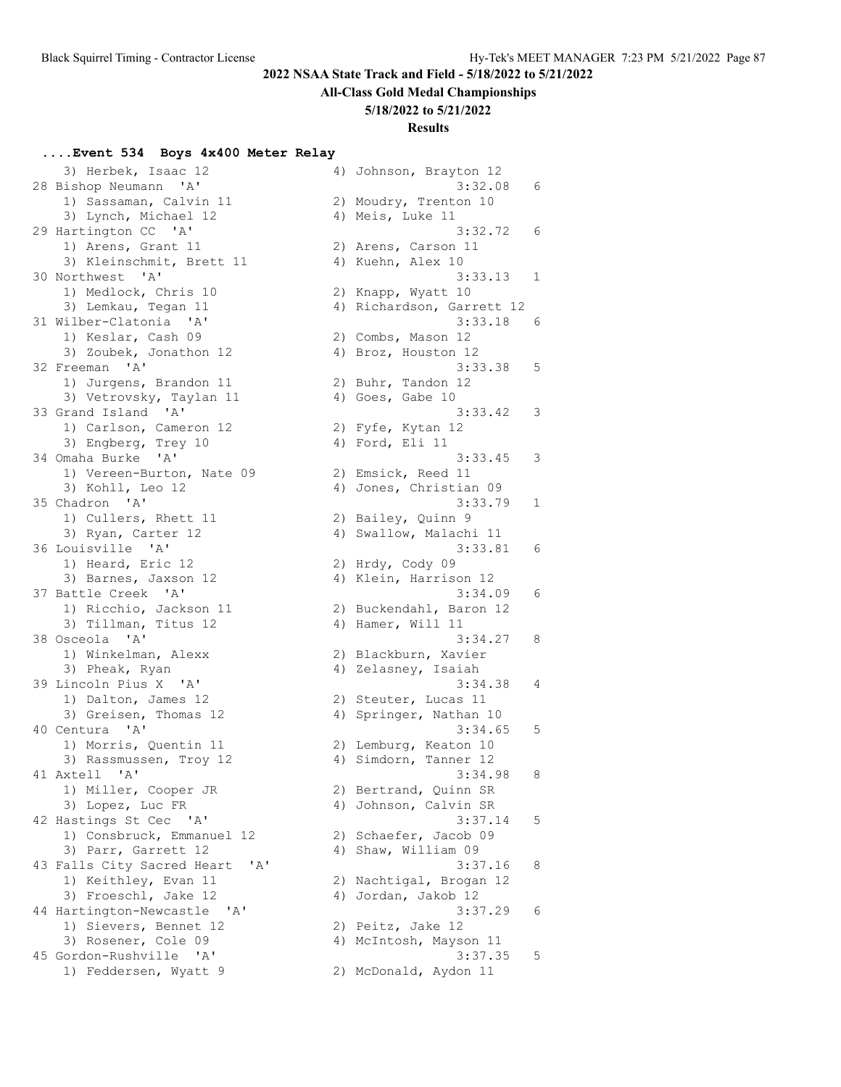#### **All-Class Gold Medal Championships**

#### **5/18/2022 to 5/21/2022**

#### **Results**

#### **....Event 534 Boys 4x400 Meter Relay**

 3) Herbek, Isaac 12 4) Johnson, Brayton 12 28 Bishop Neumann 'A' 3:32.08 6 1) Sassaman, Calvin 11 2) Moudry, Trenton 10 3) Lynch, Michael 12 (4) Meis, Luke 11 29 Hartington CC 'A' 3:32.72 6 1) Arens, Grant 11 2) Arens, Carson 11 3) Kleinschmit, Brett 11 (4) Kuehn, Alex 10 30 Northwest 'A' 3:33.13 1 1) Medlock, Chris 10 2) Knapp, Wyatt 10 3) Lemkau, Tegan 11 4) Richardson, Garrett 12 31 Wilber-Clatonia 'A' 3:33.18 6 1) Keslar, Cash 09 2) Combs, Mason 12 3) Zoubek, Jonathon 12 (4) Broz, Houston 12 32 Freeman 'A' 3:33.38 5 1) Jurgens, Brandon 11 and 2) Buhr, Tandon 12 3) Vetrovsky, Taylan 11 (4) Goes, Gabe 10 33 Grand Island 'A' 3:33.42 3 1) Carlson, Cameron 12 2) Fyfe, Kytan 12 3) Engberg, Trey 10 (4) Ford, Eli 11 34 Omaha Burke 'A' 3:33.45 3 1) Vereen-Burton, Nate 09 2) Emsick, Reed 11 3) Kohll, Leo 12 4) Jones, Christian 09 35 Chadron 'A' 3:33.79 1 1) Cullers, Rhett 11 2) Bailey, Quinn 9 3) Ryan, Carter 12 4) Swallow, Malachi 11 36 Louisville 'A' 3:33.81 6 1) Heard, Eric 12 2) Hrdy, Cody 09 3) Barnes, Jaxson 12 4) Klein, Harrison 12 37 Battle Creek 'A' 3:34.09 6 1) Ricchio, Jackson 11 2) Buckendahl, Baron 12 3) Tillman, Titus 12 (4) Hamer, Will 11 38 Osceola 'A' 3:34.27 8 1) Winkelman, Alexx 2) Blackburn, Xavier 3) Pheak, Ryan 1988 (2018) Magawarta (2018) 2018 and 4) Zelasney, Isaiah 39 Lincoln Pius X 'A' 3:34.38 4 1) Dalton, James 12 2) Steuter, Lucas 11 3) Greisen, Thomas 12 (4) Springer, Nathan 10 40 Centura 'A' 3:34.65 5 1) Morris, Quentin 11 2) Lemburg, Keaton 10 3) Rassmussen, Troy 12 and 4) Simdorn, Tanner 12 41 Axtell 'A' 3:34.98 8 1) Miller, Cooper JR 2) Bertrand, Quinn SR 3) Lopez, Luc FR 4) Johnson, Calvin SR 42 Hastings St Cec 'A' 3:37.14 5 1) Consbruck, Emmanuel 12 (2) Schaefer, Jacob 09 3) Parr, Garrett 12 (4) Shaw, William 09 43 Falls City Sacred Heart 'A' 3:37.16 8 1) Keithley, Evan 11 2) Nachtigal, Brogan 12 3) Froeschl, Jake 12 (4) Jordan, Jakob 12 44 Hartington-Newcastle 'A' 3:37.29 6 1) Sievers, Bennet 12 (2) Peitz, Jake 12 3) Rosener, Cole 09 4) McIntosh, Mayson 11 45 Gordon-Rushville 'A' 3:37.35 5 1) Feddersen, Wyatt 9 2) McDonald, Aydon 11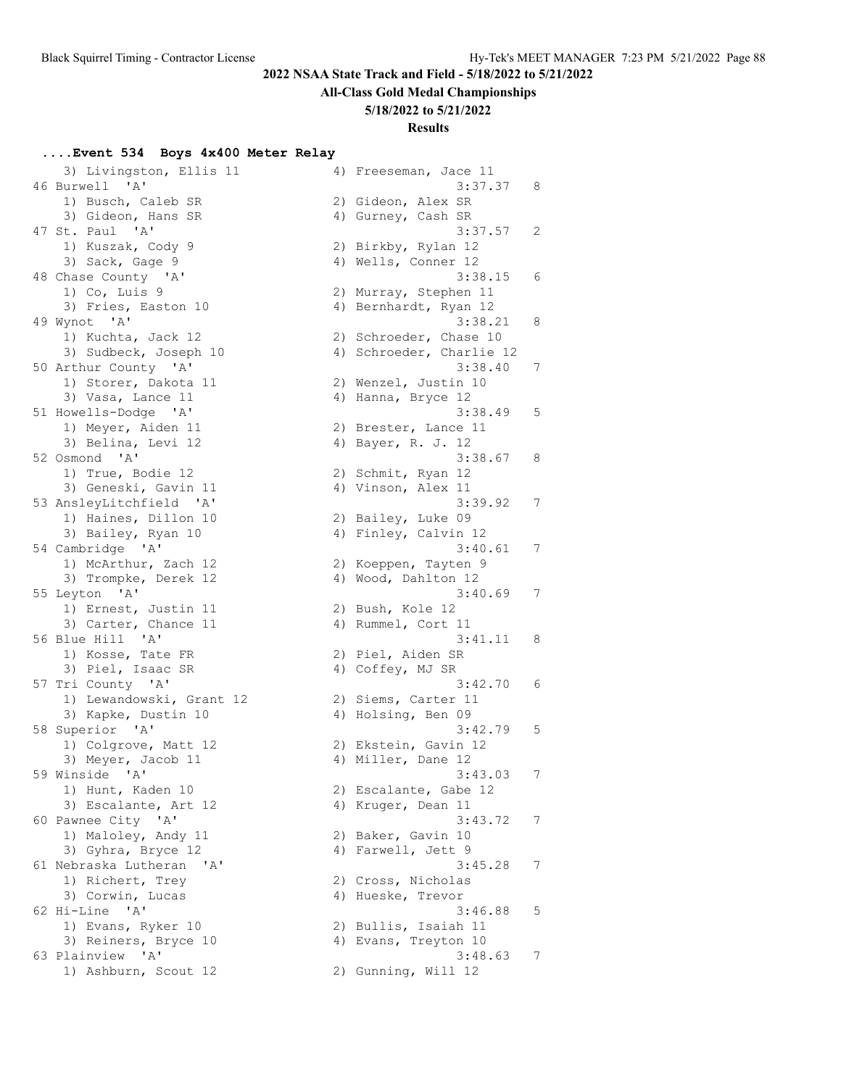# **All-Class Gold Medal Championships**

### **5/18/2022 to 5/21/2022**

### **Results**

# **....Event 534 Boys 4x400 Meter Relay**

| 3) Livingston, Ellis 11<br>46 Burwell 'A' | 4) Freeseman, Jace 11<br>3:37.37 8 |                |
|-------------------------------------------|------------------------------------|----------------|
| 1) Busch, Caleb SR                        | 2) Gideon, Alex SR                 |                |
| 3) Gideon, Hans SR                        | 4) Gurney, Cash SR                 |                |
| 47 St. Paul 'A'                           | 3:37.57                            | $\overline{c}$ |
|                                           |                                    |                |
| 1) Kuszak, Cody 9                         | 2) Birkby, Rylan 12                |                |
| 3) Sack, Gage 9                           | 4) Wells, Conner 12                |                |
| 48 Chase County 'A'                       | 3:38.15                            | 6              |
| $1)$ Co, Luis 9                           | 2) Murray, Stephen 11              |                |
| 3) Fries, Easton 10                       | 4) Bernhardt, Ryan 12              |                |
| 49 Wynot 'A'                              | 3:38.21                            | 8              |
| 1) Kuchta, Jack 12                        | 2) Schroeder, Chase 10             |                |
| 3) Sudbeck, Joseph 10                     | 4) Schroeder, Charlie 12           |                |
| 50 Arthur County 'A'                      | 3:38.40                            | 7              |
| 1) Storer, Dakota 11                      | 2) Wenzel, Justin 10               |                |
| 3) Vasa, Lance 11                         | 4) Hanna, Bryce 12                 |                |
| 51 Howells-Dodge 'A'                      | 3:38.49                            | 5              |
| 1) Meyer, Aiden 11                        | 2) Brester, Lance 11               |                |
| 3) Belina, Levi 12                        | 4) Bayer, R. J. 12                 |                |
| 52 Osmond 'A'                             | 3:38.67                            | 8              |
| 1) True, Bodie 12                         | 2) Schmit, Ryan 12                 |                |
| 3) Geneski, Gavin 11                      | 4) Vinson, Alex 11                 |                |
| 53 AnsleyLitchfield 'A'                   | 3:39.92                            | 7              |
| 1) Haines, Dillon 10                      | 2) Bailey, Luke 09                 |                |
| 3) Bailey, Ryan 10                        | 4) Finley, Calvin 12               |                |
| 54 Cambridge 'A'                          | 3:40.61                            | 7              |
| 1) McArthur, Zach 12                      | 2) Koeppen, Tayten 9               |                |
| 3) Trompke, Derek 12                      | 4) Wood, Dahlton 12                |                |
|                                           | 3:40.69                            | 7              |
| 55 Leyton 'A'                             |                                    |                |
| 1) Ernest, Justin 11                      | 2) Bush, Kole 12                   |                |
| 3) Carter, Chance 11                      | 4) Rummel, Cort 11                 |                |
| 56 Blue Hill 'A'                          | 3:41.11                            | $_{\circ}$ 8   |
| 1) Kosse, Tate FR                         | 2) Piel, Aiden SR                  |                |
| 3) Piel, Isaac SR                         | 4) Coffey, MJ SR                   |                |
| 57 Tri County 'A'                         | 3:42.70                            | 6              |
| 1) Lewandowski, Grant 12                  | 2) Siems, Carter 11                |                |
| 3) Kapke, Dustin 10                       | 4) Holsing, Ben 09                 |                |
| 58 Superior 'A'                           | 3:42.79                            | 5              |
| 1) Colgrove, Matt 12                      | 2) Ekstein, Gavin 12               |                |
| 3) Meyer, Jacob 11                        | 4) Miller, Dane 12                 |                |
| 59 Winside 'A'                            | 3:43.03                            | 7              |
| 1) Hunt, Kaden 10                         | 2) Escalante, Gabe 12              |                |
| 3) Escalante, Art 12                      | 4) Kruger, Dean 11                 |                |
| 60 Pawnee City 'A'                        | 3:43.72                            | 7              |
| 1) Maloley, Andy 11                       | 2) Baker, Gavin 10                 |                |
| 3) Gyhra, Bryce 12                        | 4) Farwell, Jett 9                 |                |
| 61 Nebraska Lutheran<br>$\mathsf{A}$      | 3:45.28                            | 7              |
| 1) Richert, Trey                          | 2) Cross, Nicholas                 |                |
|                                           | 4) Hueske, Trevor                  |                |
| 3) Corwin, Lucas                          |                                    |                |
| 62 Hi-Line 'A'                            | 3:46.88                            | 5              |
| 1) Evans, Ryker 10                        | 2) Bullis, Isaiah 11               |                |
| 3) Reiners, Bryce 10                      | 4) Evans, Treyton 10               |                |
| 63 Plainview 'A'                          | 3:48.63                            | 7              |
| 1) Ashburn, Scout 12                      | 2) Gunning, Will 12                |                |